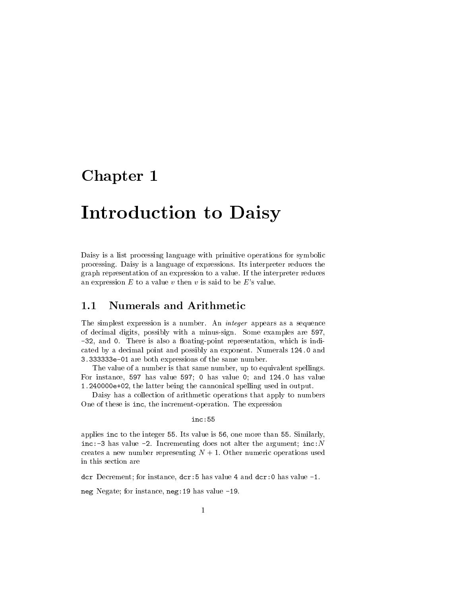# Chapter <sup>1</sup>

# Introduction to Daisy

Daisy is a list processing language with primitive operations for symbolic processing. Daisy is a language of expressions. Its interpreter reduces the graph representation of an expression to a value. If the interpreter reduces an expression  $E$  to a value  $v$  then  $v$  is said to be  $E$ 's value.

## 1.1 Numerals and Arithmetic

The simplest expression is a number. An integer appears as a sequence of decimal digits, possibly with a minus-sign. Some examples are 597, -32, and 0. There is also a floating-point representation, which is indicated by a decimal point and possibly an exponent. Numerals 124.0 and 3.333333e-01 are both expressions of the same number.

The value of a number is that same number, up to equivalent spellings. For instance, 597 has value 597; 0 has value 0; and 124.0 has value 1.240000e+02, the latter being the cannonical spelling used in output.

Daisy has a collection of arithmetic operations that apply to numbers One of these is inc, the increment-operation. The expression

#### inc:55

applies inc to the integer 55. Its value is 56, one more than 55. Similarly, inc:-3 has value -2. Incrementing does not alter the argument; inc:  $N$ creates a new number representing  $N + 1$ . Other numeric operations used in this section are

dcr Decrement; for instance, dcr:5 has value 4 and dcr:0 has value -1.

neg Negate; for instance, neg:19 has value -19.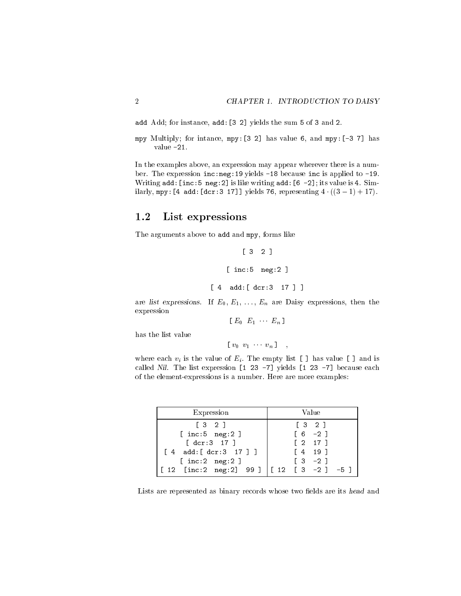add Add; for instance, add:[3 2] yields the sum 5 of 3 and 2.

mpy Multiply; for intance, mpy:[3 2] has value 6, and mpy:[-3 7] has value -21.

In the examples above, an expression may appear wherever there is a number. The expression inc:neg:19 yields -18 because inc is applied to -19. Writing add: [inc:5 neg:2] is like writing add: [6 -2]; its value is 4. Similarly, mpy: [4 add: [dcr:3 17]] yields 76, representing  $4 \cdot ((3 - 1) + 17)$ .

## 1.2 List expressions

The arguments above to add and mpy, forms like

```
[ 3 2 ]
    [ inc:5 neg:2 ]
[ 4 add: [ dcr: 3 17 ] ]
```
are list expressions. If  $E_0, E_1, \ldots, E_n$  are Daisy expressions, then the expression

 $\left[ E_0 \ E_1 \ \cdots \ E_n \right]$ 

has the list value

 $[v_0 \; v_1 \; \cdots \; v_n] \quad ,$ 

where each  $v_i$  is the value of  $E_i$ . The empty list [ ] has value [ ] and is called Nil. The list expression [1 23 -7] yields [1 23 -7] because each of the element-expressions is a number. Here are more examples:

| Expression                                          | Value                                                |
|-----------------------------------------------------|------------------------------------------------------|
| $\begin{bmatrix} 3 & 2 \end{bmatrix}$               | $\begin{bmatrix} 3 & 2 \end{bmatrix}$                |
| $[$ inc:5 neg:2]                                    | $\begin{bmatrix} 6 & -2 \end{bmatrix}$               |
| [ dcr:3 17 ]                                        | $\left[\begin{array}{ccc} 2 & 17 \end{array}\right]$ |
| $[4 \text{ add}:\text{[ der:3 17 ]}]$               | $\begin{bmatrix} 4 & 19 \end{bmatrix}$               |
| $[$ inc:2 neg:2]                                    | $\begin{bmatrix} 3 & -2 \end{bmatrix}$               |
| $[12 \text{ [inc:2 neg:2] } 99 ] [[12 [3 -2] -5 ]]$ |                                                      |

Lists are represented as binary records whose two fields are its head and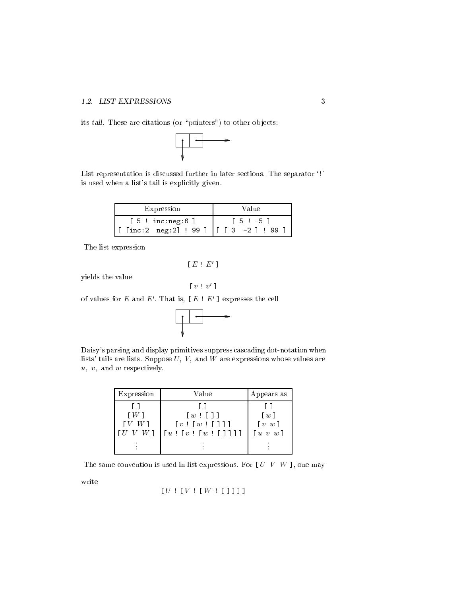### 1.2. LIST EXPRESSIONS

its tail. These are citations (or "pointers") to other objects:



List representation is discussed further in later sections. The separator '!' is used when a list's tail is explicitly given.

| Expression                                     | Value     |
|------------------------------------------------|-----------|
| [5:inc:neg:6]                                  | $15! - 5$ |
| $[$ [inc:2 neg:2] ! 99 ] $[$ [ $[$ 3 -2 ] ! 99 |           |

The list expression

$$
[\;E\;!\;E'\;]
$$

yields the value

$$
[v:v']
$$

of values for E and E'. That is,  $[E: E']$  expresses the cell



Daisy's parsing and display primitives suppress cascading dot-notation when lists' tails are lists. Suppose  $U$ ,  $V$ , and  $W$  are expressions whose values are  $u, v, \text{ and } w \text{ respectively.}$ 

| [W]<br>$\lceil w \rceil$ $\lceil 1 \rceil$<br>$\lceil w \rceil$<br>$[v \; w]$<br>$[v: [w: [1]$ ]<br>IV WI<br>$\lfloor [u : [v : [w : [ 1 ] ] ] \rfloor]$<br>$[u\; v\; w]$<br>$V^-W^-$ | Expression | Value | Appears as |
|---------------------------------------------------------------------------------------------------------------------------------------------------------------------------------------|------------|-------|------------|
|                                                                                                                                                                                       |            |       |            |
|                                                                                                                                                                                       |            |       |            |
|                                                                                                                                                                                       |            |       |            |
|                                                                                                                                                                                       |            |       |            |
|                                                                                                                                                                                       |            |       |            |

The same convention is used in list expressions. For  $[U \ V \ W]$ , one may

write

 $[ U : [V : [W : [1]]]]$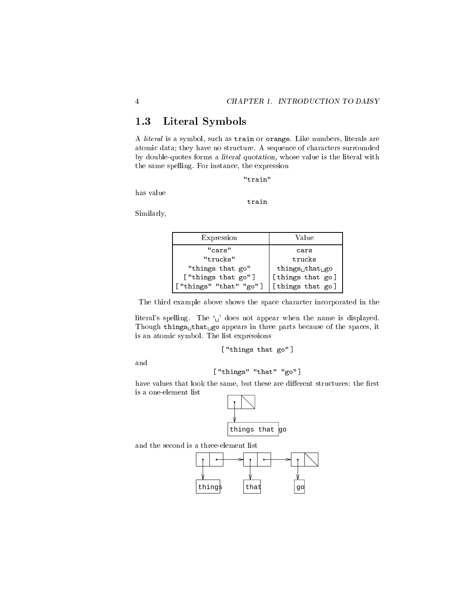## 1.3 Literal Symbols

A literal is a symbol, such as train or orange. Like numbers, literals are atomic data; they have no structure. A sequence of characters surrounded by double-quotes forms a literal quotation, whose value is the literal with the same spelling. For instance, the expression

train

Similarly,

| Expression             | Value                                            |
|------------------------|--------------------------------------------------|
| "cars"                 | cars                                             |
| "trucks"               | trucks                                           |
| "things that go"       | $\text{things}_{\sqcup} \text{that}_{\sqcup}$ go |
| ["things that go"]     | [things that go]                                 |
| ["things" "that" "go"] | [things that go]                                 |

The third example above shows the space character incorporated in the

literal's spelling. The  $\omega'$  does not appear when the name is displayed. Though things that go appears in three parts because of the spaces, it is an atomic symbol. The list expressions

[ "things that go"]

and

[ "things" "that" "go" ]

have values that look the same, but these are different structures: the first is a one-element list



and the second is a three-element list



 $\overline{4}$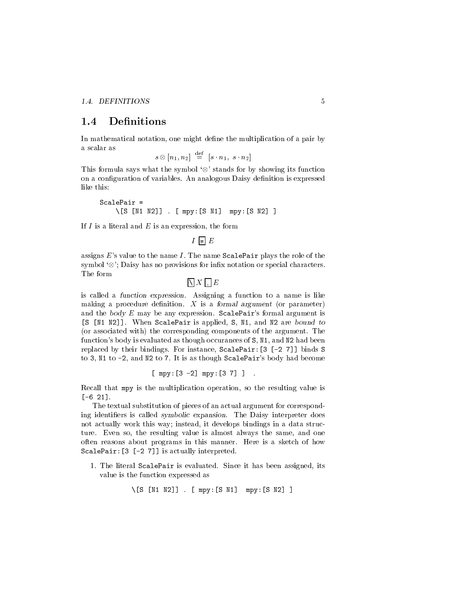#### **Definitions**  $1.4$

In mathematical notation, one might define the multiplication of a pair by a scalar as

 $s \otimes |n_1,n_2| \;\; \equiv \;\; |s \; \; n_1,\; s \; \; n_2|$ 

This formula says what the symbol  $\degree \otimes \degree$  stands for by showing its function on a configuration of variables. An analogous Daisy definition is expressed like this:

```
ScalePair =
   \[S [N1 N2]] . [ mpy:[S N1] mpy:[S N2] ]
```
If  $I$  is a literal and  $E$  is an expression, the form

I = <sup>E</sup>

assigns  $E$ 's value to the name  $I$ . The name ScalePair plays the role of the symbol ' $\otimes$ '; Daisy has no provisions for infix notation or special characters. The form

 $\cdot$  .  $\cdot$  . Expansion of  $\cdot$  . Expansion of  $\cdot$  . Expansion of  $\cdot$  . Expansion of  $\cdot$ 

is called a function expression. Assigning a function to a name is like making a procedure definition.  $X$  is a formal argument (or parameter) and the body  $E$  may be any expression. ScalePair's formal argument is [S [N1 N2]]. When ScalePair is applied, S, N1, and N2 are bound to (or associated with) the corresponding components of the argument. The function's body is evaluated as though occurances of S, N1, and N2 had been replaced by their bindings. For instance, ScalePair:[3 [-2 7]] binds S to 3, N1 to -2, and N2 to 7. It is as though ScalePair's body had become

 $[mpy:[3 -2] mpy:[3 7] ]$ .

Recall that mpy is the multiplication operation, so the resulting value is [-6 21].

The textual substitution of pieces of an actual argument for corresponding identifiers is called *symbolic* expansion. The Daisy interpreter does not actually work this way; instead, it develops bindings in a data structure. Even so, the resulting value is almost always the same, and one often reasons about programs in this manner. Here is a sketch of how ScalePair:[3 [-2 7]] is actually interpreted.

1. The literal ScalePair is evaluated. Since it has been assigned, its value is the function expressed as

```
\[S [N1 N2]] . [ mpy:[S N1] mpy:[S N2] ]
```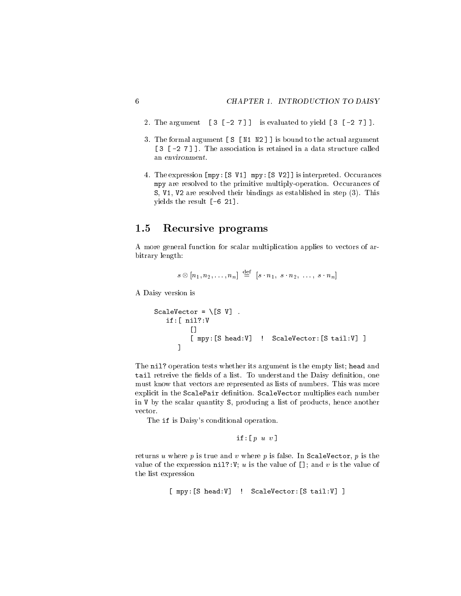- 2. The argument  $\begin{bmatrix} 3 & -2 & 7 \end{bmatrix}$  is evaluated to yield  $\begin{bmatrix} 3 & -2 & 7 \end{bmatrix}$ .
- 3. The formal argument [ S [ N1 N2 ] ] is bound to the actual argument [ 3 [ -2 7]]. The association is retained in a data structure called an environment.
- 4. The expression [mpy:[S V1] mpy:[S V2]] is interpreted. Occurances mpy are resolved to the primitive multiply-operation. Occurances of S, V1, V2 are resolved their bindings as established in step (3). This yields the result [-6 21].

#### $1.5$ Recursive programs

A more general function for scalar multiplication applies to vectors of arbitrary length:

$$
s\otimes [n_1,n_2,\ldots,n_n]\stackrel{\text{def}}{=} [s\cdot n_1,\ s\cdot n_2,\ \ldots,\ s\cdot n_n]
$$

A Daisy version is

```
ScaleVector = \{S \mid V\}.
     if: \lceil nil?: V
      if: [ nil]: [ nil]: [ nil]: [ nil]: [ nil]: [ nil]: [ nil]: [ nil]: [ nil]: [ nil]: [ nil]: [ nil]: [ nil]: [ n
                 П
                 []
                 [ mpy: [S head: V] ! ScaleVector: [S tail: V] ]
            \blacksquare
```
The nil? operation tests whether its argument is the empty list; head and tail retreive the fields of a list. To understand the Daisy definition, one must know that vectors are represented as lists of numbers. This was more explicit in the ScalePair definition. ScaleVector multiplies each number in V by the scalar quantity S, producing a list of products, hence another vector.

The if is Daisy's conditional operation.

if: $[p \ u \ v]$ 

returns u where  $p$  is true and v where  $p$  is false. In ScaleVector,  $p$  is the value of the expression nil?: V; u is the value of  $[]$ ; and v is the value of the list expression

[ mpy: [S head: V] ! ScaleVector: [S tail: V] ]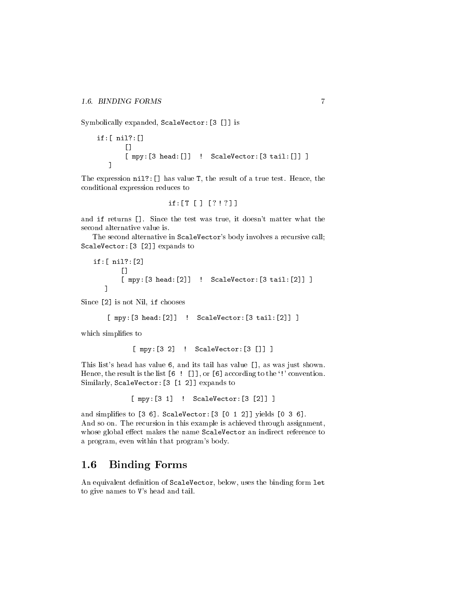Symbolically expanded, ScaleVector:[3 []] is

```
if:[ nil?:[]
                                            \mathsf{L}\blacksquare \blacksquare \blacksquare \blacksquare \blacksquare \blacksquare \blacksquare \blacksquare \blacksquare \blacksquare \blacksquare \blacksquare \blacksquare \blacksquare \blacksquare \blacksquare \blacksquare \blacksquare \blacksquare \blacksquare \blacksquare \blacksquare \blacksquare \blacksquare \blacksquare \blacksquare \blacksquare \blacksquare \blacksquare \blacksquare \blacksquare \blacks[ mpy: [3 head: []] ! ScaleVector: [3 tail: []] ]
                 \overline{1}\blacksquare
```
The expression nil?:[] has value T, the result of a true test. Hence, the conditional expression reduces to

```
if:[ T [ ] [ ? ! ? ] ]
```
and if returns []. Since the test was true, it doesn't matter what the second alternative value is.

The second alternative in ScaleVector's body involves a recursive call; ScaleVector:[3 [2]] expands to

```
if:[ nil?:[2]
       []
       [ mpy:[3 head:[2]] ! ScaleVector:[3 tail:[2]] ]
   \blacksquare
```
Since [2] is not Nil, if chooses

[ mpy:[3 head:[2]] ! ScaleVector:[3 tail:[2]] ]

which simplifies to

[ mpy:[3 2] ! ScaleVector:[3 []] ]

This list's head has value 6, and its tail has value [], as was just shown. Hence, the result is the list  $[6 : [1]$ , or  $[6]$  according to the '!' convention. Similarly, ScaleVector:[3 [1 2]] expands to

[ mpy: [3 1] ! ScaleVector: [3 [2]] ]

and simplifies to [3 6]. ScaleVector: [3 [0 1 2]] yields [0 3 6]. And so on. The recursion in this example is achieved through assignment, whose global effect makes the name ScaleVector an indirect reference to a program, even within that program's body.

#### **Binding Forms**  $1.6$

An equivalent definition of ScaleVector, below, uses the binding form let to give names to V's head and tail.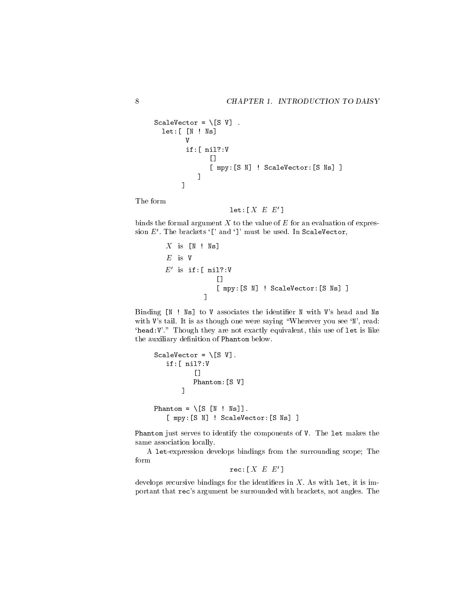```
ScaleVector = \{S \mid V\}.
  let:[ [N ! Ns]
         \mathbf{V}if:[ nil?:V
                \Box[ mpy:[S N] ! ScaleVector:[S Ns] ]
             ]
        \blacksquare
```
The form

 $let: [X E E']$ 

binds the formal argument  $X$  to the value of  $E$  for an evaluation of expression  $E'$ . The brackets '[' and ']' must be used. In ScaleVector,

```
X is [N + Ns]E is VE' is if: [ nil?: V
               []
               [ mpy:[S N] ! ScaleVector:[S Ns] ]
           \overline{1}
```
Binding  $[N : Ns]$  to V associates the identifier N with V's head and Ns with V's tail. It is as though one were saying "Wherever you see 'N', read: 'head: V'." Though they are not exactly equivalent, this use of let is like the auxiliary definition of Phantom below.

```
ScaleVector = \{S \; v\}.
   if:[ nil?:V
           \BoxPhantom:[S V]
        \blacksquarePhantom = \{S \; [N : Ns]\}.[ mpy:[S N] ! ScaleVector:[S Ns] ]
```
]

Phantom just serves to identify the components of V. The let makes the same association locally.

A let-expression develops bindings from the surrounding scope; The form

rec:  $[X E E']$ 

develops recursive bindings for the identifiers in  $X$ . As with let, it is important that rec's argument be surrounded with brackets, not angles. The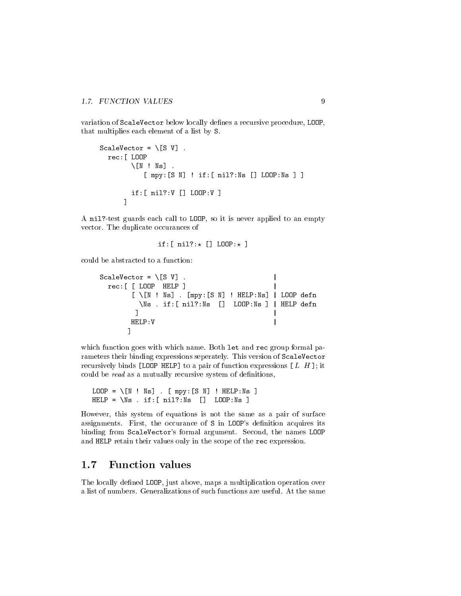variation of ScaleVector below locally defines a recursive procedure, LOOP, that multiplies each element of a list by S.

```
ScaleVector = \{S \text{ V}\}.
  rec:[ LOOP
          \setminus[N ! Ns] .
              [ mpy:[S N] ! if:[ nil?:Ns [] LOOP:Ns ] ]
          if:[ nil?:V [] LOOP:V ]
       \overline{1}\blacksquare
```
A nil?-test guards each call to LOOP, so it is never applied to an empty vector. The duplicate occurances of

```
if: [ nil?: \star [] LOOP: \star ]
```
could be abstracted to a function:

 $\blacksquare$ 

```
ScaleVector = \{S \; \text{V}\}.
                                                                                  \mathbf{I}rec:[ [ LOOP HELP ] |
               [ \ \setminus [N : Ns] . [mpy : [S N] : HELP : Ns] | LOOP defn\Ns . if:[ nil?:Ns [] LOOP:Ns ] | HELP defn
                 \blacksquare ) and the contract of the contract of the contract of the contract of the contract of the contract of the contract of the contract of the contract of the contract of the contract of the contract of the contract of 
              HELP:V
```
which function goes with which name. Both let and rec group formal parameters their binding expressions seperately. This version of ScaleVector recursively binds [LOOP HELP] to a pair of function expressions  $[L H]$ ; it could be read as a mutually recursive system of definitions,

 $LOOP = \{N : Ns\}$ . [ mpy: [S N] ! HELP:Ns ] HELP =  $\N s$  . if: [ nil?: Ns [] LOOP: Ns ]

However, this system of equations is not the same as a pair of surface assignments. First, the occurance of S in LOOP's denition acquires its binding from ScaleVector's formal argument. Second, the names LOOP and HELP retain their values only in the scope of the rec expression.

#### Function values  $1.7$

The locally defined LOOP, just above, maps a multiplication operation over a list of numbers. Generalizations of such functions are useful. At the same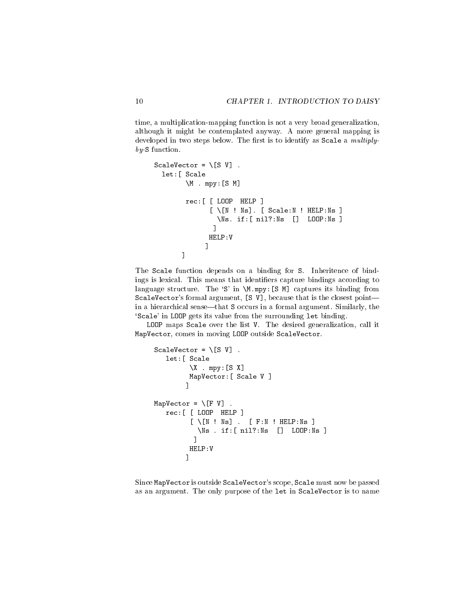time, a multiplication-mapping function is not a very broad generalization, although it might be contemplated anyway. A more general mapping is developed in two steps below. The first is to identify as Scale a multiplyby-S function.

```
ScaleVector = \{S \mid V\}.
  let:[ Scale
         \M . mpy:[S M]
         rec:[ [ LOOP HELP ]
                 [ \ \setminus [N : Ns]. [ Scale:N ! HELP:Ns ]
                   \Ns. if:[ nil?:Ns [] LOOP:Ns ]
                  ]
                HELP:V
                \blacksquare\overline{1}\blacksquare
```
The Scale function depends on a binding for S. Inheritence of bindings is lexical. This means that identifiers capture bindings according to language structure. The 'S' in  $\M$ .mpy: [S M] captures its binding from ScaleVector's formal argument,  $[S \nV]$ , because that is the closest pointin a hierarchical sense—that  $S$  occurs in a formal argument. Similarly, the `Scale' in LOOP gets its value from the surrounding let binding.

LOOP maps Scale over the list V. The desired generalization, call it MapVector, comes in moving LOOP outside ScaleVector.

```
ScaleVector = \{S \mid V\}.
   let:[ Scale
           \X . mpy:[S X]
           MapVector:[ Scale V ]
          \blacksquareMapVector = \Gamma V].
   rec:[ [ LOOP HELP ]
           [ \ \setminus [N : Ns] . [ F : N : HELP : Ns ]\Ns . if:[ nil?:Ns [] LOOP:Ns ]
            \overline{1}\blacksquareHELP:V
         \overline{1}\blacksquare
```
Since MapVector is outside ScaleVector's scope, Scale must now be passed as an argument. The only purpose of the let in ScaleVector is to name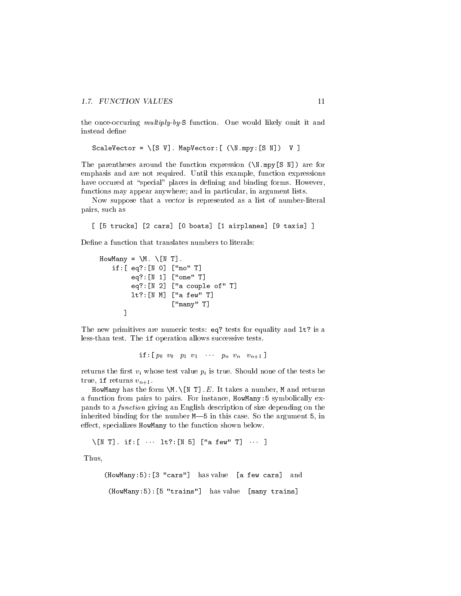the once-occuring multiply-by-S function. One would likely omit it and instead define

ScaleVector =  $\{S \lor \}$ . MapVector:  $[ (\forall N.mpy: [S \lor ] ) \lor \} ]$ 

The parentheses around the function expression (\N.mpy[S N]) are for emphasis and are not required. Until this example, function expressions have occured at "special" places in defining and binding forms. However, functions may appear anywhere; and in particular, in argument lists.

Now suppose that a vector is represented as a list of number-literal pairs, such as

[ [5 trucks] [2 cars] [0 boats] [1 airplanes] [9 taxis] ]

Define a function that translates numbers to literals:

```
HowMany = \M. \lceil N T \rceil.
   if:[ eq?:[N 0] ["no" T]
         eq?:[N 1] ["one" T]
         eq?:[N 2] ["a couple of" T]
         lt?:[N M] ["a few" T]
                     ["many" T]
      ]
```
The new primitives are numeric tests: eq? tests for equality and lt? is a less-than test. The if operation allows successive tests.

if:  $[p_0 \; v_0 \; p_1 \; v_1 \; \cdots \; p_n \; v_n \; v_{n+1}]$ 

returns the first  $v_i$  whose test value  $p_i$  is true. Should none of the tests be true, if returns  $v_{n+1}$ .

HowMany has the form  $\M.\T$ . It takes a number, M and returns a function from pairs to pairs. For instance, HowMany:5 symbolically expands to a function giving an English description of size depending on the inherited binding for the number  $M$ —5 in this case. So the argument 5, in effect, specializes HowMany to the function shown below.

 $\setminus$ [N T]. if:[  $\cdots$  lt?:[N 5] ["a few" T]  $\cdots$  ]

Thus,

(HowMany:5):[3 "cars"] has value [a few cars] and (HowMany:5):[5 "trains"] has value [many trains]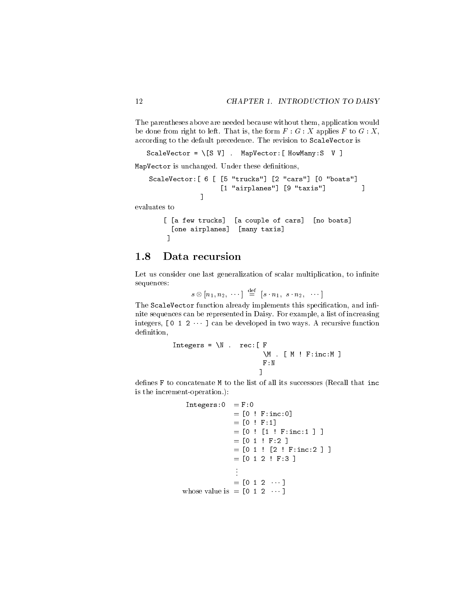The parentheses above are needed because without them, application would be done from right to left. That is, the form  $F : G : X$  applies F to  $G : X$ , according to the default precedence. The revision to ScaleVector is

 $ScaleVector = \{ [S \; V] \; . \; MapVector : [ HowMany : S \; V] \}$ 

MapVector is unchanged. Under these definitions,

 $\blacksquare$ 

ScaleVector:[ 6 [ [5 "trucks"] [2 "cars"] [0 "boats"] [1 "airplanes"] [9 "taxis"] [1 ]  $\overline{1}$ 

evaluates to

```
[ [a few trucks] [a couple of cars] [no boats]
 [one airplanes] [many taxis]
\overline{1}\blacksquare
```
Let us consider one last generalization of scalar multiplication, to infinite sequences:

 $s \otimes |n_1,n_2, \cdots | = |s \cdot n_1, \; s \cdot n_2, \cdots |$ 

The ScaleVector function already implements this specification, and infinite sequences can be represented in Daisy. For example, a list of increasing integers,  $[0 \ 1 \ 2 \ \cdots]$  can be developed in two ways. A recursive function definition,

Integers = 
$$
\N
$$
. rec:  $F$ 

\n $\M$ .  $[M : F: inc:M]$ 

\n $F: N$ 

defines F to concatenate M to the list of all its successors (Recall that inc is the increment-operation.):

```
Integers:0 = F:0<br>= [0 : F:inc:0]=[0 : F:1]= [0 : [1 : F:inc:1 ]]= [0 1 ! F:2 ]= [0 1 : [2 : F:inc:2 ]]= [0 1 2 ! F:3 ]= [0 1 2 \cdots]whose value is = [0 1 2 \cdots ]
```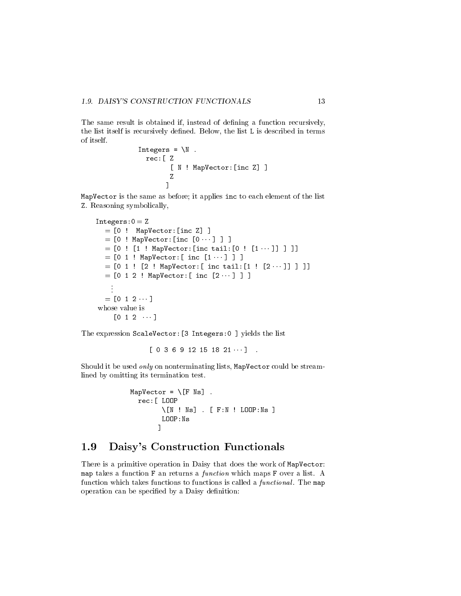The same result is obtained if, instead of defining a function recursively, the list itself is recursively defined. Below, the list L is described in terms of itself.

```
Integers = \N.
 rec:[ Z
       [ N ! MapVector:[inc Z] ]
      ]
```
MapVector is the same as before; it applies inc to each element of the list Z. Reasoning symbolically,

```
Integers: 0 = Z= [0 ! MapVector: [inc Z] ]
  = [0 ! MapVector: [inc [0 \cdots] ] ]
  = [0 : [1 : \text{MapVector}: [\text{inc tail}: [0 : [1 \cdots ]] ] ]= [0 1 ! MapVector: [ inc [1 \cdots] ] ]
  = [0 1 : [2 : MapVector: [inc tail: [1 : [2 \cdots ]] ] ]]= [0 1 2 ! MapVector: [inc [2 \cdots] ]]
     .
.
  = [0 \ 1 \ 2 \cdots]whose value is
     [0 \ 1 \ 2 \ \cdots]
```
The expression ScaleVector:[3 Integers:0 ] yields the list

```
\begin{bmatrix} 0 & 3 & 6 & 9 & 12 & 15 & 18 & 21 & 1 \end{bmatrix}[ 0 3 6 9 12 15 18 21  ] :
```
Should it be used *only* on nonterminating lists, MapVector could be streamlined by omitting its termination test.

```
MapVector = \Gamma Ns].
  rec:[ LOOP
         \[N ! Ns] . [ F:N ! LOOP:Ns ]
         LOOP:Ns
        \overline{1}
```
## 1.9 Daisy's Construction Functionals

 $\blacksquare$ 

There is a primitive operation in Daisy that does the work of MapVector: map takes a function F an returns a function which maps F over a list. A function which takes functions to functions is called a *functional*. The map operation can be specified by a Daisy definition: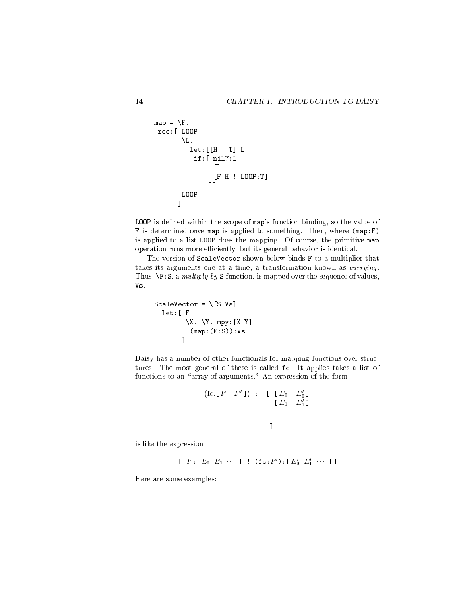```
map = \{F.rec:[ LOOP
                                          \setminusL.
                                                      let:[[H ! T] L
                                                             if:[ nil?:L
                                                                                             \mathsf{F}\blacksquare \blacksquare \blacksquare \blacksquare \blacksquare \blacksquare \blacksquare \blacksquare \blacksquare \blacksquare \blacksquare \blacksquare \blacksquare \blacksquare \blacksquare \blacksquare \blacksquare \blacksquare \blacksquare \blacksquare \blacksquare \blacksquare \blacksquare \blacksquare \blacksquare \blacksquare \blacksquare \blacksquare \blacksquare \blacksquare \blacksquare \blacks[F:H ! LOOP:T]
                                                                                     ]]
                                         LOOP
                                    ]
```
LOOP is defined within the scope of map's function binding, so the value of F is determined once map isapplied to something. Then, where (map:F) is applied to a list LOOP does the mapping. Of course, the primitive map operation runs more efficiently, but its general behavior is identical.

The version of ScaleVector shown below binds F to a multiplier that takes its arguments one at a time, a transformation known as *currying*. Thus,  $\forall$ F:S, a multiply-by-S function, is mapped over the sequence of values, Vs.

```
ScaleVector = \{S \text{ Vs}\}.let:[ F
         \X. \Y. mpy:[X Y]
          (map:(F:S)):Vs\blacksquare
```
Daisy has a number of other functionals for mapping functions over structures. The most general of these is called fc. It applies takes a list of functions to an "array of arguments." An expression of the form

$$
(\text{fc} : [F : F']) : \quad [\begin{array}{c} [E_0 : E'_0] \\ [E_1 : E'_1] \end{array}]
$$

$$
\vdots
$$

is like the expression

$$
[F: [E_0 \ E_1 \ \cdots \ ] \ \vdots \ \ (\text{fc}:F'): [E'_0 \ E'_1 \ \cdots \ ]]
$$

Here are some examples: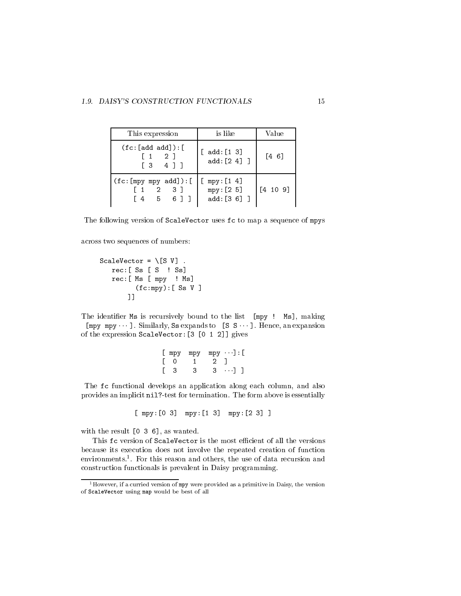| This expression                                                                    | is like                     | Value    |
|------------------------------------------------------------------------------------|-----------------------------|----------|
| (fc:[add add]):[<br>$\lceil 1 \rceil$ 2 1<br>$\begin{bmatrix} 3 & 4 \end{bmatrix}$ | [add:[1 3]<br>$add:[24]$ ]  | $[4 6]$  |
| $f \nc: [mpy mp x add] : [   [mpy:[1 4]$<br>2 3 1<br>5 6 1 1<br>[4                 | mpy: [2 5]<br>$add:[3 6]$ ] | [4 10 9] |

The following version of ScaleVector uses fc to map a sequence of mpys

across two sequences of numbers:

ScaleVector =  $\{S \mid V\}$ .  $rec: [ Ss [ S : Ss ]$ rec:[ Ms [ mpy ! Ms]  $(fc:mpy):$   $Ss V$ ]  $11$ ]]

The identifier Ms is recursively bound to the list [mpy ! Ms], making [mpy mpy  $\cdots$  ]. Similarly, Ss expands to [S S  $\cdots$  ]. Hence, an expansion of the expression ScaleVector:[3 [0 1 2]] gives

| $L$ mpy |      | $mpy$ mpy $\cdot$ : |
|---------|------|---------------------|
|         | - 22 |                     |
| ر.      |      | $3 \cdot 1$         |

The fc functional develops an application along each column, and also provides an implicit nil?-test for termination. The form above is essentially

[ mpy:[0 3] mpy:[1 3] mpy:[2 3] ]

with the result [0 3 6], as wanted.

This fc version of ScaleVector is the most efficient of all the versions because its execution does not involve the repeated creation of function environments.1 . For this reason and others, the use of data recursion and construction functionals is prevalent in Daisy programming.

 $^\circ$  however, if a curried version of mpy were provided as a primitive in Daisy, the version  $^\circ$ of ScaleVector using map would be best of all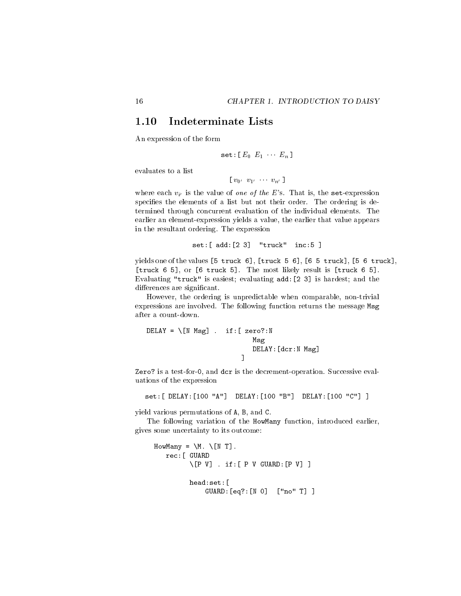#### Indeterminate Lists  $1.10$

An expression of the form

$$
\mathtt{set} \colon \mathsf{E}_0 \ \ E_1 \ \cdots \ E_n \ \mathsf{I}
$$

$$
[v_0, v_1, \cdots, v_{n'}]
$$

where each  $v_{i'}$  is the value of one of the E's. That is, the set-expression specifies the elements of a list but not their order. The ordering is determined through concurrent evaluation of the individual elements. The earlier an element-expression yields a value, the earlier that value appears in the resultant ordering. The expression

set:[ add:[2 3] "truck" inc:5 ]

yields one of the values [5 truck 6], [truck 5 6],[6 5 truck], [5 6 truck], [truck 6 5], or [6 truck 5]. The most likely result is [truck 6 5].<br>Evaluating "truck" is easiest; evaluating add: [2 3] is hardest; and the differences are significant.

However, the ordering is unpredictable when comparable, non-trivial expressions are involved. The following function returns the message Msg after a count-down.

```
DELAY = \lceil N \text{Msg} \rceil . if: [ zero?: N
                                     Msg
                                     DELAY:[dcr:N Msg]
                                 \overline{1}]
```
Zero? is a test-for-0, and dcr is the decrement-operation. Successive evaluations of the expression

set:[ DELAY:[100 "A"] DELAY:[100 "B"] DELAY:[100 "C"] ]

yield various permutations of A, B, and C.

The following variation of the HowMany function, introduced earlier, gives some uncertainty to its outcome:

```
HowMany = \M. \lceil N T \rceil.
   rec:[ GUARD
          \setminus[P V] . if:[ P V GUARD:[P V] ]
          head:set:[
               GUARD:[eq?:[N 0] ["no" T] ]
```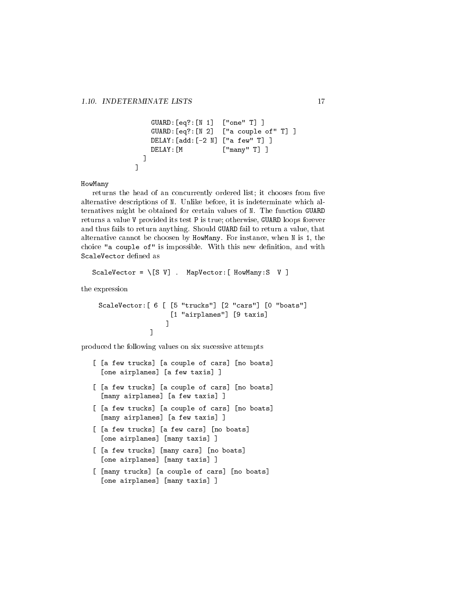$\overline{1}$ 

```
GUARD:[eq?:[N 1] ["one" T] ]
   GUARD:[eq?:[N 2] ["a couple of" T] ]
   DELAY:[add:[-2 N] ["a few" T] ]
   DELAY: [M ["many" T] ]
  \blacksquare\blacksquare
```
#### HowMany

returns the head of an concurrently ordered list; it chooses from five alternative descriptions of N. Unlike before, it is indeterminate which alternatives might be obtained for certain values of N. The function GUARD returns a value V provided its test P is true; otherwise, GUARD loops forever and thus fails to return anything. Should GUARD fail to return a value, that alternative cannot be choosen by HowMany. For instance, when N is 1, the choice "a couple of" is impossible. With this new definition, and with ScaleVector defined as

```
ScaleVector = \{S \text{ V}\} . MapVector: [ HowMany: S V ]
```
the expression

```
ScaleVector:[ 6 [ [5 "trucks"] [2 "cars"] [0 "boats"]
                   [1 "airplanes"] [9 taxis]
                  ]
             \overline{1}
```
produced the following values on six sucessive attempts

 $\blacksquare$ 

[one airplanes] [many taxis] ]

```
[ [a few trucks] [a couple of cars] [no boats]
  [one airplanes] [a few taxis] ]
[ [a few trucks] [a couple of cars] [no boats]
  [many airplanes] [a few taxis] ]
[ [a few trucks] [a couple of cars] [no boats]
  [many airplanes] [a few taxis] ]
[ [a few trucks] [a few cars] [no boats]
  [one airplanes] [many taxis] ]
[ [a few trucks] [many cars] [no boats]
  [one airplanes] [many taxis] ]
[ [many trucks] [a couple of cars] [no boats]
```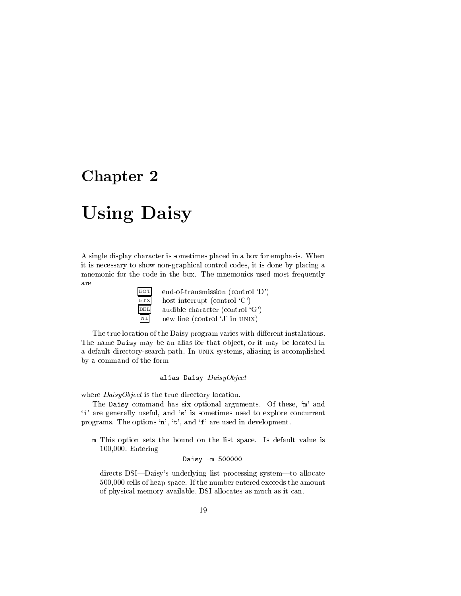# Chapter <sup>2</sup>

# Using Daisy and Daisy and Daisy and Daisy and Daisy and Daisy and Daisy and Daisy and Daisy and Daisy and Daisy

A single display character is sometimes placed in a box for emphasis. When it is necessary to show non-graphical control codes, it is done by placing a mnemonic for the code in the box. The mnemonics used most frequently are



 $EOT$  end-of-transmission (control  $D'$ )  $\text{ETX}$  host interrupt (control 'C')  $BEL$  audible character (control  $`G`$ )  $\mathbb{R}$  new line (control 'J' in UNIX)

The true location of the Daisy program varies with different instalations. The name Daisy may be an alias for that object, or it may be located in a default directory-search path. In unix systems, aliasing is accomplished by a command of the form

#### alias Daisy  $DaisyObject$

where *DaisyObject* is the true directory location.

The Daisy command has six optional arguments. Of these, 'm' and `i' are generally useful, and `s' is sometimes used to explore concurrent programs. The options 'n', 't', and 'f' are used in development.

-m This option sets the bound on the list space. Is default value is 100,000. Entering

### Daisy -m 500000

directs DSI-Daisy's underlying list processing system-to allocate 500,000 cells of heap space. If the number entered exceeds the amount of physical memory available, DSI allocates as much as it can.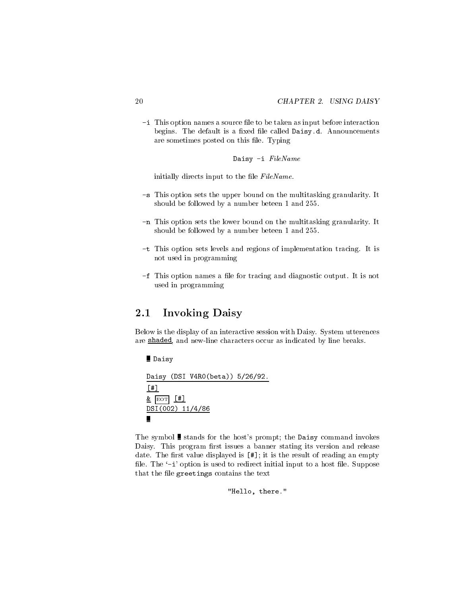-i This option names a source file to be taken as input before interaction begins. The default is a fixed file called Daisy.d. Announcements are sometimes posted on this file. Typing

Daisy -i FileName

initially directs input to the file  $FileName$ .

- -s This option sets the upper bound on the multitasking granularity. It should be followed byanumber beteen 1 and 255.
- -n This option sets the lower bound on the multitasking granularity. It should be followed byanumber beteen 1 and 255.
- -t This option sets levels and regions of implementation tracing. It is not used in programming
- -f This option names a file for tracing and diagnostic output. It is not used in programming

## 2.1 Invoking Daisy

Below is the display of an interactive session with Daisy. System utterences are shaded, and new-line characters occur as indicated by line breaks.

Daisy

```
Daisy (DSI V4R0(beta)) 5/26/92.
[#]
k EOT HDSI(002) 11/4/86
Ш
```
The symbol  $\blacksquare$  stands for the host's prompt; the Daisy command invokes Daisy. This program first issues a banner stating its version and release date. The first value displayed is  $[$ #]; it is the result of reading an empty file. The '-i' option is used to redirect initial input to a host file. Suppose that the file greetings contains the text

```
"Hello, there."
```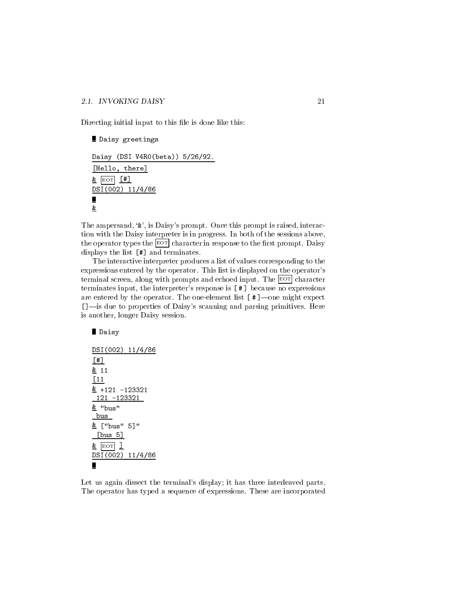#### 2.1. INVOKING DAISY

Directing initial input to this file is done like this:

```
Daisy greetings
Daisy (DSI V4R0(beta)) 5/26/92.
[Hello, there]
k \boxed{\text{eor}} \boxed{\text{#}}DSI(002) 11/4/86
\blacksquare&
```
The ampersand,  $\mathscr{X}$ , is Daisy's prompt. Once this prompt is raised, interaction with the Daisy interpreter is in progress. In both of the sessions above, the operator types the  $\boxed{\mathrm{EOT}}$  character in response to the first prompt. Daisy displays the list [#] and terminates.

The interactive interpreter produces a list of values corresponding to the expressions entered by the operator. This list is displayed on the operator's terminal screen, along with prompts and echoed input. The  $\overline{P}$  character terminates input, the interpreter's response is [#] because no expressions are entered by the operator. The one-element list  $[$   $\sharp$   $]$ —one might expect []-is due to properties of Daisy's scanning and parsing primitives. Here is another, longer Daisy session.

Daisy DSI(002) 11/4/86 [#] & 11  $[11]$ 121 -123321  $\equiv$   $\cup$   $\omega$ bus

& +121 -123321  $\equiv$   $\lfloor$  bub  $\lfloor$   $\rfloor$ [bus 5]  $k$  EOT  $l$ DSI(002) 11/4/86  $\blacksquare$ 

Let us again dissect the terminal's display; it has three interleaved parts. The operator has typed a sequence of expressions. These are incorporated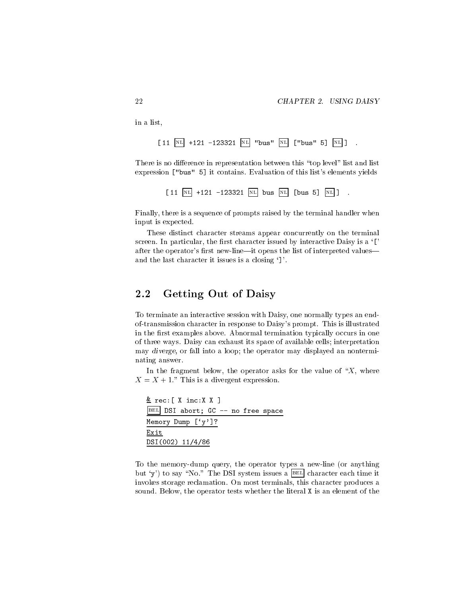in a list,

 $[11 \overline{NL} +121 -123321 \overline{NL}$  "bus"  $\overline{NL}$  ["bus" 5]  $\overline{NL}$ ]

There is no difference in representation between this "top level" list and list expression ["bus" 5] it contains. Evaluation of this list's elements yields

 $[11 \overline{NL} +121 -123321 \overline{NL}$  bus  $\overline{NL}$  [bus 5]  $\overline{NL}$ ]

Finally, there is a sequence of prompts raised by the terminal handler when input is expected.

These distinct character streams appear concurrently on the terminal screen. In particular, the first character issued by interactive Daisy is a  $\lbrack \rbrack$ after the operator's first new-line—it opens the list of interpreted values and the last character it issues is a closing `]'.

## 2.2 Getting Out of Daisy

To terminate an interactive session with Daisy, one normally types an endof-transmission character in response to Daisy's prompt. This is illustrated in the first examples above. Abnormal termination typically occurs in one of three ways. Daisy can exhaust its space of available cells; interpretation may diverge, or fall into a loop; the operator may displayed an nonterminating answer.

In the fragment below, the operator asks for the value of "X, where  $X = X + 1$ ." This is a divergent expression.

 $\blacksquare$  rec: [  $\kappa$  inc:  $\kappa$   $\lrcorner$ point down, do -- no free space Memory Dump [`y']? Exit DSI(002) 11/4/86

To the memory-dump query, the operator types a new-line (or anything but 'y') to say "No." The DSI system issues a  $\overline{\text{BEL}}$  character each time it invokes storage reclamation. On most terminals, this character produces a sound. Below, the operator tests whether the literal X is an element of the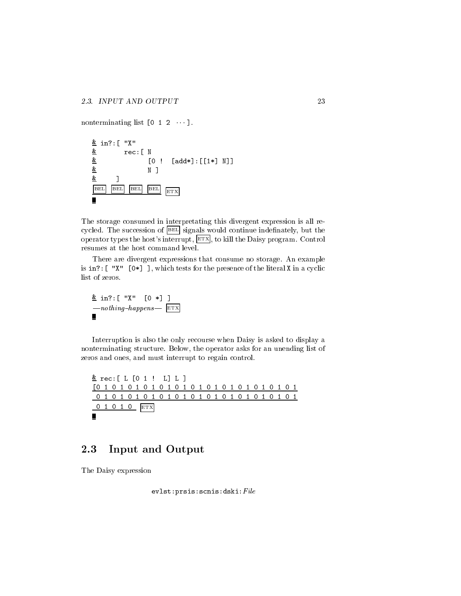nonterminating list  $[0 \ 1 \ 2 \ \cdots]$ .

& in?:[ "X" & rec:[ N [0 ! [add\*]:[[1\*] N]] N ] & ] BEL BEL BEL BEL ETX 

The storage consumed in interpretating this divergent expression is all recycled. The succession of **BEL** signals would continue indefinately, but the operator types the host's interrupt, ETX , to kill the Daisy program. Control resumes at the host command level.

There are divergent expressions that consume no storage. An example is in?:[ "X" [0\*] ], which tests for the presence of the literal X in a cyclic list of zeros.

$$
\begin{array}{ll}\n\text{\& in?}: \text{[ "X" [0 *] ]} \\
-mothing-happens \quad \boxed{\text{ETX}} \\
\end{array}
$$

Interruption is also the only recourse when Daisy is asked to display a nonterminating structure. Below, the operator asks for an unending list of zeros and ones, and must interrupt to regain control.

| [01010101010101010101010101      | $\underline{\&}$ rec: [ L [O 1 ! L ] L ] |  |  |  |  |  |  |  |  |  |  |  |  |  |
|----------------------------------|------------------------------------------|--|--|--|--|--|--|--|--|--|--|--|--|--|
| 01010101010101010101010101       |                                          |  |  |  |  |  |  |  |  |  |  |  |  |  |
| $0$ 1 0 1 0 $\boxed{\text{ETX}}$ |                                          |  |  |  |  |  |  |  |  |  |  |  |  |  |
|                                  |                                          |  |  |  |  |  |  |  |  |  |  |  |  |  |

# 2.3 Input and Output

The Daisy expression

evlst:prsis:scnis:dski:File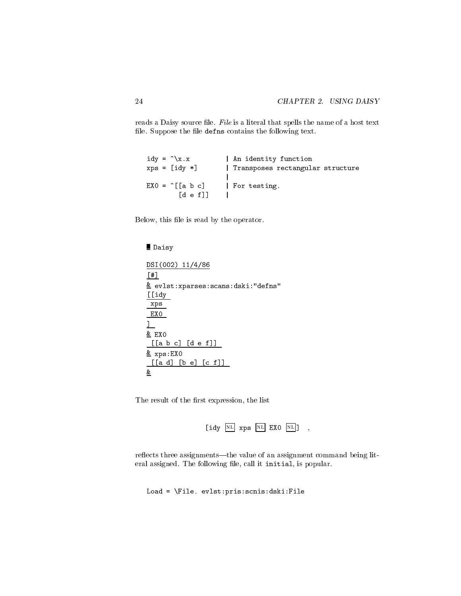reads a Daisy source file. File is a literal that spells the name of a host text file. Suppose the file defns contains the following text.

```
idy = \hat{ } \cdot \, \cdot \, x | An identity function
xps = [idy *] | Transposes rectangular structure
                    |
EX0 = \hat{C}[[a b c] | For testing.
        [d e f] |
```
Below, this file is read by the operator.

Daisy

```
DSI(002) 11/4/86
[#]
= evist. xparses: scans: aski: aerns[[idyxps
EX0
\mathbf{1}\blacksquare EXO
[[a b c] [d e f]]
= \Delta \nu \sigma \cdot \Delta \nu \sqrt{2}[a d] [b e] [c f]]&
```
The result of the first expression, the list



reflects three assignments—the value of an assignment command being literal assigned. The following file, call it initial, is popular.

Load = \File. evlst:pris:scnis:dski:File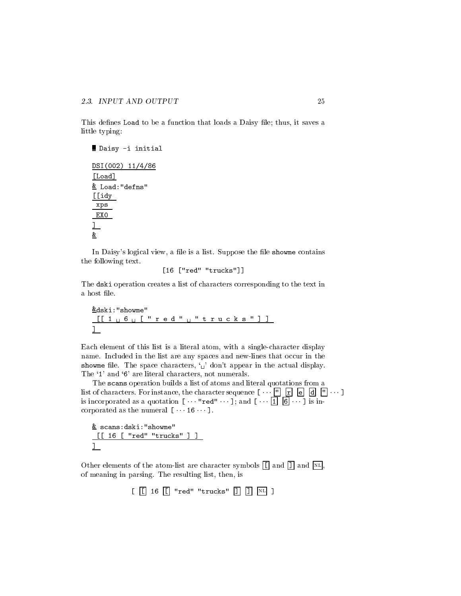This defines Load to be a function that loads a Daisy file; thus, it saves a little typing:

Daisy -i initial

DSI(002) 11/4/86 [Load]  $=$  Load:  $\alpha$  define [[idy xps EX0  $\perp$ &

In Daisy's logical view, a file is a list. Suppose the file showme contains the following text.

[16 ["red" "trucks"]]

The dski operation creates a list of characters corresponding to the text in a host file.

&dski:"showme" [[ 1 6 [ " r e d " " t r u c k s " ] ] ]

Each element of this list is a literal atom, with a single-character display name. Included in the list are any spaces and new-lines that occur in the showme file. The space characters,  $\omega$  don't appear in the actual display. The '1' and '6' are literal characters, not numerals.

The scans operation builds a list of atoms and literal quotations from a list of characters. For instance, the character sequence [ " r e d " ] is incorporated as a quotation  $\mathbf{r}$  , and  $\mathbf{r}$  is in-direct  $\mathbf{r}$  , and  $\mathbf{r}$  is in-direct incorporated as the numeral  $[\cdots 16 \cdots]$ .

 $\le$  scans. dski. showme [[ 16 [ "red" "trucks" ] ]  $\perp$ 

Other elements of the atom-list are character symbols  $\boxed{[}$  and  $\boxed{]}$  and  $\boxed{N}$ , of meaning in parsing. The resulting list, then, is

 $\begin{bmatrix} \begin{bmatrix} \end{bmatrix}$  16  $\begin{bmatrix} \end{bmatrix}$  "red" "trucks"  $\begin{bmatrix} \end{bmatrix}$   $\begin{bmatrix} \end{bmatrix}$   $\begin{bmatrix} \overline{\text{NL}} \end{bmatrix}$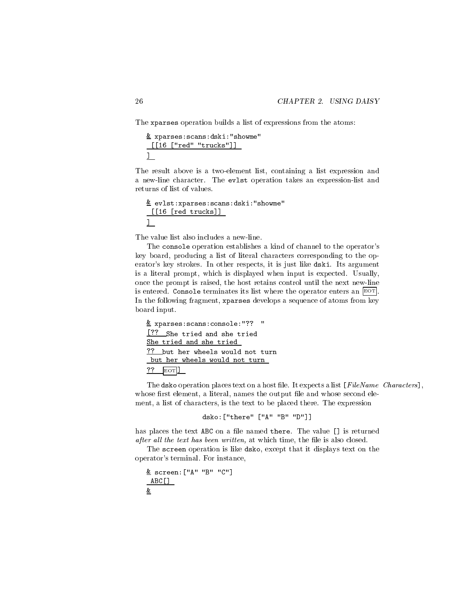The xparses operation builds a list of expressions from the atoms:

 $\cong$  aparses.scans.aski. showme [[16 ["red" "trucks"]]  $\mathbf{J}$ 

The result above is a two-element list, containing a list expression and a new-line character. The evlst operation takes an expression-list and returns of list of values.

```
\equiv eviso.xparses.scans.aski. showmers
[[16 [red trucks]]
\mathbf{J}
```
The value list also includes a new-line.

The console operation establishes a kind of channel to the operator's key board, producing a list of literal characters corresponding to the operator's key strokes. In other respects, it is just like dski. Its argument is a literal prompt, which is displayed when input is expected. Usually, once the prompt is raised, the host retains control until the next new-line is entered. Console terminates its list where the operator enters an  $E^{\text{OT}}$ . In the following fragment, xparses develops a sequence of atoms from key board input.

```
= \frac{1}{2} \frac{1}{2} \frac{1}{2} \frac{1}{2} \frac{1}{2} \frac{1}{2} \frac{1}{2} \frac{1}{2} \frac{1}{2} \frac{1}{2} \frac{1}{2} \frac{1}{2} \frac{1}{2} \frac{1}{2} \frac{1}{2} \frac{1}{2} \frac{1}{2} \frac{1}{2} \frac{1}{2} \frac{1}{2} \frac{1}{2} \frac{1}{2[?? She tried and she tried
She tried and she tried
put her wheels would het durin
but her wheels would not turn
\overline{??} EOT
```
The dsko operation places text on a host file. It expects a list  $[FileName\; Characteristics]$ , whose first element, a literal, names the output file and whose second element, a list of characters, is the text to be placed there. The expression

dsko:["there" ["A" "B" "D"]]

has places the text ABC on a file named there. The value [] is returned after all the text has been written, at which time, the file is also closed.

The screen operation is like dsko, except that it displays text on the operator's terminal. For instance,

```
\ge beleem: [ \mu B \ge ]
ABC[]
&
```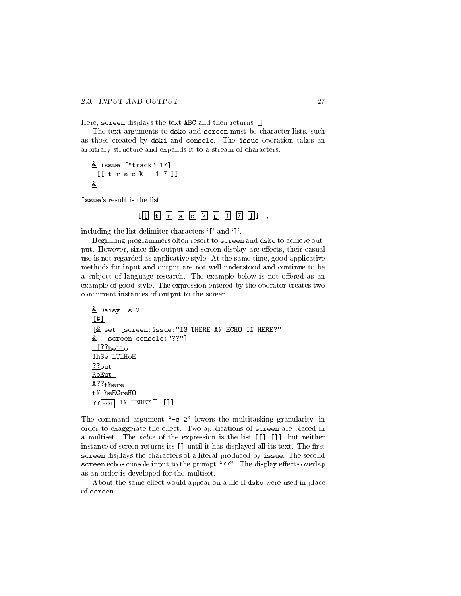Here, screen displays the text ABC and then returns [].

The text arguments to dsko and screen must be character lists, such as those created by dski and console. The issue operation takes an arbitrary structure and expands it to a stream of characters.

```
\equiv issue.[ \cup identified in \Box[[ t r a c k _1 1 7 ]]
&
```
Issue's result is the list



including the list delimiter characters `[' and `]'.

Beginning programmers often resort to screen and dsko to achieve output. However, since file output and screen display are effects, their casual use is not regarded as applicative style. At the same time, good applicative methods for input and output are not well understood and continue to be a subject of language research. The example below is not offered as an example of good style. The expression entered by the operator creates two concurrent instances of output to the screen.

```
\geq Daisy \geq[#]
[& set:[screen:issue:"IS THERE AN ECHO IN HERE?"
\equiv screen:consore: ...
[??_{\text{hello}}IhSe lTlHoE
??out
RoEut
A??there
tN heECreHO
?? EOT IN HERE? [] []]
```
The command argument " $-s$  2" lowers the multitasking granularity, in order to exaggerate the effect. Two applications of screen are placed in a multiset. The value of the expression is the list [[] []], but neither instance of screen returns its [] until it has displayed all its text. The first screen displays the characters of a literal produced by issue. The second screen echos console input to the prompt "??". The display effects overlap as an order is developed for the multiset.

About the same effect would appear on a file if dsko were used in place of screen.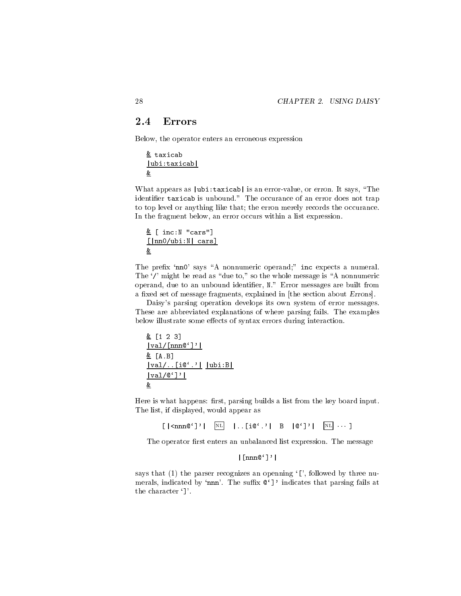## **Errors**

Below, the operator enters an erroneous expression

 $\equiv$  casecable  $\equiv$ |ubi:taxicab| &

What appears as  $|$ ubi:taxicab $|$  is an error-value, or erron. It says, "The identifier taxicab is unbound." The occurance of an error does not trap to top level or anything like that; the erron merely records the occurance. In the fragment below, an error occurs within a list expression.

$$
\frac{\underline{\&} \quad [\text{inc}: \mathbb{N} \text{ "cars"}]}{[\text{lnn0/ubi}: \mathbb{N} \mid \text{ cars}]}
$$

The prefix 'nn0' says "A nonnumeric operand;" inc expects a numeral. The  $\prime$  might be read as "due to," so the whole message is "A nonnumeric operand, due to an unbound identifier, N." Error messages are built from a fixed set of message fragments, explained in [the section about Errons].

Daisy's parsing operation develops its own system of error messages. These are abbreviated explanations of where parsing fails. The examples below illustrate some effects of syntax errors during interaction.

$$
\frac{\& [1 2 3] \n|val/[nnn@']'|}{\& [A.B] \n|val/.. [i@'.'] |ubi:B| \n|val/@']'|}{\&
$$

Here is what happens: first, parsing builds a list from the key board input. The list, if displayed, would appear as

```
[ |\langle nnn@^{\prime}| \rangle | \over |NL| | \cdot |L| @^{\prime} \cdot \rangle | B | @^{\prime} \cdot \rangle | \over |NL| \cdots ]
```
The operator first enters an unbalanced list expression. The message

```
|[nnn@`]'|
```
says that  $(1)$  the parser recognizes an openning '[', followed by three numerals, indicated by 'nnn'. The suffix  $Q'$ ]' indicates that parsing fails at the character `]'.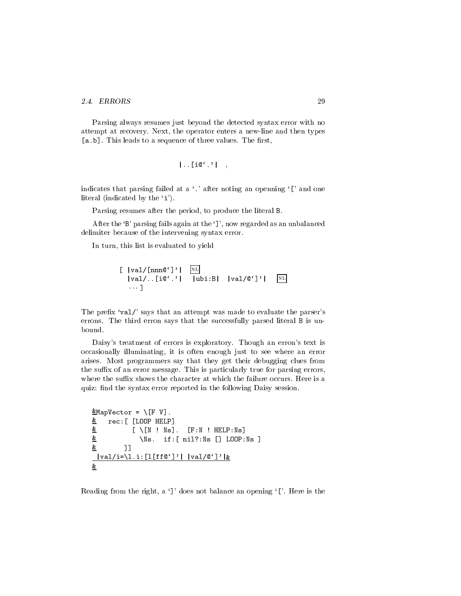#### 2.4. ERRORS

Parsing always resumes just beyond the detected syntax error with no attempt at recovery. Next, the operator enters a new-line and then types [a.b]. This leads to a sequence of three values. The first,

$$
|\ldots \text{[ie'}.'|\quad ,
$$

indicates that parsing failed at a '.' after noting an openning '[' and one literal (indicated by the 'i').

Parsing resumes after the period, to produce the literal B.

After the `B' parsing fails again at the `]', now regarded as an unbalanced delimiter because of the intervening syntax error.

In turn, this list is evaluated to yield



The prefix 'val/' says that an attempt was made to evaluate the parser's errons. The third erron says that the successfully parsed literal B is unbound.

Daisy's treatment of errors is exploratory. Though an erron's text is occasionally illuminating, it is often enough just to see where an error arises. Most programmers say that they get their debugging clues from the suffix of an error message. This is particularly true for parsing errors, where the suffix shows the character at which the failure occurs. Here is a quiz: find the syntax error reported in the following Daisy session.

```
MapVector = \{F \; V\}.\equiv rec:[ [Hoo! HIM!]
& [ \ \cup [N : Ns]. [F : N : HELP : Ns]& \Ns. if:[ nil?:Ns [] LOOP:Ns ]
& ]]
|val/i=\l.i:[l[ff@`]'| |val/@`]'|&
&
```
Reading from the right, a `]' does not balance an opening `['. Here is the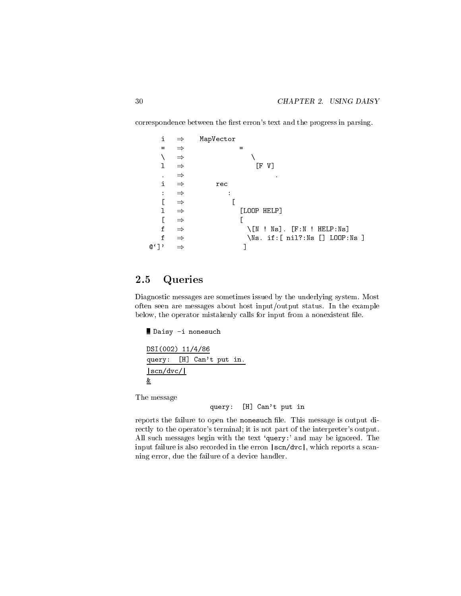correspondence between the first erron's text and the progress in parsing.



# 2.5 Queries

Diagnostic messages are sometimes issued by the underlying system. Most often seen are messages about host input/output status. In the example below, the operator mistakenly calls for input from a nonexistent file.

```
Daisy -i nonesuch
```

```
DSI(002) 11/4/86
query: [H] Can't put in.
|scn/dvc/|
&
```
The message

query: [H] Can't put in

reports the failure to open the nonesuch file. This message is output directly to the operator's terminal; it is not part of the interpreter's output. All such messages begin with the text 'query:' and may be ignored. The input failure is also recorded in the erron |scn/dvc|, which reports a scanning error, due the failure of a device handler.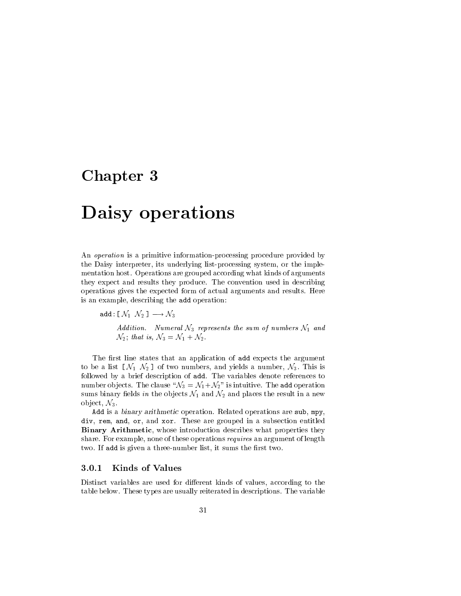# Chapter <sup>3</sup>

# Daisy operations

An operation is a primitive information-processing procedure provided by the Daisy interpreter, its underlying list-processing system, or the implementation host. Operations are grouped according what kinds of arguments they expect and results they produce. The convention used in describing operations gives the expected form of actual arguments and results. Here is an example, describing the add operation:

add : [ $\mathcal{N}_1$   $\mathcal{N}_2$ ]  $\longrightarrow \mathcal{N}_3$ 

Addition. Numeral  $\mathcal{N}_3$  represents the sum of numbers  $\mathcal{N}_1$  and  $\mathcal{N}_2$ ; that is,  $\mathcal{N}_3 = \mathcal{N}_1 + \mathcal{N}_2$ .

The first line states that an application of add expects the argument to be a list  $[N_1 \ N_2]$  of two numbers, and yields a number,  $N_3$ . This is followed by a brief description of add. The variables denote references to number objects. The clause " $\mathcal{N}_3 = \mathcal{N}_1+\mathcal{N}_2$ " is intuitive. The add operation sums binary fields in the objects  $\mathcal{N}_1$  and  $\mathcal{N}_2$  and places the result in a new object,  $\mathcal{N}_3$ .

Add is a binary arithmetic operation. Related operations are sub, mpy, div, rem, and, or, and xor. These are grouped in a subsection entitled Binary Arithmetic, whose introduction describes what properties they share. For example, none of these operations *requires* an argument of length two. If add is given a three-number list, it sums the first two.

### 3.0.1 Kinds of Values

Distinct variables are used for different kinds of values, according to the table below. These types are usually reiterated in descriptions. The variable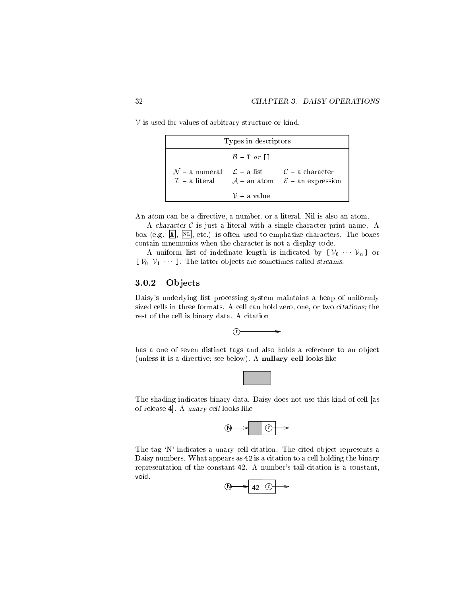$V$  is used for values of arbitrary structure or kind.

| Types in descriptors                 |                                                                                                                                                                 |
|--------------------------------------|-----------------------------------------------------------------------------------------------------------------------------------------------------------------|
| $\beta$ – T or $\lceil \cdot \rceil$ |                                                                                                                                                                 |
|                                      | $\mathcal{N}$ - a numeral $\mathcal{L}$ - a list $\mathcal{C}$ - a character<br>$\mathcal{I}$ - a literal $\mathcal{A}$ - an atom $\mathcal{E}$ - an expression |
| $\mathcal{V}$ – a value              |                                                                                                                                                                 |

An atom can be a directive, a number, or a literal. Nil is also an atom.

A *character*  $C$  is just a literal with a single-character print name. A box (e.g.  $\Delta$ ,  $\mathbb{R}$ ,  $\mathbb{R}$ , etc.) is often used to emphasize characters. The boxes contain mnemonics when the character is not a display code.

A uniform list of indefinate length is indicated by  $[\mathcal{V}_0 \cdots \mathcal{V}_n]$  or [ $V_0$   $V_1$   $\cdots$  ]. The latter objects are sometimes called *streams*.

### 3.0.2 Ob jects

Daisy's underlying list processing system maintains a heap of uniformly sized cells in three formats. A cell can hold zero, one, or two citations; the rest of the cell is binary data. A citation



has a one of seven distinct tags and also holds a reference to an object (unless it is a directive; see below). A nullary cell looks like



The shading indicates binary data. Daisy does not use this kind of cell [as of release 4]. A unary cell looks like



The tag 'N' indicates a unary cell citation. The cited object represents a Daisy numbers. What appears as 42 is a citation to a cell holding the binary representation of the constant 42. A number's tail-citation is a constant, void.

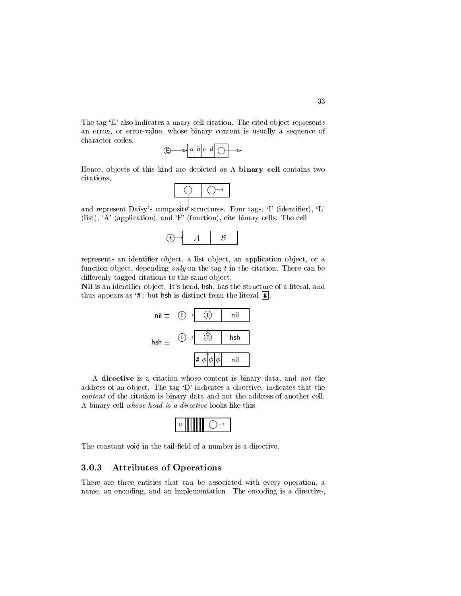The tag 'E' also indicates a unary cell citation. The cited object represents an erron, or error-value, whose binary content is usually a sequence of character codes.

$$
\bigoplus \longrightarrow a \mid b \mid c \mid d \mid \bigcirc \longrightarrow
$$

Hence, objects of this kind are depicted as A binary cell contains two citations,

|--|

and represent Daisy's composite structures. Four tags, 'I' (identifier), 'L' (list), `A' (application), and `F' (function), cite binary cells. The cell

|--|--|--|

represents an identifier object, a list object, an application object, or a function object, depending only on the tag  $t$  in the citation. There can be differenly tagged citations to the same object.

Nil is an identifier object. It's head, hsh, has the structure of a literal, and thus appears as '#'; but hsh is distinct from the literal  $|\#|$ .



A directive is a citation whose content is binary data, and not the address of an ob ject. The tag `D' indicates a directive. indicates that the content of the citation is binary data and not the address of another cell. A binary cell whose head is a directive looks like this

| I |  |
|---|--|
|---|--|

The constant void in the tail-field of a number is a directive.

## 3.0.3 Attributes of Operations

There are three entities that can be associated with every operation, a name, an encoding, and an implementation. The encoding is a directive,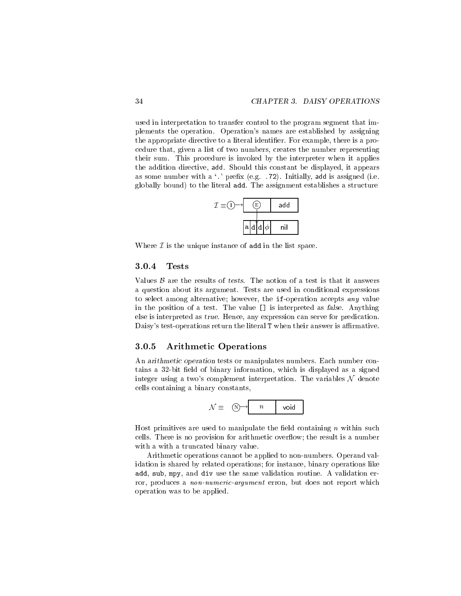used in interpretation to transfer control to the program segment that implements the operation. Operation's names are established by assigning the appropriate directive to a literal identifier. For example, there is a procedure that, given a list of two numbers, creates the number representing their sum. This procedure is invoked by the interpreter when it applies the addition directive, add. Should this constant be displayed, it appears as some number with a  $\cdot$ . prefix (e.g. .72). Initially, add is assigned (i.e. globally bound) to the literal add. The assignment establishes a structure

$$
\mathcal{I} \equiv \textcircled{1} \rightarrow \textcircled{E} \quad \text{add}
$$
\n
$$
\boxed{a \mid d \mid a \mid \phi} \quad \text{nil}
$$

Where  $\mathcal I$  is the unique instance of add in the list space.

#### 3.0.4 Tests

Values  $\beta$  are the results of tests. The notion of a test is that it answers a question about its argument. Tests are used in conditional expressions to select among alternative; however, the if-operation accepts any value in the position of a test. The value [] is interpreted as false. Anything else is interpreted as true. Hence, any expression can serve for predication. Daisy's test-operations return the literal T when their answer is affirmative.

### 3.0.5 Arithmetic Operations

An arithmetic operation tests or manipulates numbers. Each number contains a 32-bit field of binary information, which is displayed as a signed integer using a two's complement interpretation. The variables  $\mathcal N$  denote cells containing a binary constants,

$$
\mathcal{N} \equiv \bigotimes \rightarrow \begin{array}{|c|c|} n & \text{void} \end{array}
$$

Host primitives are used to manipulate the field containing  $n$  within such cells. There is no provision for arithmetic overflow; the result is a number with a with a truncated binary value.

Arithmetic operations cannot be applied to non-numbers. Operand validation is shared by related operations; for instance, binary operations like add, sub, mpy, and div use the same validation routine. A validation error, produces a non-numeric-argument erron, but does not report which operation was to be applied.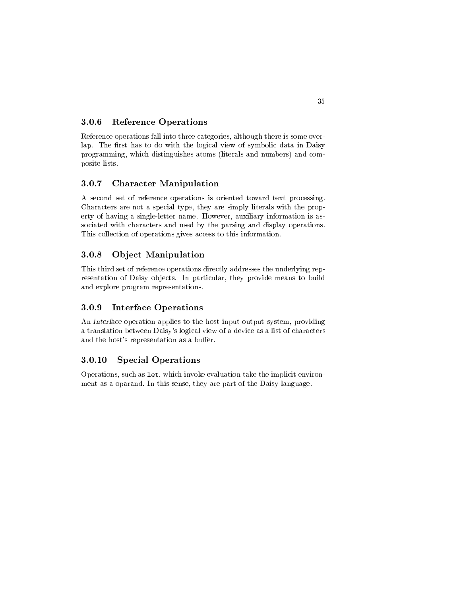#### 3.0.6 **Reference Operations**

Reference operations fall into three categories, although there is some overlap. The first has to do with the logical view of symbolic data in Daisy programming, which distinguishes atoms (literals and numbers) and composite lists.

## 3.0.7 Character Manipulation

A second set of reference operations is oriented toward text processing. Characters are not a special type, they are simply literals with the property of having a single-letter name. However, auxiliary information is associated with characters and used by the parsing and display operations. This collection of operations gives access to this information.

#### 3.0.8 Object Manipulation

This third set of reference operations directly addresses the underlying representation of Daisy ob jects. In particular, they provide means to build and explore program representations.

### 3.0.9 Interface Operations

An interface operation applies to the host input-output system, providing a translation between Daisy's logical view of a device as a list of characters and the host's representation as a buffer.

## 3.0.10 Special Operations

Operations, such as let, which invoke evaluation take the implicit environment as a oparand. In this sense, they are part of the Daisy language.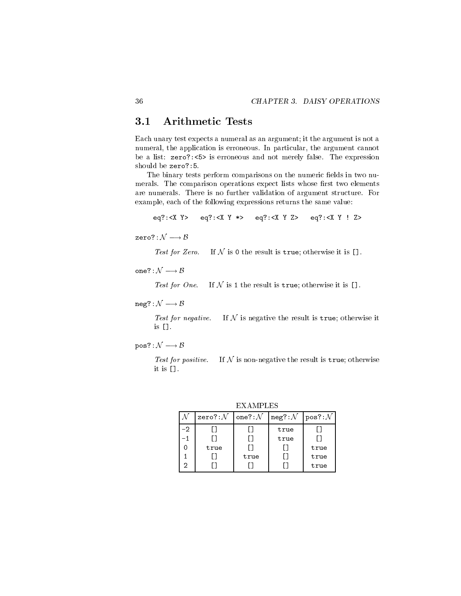# **Arithmetic Tests**

Each unary test expects a numeral as an argument; it the argument is not a numeral, the application is erroneous. In particular, the argument cannot be a list: zero?:<5> is erroneous and not merely false. The expression should be zero?:5.

The binary tests perform comparisons on the numeric fields in two numerals. The comparison operations expect lists whose first two elements are numerals. There is no further validation of argument structure. For example, each of the following expressions returns the same value:

eq?:<X Y> eq?:<X Y \*> eq?:<X Y Z> eq?:<X Y ! Z>

zero?:  $\mathcal{N} \longrightarrow \mathcal{B}$ 

Test for Zero. If N is 0 the result is true; otherwise it is [].

one? :  $\mathcal{N} \longrightarrow \mathcal{B}$ 

Test for One. If N is 1 the result is true; otherwise it is [].

 $neg? : \mathcal{N} \longrightarrow \mathcal{B}$ 

Test for negative. If  $N$  is negative the result is true; otherwise it is [].

 $pos? : \mathcal{N} \longrightarrow \mathcal{B}$ 

Test for positive. If  $N$  is non-negative the result is true; otherwise it is [].

|    | zero?: $\mathcal{N}$  one?: $\mathcal{N}$  neg?: $\mathcal{N}$  pos?: $\mathcal{N}$ |      |      |      |
|----|-------------------------------------------------------------------------------------|------|------|------|
| -2 |                                                                                     |      | true |      |
|    |                                                                                     |      | true |      |
|    | true                                                                                |      |      | true |
|    |                                                                                     | true |      | true |
| າ  |                                                                                     |      |      | true |

EXAMPLES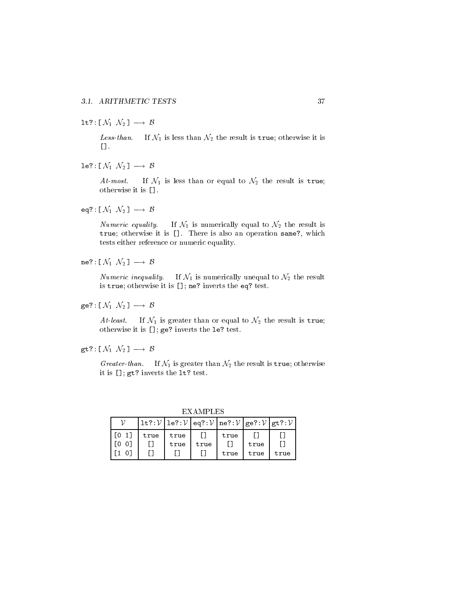1t? :  $[N_1 \ N_2] \longrightarrow B$ 

Less-than. If  $\mathcal{N}_1$  is less than  $\mathcal{N}_2$  the result is true; otherwise it is [].

le?:  $[N_1 \ N_2] \longrightarrow B$ 

At-most. If  $\mathcal{N}_1$  is less than or equal to  $\mathcal{N}_2$  the result is true; otherwise it is [].

eq?:  $[N_1 \ N_2] \longrightarrow B$ 

Numeric equality. If  $\mathcal{N}_1$  is numerically equal to  $\mathcal{N}_2$  the result is true; otherwise it is []. There is also an operation same?, which tests either reference or numeric equality.

ne?:  $[N_1 \ N_2] \longrightarrow B$ 

Numeric inequality. If  $\mathcal{N}_1$  is numerically unequal to  $\mathcal{N}_2$  the result is true; otherwise it is []; ne? inverts the eq? test.

ge? :  $[N_1 \ N_2] \longrightarrow B$ 

At-least. If  $\mathcal{N}_1$  is greater than or equal to  $\mathcal{N}_2$  the result is true; otherwise it is []; ge? inverts the le? test.

gt?:  $[N_1 \ N_2] \longrightarrow B$ 

Greater-than. If  $\mathcal{N}_1$  is greater than  $\mathcal{N}_2$  the result is true; otherwise it is []; gt? inverts the lt? test.

EXAMPLES

|       | $ $ lt?: $V$   le?: $V$   eq?: $V$   ne?: $V$   ge?: $V$   gt?: $V$ |      |      |      |      |      |
|-------|---------------------------------------------------------------------|------|------|------|------|------|
|       | $[0 1]$   true   true   $[]$                                        |      |      | true |      |      |
| [O O] |                                                                     | true | true |      | true |      |
| [1 0] |                                                                     |      |      | true | true | true |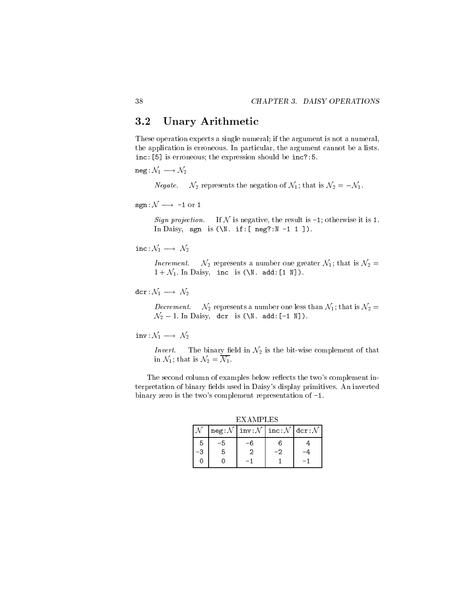#### Unary Arithmetic 3.2

These operation expects a single numeral; if the argument is not a numeral, the application is erroneous. In particular, the argument cannot be a lists. inc:[5] is erroneous; the expression should be inc?:5.

 $neg: \mathcal{N}_1 \longrightarrow \mathcal{N}_2$ 

*Negate.*  $\mathcal{N}_2$  represents the negation of  $\mathcal{N}_1$ ; that is  $\mathcal{N}_2 = -\mathcal{N}_1$ .

 $sgn : \mathcal{N} \longrightarrow -1$  or 1

Sign projection. If N is negative, the result is  $-1$ ; otherwise it is 1. In Daisy, sgn is  $(\N$ . if: [ neg?: N -1 1 ]).

 $inc : \mathcal{N}_1 \longrightarrow \mathcal{N}_2$ 

Increment.  $\mathcal{N}_2$  represents a number one greater  $\mathcal{N}_1$ ; that is  $\mathcal{N}_2 =$  $1 + \mathcal{N}_1$ . In Daisy, inc is (\N. add:[1 N]).

dcr :  $\mathcal{N}_1 \longrightarrow \mathcal{N}_2$ 

*Decrement.*  $\mathcal{N}_2$  represents a number one less than  $\mathcal{N}_1$ ; that is  $\mathcal{N}_2$  =  $\mathcal{N}_2 - 1$ . In Daisy, dcr is  $(\N$ . add: [-1 N]).

 $inv: \mathcal{N}_1 \longrightarrow \mathcal{N}_2$ 

*Invert.* The binary field in  $\mathcal{N}_2$  is the bit-wise complement of that in  $\mathcal{N}_1$ ; that is  $\mathcal{N}_2 = \overline{\mathcal{N}_1}$ .

The second column of examples below reflects the two's complement interpretation of binary fields used in Daisy's display primitives. An inverted binary zero is the two's complement representation of -1.

 $neg: \mathcal{N}$  inv: $\mathcal{N}$  inc: $\mathcal{N}$  dcr: $\mathcal{N}$  $5 - 5$  -5  $-6$  6  $-6$  6  $-6$  6  $-6$  6  $-6$  6  $-6$  6  $-6$  6  $-6$  6  $-6$  6  $-6$  6  $-6$  6  $-6$  6  $-6$  6  $-6$  6  $-6$  6  $-6$  6  $-6$  6  $-6$  6  $-6$  6  $-6$  6  $-6$  6  $-6$  6  $-6$  6  $-6$  6  $-6$  6  $-6$  6  $-6$  6  $-6$  6  $-6$  6  $-6$  6 -3 5  $\sim$  5  $\sim$  5  $\sim$  5  $\sim$  5  $\sim$  5  $\sim$  5  $\sim$  5  $\sim$  5  $\sim$  5  $\sim$  5  $\sim$  5  $\sim$  5  $\sim$  5  $\sim$  5  $\sim$  5  $\sim$  5  $\sim$  5  $\sim$  5  $\sim$  5  $\sim$  5  $\sim$  5  $\sim$  5  $\sim$  5  $\sim$  5  $\sim$  5  $\sim$  5  $\sim$  5  $\sim$  5  $\sim$  5  $\sim$  5  $\sim$  5  $\overline{0}$  $\mathbf 0$  $\mathbf{1}$ 0 0 -1 1 -1

EXAMPLES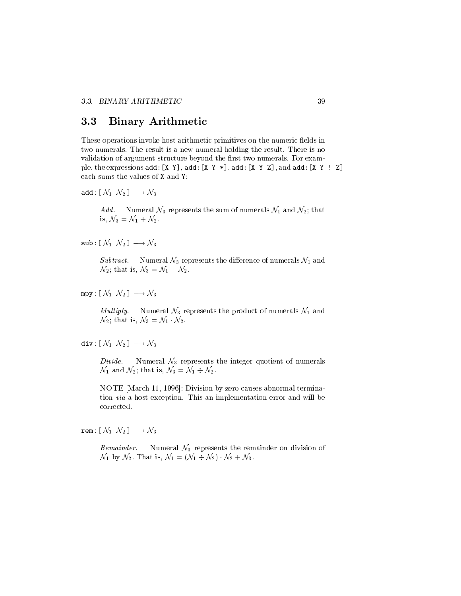#### 3.3 Binary Arithmetic 3.3

These operations invoke host arithmetic primitives on the numeric fields in two numerals. The result is a new numeral holding the result. There is no validation of argument structure beyond the first two numerals. For example, the expressions  $add: [X \ Y]$ ,  $add: [X \ Y \ *]$ ,  $add: [X \ Y \ Z]$ , and  $add: [X \ Y \ : \ Z]$ each sums the values of X and Y:

add : [ $\mathcal{N}_1$   $\mathcal{N}_2$ ]  $\longrightarrow \mathcal{N}_3$ 

Add. Numeral  $\mathcal{N}_3$  represents the sum of numerals  $\mathcal{N}_1$  and  $\mathcal{N}_2$ ; that is,  $\mathcal{N}_3 = \mathcal{N}_1 + \mathcal{N}_2$ .

 $\textsf{sub}: [\, \mathcal{N}_1 \; \mathcal{N}_2 \,] \longrightarrow \mathcal{N}_3$ 

Subtract. Numeral  $\mathcal{N}_3$  represents the difference of numerals  $\mathcal{N}_1$  and  $\mathcal{N}_2$ ; that is,  $\mathcal{N}_3 = \mathcal{N}_1 - \mathcal{N}_2$ .

mpy :  $[N_1 \ N_2] \longrightarrow N_3$ 

Multiply. Numeral  $\mathcal{N}_3$  represents the product of numerals  $\mathcal{N}_1$  and  $\mathcal{N}_2$ ; that is,  $\mathcal{N}_3 = \mathcal{N}_1 \cdot \mathcal{N}_2$ .

div:  $\left[ \mathcal{N}_1 \mathcal{N}_2 \right] \longrightarrow \mathcal{N}_3$ 

 $Divide.$  Numeral  $\mathcal{N}_3$  represents the integer quotient of numerals  $\mathcal{N}_1$  and  $\mathcal{N}_2$ ; that is,  $\mathcal{N}_3 = \mathcal{N}_1 \div \mathcal{N}_2$ .

NOTE [March 11, 1996]: Division by zero causes abnormal termination via a host exception. This an implementation error and will be corrected.

rem:  $\left[ \mathcal{N}_1 \mathcal{N}_2 \right] \longrightarrow \mathcal{N}_3$ 

Remainder. Numeral  $\mathcal{N}_3$  represents the remainder on division of  $\mathcal{N}_1$  by  $\mathcal{N}_2$ . That is,  $\mathcal{N}_1 = (\mathcal{N}_1 \div \mathcal{N}_2) \cdot \mathcal{N}_2 + \mathcal{N}_3$ .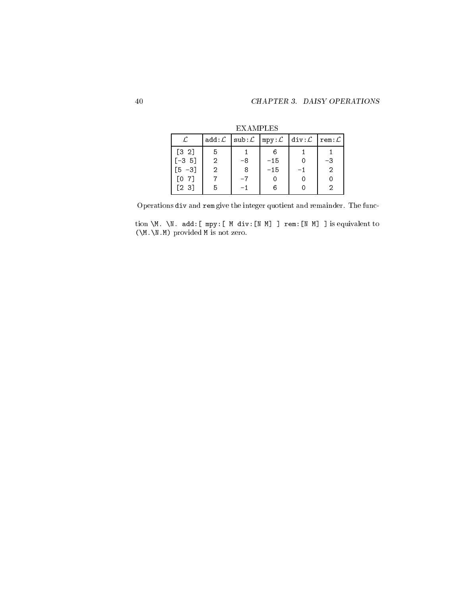|                                       |    | <b>EXAMPLES</b> |                                                                                                     |    |
|---------------------------------------|----|-----------------|-----------------------------------------------------------------------------------------------------|----|
|                                       |    |                 | $add:\mathcal{L}$ sub: $\mathcal{L}$   mpy: $\mathcal{L}$   div: $\mathcal{L}$   rem: $\mathcal{L}$ |    |
| $\begin{bmatrix} 3 & 2 \end{bmatrix}$ | 5  |                 | 6                                                                                                   |    |
| $[-3, 5]$                             | -2 | -8              | $-15$                                                                                               | -3 |
| $[5 -3]$                              | 2  | 8               | $-15$                                                                                               | 2  |
| 1 O                                   |    |                 |                                                                                                     |    |
| Г2 31                                 | 5  |                 | 6                                                                                                   | 2  |

Operations div and rem give the integer quotient and remainder. The func-

tion \M. \N. add:[ mpy:[ M div:[N M] ] rem:[N M] ] is equivalent to (\M.\N.M) provided M is not zero.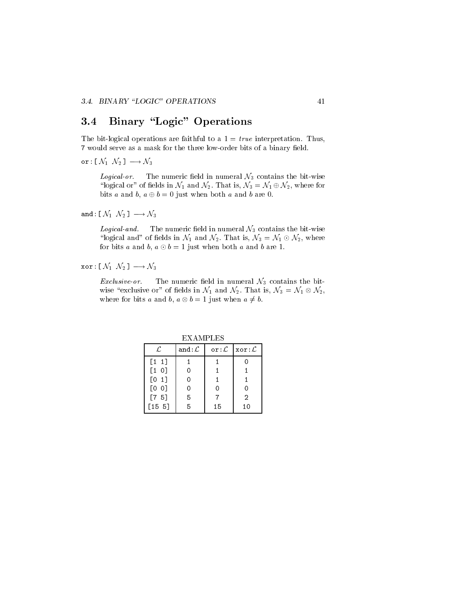## 3.4 Binary "Logic" Operations

The bit-logical operations are faithful to a  $1 = true$  interpretation. Thus, 7 would serve as a mask for the three low-order bits of a binary field.

or :  $[N_1 \ N_2] \longrightarrow N_3$ 

*Logical-or.* The numeric field in numeral  $\mathcal{N}_3$  contains the bit-wise "logical or" of fields in  $\mathcal{N}_1$  and  $\mathcal{N}_2$ . That is,  $\mathcal{N}_3 = \mathcal{N}_1 \oplus \mathcal{N}_2$ , where for bits a and b,  $a \oplus b = 0$  just when both a and b are 0.

and :  $\left[ \mathcal{N}_1 \ \mathcal{N}_2 \right] \longrightarrow \mathcal{N}_3$ 

*Logical-and.* The numeric field in numeral  $\mathcal{N}_3$  contains the bit-wise "logical and" of fields in  $\mathcal{N}_1$  and  $\mathcal{N}_2$ . That is,  $\mathcal{N}_3 = \mathcal{N}_1 \odot \mathcal{N}_2$ , where for bits a and b,  $a \odot b = 1$  just when both a and b are 1.

 $\mathtt{xor} : [\mathcal{N}_1 \ \mathcal{N}_2] \longrightarrow \mathcal{N}_3$ 

Exclusive-or. The numeric field in numeral  $\mathcal{N}_3$  contains the bitwise the contract of the elds in N1 and N1 and N2: That is, N3  $\alpha$  , N3  $\alpha$  , N3  $\alpha$ where for bits a and bits a and bits a different points and bits a bits a function  $\mathcal{L} = \mathcal{L}$ 

|               | EXAMPLES |                                                             |                |  |
|---------------|----------|-------------------------------------------------------------|----------------|--|
| $\mathcal{L}$ |          | and: $\mathcal{L}$   or: $\mathcal{L}$   xor: $\mathcal{L}$ |                |  |
| [1 1]         |          |                                                             |                |  |
| $[1\ 0]$      |          |                                                             |                |  |
| [0 1]         |          |                                                             |                |  |
| [0 0]         |          | 0                                                           | Ω              |  |
| [7 5]         | 5        |                                                             | $\overline{2}$ |  |
| $[15\ 5]$     | 5        | 15                                                          | 10             |  |

 $\overline{v}$  is the pc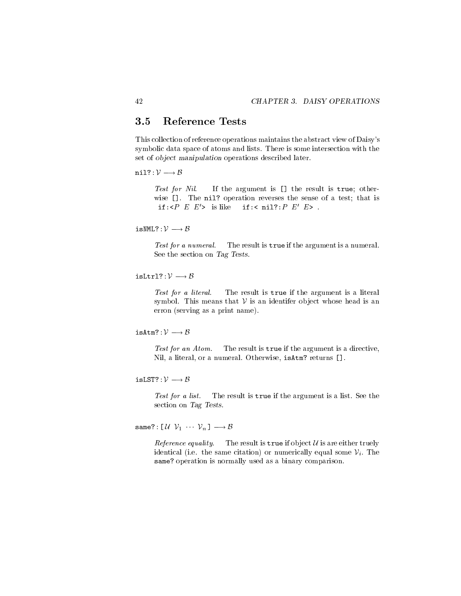#### **Reference Tests**  $3.5$

This collection of reference operations maintains the abstract view of Daisy's symbolic data space of atoms and lists. There is some intersection with the set of object manipulation operations described later.

nil?:  $\mathcal{V} \longrightarrow \mathcal{B}$ 

Test for Nil. If the argument is [] the result is true; otherwise []. The nil? operation reverses the sense of a test; that is if: $\langle P \ E \ E' \rangle$  is like if: $\langle$  nil?: $P \ E' \ E \rangle$ .

is the set of the set of the set of the set of the set of the set of the set of the set of the set of the set o

Test for a numeral. The result is true if the argument is a numeral. See the section on Tag Tests.

isLtrl?:  $\mathcal{V} \longrightarrow \mathcal{B}$ 

Test for a literal. The result is true if the argument is a literal symbol. This means that  $V$  is an identifer object whose head is an erron (serving as a print name).

isAtm?:  $\mathcal{V} \longrightarrow \mathcal{B}$ 

Test for an Atom. The result is true if the argument is a directive, Nil, a literal, or a numeral. Otherwise, isAtm? returns [].

isLST?:  $\mathcal{V} \longrightarrow \mathcal{B}$ 

Test for a list. The result is true if the argument is a list. See the section on Tag Tests.

same?:  $\left[\begin{matrix}U & V_1 & \cdots & V_n\end{matrix}\right] \longrightarrow B$ 

Reference equality. The result is true if object  $U$  is are either truely identical (i.e. the same citation) or numerically equal some  $V_i$ . The same? operation is normally used as a binary comparison.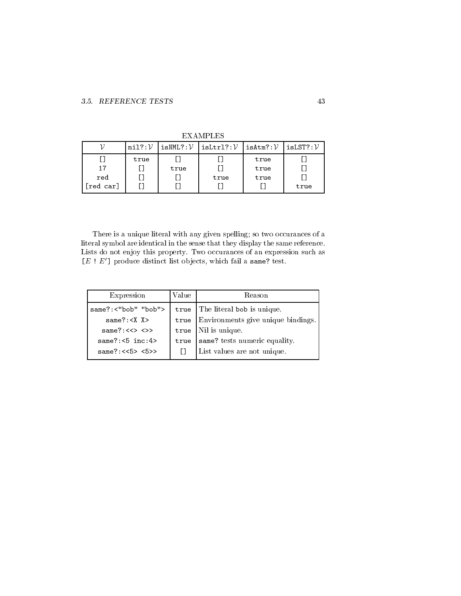|           |      |      | $n$ il?: $V$   isNML?: $V$   isLtrl?: $V$   isAtm?: $V$   isLST?: $V$ |      |      |
|-----------|------|------|-----------------------------------------------------------------------|------|------|
|           | true |      |                                                                       | true |      |
| 17        |      | true |                                                                       | true |      |
| red       |      |      | true                                                                  | true |      |
| [red car] |      |      |                                                                       |      | true |

EXAMPLES

There is a unique literal with any given spelling; so two occurances of a literal symbol are identical in the sense that they display the same reference. Lists do not enjoy this property. Two occurances of an expression such as  $[E\,:\,E']$  produce distinct list objects, which fail a same? test.

| Expression                                             | Value | Reason                             |
|--------------------------------------------------------|-------|------------------------------------|
| same?:<"bob" "bob">                                    |       | $true$ The literal bob is unique.  |
| same?: < X X                                           | true  | Environments give unique bindings. |
| same?: $\langle\langle\rangle$ $\langle\rangle\rangle$ | true  | Nil is unique.                     |
| same?: $5 \text{ inc:} 4$                              | true  | same? tests numeric equality.      |
| same?: $\langle$ < 5> < 5>>                            |       | List values are not unique.        |
|                                                        |       |                                    |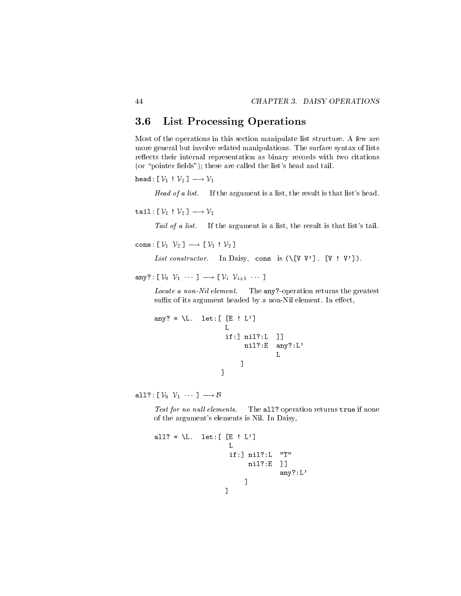#### List Processing Operations 3.6

Most of the operations in this section manipulate list structure. A few are more general but involve related manipulations. The surface syntax of lists reflects their internal representation as binary records with two citations (or "pointer fields"); these are called the list's head and tail.

head : [ $\mathcal{V}_1$  !  $\mathcal{V}_2$ ]  $\longrightarrow \mathcal{V}_1$ 

Head of a list. If the argument is a list, the result is that list's head.

tail:  $[\mathcal{V}_1 : \mathcal{V}_2] \longrightarrow \mathcal{V}_1$ 

Tail of a list. If the argument is a list, the result is that list's tail.

cons : [ $\mathcal{V}_1$   $\mathcal{V}_2$ ]  $\longrightarrow$  [ $\mathcal{V}_1$  !  $\mathcal{V}_2$ ]

List constructor. In Daisy, cons is  $(\lceil V \ V \rceil]$ .  $[V \ Y \ Y]$ ).

any?: [ $\mathcal{V}_0$   $\mathcal{V}_1$   $\cdots$  ]  $\longrightarrow$  [ $\mathcal{V}_i$   $\mathcal{V}_{i+1}$   $\cdots$  ]

Locate a non-Nil element. The any?-operation returns the greatest suffix of its argument headed by a non-Nil element. In effect,

```
any? = \mathcal{L}. let: [ [E ! L']
                     if:] nil?:L ]]
                           nil?:E any?:L'
                                    L
                          \blacksquare]
```
all?:  $[\mathcal{V}_0 \ \mathcal{V}_1 \ \cdots \ ] \longrightarrow \mathcal{B}$ 

Test for no null elements. The all? operation returns true if none of the argument's elements is Nil. In Daisy,

```
all? = \mathcal{L}. let: [ [E ! L']
                      T.
                      if:] nil?:L "T"
                            nil?:E ]]
                                      any?:L'
                            \blacksquare]
```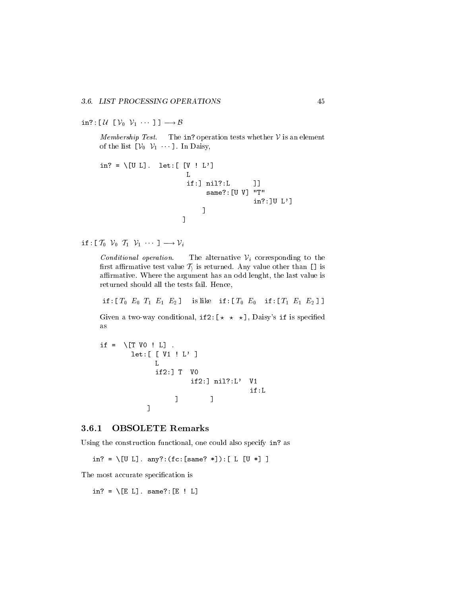in?:  $\left[ \begin{matrix} U & \begin{matrix} V_0 & V_1 & \cdots & \end{matrix} \right] \right] \longrightarrow B$ 

Membership Test. The in? operation tests whether  $\mathcal V$  is an element of the list  $[\mathcal{V}_0 \ \mathcal{V}_1 \ \cdots ]$ . In Daisy,

in? = \[[U L]. let: 
$$
\begin{bmatrix} V & \vdots & L' \end{bmatrix}
$$
  
\n $\begin{bmatrix} L & & & & \vdots \\ & & & \vdots \\ & & & \end{bmatrix}$   
\nsame? :  $\begin{bmatrix} U & V \end{bmatrix}$  "T"  
\nin? :  $\begin{bmatrix} U & \vdots \\ & & \end{bmatrix}$   
\n $\begin{bmatrix} \vdots & \vdots \\ \vdots & \vdots \\ \vdots & \vdots \\ \vdots & \vdots \\ \vdots & \vdots \\ \vdots & \vdots \\ \vdots & \vdots \\ \vdots & \vdots \\ \vdots & \vdots \\ \vdots & \vdots \\ \vdots & \vdots \\ \vdots & \vdots \\ \vdots & \vdots \\ \vdots & \vdots \\ \vdots & \vdots \\ \vdots & \vdots \\ \vdots & \vdots \\ \vdots & \vdots \\ \vdots & \vdots \\ \vdots & \vdots \\ \vdots & \vdots \\ \vdots & \vdots \\ \vdots & \vdots \\ \vdots & \vdots \\ \vdots & \vdots \\ \vdots & \vdots \\ \vdots & \vdots \\ \vdots & \vdots \\ \vdots & \vdots \\ \vdots & \vdots \\ \vdots & \vdots \\ \vdots & \vdots \\ \vdots & \vdots \\ \vdots & \vdots \\ \vdots & \vdots \\ \vdots & \vdots \\ \vdots & \vdots \\ \vdots & \vdots \\ \vdots & \vdots \\ \vdots & \vdots \\ \vdots & \vdots \\ \vdots & \vdots \\ \vdots & \vdots \\ \vdots & \vdots \\ \vdots & \vdots \\ \vdots & \vdots \\ \vdots & \vdots \\ \vdots & \vdots \\ \vdots & \vdots \\ \vdots & \vdots \\ \vdots & \vdots \\ \vdots & \vdots \\ \vdots & \vdots \\ \vdots & \vdots \\ \vdots & \vdots \\ \vdots & \vdots \\ \vdots & \vdots \\ \vdots & \vdots \\ \vdots & \vdots \\ \vdots & \vdots \\ \vdots & \vdots \\ \vdots & \vdots \\ \vdots & \vdots \\ \vdots & \vdots \\ \vdots & \vdots \\ \vdots & \vdots \\ \vdots & \vdots \\ \vdots & \vdots \\ \vdots & \vdots \\ \vdots & \vdots \\ \vdots & \vdots \\ \vdots & \vdots \\ \vdots & \vdots \\ \vdots & \vdots \\ \vdots & \vdots \\ \vdots & \vdots \\ \vdots & \vdots \\ \vdots & \vdots \\ \$ 

if :  $[\mathcal{T}_0 \ \mathcal{V}_0 \ \mathcal{T}_1 \ \mathcal{V}_1 \ \cdots \ ] \longrightarrow \mathcal{V}_i$ 

Conditional operation. The alternative  $V_i$  corresponding to the first affirmative test value  $\mathcal{T}_1$  is returned. Any value other than [] is affirmative. Where the argument has an odd lenght, the last value is returned should all the tests fail. Hence,

if:  $[T_0 \ E_0 \ T_1 \ E_1 \ E_2]$  is like if:  $[T_0 \ E_0 \ \text{if}: [T_1 \ E_1 \ E_2]]$ 

Given a two-way conditional, if  $2: [ \star \star \star ]$ , Daisy's if is specified as

if = 
$$
\[\Gamma \text{ V0} : L]
$$
.  
\nlet:  $\[\begin{bmatrix} V1 : L' \end{bmatrix}\]$   
\nL  
\nif2:  $\]$  T V0  
\nif2:  $\]$  nil?: L' V1  
\nif: L  
\n $\]$   
\n $\]$ 

#### 3.6.1 OBSOLETE Remarks

Using the construction functional, one could also specify in? as

in? =  $\[$  [U L]. any?:(fc:[same? \*]):[ L [U \*]]

The most accurate specification is

in? =  $\{E L\}$ . same?:  $[E : L]$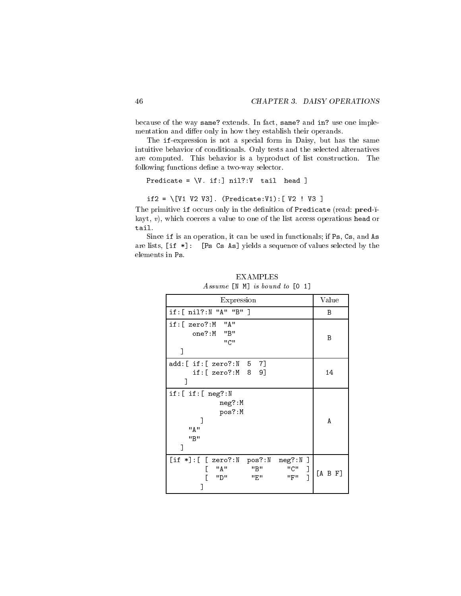because of the way same? extends. In fact, same? and in? use one implementation and differ only in how they establish their operands.

The if-expression is not a special form in Daisy, but has the same intuitive behavior of conditionals. Only tests and the selected alternatives are computed. This behavior is a byproduct of list construction. The following functions define a two-way selector.

Predicate =  $\V$ . if:] nil?: V tail head ]

if2 =  $\[V1 \ V2 \ V3]$ . (Predicate:V1): [ V2 ! V3 ]

The primitive if occurs only in the definition of Predicate (read: pred-)kayt, v), which coerces a value to one of the list access operations head or tail.

Since if is an operation, it can be used in functionals; if Ps, Cs, and As are lists, [if \*]: [Ps Cs As] yields a sequence of values selected by the elements in Ps.

| Expression                                                                     | Value   |
|--------------------------------------------------------------------------------|---------|
| if: [ nil?: N "A" "B" ]                                                        | B       |
| " A "<br>if:[ zero?:M                                                          |         |
| "B"<br>one?:M<br>"C"                                                           | В       |
| ٦                                                                              |         |
| add: [ if: [ zero?: N<br>5 7]                                                  |         |
| if:[zero? : M 8]<br>- 9]                                                       | 14      |
| $if:[if:[neg?:\mathbb{N}$                                                      |         |
| neg?:M                                                                         |         |
| pos?:M                                                                         |         |
| " д "                                                                          | A       |
| "B"                                                                            |         |
| I                                                                              |         |
| [if *]:[ [ zero?:N pos?:N neg?:N<br>$\perp$                                    |         |
| $\overline{1}$<br>"B"<br>"C"<br>" A "<br>$\overline{1}$<br>"E"<br>"F"<br>ייחיי | [A B F] |
| ٦                                                                              |         |

EXAMPLES Assume [N M] is bound to [0 1]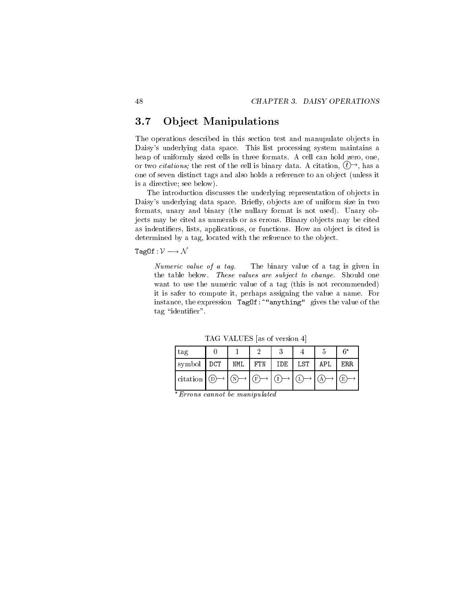#### **Object Manipulations**  $3.7$

The operations described in this section test and manupulate objects in Daisy's underlying data space. This list processing system maintains a heap of uniformly sized cells in three formats. A cell can hold zero, one, or two *citations*; the rest of the cell is binary data. A citation,  $(t)$ , has a one of seven distinct tags and also holds a reference to an ob ject (unless it is a directive; see below).

The introduction discusses the underlying representation of objects in Daisy's underlying data space. Briefly, objects are of uniform size in two formats, unary and binary (the nullary format is not used). Unary objects may be cited as numerals or as errons. Binary objects may be cited as indentifiers, lists, applications, or functions. How an object is cited is determined by a tag, located with the reference to the object.

### Tag0f :  $\mathcal{V} \longrightarrow \mathcal{N}$

Numeric value of a tag. The binary value of a tag is given in the table below. These values are subject to change. Should one want to use the numeric value of a tag (this is not recommended) it is safer to compute it, perhaps assigning the value a name. For instance, the expression TagOf:^"anything" gives the value of the tag "identifier".

| tag      |     |     | ച   | 2<br>ల |            |     | $6*$ |
|----------|-----|-----|-----|--------|------------|-----|------|
| symbol   | DCT | NML | FTN | IDE    | <b>LST</b> | APL | ERR. |
| citation |     |     |     |        |            |     | ΄E   |

TAG VALUES [as of version 4]

Errons cannot be manipulated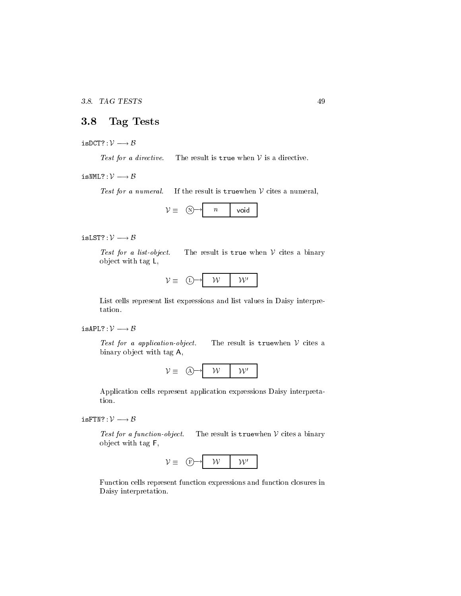#### Tag Tests 3.8

 $i$ sDCT?: $\mathcal{V} \longrightarrow \mathcal{B}$ 

Test for a directive. The result is true when  $V$  is a directive.

isNML?:  $\mathcal{V} \longrightarrow \mathcal{B}$ 

Test for a numeral. If the result is truewhen  $\mathcal V$  cites a numeral,



#### isLST?:  $\mathcal{V} \longrightarrow \mathcal{B}$

Test for a list-object. The result is true when  $V$  cites a binary ob ject with tag L,

$$
\mathcal{V} \equiv \begin{array}{ccc} \text{(1)} & \text{(2)} & \text{(3)} \\ \text{(4)} & \text{(5)} & \text{(6)} \\ \text{(6)} & \text{(7)} & \text{(8)} \\ \text{(9)} & \text{(1)} & \text{(1)} \\ \text{(1)} & \text{(1)} & \text{(1)} \\ \text{(1)} & \text{(1)} & \text{(1)} \\ \text{(1)} & \text{(1)} & \text{(1)} \\ \text{(1)} & \text{(1)} & \text{(1)} \\ \text{(1)} & \text{(1)} & \text{(1)} \\ \text{(1)} & \text{(1)} & \text{(1)} \\ \text{(1)} & \text{(1)} & \text{(1)} \\ \text{(1)} & \text{(1)} & \text{(1)} \\ \text{(1)} & \text{(1)} & \text{(1)} \\ \text{(1)} & \text{(1)} & \text{(1)} \\ \text{(1)} & \text{(1)} & \text{(1)} \\ \text{(1)} & \text{(1)} & \text{(1)} \\ \text{(1)} & \text{(1)} & \text{(1)} \\ \text{(2)} & \text{(2)} & \text{(2)} \\ \text{(3)} & \text{(4)} & \text{(5)} \\ \text{(5)} & \text{(6)} & \text{(6)} \\ \text{(7)} & \text{(8)} & \text{(9)} \\ \text{(9)} & \text{(1)} & \text{(1)} \\ \text{(1)} & \text{(1)} & \text{(1)} \\ \text{(2)} & \text{(2)} & \text{(2)} \\ \text{(3)} & \text{(4)} & \text{(5)} \\ \text{(4)} & \text{(5)} & \text{(6)} \\ \text{(6)} & \text{(6)} & \text{(6)} \\ \text{(7)} & \text{(8)} & \text{(9)} \\ \text{(9)} & \text{(1)} & \text{(1)} \\ \text{(1)} & \text{(1)} & \text{(1)} \\ \text{(2)} & \text{(2)} & \text{(2)} \\ \text{(3)} & \text{(4)} & \text{(5)} \\ \text{(4)} & \text{(5)} & \text{(6)} \\ \text{(6)} & \text{(6)} & \text{(6)} \\ \text{(7)} & \text{(8)} & \text{(9)} \\ \text{(9)} & \text{(1)} & \text{(1)} \\ \text{(1)} & \text{(1)} & \text{(1)} \\ \text{(2)} & \text{(2)} & \text{(3)} \\ \text{(3)} & \text{(4)} & \text{(4)} \\ \text{(4)} & \text{(5)} & \text{(6)} \\ \text{(5)} & \text{(6)} & \text{(6)} \\ \text{(6)} & \
$$

List cells represent list expressions and list values in Daisy interpretation.

isAPL? :  $\mathcal{V} \longrightarrow \mathcal{B}$ 

Test for a application-object. The result is truewhen  $V$  cites a binary object with tag A,

$$
\mathcal{V} \equiv \quad \textcircled{A} \longrightarrow \quad \mathcal{W} \qquad \qquad \mathcal{W}'
$$

Application cells represent application expressions Daisy interpretation.

isFTN?:  $\mathcal{V} \longrightarrow \mathcal{B}$ 

Test for a function-object. The result is truewhen  $V$  cites a binary ob ject with tag F,



Function cells represent function expressions and function closures in Daisy interpretation.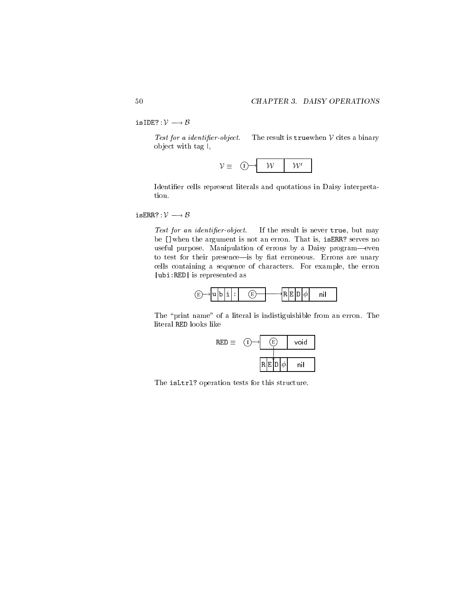isIDE?:  $\mathcal{V} \longrightarrow \mathcal{B}$ 

Test for a identifier-object. The result is truewhen  $\mathcal V$  cites a binary ob ject with tag I,

$$
\mathcal{V} \equiv \begin{array}{|c|c|c|c|} \hline \textbf{0} & \textbf{0} & \textbf{0} & \textbf{0} \end{array}
$$

Identifier cells represent literals and quotations in Daisy interpretation.

 $i$ sERR?:  $\mathcal{V} \longrightarrow \mathcal{B}$ 

Test for an identifier-object. If the result is never true, but may be []when the argument is not an erron. That is, isERR? serves no useful purpose. Manipulation of errons by a Daisy program-even to test for their presence—is by fiat erroneous. Errons are unary cells containing a sequence of characters. For example, the erron |ubi:RED| is represented as



The "print name" of a literal is indistiguishible from an erron. The literal RED looks like



The isLtrl? operation tests for this structure.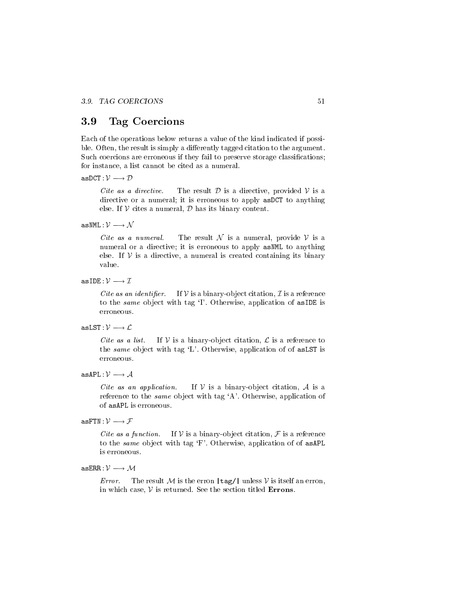#### Tag Coercions 3.9

Each of the operations below returns a value of the kind indicated if possible. Often, the result is simply a differently tagged citation to the argument. Such coercions are erroneous if they fail to preserve storage classifications; for instance, a list cannot be cited as a numeral.

 $\texttt{asDCT} : \mathcal{V} \longrightarrow \mathcal{D}$ 

Cite as a directive. The result  $\mathcal D$  is a directive, provided  $\mathcal V$  is a directive or a numeral; it is erroneous to apply asDCT to anything else. If  $V$  cites a numeral,  $D$  has its binary content.

asNML :  $\mathcal{V} \longrightarrow \mathcal{N}$ 

*Cite as a numeral.* The result N is a numeral, provide V is a numeral or a directive; it is erroneous to apply asNML to anything else. If  $V$  is a directive, a numeral is created containing its binary value.

asIDE:  $\mathcal{V} \longrightarrow \mathcal{I}$ 

Cite as an identifier. If V is a binary-object citation,  $\mathcal I$  is a reference to the same object with tag 'I'. Otherwise, application of asIDE is erroneous.

asLST :  $\mathcal{V} \longrightarrow \mathcal{L}$ 

*Cite as a list.* If V is a binary-object citation,  $\mathcal{L}$  is a reference to the *same* object with tag 'L'. Otherwise, application of of asLST is erroneous.

 $asAPL : \mathcal{V} \longrightarrow \mathcal{A}$ 

Cite as an application. If V is a binary-object citation, A is a reference to the *same* object with tag  $A'$ . Otherwise, application of of asAPL is erroneous.

asFTN : V ! F

Cite as a function. If V is a binary-object citation,  $\mathcal F$  is a reference to the same object with tag 'F'. Otherwise, application of of asAPL is erroneous.

## $\texttt{asERR} : \mathcal{V} \longrightarrow \mathcal{M}$

The result M is the erron  $|\text{tag/}$  unless V is itself an erron, Error. in which case,  $V$  is returned. See the section titled Errons.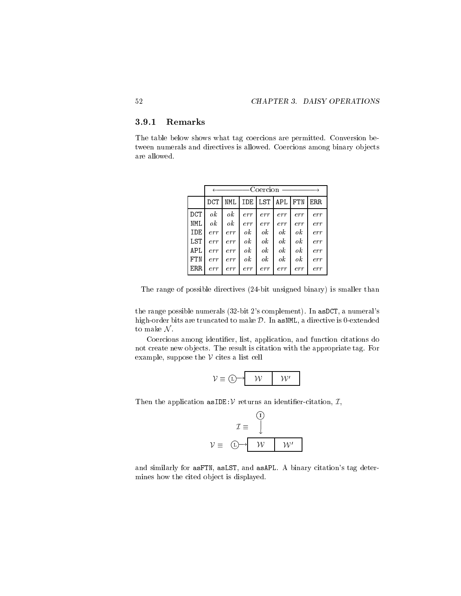#### 3.9.1 Remarks

The table below shows what tag coercions are permitted. Conversion between numerals and directives is allowed. Coercions among binary objects are allowed.

|            |     |     |     | Coercion |      |     |      |
|------------|-----|-----|-----|----------|------|-----|------|
|            | DCT | NML | IDE | LST      | APL. | FTN | ERR. |
| <b>DCT</b> | ok  | ok  | err | err      | err  | err | err  |
| NML        | ok  | ok  | err | err      | err  | err | err  |
| <b>IDE</b> | err | err | ok  | ok       | ok   | ok  | err  |
| LST        | err | err | ok  | ok       | ok   | ok  | err  |
| APL.       | err | err | ok  | ok       | ok   | ok  | err  |
| FTN        | err | err | ok  | ok       | ok   | ok  | err  |
| ERR        | err | err | err | err      | err  | err | err  |

The range of possible directives (24-bit unsigned binary) is smaller than

the range possible numerals (32-bit 2's complement). In asDCT, a numeral's high-order bits are truncated to make  $D$ . In asNML, a directive is 0-extended to make  $N$ .

Coercions among identifier, list, application, and function citations do not create new ob jects. The result is citation with the appropriate tag. For example, suppose the  $V$  cites a list cell

$$
\mathcal{V} \equiv \textcircled{t} \rightarrow \begin{array}{|c|c|} \hline \text{ } & \mathcal{W} & \text{ } \end{array}
$$

Then the application  $\texttt{asIDE:V}$  returns an identifier-citation,  $\mathcal{I},$ 

$$
\mathcal{I} \equiv \begin{bmatrix} 1 \\ \downarrow \end{bmatrix}
$$
  

$$
\mathcal{V} \equiv \begin{bmatrix} 1 \\ \downarrow \end{bmatrix} \rightarrow \begin{bmatrix} W & W' \\ W' & W' \end{bmatrix}
$$

and similarly for asFTN, asLST, and asAPL. A binary citation's tag determines how the cited object is displayed.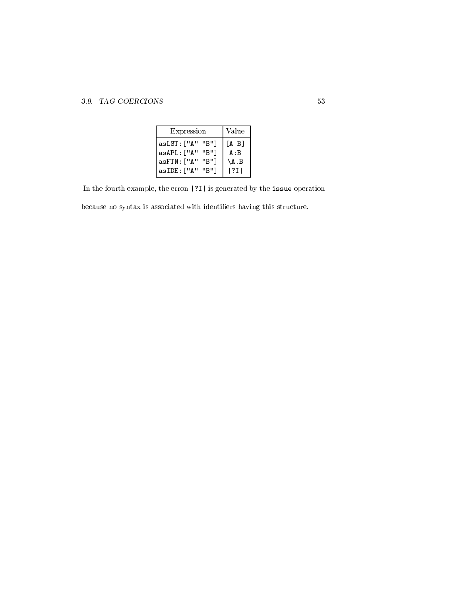## 3.9. TAG COERCIONS 53

| Expression       | Value     |
|------------------|-----------|
| asLST: ["A" "B"] | $[A \ B]$ |
| asAPL: ["A" "B"] | A : B     |
| asFTN: ["A" "B"] | \A.B      |
| asIDE: ["A" "B"] | ?I        |

In the fourth example, the erron |?I| is generated by the issue operation

because no syntax is associated with identifiers having this structure.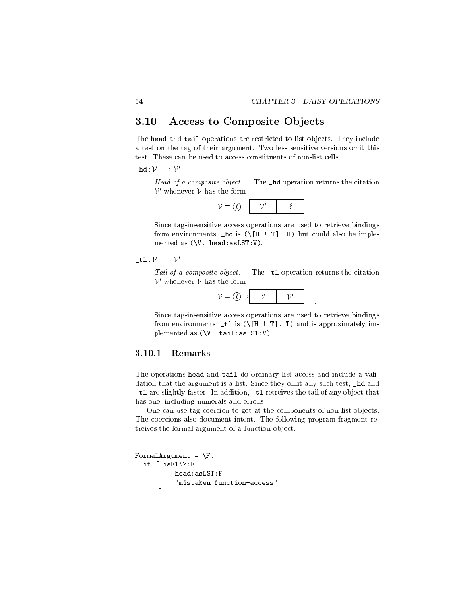#### Access to Composite Objects 3.10

The head and tail operations are restricted to list objects. They include a test on the tag of their argument. Two less sensitive versions omit this test. These can be used to access constituents of non-list cells.

\_hd :  $\mathcal{V} \longrightarrow \mathcal{V}'$ 

Head of a composite object. The \_hd operation returns the citation  $V'$  whenever  $V$  has the form

|--|--|--|--|--|

Since tag-insensitive access operations are used to retrieve bindings from environments,  $hd$  is  $(\[H : T]$ . H) but could also be implemented as (\V. head:asLST:V).

\_tl :  $\mathcal{V} \longrightarrow \mathcal{V}'$ 

Tail of a composite object. The \_tl operation returns the citation  $V'$  whenever  $V$  has the form

|--|

Since tag-insensitive access operations are used to retrieve bindings from environments,  $_t$  is (\[H ! T]. T) and is approximately implemented as (\V. tail:asLST:V).

The operations head and tail do ordinary list access and include a validation that the argument is a list. Since they omit any such test, \_hd and \_tl are slightly faster. In addition, \_tl retreives the tail of any ob ject that has one, including numerals and errons.

One can use tag coercion to get at the components of non-list objects. The coercions also document intent. The following program fragment retreives the formal argument of a function ob ject.

```
FormalArgument = \F.
  if:[ isFTN?:F
          "mistaken function-access"
      ]
```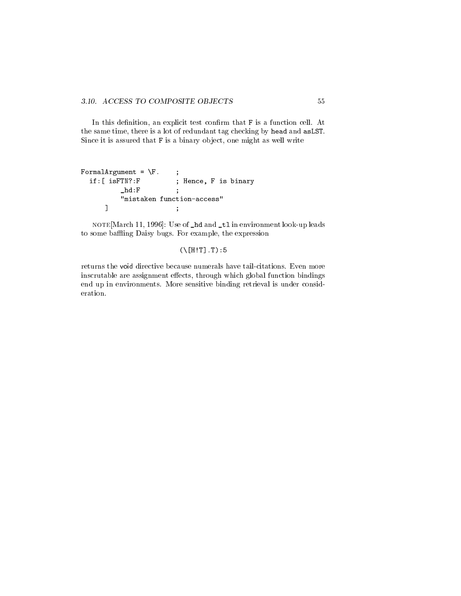In this definition, an explicit test confirm that F is a function cell. At the same time, there is a lot of redundant tag checking by head and asLST. Since it is assured that F is a binary object, one might as well write

```
FormalArgument = \F. ;
         if:[ isFTN?:F ; Hence, F is binary
                                          \begin{tabular}{lllllll} \multicolumn{2}{l}{} \multicolumn{2}{l}{} \multicolumn{2}{l}{} \multicolumn{2}{l}{} \multicolumn{2}{l}{} \multicolumn{2}{l}{} \multicolumn{2}{l}{} \multicolumn{2}{l}{} \multicolumn{2}{l}{} \multicolumn{2}{l}{} \multicolumn{2}{l}{} \multicolumn{2}{l}{} \multicolumn{2}{l}{} \multicolumn{2}{l}{} \multicolumn{2}{l}{} \multicolumn{2}{l}{} \multicolumn{2}{l}{} \multicolumn{2}{l}{} \multicolumn{2}{l}{} \multicolumn{2}{l}{} \multicolumn{2}{l}"mistaken function-access"
                           \blacksquare
```
note[March 11, 1996]: Use of \_hd and \_tl in environment look-up leads to some baffling Daisy bugs. For example, the expression

### $(\langle H:T].T):5$

returns the void directive because numerals have tail-citations. Even more inscrutable are assignment effects, through which global function bindings end up in environments. More sensitive binding retrieval is under consideration.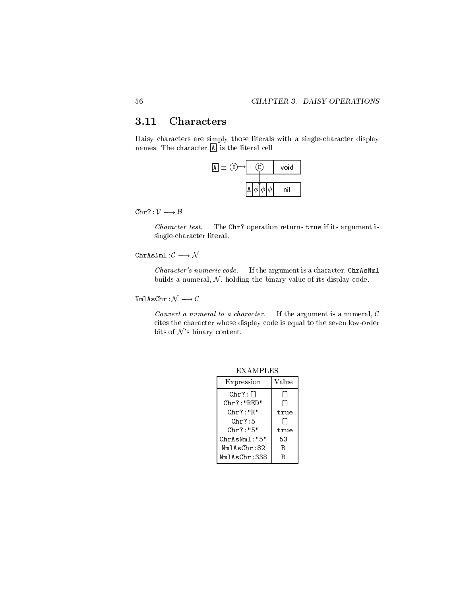#### **Characters** 3.11

Daisy characters are simply those literals with a single-character display names. The character  $\boxed{A}$  is the literal cell

$$
\boxed{A} \equiv \boxed{1} \rightarrow \boxed{E} \quad \text{void} \quad \boxed{A \phi \phi \phi} \quad \text{nil} \quad \boxed{}
$$

Chr? :  $\mathcal{V} \longrightarrow \mathcal{B}$ 

Character test. The Chr? operation returns true if its argument is single-character literal.

 $\mathtt{ChrAsNml} : \mathcal{C} \longrightarrow \mathcal{N}$ 

Character's numeric code. If the argument is a character, ChrAsNml builds a numeral,  $N$ , holding the binary value of its display code.

 $\texttt{NmlAsChr} : \mathcal{N} \longrightarrow \mathcal{C}$ 

Convert a numeral to a character. If the argument is a numeral,  $\mathcal C$ cites the character whose display code is equal to the seven low-order bits of  $\mathcal{N}$ 's binary content.

| Expression   | Value |
|--------------|-------|
| Chr?: [1]    | П     |
| Chr?:"RED"   | П     |
| Chr?: "R"    | true  |
| Chr?:5       | П     |
| Chr?: "5"    | true  |
| ChrAsNml:"5" | 53    |
| NmlAsChr:82  | R.    |
| NmlAsChr:338 | R.    |

EXAMPLES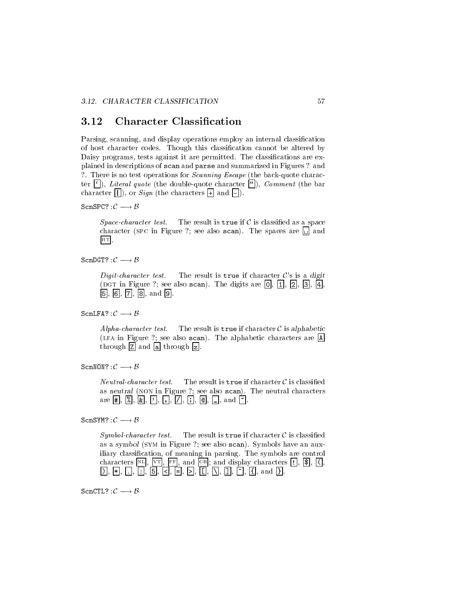#### **Character Classification** 3.12

Parsing, scanning, and display operations employ an internal classification of host character codes. Though this classication cannot be altered by Daisy programs, tests against it are permitted. The classifications are explained in descriptions of scan and parse and summarized in Figures ? and ?. There is no test operations for *Scanning Escape* (the back-quote character i ), Literal quote (the double-quote character " ), Comment (the barrier" character  $|| \cdot ||$ , or  $Sign$  (the characters  $|| \cdot ||$  and  $|| \cdot ||$ ).

 $ScnsPC? : C \longrightarrow B$ 

Space-character test. The result is true if  $\mathcal C$  is classified as a space character (spc in Figure ?; see also scan). The spaces are  $\Box$  and HT.

 $ScnDGT: \mathcal{C} \longrightarrow \mathcal{B}$ 

Digit-character test. The result is true if character  $\mathcal{C}'$ 's is a digit (DGT in Figure ?; see also scan). The digits are  $[0], [1], [2], [3], [4]$  $[5], [6], [7], [8], \text{ and } [9]$ 

 $SchLFA? : \mathcal{C} \longrightarrow \mathcal{B}$ 

Alpha-character test. The result is true if character  $\mathcal C$  is alphabetic  $\left($  in the figure  $\left| \cdot \right|$  see also scale). The algebra characters are  $\left| \cdot \right|$ through Z and a through z .

 $SchNN? : \mathcal{C} \longrightarrow \mathcal{B}$ 

*Neutral-character test.* The result is true if character  $\mathcal C$  is classified as neutral (non in Figure ?; see also scan). The neutral characters are  $\sharp$ ,  $\sharp$ ,  $\sharp$ ,  $\sharp$ ,  $\sharp$ ,  $\sharp$ ,  $\sharp$ ,  $\sharp$ ,  $\sharp$ ,  $\sharp$ ,  $\sharp$ ,  $\sharp$ ,  $\sharp$ ,  $\sharp$ ,  $\sharp$ ,  $\sharp$ ,  $\sharp$ ,  $\sharp$ ,  $\sharp$ ,  $\sharp$ ,  $\sharp$ ,  $\sharp$ ,  $\sharp$ ,  $\sharp$ ,  $\sharp$ ,  $\sharp$ ,  $\sharp$ ,  $\sharp$ ,  $\sharp$ ,  $\sharp$ ,  $\sharp$ ,  $\sharp$ ,  $\sharp$ ,  $\sharp$ ,  $\sharp$ ,  $\sharp$ ,

 $ScnsYM$ ? :  $C \longrightarrow B$ 

Symbol-character test. The result is true if character  $\mathcal C$  is classified as a symbol (sym in Figure ?; see also scan). Symbols have an auxiliary classication, of meaning in parsing. The symbols are control characters  $\overline{\text{NL}}$ ,  $\overline{\text{VT}}$ ,  $\overline{\text{FF}}$ , and  $\overline{\text{CR}}$ ; and display characters  $\overline{!!}$ ,  $\overline{\$}$ ,  $\overline{()}$ ) , \* , . , : , 5 , < , = , > , [ , \ , ] , ^ , { , and } .

 $ScnCTL? : C \longrightarrow B$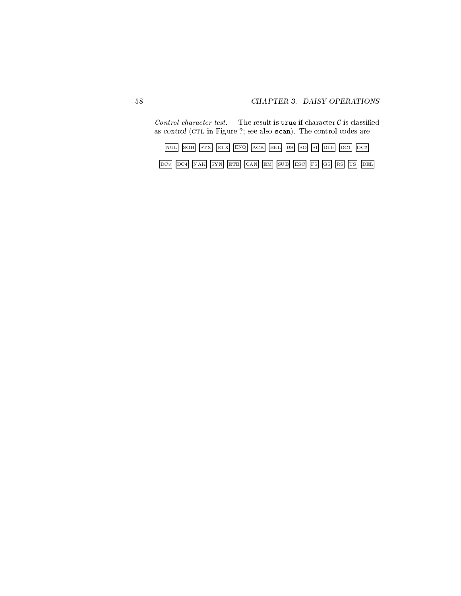Control-character test. The result is true if character  $\mathcal C$  is classified as control (CTL in Figure ?; see also scan). The control codes are

| NUL SOH STX ETX ENQ ACK BEL BS SO SI DLE DC1 DC2   |  |
|----------------------------------------------------|--|
| DC3 DC4 NAK SYN ETB CAN EM SUB ESC FS GS RS US DEL |  |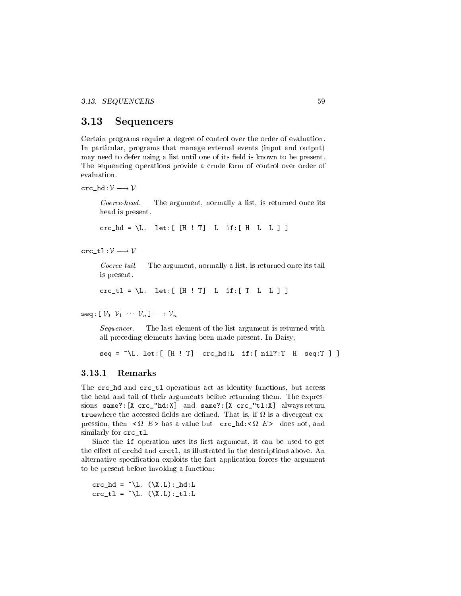#### **Sequencers** 3.13

Certain programs require a degree of control over the order of evaluation. In particular, programs that manage external events (input and output) may need to defer using a list until one of its field is known to be present. The sequencing operations provide a crude form of control over order of evaluation.

 $\text{crc\_hd} : \mathcal{V} \longrightarrow \mathcal{V}$ 

Coerce-head. The argument, normally a list, is returned once its head is present.

 $\text{crc\_hd} = \backslash L. \quad \text{let:} \left[ \begin{array}{ccc} [H & I & T] & L & \text{if:} \left[ \begin{array}{ccc} H & L & L \end{array} \right] \end{array} \right]$ 

 $\text{crc\_tl}: \mathcal{V} \longrightarrow \mathcal{V}$ 

Coerce-tail. The argument, normally a list, is returned once its tail is present.

 $\text{crc\_tl} = \backslash L. \quad \text{let:} \left[ \begin{array}{ccc} [H : T] & L & \text{if:} \left[ \begin{array}{ccc} T & L & L \end{array} \right] \end{array} \right]$ 

 $\texttt{seq} \colon [\mathcal{V}_0 \ \mathcal{V}_1 \ \cdots \ \mathcal{V}_n] \longrightarrow \mathcal{V}_n$ 

Sequencer. The last element of the list argument is returned with all preceding elements having been made present. In Daisy,

 $seq = \cap L$ . let: [ [H ! T]  $circ\_hd$ : L if: [ nil?: T H seq: T ] ]

### 3.13.1 Remarks

The crc\_hd and crc\_tl operations act as identity functions, but access the head and tail of their arguments before returning them. The expressions same?:[X crc\_"hd:X] and same?:[X crc\_"tl:X] always return truewhere the accessed elds are dened. That is, if is a divergent expression, then the state of the state but created and the state of the state of the state of the state of the state of the state of the state of the state of the state of the state of the state of the state of the state of similarly for crc\_tl.

Since the if operation uses its first argument, it can be used to get the effect of crchd and crctl, as illustrated in the descriptions above. An alternative specification exploits the fact application forces the argument to be present before invoking a function:

crc\_hd =  $\hat{L}$ . (\X.L):\_hd:L  $\text{crc}_tl = \hat{\wedge}L. \quad (\hat{\wedge}X.L): _tl:l$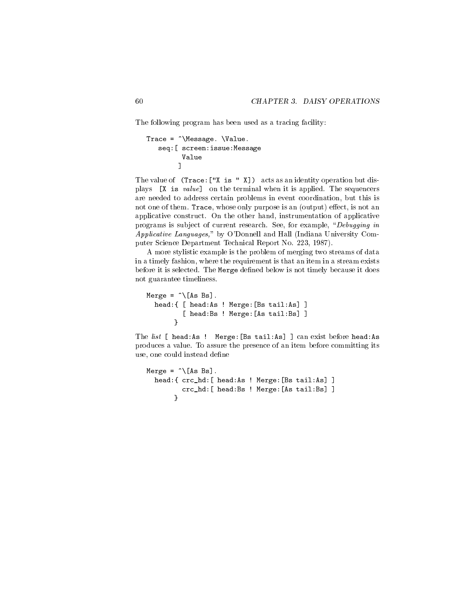The following program has been used as a tracing facility:

```
Trace = \triangleMessage. \Value.
    seq:[ screen:issue:Message
            Value
          \overline{1}\blacksquare
```
The value of (Trace:["X is " X]) acts as an identity operation but displays [X is value] on the terminal when it is applied. The sequencers are needed to address certain problems in event coordination, but this is not one of them. Trace, whose only purpose is an (output) effect, is not an applicative construct. On the other hand, instrumentation of applicative programs is subject of current research. See, for example, "Debugging in Applicative Languages," by O'Donnell and Hall (Indiana University Computer Science Department Technical Report No. 223, 1987).

A more stylistic example is the problem of merging two streams of data in a timely fashion, where the requirement is that an item in a stream exists before it is selected. The Merge defined below is not timely because it does not guarantee timeliness.

```
Merge = \hat{\ } [As Bs].
      head:{ [ head:As ! Merge:[Bs tail:As] ]
                               [ head:Bs ! Merge:[As tail:Bs] ]
                        \overline{a} . The contract of the contract of the contract of the contract of the contract of the contract of the contract of the contract of the contract of the contract of the contract of the contract of the contract of th
```
The *list* [ head:As ! Merge: [Bs tail:As] ] can exist before head:As produces a value. To assure the presence of an item before committing its use, one could instead define

```
Merge = \hat{\ } [As Bs].
  head:{ crc_hd:[ head:As ! Merge:[Bs tail:As] ]
         crc_hd:[ head:Bs ! Merge:[As tail:Bs] ]
       }
```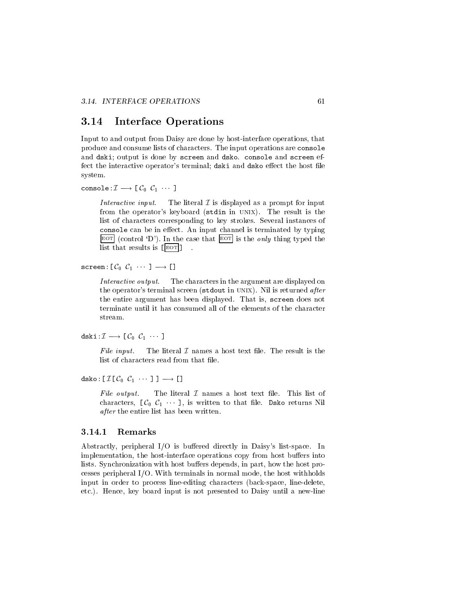#### **Interface Operations** 3.14

Input to and output from Daisy are done by host-interface operations, that produce and consume lists of characters. The input operations are console and dski; output is done by screen and dsko. console and screen effect the interactive operator's terminal; dski and dsko effect the host file system.

console:  $\mathcal{I} \longrightarrow [\mathcal{C}_0 \ \mathcal{C}_1 \ \cdots ]$ 

Interactive input. The literal  $\mathcal I$  is displayed as a prompt for input from the operator's keyboard (stdin in unix). The result is the list of characters corresponding to key strokes. Several instances of console can be in effect. An input channel is terminated by typing EOT (control 'D'). In the case that  $E^{\text{OT}}$  is the *only* thing typed the list that results is  $[$  $\epsilon$ OT $]$ 

screen:  $[\mathcal{C}_0 \ \mathcal{C}_1 \ \cdots \ ] \longrightarrow []$ 

Interactive output. The characters in the argument are displayed on the operator's terminal screen (stdout in UNIX). Nil is returned after the entire argument has been displayed. That is, screen does not terminate until it has consumed all of the elements of the character stream.

dski  $\mathcal{I} \longrightarrow [\mathcal{C}_0 \mathcal{C}_1 \cdots ]$ 

File input. The literal  $\mathcal I$  names a host text file. The result is the list of characters read from that file.

dsko: [ $\mathcal{I}$ [ $\mathcal{C}_0$   $\mathcal{C}_1$   $\cdots$  ]]  $\longrightarrow$  []

File output. The literal  $\mathcal I$  names a host text file. This list of characters,  $[\mathcal{C}_0 \ \mathcal{C}_1 \ \cdots]$ , is written to that file. Dsko returns Nil after the entire list has been written.

### 3.14.1 Remarks

Abstractly, peripheral  $I/O$  is buffered directly in Daisy's list-space. In implementation, the host-interface operations copy from host buffers into lists. Synchronization with host buffers depends, in part, how the host processes peripheral I/O. With terminals in normal mode, the host withholds input in order to process line-editing characters (back-space, line-delete, etc.). Hence, key board input is not presented to Daisy until a new-line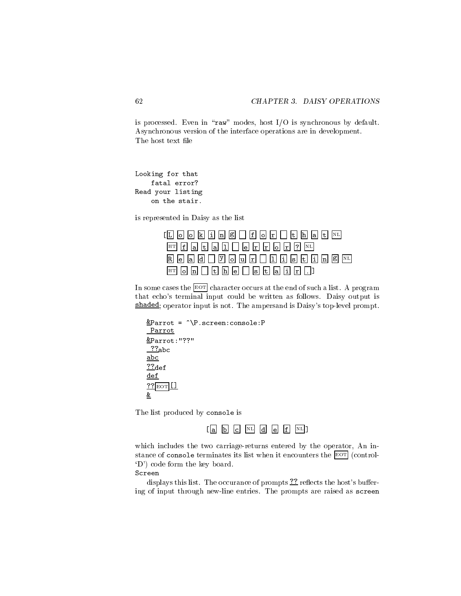is processed. Even in " $raw$ " modes, host I/O is synchronous by default. Asynchronous version of the interface operations are in development. The host text file

```
Looking for that
    fatal error?
Read your listing
    on the stair.
```
is represented in Daisy as the list

| $\begin{bmatrix} \boxed{L} & \boxed{0} & \boxed{0} & \boxed{k} & \boxed{i} & \boxed{n} & \boxed{g} & \boxed{1} & \boxed{f} & \boxed{0} & \boxed{r} & \boxed{t} & \boxed{h} & \boxed{a} & \boxed{t} & \boxed{N} \end{bmatrix}$           |  |
|-----------------------------------------------------------------------------------------------------------------------------------------------------------------------------------------------------------------------------------------|--|
| $\boxed{HT}$ $\boxed{f}$ a $\boxed{t}$ a $\boxed{1}$ $\boxed{ }$ e $\boxed{r}$ $\boxed{r}$ o $\boxed{r}$ ? $\boxed{NL}$                                                                                                                 |  |
| $\boxed{R}$ $\boxed{e}$ $\boxed{a}$ $\boxed{d}$ $\boxed{y}$ $\boxed{o}$ $\boxed{u}$ $\boxed{r}$ $\boxed{1}$ $\boxed{i}$ $\boxed{s}$ $\boxed{t}$ $\boxed{i}$ $\boxed{n}$ $\boxed{g}$ $\boxed{vL}$                                        |  |
| $\boxed{HT}$ $\boxed{\circ}$ $\boxed{\text{n}}$ $\boxed{\circ}$ $\boxed{\text{t}}$ $\boxed{\text{n}}$ $\boxed{\text{e}}$ $\boxed{\text{s}}$ $\boxed{\text{t}}$ $\boxed{\text{a}}$ $\boxed{\text{i}}$ $\boxed{\text{r}}$ $\boxed{\cdot}$ |  |

In some cases the  $\boxed{\text{EOT}}$  character occurs at the end of such a list. A program that echo's terminal input could be written as follows. Daisy output is shaded; operator input is not. The ampersand is Daisy's top-level prompt.

```
&Parrot = ^\P.screen:console:P
Parrot
&Parrot:"??"
??abc
abc
??def
def
?? EOT []&
```
The list produced by console is



which includes the two carriage-returns entered by the operator, An instance of console terminates its list when it encounters the EOT (control- `D') code form the key board.

### Screen

displays this list. The occurance of prompts ?? reflects the host's buffering of input through new-line entries. The prompts are raised as screen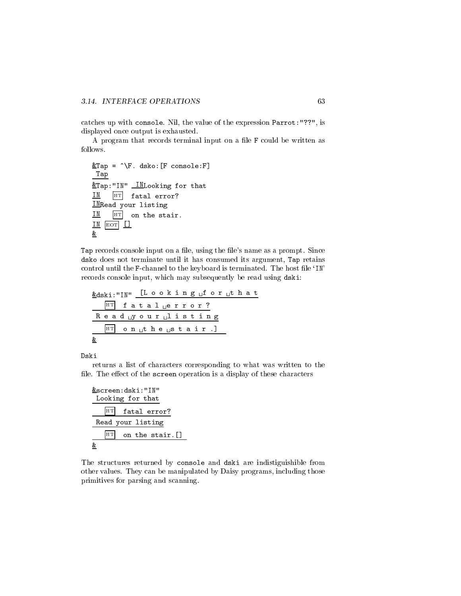catches up with console. Nil, the value of the expression Parrot:"??", is displayed once output is exhausted.

A program that records terminal input on a file F could be written as follows.

```
&Tap = \hat{ }F. dsko: [F console: F]
 Tap
&Tap:"IN" INLooking for that
\equiv \blacksquare \blacksquare \blacksquare \blacksquare \blacksquare \blacksquare \blacksquare \blacksquare \blacksquare \blacksquare \blacksquareINRead your listing
IN HT on the stair.
IN EOT LI
&
```
Tap records console input on a file, using the file's name as a prompt. Since dsko does not terminate until it has consumed its argument, Tap retains control until the F-channel to the keyboard is terminated. The host file 'IN' records console input, which may subsequently be read using dski:

| $\&$ diski: "IN"                                                                   | $\begin{array}{c}\n \begin{array}{c}\n \begin{array}{c}\n \end{array}\n \end{array}$ \n |                                                                                    |
|------------------------------------------------------------------------------------|-----------------------------------------------------------------------------------------|------------------------------------------------------------------------------------|
| $\begin{array}{c}\n \begin{array}{c}\n \end{array}\n \end{array}$ \n               | $\begin{array}{c}\n \end{array}\n \begin{array}{c}\n \end{array}\n \end{array}$ \n      | $\begin{array}{c}\n \end{array}\n \begin{array}{c}\n \end{array}\n \end{array}$ \n |
| $\begin{array}{c}\n \end{array}\n \begin{array}{c}\n \end{array}\n \end{array}$ \n | $\begin{array}{c}\n \end{array}\n \end{array}$ \n                                       |                                                                                    |
| $\begin{array}{c}\n \end{array}\n \end{array}$ \n                                  | $\begin{array}{c}\n \end{array}\n \end{array}$ \n                                       |                                                                                    |
| $\begin{array}{c}\n \end{array}\n \end{array}$ \n                                  | $\begin{array}{c}\n \end{array}\n \end{array}$ \n                                       |                                                                                    |
| $\begin{array}{c}\n \end{array}\n \end{array}$ \n                                  |                                                                                         |                                                                                    |
| $\begin{array}{c}\n \end{array}$ \n                                                |                                                                                         |                                                                                    |
| $\begin{array}{c}\n \end{array}$ \n                                                |                                                                                         |                                                                                    |
| $\begin{array}{c}\n \end{array}$ \n                                                |                                                                                         |                                                                                    |

**Andrew Communication** 

returns a list of characters corresponding to what was written to the file. The effect of the screen operation is a display of these characters

&screen:dski:"IN" Looking for that  $\left| \cdot \right|$  recent error. Read your listing  $\sim$  on the stair.  $\Box$ &

The structures returned by console and dski are indistiguishible from other values. They can be manipulated by Daisy programs, including those primitives for parsing and scanning.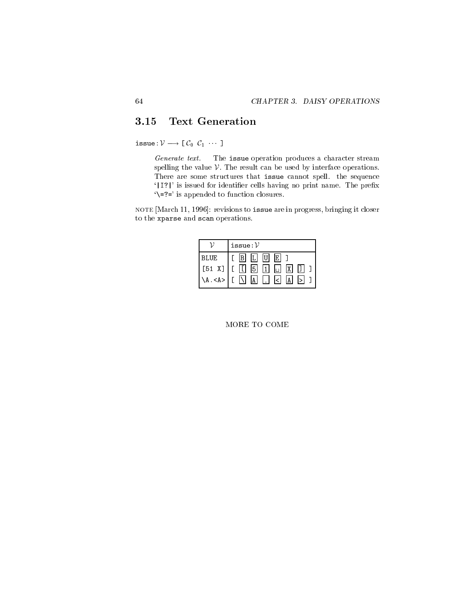#### Text Generation 3.15

issue:  $\mathcal{V} \longrightarrow [\mathcal{C}_0 \ \mathcal{C}_1 \ \cdots]$ 

Generate text. The issue operation produces a character stream spelling the value  $V$ . The result can be used by interface operations. There are some structures that issue cannot spell. the sequence '|I?|' is issued for identifier cells having no print name. The prefix  $\verb|`>=?=" is appended to function closures.$ 

note [March 11, 1996]: revisions to issue are in progress, bringing it closer to the xparse and scan operations.

|             | issue: ${\cal V}$                                                                                                                                                                                                                                                                                                                                                                                             |
|-------------|---------------------------------------------------------------------------------------------------------------------------------------------------------------------------------------------------------------------------------------------------------------------------------------------------------------------------------------------------------------------------------------------------------------|
| <b>BLUE</b> | E <br>B L <br>$\overline{U}$                                                                                                                                                                                                                                                                                                                                                                                  |
|             | $\begin{bmatrix} 51 & X \end{bmatrix}$ $\begin{bmatrix} \begin{bmatrix} \begin{bmatrix} \begin{bmatrix} \begin{bmatrix} \end{bmatrix} & \boxed{5} \\ \end{bmatrix} & \begin{bmatrix} 1 \end{bmatrix} & \begin{bmatrix} \begin{bmatrix} \begin{bmatrix} \end{bmatrix} & \boxed{2} \\ \end{bmatrix} & \begin{bmatrix} \begin{bmatrix} \end{bmatrix} & \boxed{2} \\ \end{bmatrix} & \end{bmatrix} \end{bmatrix}$ |
| <a> A</a>   | $\vert$ $\leq$<br> A <br>$\Box$<br>۱۸                                                                                                                                                                                                                                                                                                                                                                         |

### MORE TO COME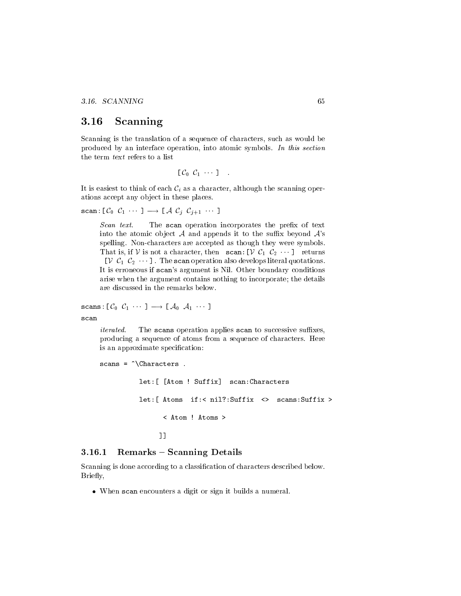$3.16.$  SCANNING

#### 3.16 **Scanning**

Scanning is the translation of a sequence of characters, such as would be produced by an interface operation, into atomic symbols. In this section the term text refers to a list

$$
[\mathcal{C}_0 \ \mathcal{C}_1 \ \cdots \ ]
$$

It is easiest to think of each  $\mathcal{C}_i$  as a character, although the scanning operations accept any ob ject in these places.

scan :  $[\mathcal{C}_0 \ \mathcal{C}_1 \ \cdots \ ] \longrightarrow [\mathcal{A} \ \mathcal{C}_j \ \mathcal{C}_{j+1} \ \cdots \ ]$ 

Scan text. The scan operation incorporates the prefix of text into the atomic object A and appends it to the suffix beyond  $A$ 's spelling. Non-characters are accepted as though they were symbols. That is, if V is not a character, then scan:  $[V C_1 C_2 \cdots]$  returns [ $V C_1 C_2 \cdots$ ]. The scan operation also develops literal quotations. It is erroneous if scan's argument is Nil. Other boundary conditions arise when the argument contains nothing to incorporate; the details are discussed in the remarks below.

scans :  $[\mathcal{C}_0 \ \mathcal{C}_1 \ \cdots \ ] \longrightarrow [\mathcal{A}_0 \ \mathcal{A}_1 \ \cdots \ ]$ 

*iterated.* The scans operation applies scan to successive suffixes, producing a sequence of atoms from a sequence of characters. Here is an approximate specification:

```
scans = \hat{\ } Characters .
          let:[ [Atom ! Suffix] scan:Characters
          let:[ Atoms if:< nil?:Suffix <> scans:Suffix >
                < Atom ! Atoms >
               ]]
```
#### 3.16.1 Remarks { Scanning Details 3.16.1

Scanning is done according to a classication of characters described below. Brie
y,

When scan encounters a digit or sign it builds a numeral.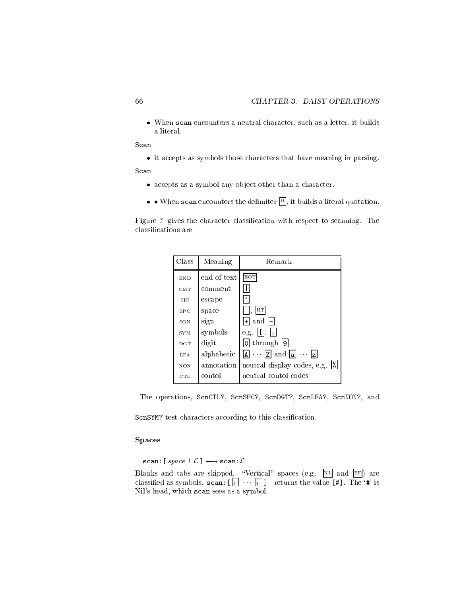When scan encounters a neutral character, such as a letter, it builds a literal.

Scan

• it accepts as symbols those characters that have meaning in parsing.

Scan

- accepts as a symbol any ob ject other than a character.
- $\bullet\bullet$  When scan encounters the delimiter  $\boxed{^n}$ , it builds a literal quotation.

Figure ? gives the character classification with respect to scanning. The classications are



The operations, ScnCTL?, ScnSPC?, ScnDGT?, ScnLFA?, ScnNON?, and

ScnSYM? test characters according to this classification.

### Spaces

scan: [  $space$  !  $\mathcal{L}$  ]  $\longrightarrow$  scan:  $\mathcal{L}$ 

Blanks and tabs are skipped. "Vertical" spaces (e.g.  $\boxed{\text{NL}}$  and  $\boxed{\text{FF}}$ ) are classified as symbols. scan:  $[\Box] \cdots [\Box]$  returns the value [#]. The '#' is Nil's head, which scan sees as a symbol.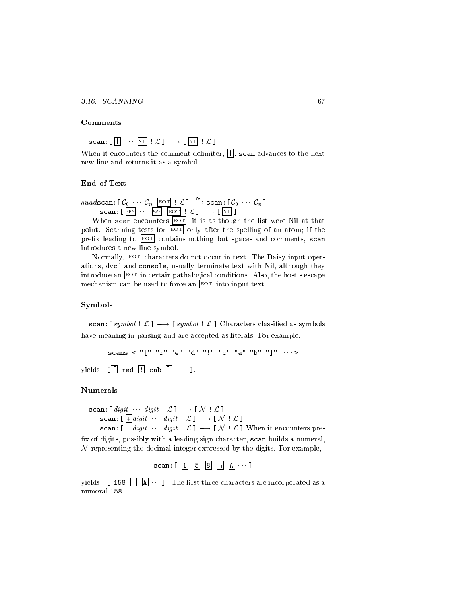#### $3.16.$  SCANNING

### Comments

 $\texttt{scan} : [\Pi \cdots \overline{\mathtt{NL}} : \mathcal{L}] \longrightarrow [\overline{\mathtt{NL}} : \mathcal{L}]$ 

When it encounters the comment delimiter,  $\Box$ , scan advances to the next new-line and returns it as a symbol.

### End-of-Text

 $quad \texttt{scan} : \mathsf{L}\, \mathcal{C}_0 \, \cdots \, \mathcal{C}_n$   $\mathbb{E}^{\texttt{OPT}}$  !  $\mathcal{L} \, \mathsf{J} \, \longrightarrow \, \texttt{scan} : \mathsf{L}\, \mathcal{C}_0 \, \cdots \, \mathcal{C}_n$   $\mathsf{J}$ scan:[ spc spc EOT ! L ] ! [ NL ]

when scan encounters  $\mathbb{E}$  is is as though the list were the attention  $\mathbb{E}$ point. Scanning tests for  $\boxed{\overline{e}$  only after the spelling of an atom; if the prefix leading to  $EOT$  contains nothing but spaces and comments, scan introduces a new-line symbol.

Normally,  $\boxed{\text{EOT}}$  characters do not occur in text. The Daisy input operations, dvci and console, usually terminate text with Nil, although they introduce an  $\boxed{\text{EOT}}$  in certain pathalogical conditions. Also, the host's escape mechanism can be used to force an  $|\text{EOT}|$  into input text.

### Symbols

scan: [ symbol !  $\mathcal{L}$ ]  $\longrightarrow$  [ symbol !  $\mathcal{L}$ ] Characters classified as symbols have meaning in parsing and are accepted as literals. For example,

scans:< "[" "r" "e" "d" "!" "c" "a" "b" "]" <sup>&</sup>gt;

yields [ [ red ! cab ] ].

### Numerals

```
scan: [ \mathit{digit} \cdots \mathit{digit} \vdots \mathcal{L} ] \longrightarrow [N \vdots \mathcal{L} ]
        scan:[ + digital local digital local digital local digital local digital local digital local digital local digital local digital local digital local digital local digital local digital local digital local digital local dig
        scan:[ - digit is digit ! L ] . [ N : digit it encounters pre-
```
x of digits, possibly with a leading sign character, scan builds a numeral,  $\mathcal N$  representing the decimal integer expressed by the digits. For example,



yields  $\begin{bmatrix} 158 \ \blacksquare \end{bmatrix}$   $\begin{bmatrix} A \ \blacksquare \end{bmatrix}$ . The first three characters are incorporated as a numeral 158.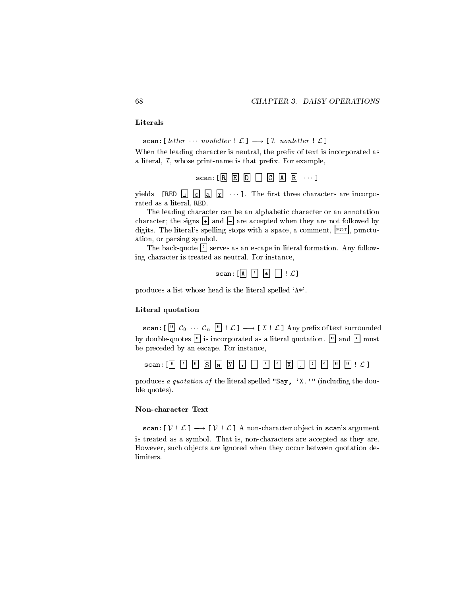### Literals

scan: [ letter  $\cdots$  nonletter !  $\mathcal{L}$  ]  $\longrightarrow$  [  $\mathcal{I}$  nonletter !  $\mathcal{L}$  ]

When the leading character is neutral, the prefix of text is incorporated as a literal,  $I$ , whose print-name is that prefix. For example,

states and the property of the property of the contract of the contract of the contract of the contract of the

yields [RED  $\Box$   $\Box$   $\Box$   $\Box$   $\Box$   $\Box$   $\Box$  The first three characters are incorporated as a literal, RED.

The leading character can be an alphabetic character or an annotation character; the signs  $\Box$  and  $\Box$  are accepted when they are not followed by digits. The literal's spelling stops with a space, a comment,  $\vert$ EOT, punctuation, or parsing symbol.

The back-quote  $\lceil \cdot \rceil$  serves as an escape in literal formation. Any following character is treated as neutral. For instance,

 $\sim$  . A  $\sim$  . A  $\sim$  . A  $\sim$  . A  $\sim$  . A  $\sim$  . A  $\sim$  . A  $\sim$  . A  $\sim$  . A  $\sim$  . And . A  $\sim$  . And . A  $\sim$  . And . A  $\sim$  . And . A  $\sim$  . And . A  $\sim$  . And . A  $\sim$  . And . And . And . And . And . And . And . A

produces a list whose head is the literal spelled `A\*'.

### Literal quotation

scan:[ " C0 Cn " ! <sup>L</sup> ] ! [ <sup>I</sup> ! <sup>L</sup> ] Any prex of text surrounded by double-quotes  $\boxed{\text{}}$  is incorporated as a literal quotation.  $\boxed{\text{}}$  and  $\boxed{\text{}}$  must be preceded by an escape. For instance,

scan: [|"| |'| |"| |S| |a| |y| |,| | | |'| |X| |.| |'| |'| |"| |"| !  $\mathcal{L}$  ]

produces a quotation of the literal spelled "Say,  $'X.'''$  (including the double quotes).

### Non-character Text

scan:  $[V : \mathcal{L}] \longrightarrow [V : \mathcal{L}]$  A non-character object in scan's argument is treated as a symbol. That is, non-characters are accepted as they are. However, such ob jects are ignored when they occur between quotation delimiters.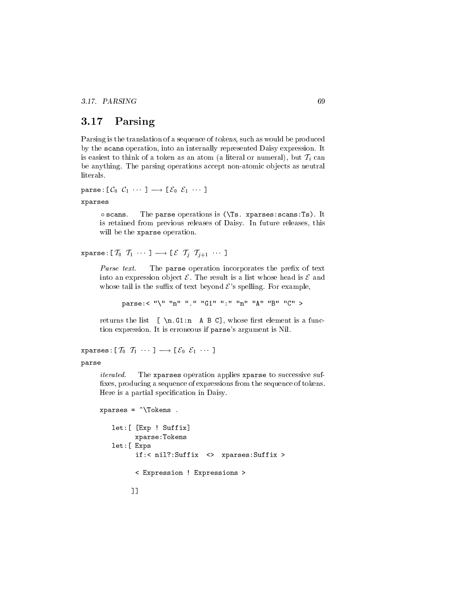### $3.17.$  PARSING

#### Parsing 3.17

Parsing is the translation of a sequence of tokens, such as would be produced by the scans operation, into an internally represented Daisy expression. It is easiest to think of a token as an atom (a literal or numeral), but  $\mathcal{T}_i$  can be anything. The parsing operations accept non-atomic objects as neutral

parse:  $[\mathcal{C}_0 \ \mathcal{C}_1 \ \cdots \ ] \longrightarrow [\mathcal{E}_0 \ \mathcal{E}_1 \ \cdots \ ]$ 

xparses

 scans. The parse operations is (\Ts. xparses:scans:Ts). It is retained from previous releases of Daisy. In future releases, this will be the xparse operation.

xparse:  $[\mathcal{T}_0 \quad \mathcal{T}_1 \quad \cdots \quad ] \longrightarrow [\mathcal{E} \quad \mathcal{T}_j \quad \mathcal{T}_{j+1} \quad \cdots \quad ]$ 

Parse text. The parse operation incorporates the prefix of text into an expression object  $\mathcal E$ . The result is a list whose head is  $\mathcal E$  and whose tail is the suffix of text beyond  $\mathcal{E}$ 's spelling. For example,

parse:< "\" "n" "." "G1" ":" "n" "A" "B" "C" >

returns the list  $[ \n\ \n\in \mathbb{C} ]$ , whose first element is a function expression. It is erroneous if parse's argument is Nil.

```
xparses: [\mathcal{T}_0 \ \mathcal{T}_1 \ \cdots \ ] \longrightarrow [\mathcal{E}_0 \ \mathcal{E}_1 \ \cdots \ ]
```
parse

iterated. The xparses operation applies xparse to successive suf fixes, producing a sequence of expressions from the sequence of tokens. Here is a partial specification in Daisy.

```
xparses = \hat{\ } \Tokens.
   let:[ [Exp ! Suffix]
         xparse:Tokens
   let:[ Exps
         if:< nil?:Suffix <> xparses:Suffix >
         < Expression ! Expressions >
        ]]
```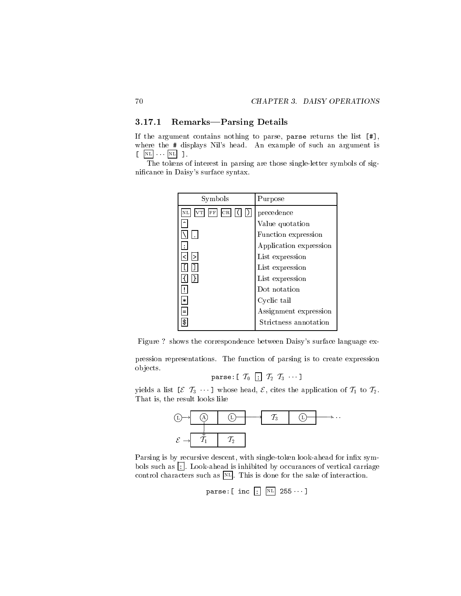### 3.17.1 Remarks-Parsing Details

If the argument contains nothing to parse, parse returns the list [#], where the # displays Nil's head. An example of such an argument is  $\begin{bmatrix} \begin{array}{ccc} NL \end{array} & \cdots & N^L \end{bmatrix}$  ].

The tokens of interest in parsing are those single-letter symbols of signicance in Daisy's surface syntax.

| Symbols                  | Purpose                |
|--------------------------|------------------------|
| F F<br>VT<br>$_{\rm CR}$ | precedence             |
|                          | Value quotation        |
|                          | Function expression    |
|                          | Application expression |
|                          | List expression        |
|                          | List expression        |
|                          | List expression        |
|                          | Dot notation           |
| $\boldsymbol{*}$         | Cyclic tail            |
| $=$                      | Assignment expression  |
| \$                       | Strictness annotation  |

Figure ? shows the correspondence between Daisy's surface language ex-

pression representations. The function of parsing is to create expression ob jects.

```
parse: [\begin{array}{ccc} T_0 & \cdot \cdot \end{array}] T_2 T_3 \cdots ]
```
yields a list  $[\mathcal{E} \mathcal{T}_3 \cdots]$  whose head,  $\mathcal{E}$ , cites the application of  $\mathcal{T}_1$  to  $\mathcal{T}_2$ .<br>That is, the result looks like



Parsing is by recursive descent, with single-token look-ahead for infix symbols such as  $|\cdot|$ . Look-ahead is inhibited by occurances of vertical carriage control characters such as  $N_L$ . This is done for the sake of interaction.

| $n = 25$ |  |  |
|----------|--|--|
|----------|--|--|

<u>and</u> and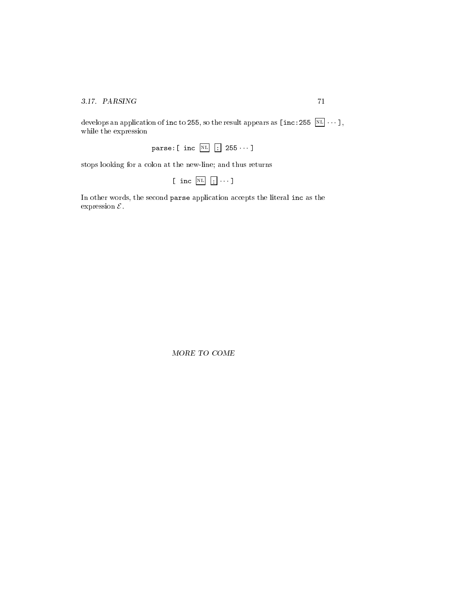### 3.17. PARSING 71

develops an application of inc to 255, so the result appears as  $\left[$  inc:255  $\frac{N\text{L}}{2}$   $\cdots$  ], while the expression

parse:[ inc NL : <sup>255</sup> ]

stops looking for a colon at the new-line; and thus returns

 $\blacksquare$  include  $\blacksquare$  . In the  $\blacksquare$ 

In other words, the second parse application accepts the literal inc as the expression E.

MORE TO COME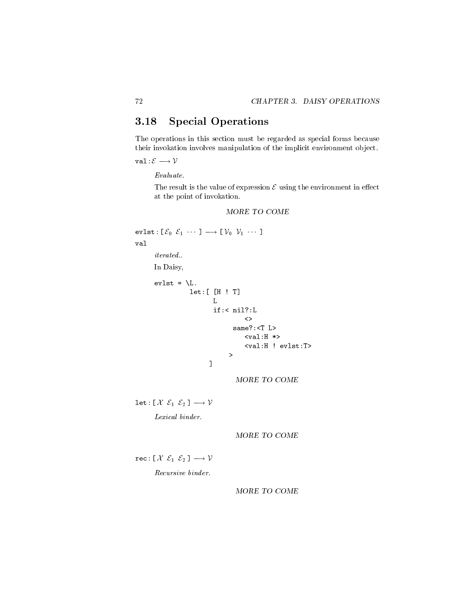# 3.18 Special Operations

The operations in this section must be regarded as special forms because their invokation involves manipulation of the implicit environment object.

 $\mathtt{val} : \mathcal{E} \longrightarrow \mathcal{V}$ 

Evaluate.

The result is the value of expression  $\mathcal E$  using the environment in effect at the point of invokation.

MORE TO COME

```
evlst: [\mathcal{E}_0 \ \mathcal{E}_1 \ \cdots \ ] \longrightarrow [\mathcal{V}_0 \ \mathcal{V}_1 \ \cdots \ ]val
         iterated..
         In Daisy, evlst = \L.let:[ [H ! T]
                                      \mathbf Lif:< nil?:L
                                                      \leftrightarrowsame?:<T L>
                                                      \langle val:H \rangle<val:H ! evlst:T>
                                              \rightarrow]
                                                 MORE TO COME
\mathtt{let} \colon [\ \mathcal{X} \ \ \mathcal{E}_1 \ \ \mathcal{E}_2 \ ] \longrightarrow \mathcal{V}Lexical binder.
                                                 MORE TO COME
rec: [X \mathcal{E}_1 \mathcal{E}_2] \longrightarrow VRecursive binder.
                                                 MORE TO COME
```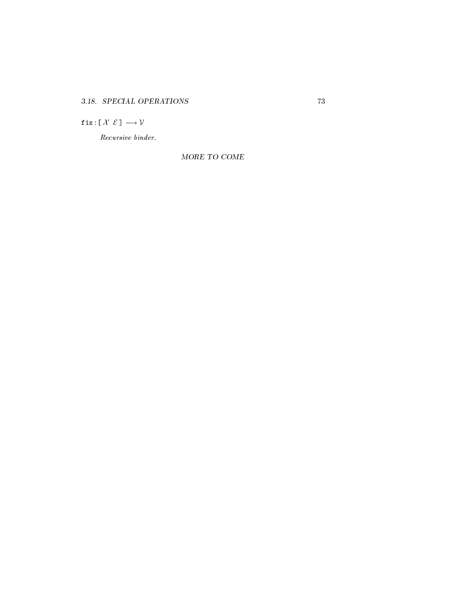#### 3.18. SPECIAL OPERATIONS

fix:  $[X \mathcal{E}] \longrightarrow V$ 

 $\label{eq:3} Recursively~binder.$ 

 $MORE$  TO  $COME$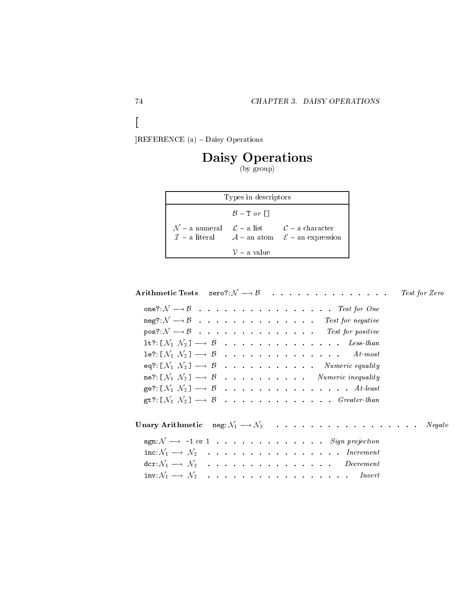$[REFERENCE (a) - Davis$  Operations

# Daisy Operations

| Types in descriptors  |                                                                                                                                                                 |
|-----------------------|-----------------------------------------------------------------------------------------------------------------------------------------------------------------|
| $\beta$ – T or $\Box$ |                                                                                                                                                                 |
|                       | $\mathcal{N}$ - a numeral $\mathcal{L}$ - a list $\mathcal{C}$ - a character<br>$\mathcal{I}$ - a literal $\mathcal{A}$ - an atom $\mathcal{E}$ - an expression |
| $V - a$ value         |                                                                                                                                                                 |

| Arithmetic Tests zero?: $\mathcal{N} \longrightarrow \mathcal{B}$ Test for Zero                                                                        |  |
|--------------------------------------------------------------------------------------------------------------------------------------------------------|--|
| one?: $\mathcal{N} \longrightarrow \mathcal{B}$ Test for One                                                                                           |  |
| $\text{neg?}: \mathcal{N} \longrightarrow \mathcal{B}$ Test for negative                                                                               |  |
| $pos? : \mathcal{N} \longrightarrow \mathcal{B}$ Test for positive                                                                                     |  |
| 1t?: $[N_1 \ N_2] \longrightarrow B$ Eess-than                                                                                                         |  |
| le?: $[N_1 \ N_2] \longrightarrow B$ At-most                                                                                                           |  |
| eq?: $[N_1 \ N_2] \longrightarrow B$ Numeric equality                                                                                                  |  |
| ne? $[N_1 \ N_2] \longrightarrow B$ Numeric inequality                                                                                                 |  |
| ge?: $[N_1 \ N_2] \longrightarrow B$ At least                                                                                                          |  |
| gt?: $[N_1 \ N_2] \longrightarrow B$ Greater-than                                                                                                      |  |
| Unary Arithmetic neg: $\mathcal{N}_1 \longrightarrow \mathcal{N}_2$ Negate                                                                             |  |
| sgn: $\mathcal{N} \longrightarrow -1$ or $1 \cdot \cdot \cdot \cdot \cdot \cdot \cdot \cdot \cdot \cdot \cdot \cdot \cdot \cdot \cdot$ Sign projection |  |
| inc: $\mathcal{N}_1 \longrightarrow \mathcal{N}_2$ Increment                                                                                           |  |
| dcr: $N_1 \longrightarrow N_2$ Decrement                                                                                                               |  |
| inv: $\mathcal{N}_1 \longrightarrow \mathcal{N}_2$ There                                                                                               |  |

 $\lceil$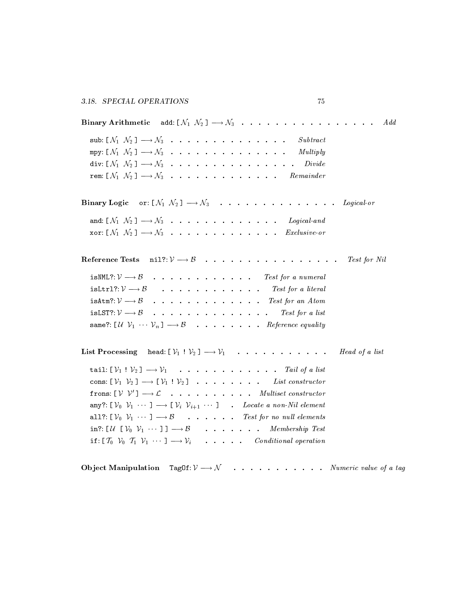| Binary Arithmetic add: $[N_1 \ N_2] \longrightarrow N_3$ 4dd                                                                                                                                                                                                                                                                                                                                                                                                                                                                                                                                                                                                                                                                                                                                                                                                                                                                                                                                                      |  |
|-------------------------------------------------------------------------------------------------------------------------------------------------------------------------------------------------------------------------------------------------------------------------------------------------------------------------------------------------------------------------------------------------------------------------------------------------------------------------------------------------------------------------------------------------------------------------------------------------------------------------------------------------------------------------------------------------------------------------------------------------------------------------------------------------------------------------------------------------------------------------------------------------------------------------------------------------------------------------------------------------------------------|--|
| sub: $[N_1 \ N_2] \longrightarrow N_3$ Subtract<br>mpy: $[\mathcal{N}_1 \ \mathcal{N}_2] \longrightarrow \mathcal{N}_3$ Multiply<br>rem: $[N_1 \ N_2] \longrightarrow N_3$ Remainder                                                                                                                                                                                                                                                                                                                                                                                                                                                                                                                                                                                                                                                                                                                                                                                                                              |  |
| <b>Binary Logic</b> or: $[N_1 \ N_2] \longrightarrow N_3$ <i>Logical or</i><br>and: $[N_1 \ N_2] \longrightarrow N_3$ <i>Logical-and</i><br>xor: $[N_1 \ N_2] \longrightarrow N_3$ Exclusive-or                                                                                                                                                                                                                                                                                                                                                                                                                                                                                                                                                                                                                                                                                                                                                                                                                   |  |
| Reference Tests nil?: $\mathcal{V} \longrightarrow \mathcal{B}$ Test for Nil<br>is NML?: $\mathcal{V} \longrightarrow \mathcal{B}$ Test for a numeral<br>isLtrl?: $\mathcal{V} \longrightarrow \mathcal{B}$ Test for a literal<br>is Atm?: $\mathcal{V} \longrightarrow \mathcal{B}$ Test for an Atom<br>is LST?: $\mathcal{V} \longrightarrow \mathcal{B}$ Test for a list<br>same?: $[U \ V_1 \cdots V_n] \longrightarrow B$ Reference equality                                                                                                                                                                                                                                                                                                                                                                                                                                                                                                                                                                 |  |
| List Processing head: $[\mathcal{V}_1 : \mathcal{V}_2] \longrightarrow \mathcal{V}_1$ Head of a list<br>tail: $[\mathcal{V}_1 : \mathcal{V}_2] \longrightarrow \mathcal{V}_1$ Tail of a list<br>cons: $[\mathcal{V}_1 \ \mathcal{V}_2] \longrightarrow [\mathcal{V}_1 \ \mathcal{V}_2]$ List constructor<br>frons: $[V\ V'] \longrightarrow \mathcal{L}$ Multiset constructor<br>any?: $[\mathcal{V}_0 \ \mathcal{V}_1 \ \cdots \ ] \longrightarrow [\mathcal{V}_i \ \mathcal{V}_{i+1} \ \cdots \ ]$ . Locate a non-Nil element<br>all?: $[\mathcal{V}_0 \ \mathcal{V}_1 \ \cdots \ ] \longrightarrow \mathcal{B} \ \ldots \ \ldots \ \ldots \ \ldots$ Test for no null elements<br>in?: $\begin{bmatrix} \mathcal{U} & \mathcal{V}_0 & \mathcal{V}_1 & \cdots & \mathcal{V} \end{bmatrix} \rightarrow \mathcal{B}$ Membership Test<br>if: $[\mathcal{T}_0 \ \mathcal{V}_0 \ \mathcal{T}_1 \ \mathcal{V}_1 \ \cdots \ ] \longrightarrow \mathcal{V}_i \qquad \ldots \qquad \ldots \qquad Conditional \ operation$ |  |

Object Manipulation  $TagOf: V \longrightarrow N$  . . . . . . . . . Numeric value of a tag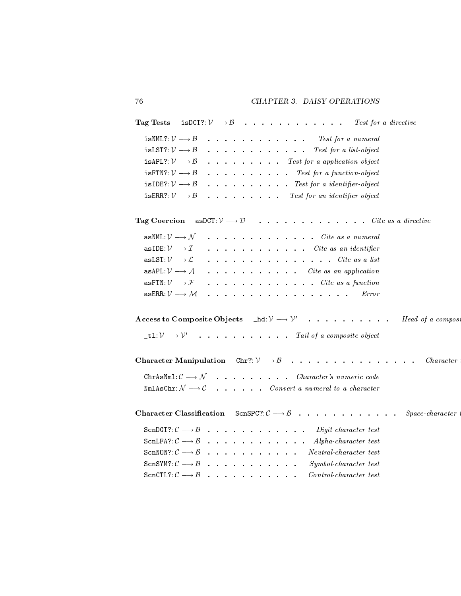| Tag Tests                                            | is DCT?: $\mathcal{V} \longrightarrow \mathcal{B}$<br>Test for a directive                                                                                                                                                                                                                                                                   |
|------------------------------------------------------|----------------------------------------------------------------------------------------------------------------------------------------------------------------------------------------------------------------------------------------------------------------------------------------------------------------------------------------------|
| isNML?: $\mathcal{V} \longrightarrow \mathcal{B}$    | $\cdots$ $\cdots$ $\cdots$ $\cdots$ $\cdots$ $\cdots$ $\cdots$ $\cdots$ $\cdots$ $\cdots$ $\cdots$ $\cdots$ $\cdots$ $\cdots$ $\cdots$ $\cdots$ $\cdots$ $\cdots$ $\cdots$ $\cdots$ $\cdots$ $\cdots$ $\cdots$ $\cdots$ $\cdots$ $\cdots$ $\cdots$ $\cdots$ $\cdots$ $\cdots$ $\cdots$ $\cdots$ $\cdots$ $\cdots$ $\cdots$ $\cdots$ $\cdots$ |
| isLST? $\mathcal{V} \longrightarrow \mathcal{B}$     | Test for a list-object                                                                                                                                                                                                                                                                                                                       |
| is APL?: $\mathcal{V} \longrightarrow \mathcal{B}$   | $\ldots$ $\ldots$ $\ldots$ $\ldots$ $\ldots$ $\ldots$ $\ldots$ $\ldots$ $\ldots$ $\ldots$ $\ldots$ $\ldots$ $\ldots$ $\ldots$ $\ldots$ $\ldots$ $\ldots$ $\ldots$ $\ldots$ $\ldots$ $\ldots$ $\ldots$ $\ldots$ $\ldots$ $\ldots$ $\ldots$ $\ldots$ $\ldots$ $\ldots$ $\ldots$ $\ldots$ $\ldots$ $\ldots$ $\ldots$ $\ldots$ $\ldots$ $\ldots$ |
| is<br>FTN?: $\mathcal{V}\longrightarrow\mathcal{B}$  | $\cdots$ $\cdots$ $\cdots$ $\cdots$ $\cdots$ $\cdots$ $\cdots$ $\cdots$ $\cdots$ $\cdots$ $\cdots$ $\cdots$ $\cdots$ $\cdots$ $\cdots$ $\cdots$ $\cdots$ $\cdots$ $\cdots$ $\cdots$ $\cdots$ $\cdots$ $\cdots$ $\cdots$ $\cdots$ $\cdots$ $\cdots$ $\cdots$ $\cdots$ $\cdots$ $\cdots$ $\cdots$ $\cdots$ $\cdots$ $\cdots$ $\cdots$ $\cdots$ |
| is IDE?: $\mathcal{V} \longrightarrow \mathcal{B}$   | Test for a identifier-object                                                                                                                                                                                                                                                                                                                 |
|                                                      | is ERR?: $V \longrightarrow B$ Test for an identifier-object                                                                                                                                                                                                                                                                                 |
| <b>Tag Coercion</b>                                  | asDCT: $\mathcal{V} \longrightarrow \mathcal{D}$ Cite as a directive                                                                                                                                                                                                                                                                         |
| asNML: $\mathcal{V} \longrightarrow \mathcal{N}$     | $\cdots$ $\cdots$ $\cdots$ $\cdots$ $\cdots$ $\cdots$ $\cdots$ $\cdots$ $\cdots$ $\cdots$ $\cdots$ $\cdots$ $\cdots$ $\cdots$ $\cdots$ $\cdots$ $\cdots$ $\cdots$ $\cdots$ $\cdots$ $\cdots$ $\cdots$ $\cdots$ $\cdots$ $\cdots$ $\cdots$ $\cdots$ $\cdots$ $\cdots$ $\cdots$ $\cdots$ $\cdots$ $\cdots$ $\cdots$ $\cdots$ $\cdots$ $\cdots$ |
| as IDE: $\mathcal{V} \longrightarrow \mathcal{I}$    | . Cite as an identifier                                                                                                                                                                                                                                                                                                                      |
| asLST: $\mathcal{V} \longrightarrow \mathcal{L}$     | . <i>Cite as a list</i>                                                                                                                                                                                                                                                                                                                      |
| as APL: $\mathcal{V} \longrightarrow \mathcal{A}$    | $\cdots$ $\cdots$ $\cdots$ $\cdots$ $\cdots$ $\cdots$ $\cdots$ $\cdots$ $\cdots$ $\cdots$ $\cdots$ $\cdots$ $\cdots$ $\cdots$ $\cdots$ $\cdots$ $\cdots$ $\cdots$ $\cdots$ $\cdots$ $\cdots$ $\cdots$ $\cdots$ $\cdots$ $\cdots$ $\cdots$ $\cdots$ $\cdots$ $\cdots$ $\cdots$ $\cdots$ $\cdots$ $\cdots$ $\cdots$ $\cdots$ $\cdots$ $\cdots$ |
| asFTN: $\mathcal{V} \longrightarrow \mathcal{F}$     | $\cdots$ $\cdots$ $\cdots$ $\cdots$ $\cdots$ $\cdots$ $\cdots$ $\cdots$ $\cdots$ $\cdots$ $\cdots$ $\cdots$ $\cdots$ $\cdots$ $\cdots$ $\cdots$ $\cdots$ $\cdots$ $\cdots$ $\cdots$ $\cdots$ $\cdots$ $\cdots$ $\cdots$ $\cdots$ $\cdots$ $\cdots$ $\cdots$ $\cdots$ $\cdots$ $\cdots$ $\cdots$ $\cdots$ $\cdots$ $\cdots$ $\cdots$ $\cdots$ |
| asERR: $\mathcal{V} \longrightarrow \mathcal{M}$     | $\mathbf{r}$ . The second contribution is a second contribution of the second contribution of $\mathbf{r}$<br>Error                                                                                                                                                                                                                          |
|                                                      | Access to Composite Objects $\Box$ hd: $\mathcal{V} \longrightarrow \mathcal{V}' \quad . \quad . \quad . \quad . \quad . \quad . \quad . \quad .$<br>Head of a compos<br>tl: $V \longrightarrow V'$ Tail of a composite object                                                                                                               |
|                                                      | Character Manipulation Chr?: $V \rightarrow B$ Character                                                                                                                                                                                                                                                                                     |
|                                                      | ChrAsNml: $\mathcal{C} \longrightarrow \mathcal{N}$ Character's numeric code                                                                                                                                                                                                                                                                 |
|                                                      | NmlAsChr: $\mathcal{N} \longrightarrow \mathcal{C}$ Convert a numeral to a character                                                                                                                                                                                                                                                         |
|                                                      | Character Classification ScnSPC?: $\mathcal{C} \longrightarrow \mathcal{B}$<br>$Space-character$                                                                                                                                                                                                                                             |
| ScnDGT? $\mathcal{C} \longrightarrow \mathcal{B}$    | Digit-character test                                                                                                                                                                                                                                                                                                                         |
| $SchLF A? : \mathcal{C} \longrightarrow \mathcal{B}$ | $Alpha-character$ test                                                                                                                                                                                                                                                                                                                       |
| SCRNON?: $\mathcal{C} \longrightarrow \mathcal{B}$   | Neutral-character test                                                                                                                                                                                                                                                                                                                       |
|                                                      |                                                                                                                                                                                                                                                                                                                                              |
| SCRSYM?: $\mathcal{C} \longrightarrow \mathcal{B}$   | Symbol-character test                                                                                                                                                                                                                                                                                                                        |

76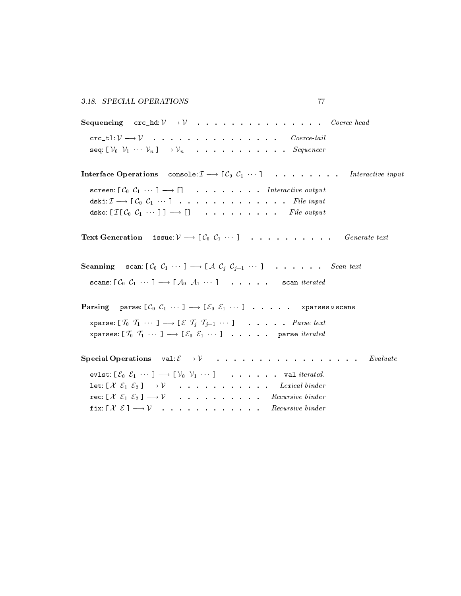77

Sequencing  $\text{crc\_hd}: \mathcal{V} \longrightarrow \mathcal{V}$  . . . . . . . . . . . . . . . . Coerce-head  $\mathsf{crc}\_\mathtt{tl}:\mathcal{V}\longrightarrow \mathcal{V}$  . . . . . . . . . . . . . . . . . Coerce-tail seq:  $[\mathcal{V}_0 \ \mathcal{V}_1 \ \cdots \ \mathcal{V}_n] \longrightarrow \mathcal{V}_n$  . . . . . . . . . . . Sequencer Interface Operations console:  $\mathcal{I} \longrightarrow [\mathcal{C}_0 \mathcal{C}_1 \cdots ]$  . . . . . . . Interactive input screen:  $[\mathcal{C}_0 \mathcal{C}_1 \cdots ] \longrightarrow [] \qquad . \qquad . \qquad . \qquad . \qquad . \qquad Intractive \ output$ dski:  $\mathcal{I} \longrightarrow [\mathcal{C}_0 \mathcal{C}_1 \cdots ]$  . . . . . . . . . . . . . File input dsko:  $\begin{bmatrix} \mathcal{I} & \mathcal{C}_0 & \mathcal{C}_1 & \cdots & \mathcal{I} \end{bmatrix} \longrightarrow \begin{bmatrix} \mathcal{I} & \mathcal{I} & \cdots & \mathcal{I} & \cdots & \mathcal{I} & \cdots & \mathcal{I} \end{bmatrix}$ Text Generation issue:  $V \longrightarrow [C_0 \ C_1 \ \cdots \ 1 \ \cdots \ \cdots \ \cdots \ \cdots \ \cdots \ G$ enerate text Scanning scan:  $[\mathcal{C}_0 \mathcal{C}_1 \cdots] \longrightarrow [\mathcal{A} \mathcal{C}_i \mathcal{C}_{i+1} \cdots] \dots$  . . . . . Scan text scans:  $[\mathcal{C}_0 \mathcal{C}_1 \cdots] \longrightarrow [\mathcal{A}_0 \mathcal{A}_1 \cdots] \quad . \quad . \quad . \quad . \quad \text{scan iterated}$ Parsing parse:  $[\mathcal{C}_0 \mathcal{C}_1 \cdots ] \longrightarrow [\mathcal{E}_0 \mathcal{E}_1 \cdots ] \dots$  . . . . xparses  $\circ$  scans xparse:  $[\mathcal{T}_0 \ \mathcal{T}_1 \ \cdots \ ] \longrightarrow [\mathcal{E} \ \mathcal{T}_j \ \mathcal{T}_{j+1} \ \cdots \ ] \ \ \ \ \ldots \ \ldots \ \ \ldots \ \ \text{Parse text}$ xparses:  $[\mathcal{T}_0 \ \mathcal{T}_1 \ \cdots \ ] \longrightarrow [\mathcal{E}_0 \ \mathcal{E}_1 \ \cdots \ ] \ \dots \ \dots \ \text{parse iterated}$ Special Operations val: E ! V . . . . . . . . . . . . . . . . . Evaluate evlst:  $[\mathcal{E}_0 \ \mathcal{E}_1 \ \cdots \ ] \longrightarrow [\mathcal{V}_0 \ \mathcal{V}_1 \ \cdots \ ] \qquad . \ \cdots \ \cdots \ \cdots$  val *iterated.* let:  $[X \mathcal{E}_1 \mathcal{E}_2] \longrightarrow V$  . . . . . . . . . . . Lexical binder rec:  $[X \mathcal{E}_1 \mathcal{E}_2] \longrightarrow V$  . . . . . . . . . Recursive binder fix:  $[X \mathcal{E}] \longrightarrow V$  . . . . . . . . . . . Recursive binder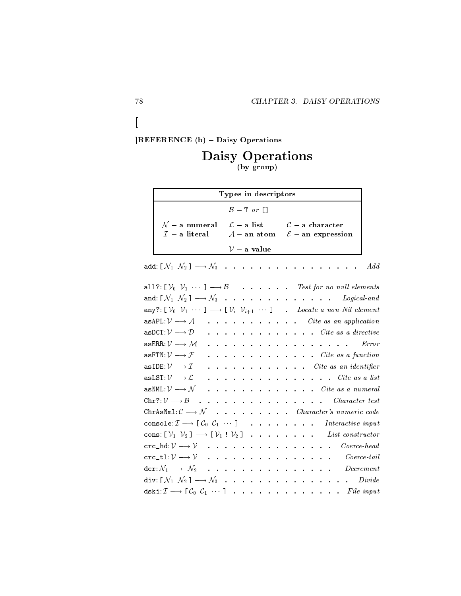### **JREFERENCE** (b) - Daisy Operations

# $\begin{minipage}{.4\linewidth} \textbf{Daisy} \begin{smallmatrix} \textbf{Operations} \end{smallmatrix} \\ \textbf{(by group)} \end{minipage}$

| Types in descriptors                 |                                                                                                                                                                 |
|--------------------------------------|-----------------------------------------------------------------------------------------------------------------------------------------------------------------|
| $\beta$ – T or $\lceil \cdot \rceil$ |                                                                                                                                                                 |
|                                      | $\mathcal{N}$ – a numeral $\mathcal{L}$ – a list $\mathcal{C}$ – a character<br>$\mathcal{I}$ - a literal $\mathcal{A}$ - an atom $\mathcal{E}$ - an expression |
| $V - a$ value                        |                                                                                                                                                                 |

add:  $[N_1 \ N_2] \longrightarrow N_3$  . . . . . . . . . . . . . . . . Add

| all?: $[\mathcal{V}_0 \ \mathcal{V}_1 \ \cdots \ ] \longrightarrow \mathcal{B} \ \ldots \ \ldots \ \ldots \ \ldots$ Test for no null elements                                                                                                                                                                                                                                                    |
|--------------------------------------------------------------------------------------------------------------------------------------------------------------------------------------------------------------------------------------------------------------------------------------------------------------------------------------------------------------------------------------------------|
| and: $[N_1 N_2] \longrightarrow N_3$ <i>Logical-and</i>                                                                                                                                                                                                                                                                                                                                          |
| any?: $[\mathcal{V}_0 \ \mathcal{V}_1 \ \cdots \ ] \longrightarrow [\mathcal{V}_i \ \mathcal{V}_{i+1} \ \cdots \ ]$ . Locate a non-Nil element                                                                                                                                                                                                                                                   |
| $\cdots$ $\cdots$ $\cdots$ $\cdots$ $\cdots$ $\cdots$ $\cdots$ $\cdots$ $\cdots$ $\cdots$ $\cdots$ $\cdots$ $\cdots$ $\cdots$ $\cdots$ $\cdots$ $\cdots$ $\cdots$ $\cdots$ $\cdots$ $\cdots$ $\cdots$ $\cdots$ $\cdots$ $\cdots$ $\cdots$ $\cdots$ $\cdots$ $\cdots$ $\cdots$ $\cdots$ $\cdots$ $\cdots$ $\cdots$ $\cdots$ $\cdots$ $\cdots$<br>as APL: $\mathcal{V}\longrightarrow \mathcal{A}$ |
| . Cite as a directive<br>asDCT: $\mathcal{V} \longrightarrow \mathcal{D}$                                                                                                                                                                                                                                                                                                                        |
| asERR: $\mathcal{V}\longrightarrow \mathcal{M}$<br>. <i>Error</i>                                                                                                                                                                                                                                                                                                                                |
| asFTN: $\mathcal{V} \longrightarrow \mathcal{F}$<br>$\cdots$ $\cdots$ $\cdots$ $\cdots$ $\cdots$ $\cdots$ $\cdots$ $\cdots$ $\cdots$ $\cdots$ $\cdots$ $\cdots$ $\cdots$ $\cdots$ $\cdots$ $\cdots$ $\cdots$ $\cdots$ $\cdots$ $\cdots$ $\cdots$ $\cdots$ $\cdots$ $\cdots$ $\cdots$ $\cdots$ $\cdots$ $\cdots$ $\cdots$ $\cdots$ $\cdots$ $\cdots$ $\cdots$ $\cdots$ $\cdots$ $\cdots$ $\cdots$ |
| as IDE: $\mathcal{V} \longrightarrow \mathcal{I}$<br>. Cite as an identifier                                                                                                                                                                                                                                                                                                                     |
| . <i>Cite as a list</i><br>asLST: $\mathcal{V}\longrightarrow\mathcal{L}$                                                                                                                                                                                                                                                                                                                        |
| as NML: $\mathcal{V} \longrightarrow \mathcal{N}$ Cite as a numeral                                                                                                                                                                                                                                                                                                                              |
| Chr?: $V \longrightarrow B$ Character test                                                                                                                                                                                                                                                                                                                                                       |
| ChrAsNml: $\mathcal{C} \longrightarrow \mathcal{N}$ Character's numeric code                                                                                                                                                                                                                                                                                                                     |
| console: $\mathcal{I} \longrightarrow [\mathcal{C}_0 \mathcal{C}_1 \cdots ]$ Interactive input                                                                                                                                                                                                                                                                                                   |
| cons: $[\mathcal{V}_1 \ \mathcal{V}_2] \longrightarrow [\mathcal{V}_1 \ \mathcal{V}_2] \dots \dots \dots \dots$ List constructor                                                                                                                                                                                                                                                                 |
| crc_hd: $V \longrightarrow V$ Coerce head                                                                                                                                                                                                                                                                                                                                                        |
| crc_tl: $V \longrightarrow V$ Coerce-tail                                                                                                                                                                                                                                                                                                                                                        |
| dcr: $\mathcal{N}_1 \longrightarrow \mathcal{N}_2$ Decrement                                                                                                                                                                                                                                                                                                                                     |
| div: $[N_1 \ N_2] \longrightarrow N_3$ Divide                                                                                                                                                                                                                                                                                                                                                    |
|                                                                                                                                                                                                                                                                                                                                                                                                  |

 $\lceil$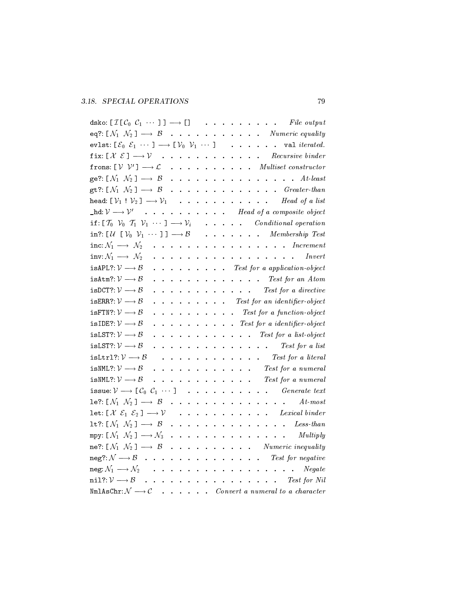| dsko: [ $\mathcal{I}[\mathcal{C}_0 \mathcal{C}_1 \cdots ] ] \longrightarrow []$<br>File output<br>and the contract of the con-                                                                                                                                                                                                                                                                                                                                                                                          |  |
|-------------------------------------------------------------------------------------------------------------------------------------------------------------------------------------------------------------------------------------------------------------------------------------------------------------------------------------------------------------------------------------------------------------------------------------------------------------------------------------------------------------------------|--|
| eq?: $[N_1 \ N_2] \longrightarrow B$<br><i>Numeric equality</i><br>$\epsilon = 1/2$                                                                                                                                                                                                                                                                                                                                                                                                                                     |  |
| evlst: $[\mathcal{E}_0 \ \mathcal{E}_1 \ \cdots \ ] \longrightarrow [\mathcal{V}_0 \ \mathcal{V}_1 \ \cdots \ ] \qquad . \ \ . \ \ . \ \ .$<br>$\ldots$ val iterated.                                                                                                                                                                                                                                                                                                                                                   |  |
| fix: $[\mathcal{X} \ \mathcal{E}] \longrightarrow \mathcal{V}$<br>Recursive binder                                                                                                                                                                                                                                                                                                                                                                                                                                      |  |
| frons: $[\mathcal{V} \mathcal{V}'] \longrightarrow \mathcal{L}$<br>Multiset constructor<br>$\bullet$ .<br>$\bullet$                                                                                                                                                                                                                                                                                                                                                                                                     |  |
| ge?: $[N_1 \ N_2] \longrightarrow B$<br>At-least<br>$\mathbf{u}$ . The contribution of the contribution of $\mathbf{u}$<br>$\ddot{\phantom{a}}$<br>$\sim$ $\sim$ $\sim$                                                                                                                                                                                                                                                                                                                                                 |  |
| gt?: [ $\mathcal{N}_1$ $\mathcal{N}_2$ ] $\longrightarrow$ $\beta$<br>$\cdots$ $\cdots$ $\cdots$ $\cdots$ $\cdots$ $\cdots$ $\cdots$ $\cdots$ $\cdots$ $\cdots$ $\cdots$ $\cdots$ $\cdots$ $\cdots$ $\cdots$ $\cdots$ $\cdots$ $\cdots$ $\cdots$ $\cdots$ $\cdots$ $\cdots$ $\cdots$ $\cdots$ $\cdots$ $\cdots$ $\cdots$ $\cdots$ $\cdots$ $\cdots$ $\cdots$ $\cdots$ $\cdots$ $\cdots$ $\cdots$ $\cdots$ $\cdots$                                                                                                      |  |
| head: $[\mathcal{V}_1 : \mathcal{V}_2] \longrightarrow \mathcal{V}_1$ Head of a list                                                                                                                                                                                                                                                                                                                                                                                                                                    |  |
| $\Box$ hd: $\mathcal{V} \longrightarrow \mathcal{V}'$ Head of a composite object                                                                                                                                                                                                                                                                                                                                                                                                                                        |  |
| if: $\lbrack \mathcal{T}_0 \ \mathcal{V}_0 \ \mathcal{T}_1 \ \mathcal{V}_1 \ \cdots \ \rbrack \longrightarrow \mathcal{V}_i$<br>Conditional operation                                                                                                                                                                                                                                                                                                                                                                   |  |
| in?: $\left[\begin{matrix}U & V_0 & V_1 & \cdots & I\end{matrix}\right] \longrightarrow \mathcal{B}$<br>Membership Test                                                                                                                                                                                                                                                                                                                                                                                                 |  |
| inc: $\mathcal{N}_1 \longrightarrow \mathcal{N}_2$<br>$\cdots$ $\cdots$ $\cdots$ $\cdots$ $\cdots$ $\cdots$ $\cdots$ $\cdots$<br>.                                                                                                                                                                                                                                                                                                                                                                                      |  |
| inv: $\mathcal{N}_1 \longrightarrow \mathcal{N}_2$<br>Invert<br>$\begin{array}{cccccccccccccc} \bullet & \bullet & \bullet & \bullet & \bullet & \bullet & \bullet & \bullet & \bullet & \bullet & \bullet \end{array}$<br>$\cdots$<br>.<br>$\ddot{\phantom{0}}$                                                                                                                                                                                                                                                        |  |
| $i$ s APL?: $\mathcal{V} \longrightarrow \mathcal{B}$<br>Test for a application-object<br>.                                                                                                                                                                                                                                                                                                                                                                                                                             |  |
| $\mathtt{isAtm?} \colon \mathcal{V} \longrightarrow \mathcal{B}$<br>Test for an Atom<br>$\sim$ $\sim$ $\sim$<br>$\cdot$                                                                                                                                                                                                                                                                                                                                                                                                 |  |
| isDCT?: $\mathcal{V} \longrightarrow \mathcal{B}$<br>Test for a directive<br>$\cdots$                                                                                                                                                                                                                                                                                                                                                                                                                                   |  |
| is ERR?: $\mathcal{V} \longrightarrow \mathcal{B}$<br>Test for an identifier-object<br>المنافر فالقارف فالقارف فالقاربة                                                                                                                                                                                                                                                                                                                                                                                                 |  |
| is<br>FTN?: $\mathcal{V}\longrightarrow\mathcal{B}$<br>Test for a function-object<br>the contract of the contract of the contract of the contract of the contract of the contract of the contract of                                                                                                                                                                                                                                                                                                                    |  |
| is<br>IDE?: $\mathcal{V}\longrightarrow\mathcal{B}$<br>Test for a identifier-object<br>and a state of the<br>$\sim$ $\sim$ $\sim$                                                                                                                                                                                                                                                                                                                                                                                       |  |
| isLST?: $\mathcal{V} \longrightarrow \mathcal{B}$<br>Test for a list-object                                                                                                                                                                                                                                                                                                                                                                                                                                             |  |
| isLST?: $\mathcal{V} \longrightarrow \mathcal{B}$<br>Test for a list<br>$\ddotsc$ .                                                                                                                                                                                                                                                                                                                                                                                                                                     |  |
| is<br>Ltrl?: $\mathcal{V}\longrightarrow \mathcal{B}$<br>Test for a literal<br>$\mathbf{a}^{(i)} \cdot \mathbf{a}^{(i)} \cdot \mathbf{a}^{(i)} \cdot \mathbf{a}^{(i)} \cdot \mathbf{a}^{(i)} \cdot \mathbf{a}^{(i)} \cdot \mathbf{a}^{(i)} \cdot \mathbf{a}^{(i)} \cdot \mathbf{a}^{(i)} \cdot \mathbf{a}^{(i)} \cdot \mathbf{a}^{(i)} \cdot \mathbf{a}^{(i)} \cdot \mathbf{a}^{(i)} \cdot \mathbf{a}^{(i)} \cdot \mathbf{a}^{(i)} \cdot \mathbf{a}^{(i)} \cdot \mathbf{a}^{(i)} \cdot \mathbf{a}^{(i)} \cdot \mathbf{$ |  |
| is<br>NML?: $\mathcal{V} \longrightarrow \mathcal{B}$<br>Test for a numeral<br>contract and a state of the<br>and a state of the                                                                                                                                                                                                                                                                                                                                                                                        |  |
| is<br>NML?: $\mathcal{V} \longrightarrow \mathcal{B}$<br>Test for a numeral<br>$\mathbf{L}^{\text{max}}$                                                                                                                                                                                                                                                                                                                                                                                                                |  |
| issue: $\mathcal{V}\longrightarrow\left[\right.\mathcal{C}_{0}\left.\mathcal{C}_{1}\right.\cdots\left.\vphantom{\frac{\partial^{N}}{\partial^{N}}}\right]\quad.\quad.\quad.\quad.\quad.\quad.\quad.\quad.\quad.\quad.\quad.\quad.$<br>Generate text                                                                                                                                                                                                                                                                     |  |
| le?: [ $\mathcal{N}_1$ $\mathcal{N}_2$ ] $\longrightarrow$ $\beta$<br>$At-most$<br>. The contract of the contract of the contract $\mathcal{L}(\mathcal{A})$                                                                                                                                                                                                                                                                                                                                                            |  |
| let: [ $X \mathcal{E}_1 \mathcal{E}_2$ ] $\longrightarrow V$<br>. Lexical binder                                                                                                                                                                                                                                                                                                                                                                                                                                        |  |
| 1t?: $\left[ \mathcal{N}_1 \mathcal{N}_2 \right] \longrightarrow \mathcal{B}$<br>$\cdots$ $\cdots$ $\cdots$ $\cdots$ $\cdots$ $\cdots$ $\cdots$ $\cdots$ $\cdots$ $\cdots$ $\cdots$ $\cdots$ $\cdots$ $\cdots$ $\cdots$ $\cdots$ $\cdots$ $\cdots$ $\cdots$ $\cdots$ $\cdots$ $\cdots$ $\cdots$ $\cdots$ $\cdots$ $\cdots$ $\cdots$ $\cdots$ $\cdots$ $\cdots$ $\cdots$ $\cdots$ $\cdots$ $\cdots$ $\cdots$ $\cdots$ $\cdots$                                                                                           |  |
| mpy: $\left[ \mathcal{N}_1 \ \mathcal{N}_2 \right] \longrightarrow \mathcal{N}_3$<br>$\ldots$ Multiply<br>$\ddot{\phantom{0}}$<br>$\sim$                                                                                                                                                                                                                                                                                                                                                                                |  |
| ne?: $\left[ \mathcal{N}_1 \mathcal{N}_2 \right] \longrightarrow \mathcal{B}$<br>Numeric inequality<br>$\mathcal{A}=\mathcal{A}=\mathcal{A}=\mathcal{A}=\mathcal{A}$ .                                                                                                                                                                                                                                                                                                                                                  |  |
| neg?: $\mathcal{N} \longrightarrow \mathcal{B}$<br>Test for negative<br>. The contract of the contract of the contract $\mathcal{L}^{\mathcal{A}}$                                                                                                                                                                                                                                                                                                                                                                      |  |
| neg: $\mathcal{N}_1 \longrightarrow \mathcal{N}_2$<br>Negate                                                                                                                                                                                                                                                                                                                                                                                                                                                            |  |
| nil?: $\mathcal{V} \longrightarrow \mathcal{B}$<br>$\mathcal{A}$ , and $\mathcal{A}$ , and $\mathcal{A}$ , and $\mathcal{A}$<br>Test for Nil<br>$\sim$ $\sim$ $\sim$ $\sim$                                                                                                                                                                                                                                                                                                                                             |  |
| $\texttt{NmlAsChr}:\mathcal{N}\longrightarrow\mathcal{C}$ .<br>Convert a numeral to a character                                                                                                                                                                                                                                                                                                                                                                                                                         |  |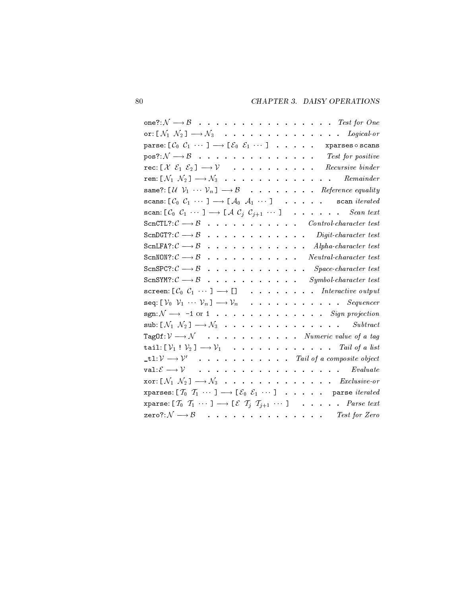| one?: $\mathcal{N} \longrightarrow \mathcal{B}$ Test for One                                                                                                                                                                                                                                    |
|-------------------------------------------------------------------------------------------------------------------------------------------------------------------------------------------------------------------------------------------------------------------------------------------------|
| or: $[N_1 N_2] \longrightarrow N_3$ <i>Logical-or</i>                                                                                                                                                                                                                                           |
| parse: $[\mathcal{C}_0 \ \mathcal{C}_1 \ \cdots \ ] \longrightarrow [\ \mathcal{E}_0 \ \mathcal{E}_1 \ \cdots \ ] \ \cdot \ \cdot \ \cdot \ \cdot \ \cdot \ \cdot$ xparses $\circ$ scans                                                                                                        |
| $\texttt{pos?}: \mathcal{N} \longrightarrow \mathcal{B} \quad \texttt{.} \quad \texttt{.} \quad \texttt{.} \quad \texttt{.} \quad \texttt{.} \quad \texttt{.} \quad \texttt{.} \quad \texttt{.} \quad \texttt{.} \quad \texttt{.} \quad \texttt{.} \quad \texttt{?} \textit{Test for positive}$ |
| rec: $[X \mathcal{E}_1 \mathcal{E}_2] \longrightarrow V$ Recursive binder                                                                                                                                                                                                                       |
| rem: $[N_1 \ N_2] \longrightarrow N_3$ Remainder                                                                                                                                                                                                                                                |
| same?: [U $V_1 \cdots V_n$ ] $\longrightarrow$ $\beta$ Reference equality                                                                                                                                                                                                                       |
| scans: $[\mathcal{C}_0 \mathcal{C}_1 \cdots] \longrightarrow [\mathcal{A}_0 \mathcal{A}_1 \cdots] \dots \dots$ scan <i>iterated</i>                                                                                                                                                             |
| scan: $[\mathcal{C}_0 \mathcal{C}_1 \cdots ] \longrightarrow [\mathcal{A} \mathcal{C}_j \mathcal{C}_{j+1} \cdots ] \dots \dots$ Scan text                                                                                                                                                       |
| SCRCTL?: $C \longrightarrow B$ Control-character test                                                                                                                                                                                                                                           |
| SCRDGT?: $\mathcal{C} \longrightarrow \mathcal{B}$ Digit-character test                                                                                                                                                                                                                         |
| SCRLFA?: $C \longrightarrow B$ Alpha-character test                                                                                                                                                                                                                                             |
| SCRNON? $\mathcal{C} \longrightarrow \mathcal{B}$ Neutral-character test                                                                                                                                                                                                                        |
| SCnSPC? $\mathcal{C} \longrightarrow \mathcal{B}$ Space-character test                                                                                                                                                                                                                          |
| SCNSYM?: $C \longrightarrow B$ Symbol-character test                                                                                                                                                                                                                                            |
| screen: $[\mathcal{C}_0 \mathcal{C}_1 \cdots ] \longrightarrow [] \cdots \cdots \cdots \cdots \cdots$ Interactive output                                                                                                                                                                        |
| seq: [ $V_0$ $V_1$ $\cdots$ $V_n$ ] $\longrightarrow$ $V_n$ $\cdots$ $\cdots$ $\cdots$ $\cdots$ $\cdots$ $\cdots$ $\cdots$ $\cdots$ $\cdots$ $\cdots$ $\cdots$ $\cdots$ $\cdots$ $\cdots$ $\cdots$ $\cdots$                                                                                     |
| sgn: $\mathcal{N} \longrightarrow -1$ or $1 \cdot \cdot \cdot \cdot \cdot \cdot \cdot \cdot \cdot \cdot \cdot \cdot \cdot \cdot \cdot \cdot \cdot$ Sign projection                                                                                                                              |
| sub: $[N_1 \ N_2] \longrightarrow N_3$ Subtract                                                                                                                                                                                                                                                 |
| TagOf: $\mathcal{V} \longrightarrow \mathcal{N}$ Numeric value of a tag                                                                                                                                                                                                                         |
| tail: $[\mathcal{V}_1 : \mathcal{V}_2] \longrightarrow \mathcal{V}_1$ Tail of a list                                                                                                                                                                                                            |
| $\pm 1: \mathcal{V} \longrightarrow \mathcal{V}'$ Tail of a composite object                                                                                                                                                                                                                    |
| val: $\mathcal{E} \longrightarrow \mathcal{V}$<br>Evaluate                                                                                                                                                                                                                                      |
| xor: $[\mathcal{N}_1 \mathcal{N}_2] \longrightarrow \mathcal{N}_3$ Exclusive-or                                                                                                                                                                                                                 |
| xparses: $[\mathcal{T}_0 \ \mathcal{T}_1 \ \cdots \ ] \longrightarrow [\mathcal{E}_0 \ \mathcal{E}_1 \ \cdots \ ]$ parse <i>iterated</i>                                                                                                                                                        |
| xparse: $[\mathcal{T}_0 \ \mathcal{T}_1 \ \cdots \ ] \longrightarrow [\mathcal{E} \ \mathcal{T}_j \ \mathcal{T}_{j+1} \ \cdots \ ] \qquad . \ \ . \ \ . \ \ . \ \ . \ \ Parse \ text$                                                                                                           |
| zero?: $\mathcal{N} \longrightarrow \mathcal{B}$ Test for Zero                                                                                                                                                                                                                                  |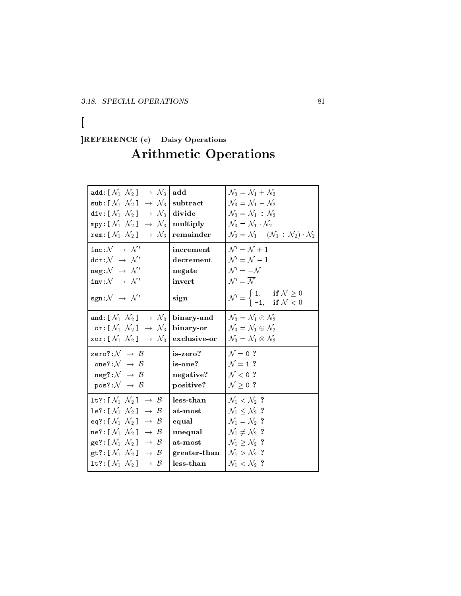$\overline{1}$ 

### $|REFERENCE (c) - Daisy$  Operations

| $\mathtt{add}\!:\![\, \mathcal{N}_1 \; \mathcal{N}_2\,] \;\rightarrow\; \mathcal{N}_3\, \! \mathtt{add}\! \,$<br>$\textsf{sub} : [\mathcal{N}_1 \; \mathcal{N}_2] \;\rightarrow \;\mathcal{N}_3$ subtract |              | $\mathcal{N}_3 = \mathcal{N}_1 + \mathcal{N}_2$<br>$\mathcal{N}_3 = \mathcal{N}_1 - \mathcal{N}_2$                                    |
|-----------------------------------------------------------------------------------------------------------------------------------------------------------------------------------------------------------|--------------|---------------------------------------------------------------------------------------------------------------------------------------|
|                                                                                                                                                                                                           |              |                                                                                                                                       |
| div: $\left[ \mathcal{N}_1 \mathcal{N}_2 \right] \rightarrow \mathcal{N}_3$ divide                                                                                                                        |              | $\mathcal{N}_3 = \mathcal{N}_1 \div \mathcal{N}_2$                                                                                    |
| $mpy: [\mathcal{N}_1 \mathcal{N}_2] \rightarrow \mathcal{N}_3$ multiply                                                                                                                                   |              | $\mathcal{N}_3 = \mathcal{N}_1 \cdot \mathcal{N}_2$                                                                                   |
| rem: $\left[ \mathcal{N}_1 \mathcal{N}_2 \right] \rightarrow \mathcal{N}_3$ remainder                                                                                                                     |              | $\mathcal{N}_3 = \mathcal{N}_1 - (\mathcal{N}_1 \div \mathcal{N}_2) \cdot \mathcal{N}_2$                                              |
| $\text{inc}:\mathcal{N}~\rightarrow~\mathcal{N}'$                                                                                                                                                         | increment    | $\mathcal{N}'=\mathcal{N}+1$                                                                                                          |
| $\texttt{dcr} \colon \mathcal{N} \ \to \ \mathcal{N}'$                                                                                                                                                    | decrement    | $\mathcal{N}'=\mathcal{N}-1$                                                                                                          |
| $neg: \mathcal{N} \rightarrow \mathcal{N}'$                                                                                                                                                               | negate       | $\mathcal{N}' = -\mathcal{N}$                                                                                                         |
| $inv:\mathcal{N} \rightarrow \mathcal{N}'$                                                                                                                                                                | invert       | $\mathcal{N}'=\overline{\mathcal{N}}$                                                                                                 |
| $sgn:\mathcal{N} \rightarrow \mathcal{N}'$                                                                                                                                                                | sign         | $\mathcal{N}' = \left\{ \begin{array}{ll} 1, & \text{if } \mathcal{N} \geq 0 \\ -1, & \text{if } \mathcal{N} < 0 \end{array} \right.$ |
| and: $[\mathcal{N}_1 \mathcal{N}_2] \rightarrow \mathcal{N}_3$ binary-and                                                                                                                                 |              | $\mathcal{N}_3 = \mathcal{N}_1 \odot \mathcal{N}_2$                                                                                   |
| or: $[N_1 N_2] \rightarrow N_3$ binary-or                                                                                                                                                                 |              | $\mathcal{N}_3 = \mathcal{N}_1 \oplus \mathcal{N}_2$                                                                                  |
| xor: $[N_1 N_2] \rightarrow N_3$ exclusive-or                                                                                                                                                             |              | $\mathcal{N}_3 = \mathcal{N}_1 \otimes \mathcal{N}_2$                                                                                 |
| zero?: $\mathcal{N} \rightarrow \mathcal{B}$                                                                                                                                                              | is-zero?     | $\mathcal{N}=0$ ?                                                                                                                     |
| one?: $\mathcal{N} \rightarrow \mathcal{B}$                                                                                                                                                               | is-one?      | $\mathcal{N}=1$ ?                                                                                                                     |
| $neg?:\mathcal{N} \rightarrow \mathcal{B}$                                                                                                                                                                | negative?    | $\mathcal{N}<$ 0 ?                                                                                                                    |
| pos?: $\mathcal{N} \rightarrow \mathcal{B}$                                                                                                                                                               | positive?    | $\mathcal{N} \geq 0$ ?                                                                                                                |
| 1t?: $[N_1 N_2] \rightarrow B$                                                                                                                                                                            | less-than    | $\mathcal{N}_1 < \mathcal{N}_2$ ?                                                                                                     |
| $\texttt{le?}: [\mathcal{N}_1 \; \mathcal{N}_2] \rightarrow \mathcal{B}$                                                                                                                                  | at-most      | $\mathcal{N}_1 \leq \mathcal{N}_2$ ?                                                                                                  |
| eq?:[ $\mathcal{N}_1$ $\mathcal{N}_2$ ] $\rightarrow$ $\beta$                                                                                                                                             | equal        | $\mathcal{N}_1 = \mathcal{N}_2$ ?                                                                                                     |
| ne?: $\left[ \mathcal{N}_1 \mathcal{N}_2 \right] \rightarrow \mathcal{B}$                                                                                                                                 | unequal      | $\mathcal{N}_1 \neq \mathcal{N}_2$ ?                                                                                                  |
| ge?: $[N_1 N_2] \rightarrow B$                                                                                                                                                                            | at-most      | $\mathcal{N}_1 > \mathcal{N}_2$ ?                                                                                                     |
| gt?: $[N_1 N_2] \rightarrow B$                                                                                                                                                                            | greater-than | $\mathcal{N}_1 > \mathcal{N}_2$ ?                                                                                                     |
| 1t?: $[N_1 N_2] \rightarrow B$                                                                                                                                                                            | less-than    | $\mathcal{N}_1 < \mathcal{N}_2$ ?                                                                                                     |
|                                                                                                                                                                                                           |              |                                                                                                                                       |

# **Arithmetic Operations**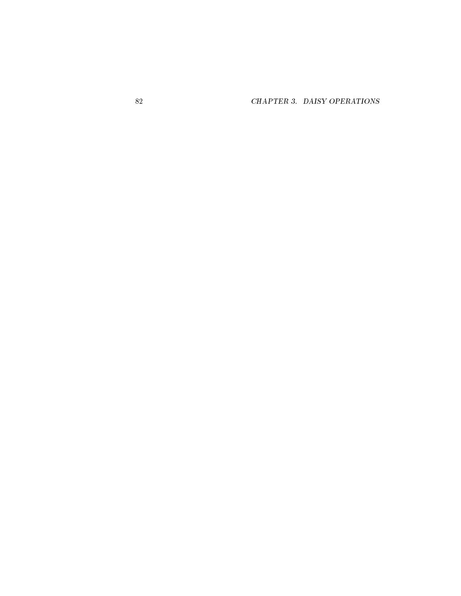CHAPTER 3. DAISY OPERATIONS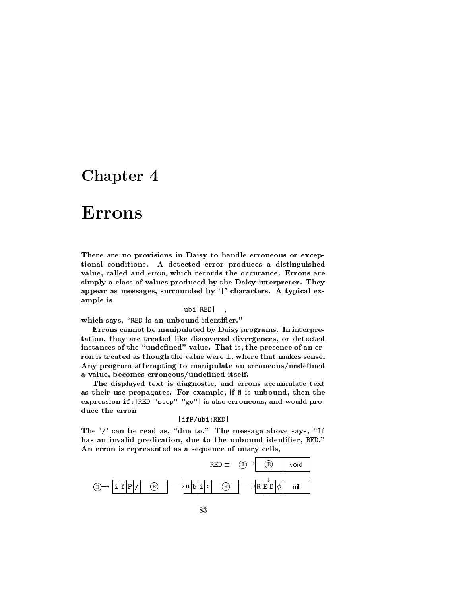### Chapter <sup>4</sup>

# Errons

There are no provisions in Daisy to handle erroneous or exceptional conditions. A detected error produces a distinguished value, called and erron, which records the occurance. Errons are simply a class of values produced by the Daisy interpreter. They appear as messages, surrounded by '|' characters. A typical example is

#### $|ubi:RED|$

which says, "RED is an unbound identifier."

Errons cannot be manipulated by Daisy programs. In interpretation, they are treated like discovered divergences, or detected instances of the "undefined" value. That is, the presence of an erron is treated as though the value were  $\perp$ , where that makes sense. Any program attempting to manipulate an erroneous/undefined a value, becomes erroneous/undefined itself.

The displayed text is diagnostic, and errons accumulate text as their use propagates. For example, if N is unbound, then the expression if:[RED "stop" "go"] is also erroneous, and would produce the erron

#### |ifP/ubi:RED|

The  $\prime$ ' can be read as, "due to." The message above says, "If has an invalid predication, due to the unbound identifier, RED." An erron is represented as a sequence of unary cells,

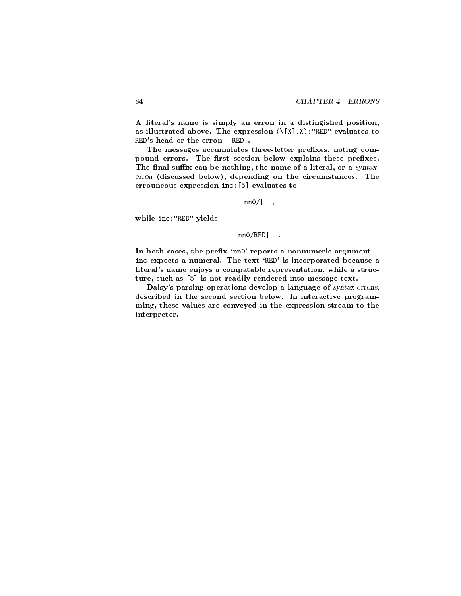A literal's name is simply an erron in a distingished position, as illustrated above. The expression  $(\Sigma x)$ . The  $\Sigma y$  is the  $\Sigma$ RED's head or the erron |RED|.

The messages accumulates three-letter prefixes, noting compound errors. The first section below explains these prefixes. The final suffix can be nothing, the name of a literal, or a syntaxerron (discussed below), depending on the circumstances. The errouneous expression inc:[5] evaluates to

 $|nn0/|$ ,

while inc:"RED" yields

 $|nn0/RED|$  :

In both cases, the prefix 'nn0' reports a nonnumeric argumentinc expects a numeral. The text `RED' is incorporated because a literal's name enjoys a compatable representation, while a structure, such as [5] is not readily rendered into message text.

Daisy's parsing operations develop a language of syntax errons, described in the second section below. In interactive programming, these values are conveyed in the expression stream to the interpreter.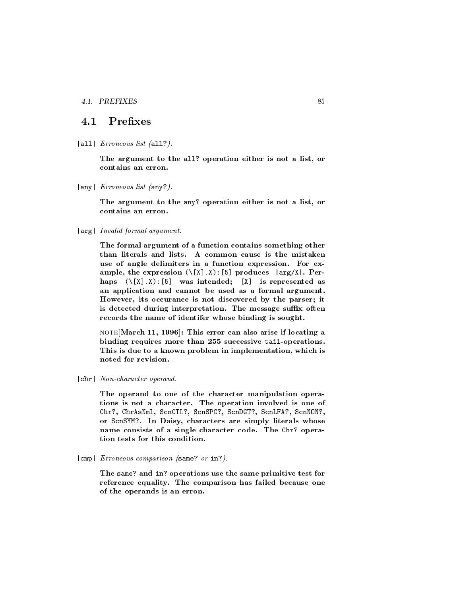#### 4.1. PREFIXES

#### Prefixes  $4.1$

 $|all|$  Erroneous list  $(all?).$ 

The argument to the all? operation either is not a list, or contains an erron.

|any| Erroneous list (any?).

The argument to the any? operation either is not a list, or contains an erron.

|arg| Invalid formal argument.

The formal argument of a function contains something other than literals and lists. A common cause is the mistaken use of angle delimiters in a function expression. For ex ample, the expression  $(\langle [x], x \rangle : [5]$  produces  $|arg/X|$ . Perhaps  $(\langle [x], x \rangle : [5]$  was intended;  $[x]$  is represented as an application and cannot be used as a formal argument. However, its occurance is not discovered by the parser; it is detected during interpretation. The message suffix often records the name of identifer whose binding is sought.

NOTE[March 11, 1996]: This error can also arise if locating a binding requires more than 255 successive tail-operations. This is due to a known problem in implementation, which is noted for revision.

|chr| Non-character operand.

The operand to one of the character manipulation operations is not a character. The operation involved is one of Chr?, ChrAsNml, ScnCTL?, ScnSPC?, ScnDGT?, ScnLFA?, ScnNON?, or ScnSYM?. In Daisy, characters are simply literals whose name consists of a single character code. The Chr? operation tests for this condition.

|cmp| Erroneous comparison (same? or in?).

The same? and in? operations use the same primitive test for reference equality. The comparison has failed because one of the operands is an erron.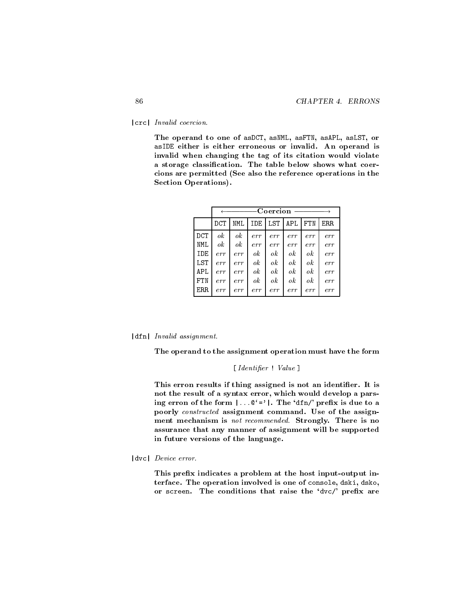|crc| Invalid coercion.

The operand to one of asDCT, asNML, asFTN, asAPL, asLST, or asIDE either is either erroneous or invalid. An operand is invalid when changing the tag of its citation would violate a storage classication. The table below shows what coer cions are permitted (See also the reference operations in the

|            |              |                  |              | Coercion     |                  |                  |            |
|------------|--------------|------------------|--------------|--------------|------------------|------------------|------------|
|            | $_{\rm DCT}$ | NML              | IDE          | LST          | <b>APL</b>       | FTN              | <b>ERR</b> |
| <b>DCT</b> | $\it{ok}$    | $\mathfrak{o} k$ | err          | err          | err              | err              | err        |
| NML        | ok           | $\mathfrak{o} k$ | err          | err          | err              | err              | err        |
| IDE        | err          | err              | $\partial k$ | $\partial k$ | ok               | $\mathfrak{o} k$ | err        |
| LST        | err          | err              | ok           | ok           | $\mathfrak{o} k$ | $\mathfrak{o} k$ | err        |
| APL        | err          | err              | ok           | $\partial k$ | $\mathfrak{o} k$ | $\partial k$     | err        |
| FTN        | err          | err              | $\alpha$     | ok           | $\mathfrak{o} k$ | $\mathfrak{o}k$  | err        |
| ERR.       | err          | err              | err          | err          | err              | err              | err        |

|dfn| Invalid assignment.

The operand to the assignment operation must have the form

[ Identier ! Value ]

This erron results if thing assigned is not an identifier. It is not the result of a syntax error, which would develop a parsing erron of the form  $|\dots$   $\circ$  '='  $|\cdot|$ . The 'dfn/' prefix is due to a poorly constructed assignment command. Use of the assignment mechanism is not recommended. Strongly. There is no assurance that any manner of assignment will be supported in future versions of the language.

|dvc| Device error.

This prefix indicates a problem at the host input-output interface. The operation involved is one of console, dski, dsko, or screen. The conditions that raise the 'dvc/' prefix are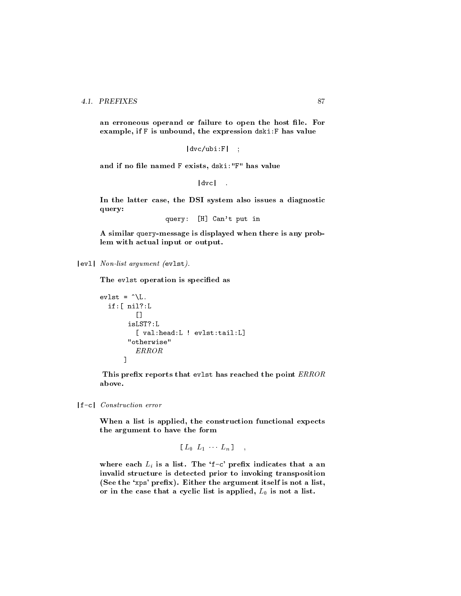#### 4.1. PREFIXES

an erroneous operand or failure to open the host file. For example, if F is unbound, the expression dski:F has value

 $|dvc/ubi:F|$ ;

and if no file named F exists, dski: "F" has value

 $|dvc|$  :

In the latter case, the DSI system also issues a diagnostic query:

query: [H] Can't put in

A similar query-message is displayed when there is any problem with actual input or output.

|evl| Non-list argument (evlst).

The evlst operation is specified as

```
evlst = \hat{ } \cdot \text{L}.if:[ nil?:L
           -F 1
           []
        isLST?:L
          [ val:head:L ! evlst:tail:L]
          ERROR
       \blacksquare
```
This prefix reports that evlst has reached the point ERROR above.

|f-c| Construction error

When a list is applied, the construction functional expects the argument to have the form

$$
\left[ \begin{array}{ccc} L_0 & L_1 & \cdots & L_n \end{array} \right] \quad , \quad
$$

where each  $L_i$  is a list. The 'f-c' prefix indicates that a an invalid structure is detected prior to invoking transposition (See the 'xps' prefix). Either the argument itself is not a list, or in the case that a cyclic list is applied,  $L_0$  is not a list.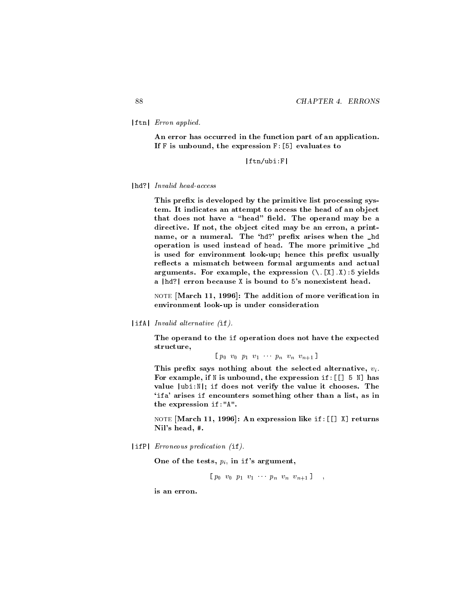|ftn| Erron applied.

An error has occurred in the function part of an application. If F is unbound, the expression F:[5] evaluates to

#### $\blacksquare$  =  $\blacksquare$  =  $\blacksquare$  :  $\blacksquare$

|hd?| Invalid head-access

This prefix is developed by the primitive list processing system. It indicates an attempt to access the head of an object that does not have a "head" field. The operand may be a directive. If not, the object cited may be an erron, a printname, or a numeral. The 'hd?' prefix arises when the \_hd operation is used instead of head. The more primitive \_hd is used for environment look-up; hence this prefix usually reflects a mismatch between formal arguments and actual arguments. For example, the expression  $(\cdot, [x], x)$ :5 yields a |hd?| erron because X is bound to 5's nonexistent head.

note [March 11, 1996]: The addition of more verication in environment look-up is under consideration

|ifA| *Invalid alternative* (if).

The operand to the if operation does not have the expected structure,

 $[p_0 \; v_0 \; p_1 \; v_1 \; \cdots \; p_n \; v_n \; v_{n+1}]$ 

This prefix says nothing about the selected alternative,  $v_i$ . For example, if  $N$  is unbound, the expression if: [[] 5  $N$ ] has value |ubi:N|; if does not verify the value it chooses. The `ifa' arises if encounters something other than a list, as in the expression if:"A".

note [March 11, 1996]: Ann expression like if:[[] X] returns if: Nil's head, #.

|ifP| Erroneous predication (if).

One of the tests,  $p_i$ , in if's argument,

$$
[p_0 \ v_0 \ p_1 \ v_1 \ \cdots \ p_n \ v_n \ v_{n+1}]
$$

is an erron.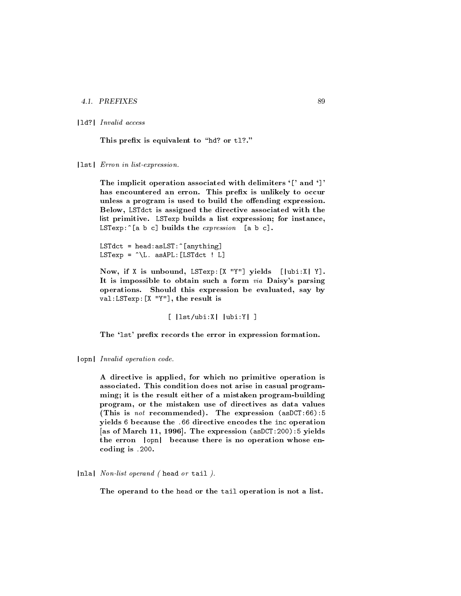#### 4.1. PREFIXES

 $|1d?|$  *Invalid access* |ld?| Invalid access

This prefix is equivalent to "hd? or tl?."

#### |lst| Erron in list-expression.

The implicit operation associated with delimiters `[' and `]' has encountered an erron. This prefix is unlikely to occur unless a program is used to build the offending expression. Below, LSTdct is assigned the directive associated with the list primitive. LSTexp builds a list expression; for instance, LSTexp: $\hat{c}$ [a b c] builds the *expression* [a b c].

LSTdct = head:  $asLST:~[anything]$ LSTexp =  $\hat{L}$ . asAPL: [LSTdct ! L]

Now, if X is unbound, LSTexp:[X "Y"] yields [|ubi:X| Y]. It is impossible to obtain such a form via Daisy's parsing operations. Should this expression be evaluated, say by val:LSTexp:[X "Y"], the result is

[ |lst/ubi:X| |ubi:Y| ]

The '1st' prefix records the error in expression formation.

|opn| Invalid operation code.

A directive is applied, for which no primitive operation is associated. This condition does not arise in casual programming; it is the result either of a mistaken program-building program, or the mistaken use of directives as data values (This is not recommended). The expression (asDCT:66):5 yields 6 because the .66 directive encodes the inc operation [as of March 11, 1996]. The expression (asDCT:200):5 yields the erron |opn| because there is no operation whose en coding is .200.

|nla| Non-list operand (head or tail).

The operand to the head or the tail operation is not a list.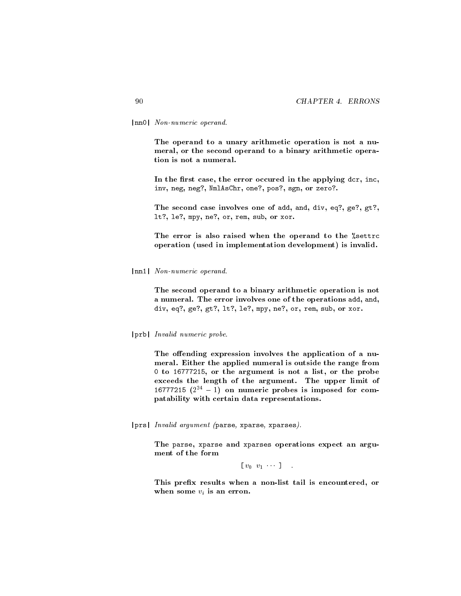#### |nn0| Non-numeric operand.

The operand to a unary arithmetic operation is not a numeral, or the second operand to a binary arithmetic operation is not a numeral.

In the first case, the error occured in the applying dcr, inc, inv, neg, neg?, NmlAsChr, one?, pos?, sgn, or zero?.

The second case involves one of add, and, div, eq?, ge?, gt?, lt?, le?, mpy, ne?, or, rem, sub, or xor.

The error is also raised when the operand to the %settrc operation (used in implementation development) is invalid.

| nn1| Non-numeric operand.

The second operand to a binary arithmetic operation is not a numeral. The error involves one of the operations add, and, div, eq?, ge?, gt?, lt?, le?, mpy, ne?, or, rem, sub, or xor.

|prb| Invalid numeric probe.

The offending expression involves the application of a numeral. Either the applied numeral is outside the range from 0 to 16777215, or the argument is not a list, or the probe exceeds the length of the argument. The upper limit of 16777215  $(2^{24} - 1)$  on numeric probes is imposed for compatability with certain data representations.

 $|prs|$  *Invalid argument (parse, xparse, xparses).* 

The parse, xparse and xparses operations expect an argu ment of the form

 $[v_0 \; v_1 \; \cdots \; ]$  :

This prefix results when a non-list tail is encountered, or when some  $v_i$  is an erron.

90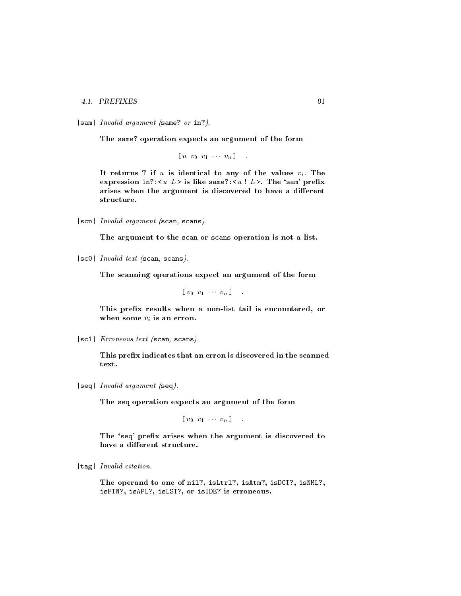#### 4.1. PREFIXES

|sam| Invalid argument (same? or in?).

The same? operation expects an argument of the form

 $\left[\begin{array}{cccc} u & v_0 & v_1 & \cdots & v_n \end{array}\right]$ 

It returns  $T$  if u is identical to any of the values  $v_i$ . The expression in?:  $L$  is like same?:  $u ! L$ . The 'sam' prefix</u></u> arises when the argument is discovered to have a different structure.

|scn| Invalid argument (scan, scans).

The argument to the scan or scans operation is not a list.

 $|sc0|$  *Invalid text (scan, scans).* 

The scanning operations expect an argument of the form

 $[v_0 \; v_1 \; \cdots \; v_n]$ 

This prefix results when a non-list tail is encountered, or when some  $v_i$  is an erron.

 $|sc1|$  Erroneous text (scan, scans).

This prefix indicates that an erron is discovered in the scanned text.

 $|seq|$  *Invalid argument (seq).* 

The seq operation expects an argument of the form

 $[v_0 \; v_1 \; \cdots \; v_n]$  :

The 'seq' prefix arises when the argument is discovered to have a different structure.

| tag| Invalid citation.

The operand to one of nil?, isLtrl?, isAtm?, isDCT?, isNML?, isFTN?, isAPL?, isLST?, or isIDE? is erroneous.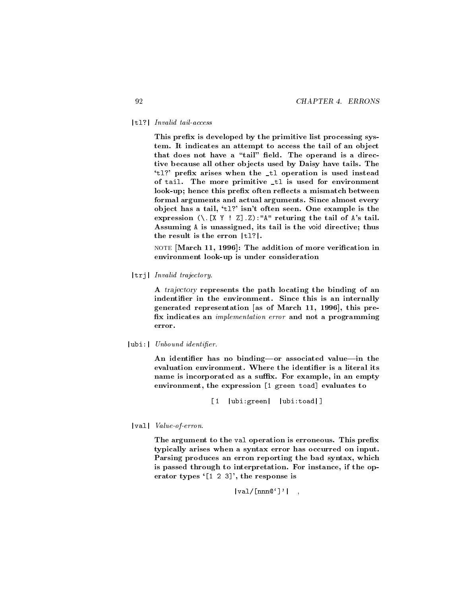#### $\begin{tabular}{|c|c|c|c|} \hline & t1? & \textit{Invalid tail-access} \\ \hline \end{tabular}$

This prefix is developed by the primitive list processing system. It indicates an attempt to access the tail of an object that does not have a "tail" field. The operand is a directive because all other objects used by Daisy have tails. The 'tl?' prefix arises when the \_tl operation is used instead of tail. The more primitive \_tl is used for environment look-up; hence this prefix often reflects a mismatch between formal arguments and actual arguments. Since almost every object has a tail, 'tl?' isn't often seen. One example is the expression  $(\n\langle [X Y : Z] . Z \rangle : "A"$  returing the tail of A's tail. Assuming A is unassigned, its tail is the void directive; thus the result is the erron  $|t|$ .

note [March 11, 1996]: The addition of more verication in environment look-up is under consideration

|trj| Invalid trajectory.

A trajectory represents the path locating the binding of an indentifier in the environment. Since this is an internally generated representation [as of March 11, 1996], this pre x indicates an implementation error and not a programming error.

 $|$ ubi: $|$  Unbound identifier.

An identifier has no binding—or associated value—in the evaluation environment. Where the identifier is a literal its name is incorporated as a suffix. For example, in an empty environment, the expression [1 green toad] evaluates to

[1 |ubi:green| |ubi:toad|]

|val| *Value-of-erron.* 

The argument to the val operation is erroneous. This prefix typically arises when a syntax error has occurred on input. Parsing produces an erron reporting the bad syntax, which is passed through to interpretation. For instance, if the operator types `[1 2 3]', the response is

 $|val/[\text{nnn0}']'$ ,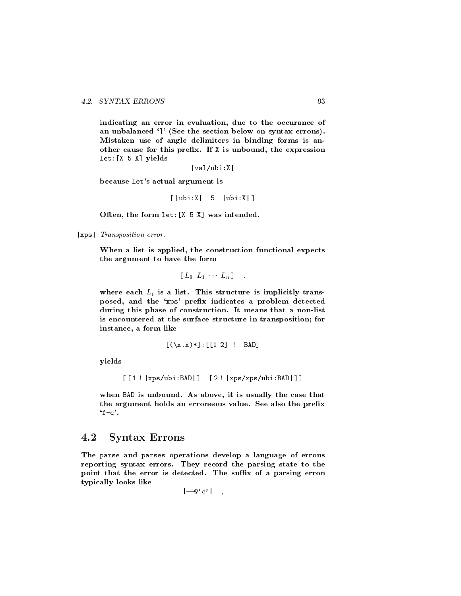#### 4.2. SYNTAX ERRONS

indicating an error in evaluation, due to the occurance of an unbalanced `]' (See the section below on syntax errons). Mistaken use of angle delimiters in binding forms is an other cause for this prefix. If X is unbound, the expression let:[X 5 X] yields

> $|val/ubi:X|$ |val/ubi:X|

because let's actual argument is

$$
\begin{bmatrix} | \text{ubi}: X | & 5 & | \text{ubi}: X | \end{bmatrix}
$$

Often, the form let:[X 5 X] was intended.

|xps| Transposition error.

When a list is applied, the construction functional expects the argument to have the form

$$
\left[ \begin{array}{ccc} L_0 & L_1 & \cdots & L_n \end{array} \right] \quad , \quad
$$

where each  $L_i$  is a list. This structure is implicitly transposed, and the 'xps' prefix indicates a problem detected during this phase of construction. It means that a non-list is encountered at the surface structure in transposition; for instance, a form like

$$
[(\lambda x \cdot x) * ] : [[1 2] : BAD]
$$

yields

```
[[1! |xps/ubi:BAD]] [2! |xps/xps/ubi:BAD]]]
```
when BAD is unbound. As above, it is usually the case that the argument holds an erroneous value. See also the prefix  $`f-c'$ .

### 4.2 Syntax Errons

The parse and parses operations develop a language of errons reporting syntax errors. They record the parsing state to the point that the error is detected. The suffix of a parsing erron typically looks like

 $|\mathcal{\equiv} \mathbf{0}^{\prime} c^{\prime}|$ ,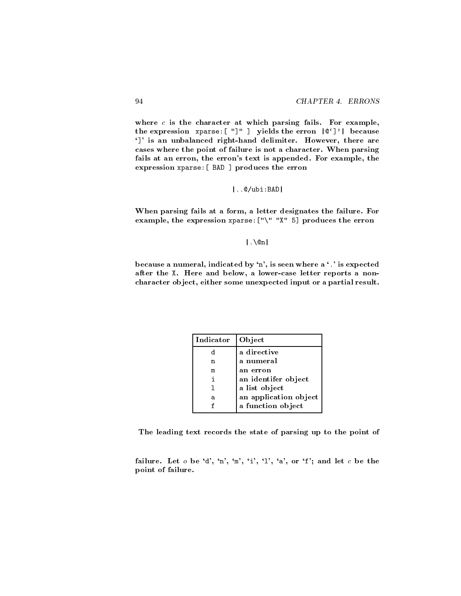where  $c$  is the character at which parsing fails. For example, the expression xparse: [ "]" ] yields the erron  $|@'$ ]' because `]' is an unbalanced right-hand delimiter. However, there are cases where the point of failure is not a character. When parsing fails at an erron, the erron's text is appended. For example, the expression xparse:[ BAD ] produces the erron

$$
|\mathsf{.}.@/\mathtt{ubi:BAD}|
$$

When parsing fails at a form, a letter designates the failure. For example, the expression xparse:["\" "X" 5] produces the erron

|.\@n|

because a numeral, indicated by 'n', is seen where a '.' is expected after the X. Here and below, a lower-case letter reports a non character object, either some unexpected input or a partial result.

| Indicator | Object                |
|-----------|-----------------------|
| d         | a directive           |
| n         | a numeral             |
| m         | an erron              |
|           | an identifer object   |
|           | a list object         |
| a         | an application object |
|           | a function object     |

The leading text records the state of parsing up to the point of

failure. Let  $o$  be 'd', 'n', 'm', 'i', '1', 'a', or 'f'; and let  $c$  be the point of failure.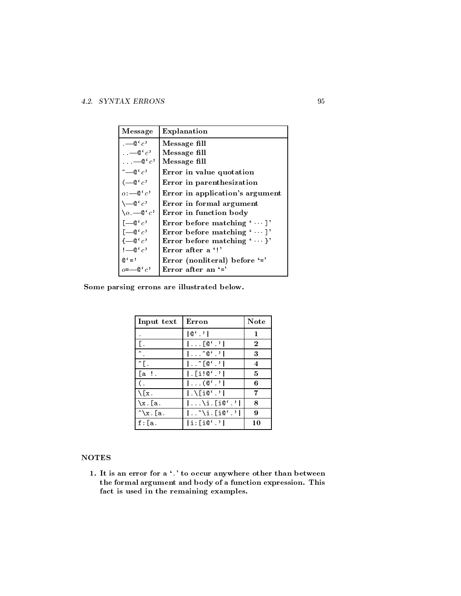| Message                                                                   | Explanation                      |
|---------------------------------------------------------------------------|----------------------------------|
| . — ${\tt Q}$ ' $c$ '                                                     | Message fill                     |
| $\ldots\hspace{-0.7mm}-\hspace{-0.7mm}$ $\circ$ $\cdot$ $\hspace{-0.7mm}$ | Message fill                     |
| $\ldots = 0\degree c$                                                     | Message fill                     |
| $\hat{}$ - $\circ$ ' $c$ ' $\,$                                           | Error in value quotation         |
| ( $-\mathbb{Q}^{\epsilon}c$ '                                             | Error in parenthesization        |
| $o:=\mathbf{Q}^{\epsilon}c^{\epsilon}$                                    | Error in application's argument  |
| \—@ $^{\prime}$ $c^{\prime}$                                              | Error in formal argument         |
| $\setminus o$ . $\bigcirc$ $^{\iota}c$                                    | Error in function body           |
| $\left[\begin{array}{c} -\mathbf{0} & c \end{array}\right]$               | Error before matching ' ]'       |
| $\left[\begin{array}{c} -\mathbf{0} & c \end{array}\right]$               | Error before matching ' ]'       |
| $\left\{ -\phi'c\right\}$                                                 | Error before matching $\cdot$ }' |
| $\mathbf{I} = \mathbf{C}^{\prime} c^{\prime}$                             | Error after a '!'                |
| $0' =$                                                                    | Error (nonliteral) before '='    |
| $_{0}$ =— $\mathbf{0}^{\prime}$ $c$ '                                     | Error after an $\div$            |

Some parsing errons are illustrated below.

| Input text        | Erron                                                                  | <b>Note</b>  |
|-------------------|------------------------------------------------------------------------|--------------|
|                   | $ 0' \rangle$                                                          | 1            |
| $\mathsf{T}$ .    | $  \dots [$ $@^{\prime}$ . $'$ $ $                                     | $\mathbf{2}$ |
|                   | $  \ldots \, \hat{ } \, \mathbb{Q} \, \langle \, . \, , \, \cdot \,  $ | 3            |
| ≏Γ.               | $ \ldots \hat{ }$ [C $\hat{ } \cdot \cdot \hat{ }$ ]                   | 4            |
| [a !.             | [i!@',']                                                               | 5            |
| $\mathcal{C}$ .   | $\vert \ldots (0^{\ell} \cdot ) \vert$                                 | 6            |
| $\chi$ [x.        | $ \cdot\angle$ [i@' $\cdot$ ' $ $                                      | 7            |
| $\x.$ [a.         | $  \ldots \backslash i$ .[i@'.' $ $                                    | 8            |
| $\hat{ }$ \x. [a. | $  \dots \hat{ } \setminus i$ . [iQ' $ \cdot \cdot  $                  | 9            |
| $f: [a]$ .        | i:[i@'.']                                                              | 10           |

#### **NOTES**

1. It is an error for a '.' to occur anywhere other than between the formal argument and body of a function expression. This fact is used in the remaining examples.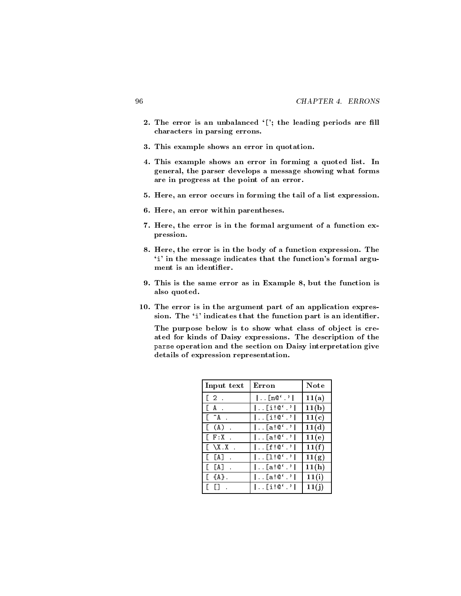- 2. The error is an unbalanced  $\lq$ : the leading periods are fill characters in parsing errons.
- 3. This example shows an error in quotation.
- 4. This example shows an error in forming a quoted list. In general, the parser develops a message showing what forms are in progress at the point of an error.
- 5. Here, an error occurs in forming the tail of a list expression.
- 6. Here, an error within parentheses.
- 7. Here, the error is in the formal argument of a function ex pression.
- 8. Here, the error is in the body of a function expression. The `i' in the message indicates that the function's formal argu ment is an identifier.
- 9. This is the same error as in Example 8, but the function is also quoted.
- 10. The error is in the argument part of an application expression. The 'i' indicates that the function part is an identifier.

The purpose below is to show what class of object is created for kinds of Daisy expressions. The description of the parse operation and the section on Daisy interpretation give details of expression representation.

| Input text                                   | Erron                                                      | <b>Note</b> |  |
|----------------------------------------------|------------------------------------------------------------|-------------|--|
| $\left[\begin{array}{cc}2\end{array}\right]$ | $\vert \ldots \vert n \mathbb{C}^{\ell} \cdot \cdot \vert$ | 11(a)       |  |
| [A.                                          | $  \dots [i! \mathbb{Q}^{\ell} \cdot \cdot  $              | 11(b)       |  |
| [ ^A .                                       | $\vert$ [i!@'.' $\vert$                                    | 11(c)       |  |
| $[ (A)$ .                                    | $\vert$ [a! $\mathfrak{C}^{\ell}$ .'                       | 11(d)       |  |
| ГF:Х.                                        | $\vert$ [a! $\mathbb{C}^\mathfrak{c}$ .'                   | 11(e)       |  |
| $\left[ \ \ \right] \setminus X \cdot X$ .   | $\vert \cdot \cdot \vert$ f ! $\circ' \cdot \cdot \vert$   | 11(f)       |  |
| [ [A] .                                      | $\vert \ldots [1! \mathbb{C}^{\ell} \cdot \cdot \vert$     | 11(g)       |  |
| [ [A] .                                      | $\vert$ [a! $\mathbb{C}^{\ell}$ .'                         | 11(h)       |  |
| [A].                                         | $\vert \ldots \vert$ a! $\mathbb{C}^{\ell}$ .' $\vert$     | 11(i)       |  |
|                                              | $\vert$ [i!@'.' $\vert$                                    | 11(j)       |  |

96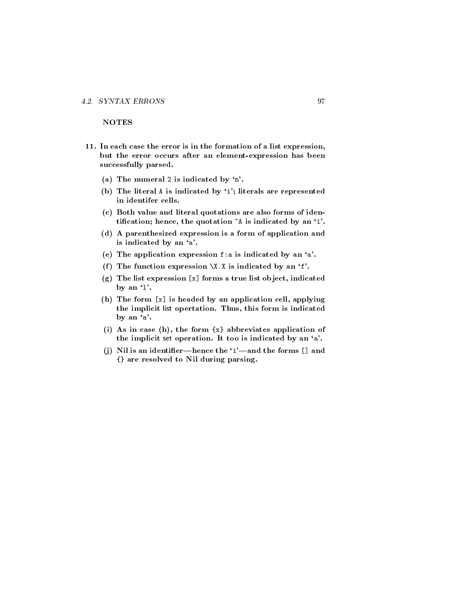#### **NOTES**

- 11. In each case the error is in the formation of a list expression, but the error occurs after an element-expression has been successfully parsed.
	- (a) The numeral 2 is indicated by  $n'.$
	- (b) The literal A is indicated by `i'; literals are represented in identifer cells.
	- (c) Both value and literal quotations are also forms of identification; hence, the quotation  $\hat{A}$  is indicated by an  $\hat{B}$ .
	- (d) A parenthesized expression is a form of application and is indicated by an `a'.
	- (e) The application expression  $f:$  a is indicated by an  $a$ .
	- (f) The function expression  $X.X$  is indicated by an 'f'.
	- (g) The list expression  $[x]$  forms a true list object, indicated by an  $\mathfrak{t}$ .
	- (h) The form [x] is headed by an application cell, applying the implicit list opertation. Thus, this form is indicated by an `a'.
	- (i) As in case (h), the form {x} abbreviates application of the implicit set operation. It too is indicated by an `a'.
	- (j) Nil is an identifier—hence the  $i'$ -and the forms [] and {} are resolved to Nil during parsing.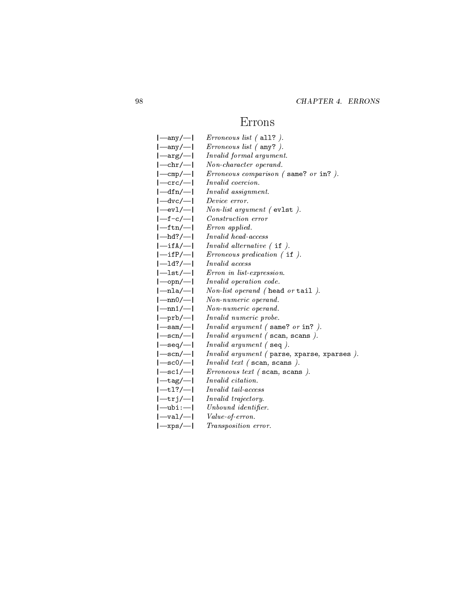### Errons

| $\left  \text{---any} \right\rangle$ | <i>Erroneous list</i> $($ all? $)$ .             |
|--------------------------------------|--------------------------------------------------|
| $ -any/ - $                          | <i>Erroneous list</i> $($ any? $)$ .             |
| $ -arg/ -  $                         | Invalid formal argument.                         |
| $ -{\rm chr/}- $                     | Non-character operand.                           |
| $ -cp/$                              | <i>Erroneous comparison</i> (same? or in?).      |
| $ -{\rm crc}/- $                     | Invalid coercion.                                |
| $ -dfn/ - $                          | Invalid assignment.                              |
| $ -dvc/ - $                          | Device error.                                    |
| $ -ev1/ - $                          | <i>Non-list argument (evlst).</i>                |
| $ -f-c/ - $                          | Construction error                               |
| $ -ftn/ - $                          | Erron applied.                                   |
| $ -$ hd?/ $- $                       | <i>Invalid head-access</i>                       |
| $ -ifA/ - $                          | <i>Invalid alternative</i> $($ if $)$ .          |
| $ -ifP/ - $                          | $Erroreous\ prediction\ (if).$                   |
| $ -1d?/ - $                          | Invalid access                                   |
| $ -$ lst $/$ $  $                    | Erron in list-expression.                        |
| $ -$ opn $/$ $-$                     | Invalid operation code.                          |
| $ -n1a/-\vert$                       | Non-list operand (head or tail).                 |
| $ -nn0/ - $                          | Non-numeric operand.                             |
| $ -nn1/ - $                          | Non-numeric operand.                             |
| $ -prb/ - $                          | <i>Invalid numeric probe.</i>                    |
| $ -sam - $                           | Invalid argument (same? or in?).                 |
| $ -sn/ - $                           | Invalid argument (scan, scans).                  |
| $ -$ seq $/ - $                      | Invalid argument $($ seq $).$                    |
| $ -scn/ - $                          | Invalid argument $($ parse, xparse, xparses $).$ |
| $ -sc0/ - $                          | Invalid text $($ scan, scans $).$                |
| $ -sc1/ - $                          | $Errorous text$ (scan, scans).                   |
| $ -$ tag/ $- $                       | <i>Invalid citation.</i>                         |
| $ -t1?/- $                           | <i>Invalid tail-access</i>                       |
| $ -$ trj $/$ $  $                    | Invalid trajectory.                              |
| $ -$ ubi: $- $                       | Unbound identifier.                              |
| $ -val/ - $                          | Value-of-erron.                                  |
| $ -xps/ - $                          | Transposition error.                             |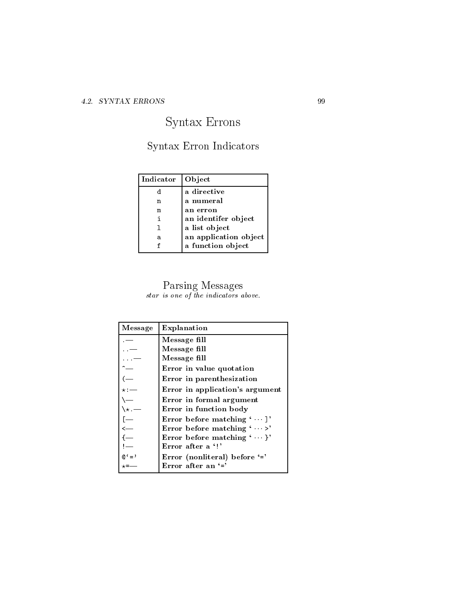### 4.2. SYNTAX ERRONS 99

## Syntax Errons

### $S_{\rm eff}$  . In the Indian Indian Indian Indian Indian Indian Indian Indian Indian Indian Indian Indian Indian Indian Indian Indian Indian Indian Indian Indian Indian Indian Indian Indian Indian Indian Indian Indian Indian

| Indicator | Object                |
|-----------|-----------------------|
| d         | a directive           |
| n         | a numeral             |
| m         | an erron              |
| i         | an identifer object   |
|           | a list object         |
| а         | an application object |
|           | a function object     |

#### Parsing Messages star is one of the indicators above.

| Message                      | Explanation                     |  |
|------------------------------|---------------------------------|--|
|                              | Message fill                    |  |
|                              | Message fill                    |  |
|                              | Message fill                    |  |
|                              | Error in value quotation        |  |
|                              | Error in parenthesization       |  |
| $\star$ : $-$                | Error in application's argument |  |
|                              | Error in formal argument        |  |
| $\setminus \star$ .          | Error in function body          |  |
| $\overline{\phantom{a}}$     | Error before matching '         |  |
| $\leftarrow$<br>$\leftarrow$ | Error before matching $\sim$ >  |  |
|                              | Error before matching '         |  |
|                              | Error after a '!'               |  |
| $Q' = ?$                     | Error (nonliteral) before '='   |  |
|                              | Error after an $=$              |  |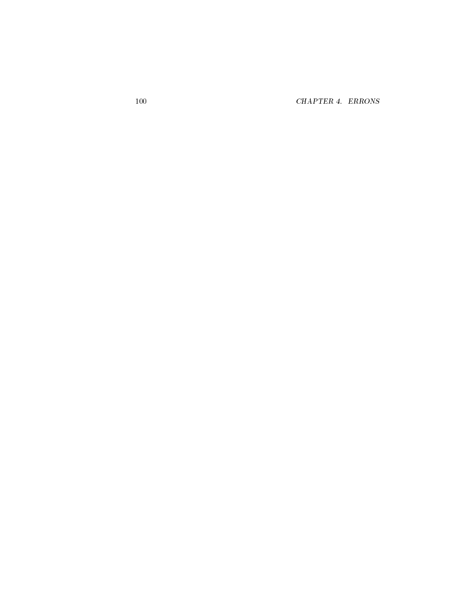CHAPTER 4. ERRONS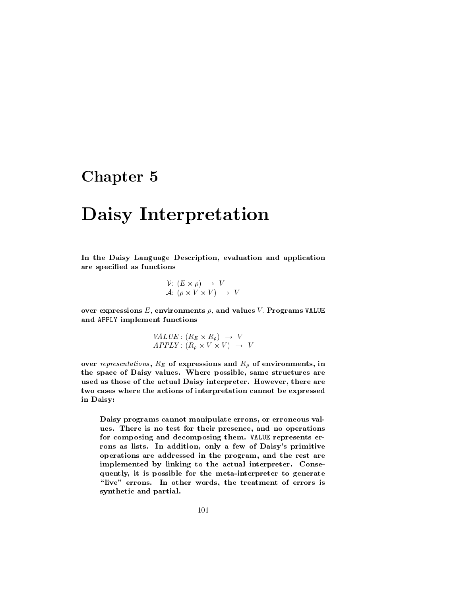### Chapter <sup>5</sup>

## da da sensita interpretation de la construction de la construction de la construction de la construction de la

In the Daisy Language Description, evaluation and application are specied as functions

$$
\mathcal{V}: (E \times \rho) \to V
$$
  

$$
\mathcal{A}: (\rho \times V \times V) \to V
$$

over expressions  $E$ , environments  $\rho$ , and values V. Programs VALUE and APPLY implement functions

$$
VALUE: (R_E \times R_{\rho}) \rightarrow V
$$
  
APPLY:  $(R_{\rho} \times V \times V) \rightarrow V$ 

over representations,  $R_E$  of expressions and  $R_\rho$  of environments, in the space of Daisy values. Where possible, same structures are used as those of the actual Daisy interpreter. However, there are two cases where the actions of interpretation cannot be expressed in Daisy:

Daisy programs cannot manipulate errons, or erroneous val ues. There is no test for their presence, and no operations for composing and decomposing them. VALUE represents er rons as lists. In addition, only a few of Daisy's primitive operations are addressed in the program, and the rest are implemented by linking to the actual interpreter. Consequently, it is possible for the meta-interpreter to generate "live" errons. In other words, the treatment of errors is synthetic and partial.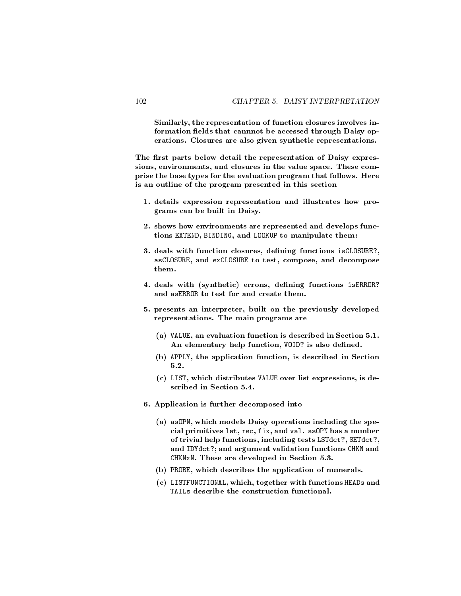Similarly, the representation of function closures involves information fields that cannnot be accessed through Daisy operations. Closures are also given synthetic representations.

The first parts below detail the representation of Daisy expressions, environments, and closures in the value space. These comprise the base types for the evaluation program that follows. Here is an outline of the program presented in this section

- 1. details expression representation and illustrates how programs can be built in Daisy.
- 2. shows how environments are represented and develops functions EXTEND, BINDING, and LOOKUP to manipulate them:
- 3. deals with function closures, defining functions isCLOSURE?, asCLOSURE, and exCLOSURE to test, compose, and decompose
- 4. deals with (synthetic) errons, defining functions is ERROR? and asERROR to test for and create them.
- 5. presents an interpreter, built on the previously developed representations. The main programs are
	- (a) VALUE, an evaluation function is described in Section 5.1. An elementary help function, VOID? is also defined.
	- (b) APPLY, the application function, is described in Section 5.2.
	- (c) LIST, which distributes VALUE over list expressions, is described in Section 5.4.
- 6. Application is further decomposed into
	- (a) asOPN, which models Daisy operations including the special primitives let, rec, fix, and val. asOPN has a number of trivial help functions, including tests LSTdct?, SETdct?, and IDYdct?; and argument validation functions CHKN and CHKNxN. These are developed in Section 5.3.
	- (b) PROBE, which describes the application of numerals.
	- (c) LISTFUNCTIONAL, which, together with functions HEADs and TAILs describe the construction functional.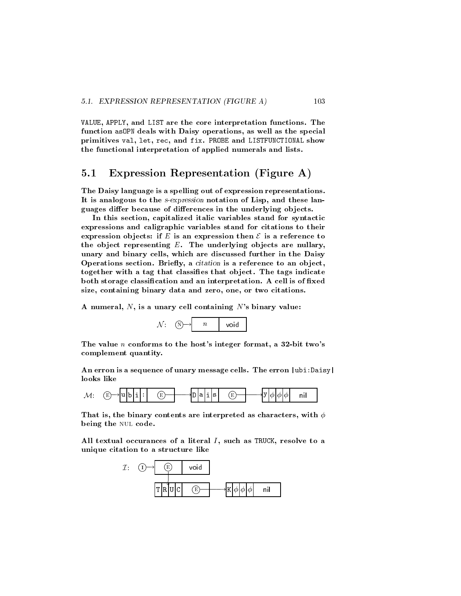VALUE, APPLY, and LIST are the core interpretation functions. The function asOPN deals with Daisy operations, as well as the special primitives val, let, rec, and fix. PROBE and LISTFUNCTIONAL show the functional interpretation of applied numerals and lists.

#### $5.1$ Expression Representation (Figure A)

The Daisy language is a spelling out of expression representations. It is analogous to the s-expression notation of Lisp, and these languages differ because of differences in the underlying objects.

In this section, capitalized italic variables stand for syntactic expressions and caligraphic variables stand for citations to their expression objects: if E is an expression then  $\mathcal E$  is a reference to the object representing  $E$ . The underlying objects are nullary, unary and binary cells, which are discussed further in the Daisy Operations section. Briefly, a citation is a reference to an object, together with a tag that classifies that object. The tags indicate both storage classification and an interpretation. A cell is of fixed size, containing binary data and zero, one, or two citations.

A numeral,  $N$ , is a unary cell containing  $N$ 's binary value:



The value  $n$  conforms to the host's integer format, a 32-bit two's complement quantity.

An erron is a sequence of unary message cells. The erron |ubi:Daisy|



That is, the binary contents are interpreted as characters, with  $\phi$ being the NUL code.

All textual occurances of a literal  $I$ , such as TRUCK, resolve to a unique citation to a structure like

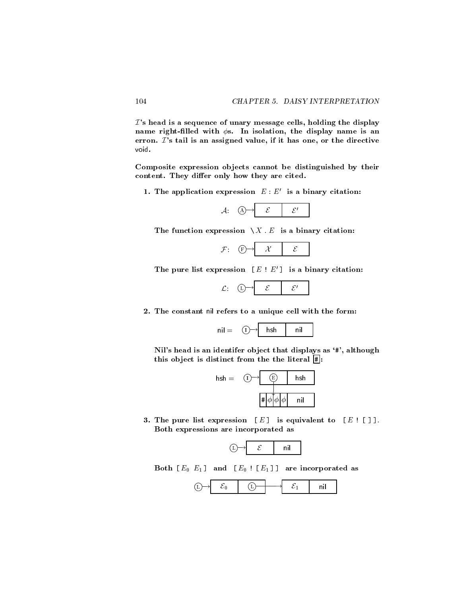$I$ 's head is a sequence of unary message cells, holding the display name right-filled with  $\phi$ s. In isolation, the display name is an erron.  $\mathcal{I}'$ s tail is an assigned value, if it has one, or the directive void.

Composite expression objects cannot be distinguished by their content. They differ only how they are cited.

1. The application expression  $E: E'$  is a binary citation:

|--|

The function expression  $\setminus X$ . E is a binary citation:

The pure list expression  $[E: E']$  is a binary citation:

|--|

2. The constant nil refers to a unique cell with the form:

$$
nil = \quad \textcircled{1} \rightarrow \quad \text{hsh} \quad \quad \text{nil}
$$

Nil's head is an identifer object that displays as '#', although this object is distinct from the the literal  $\Vert \ddot{\ast} \Vert$ :



3. The pure list expression  $[E]$  is equivalent to  $[E : [ ] ]$ .



Both  $[E_0 \ E_1]$  and  $[E_0 : [E_1]$  are incorporated as



104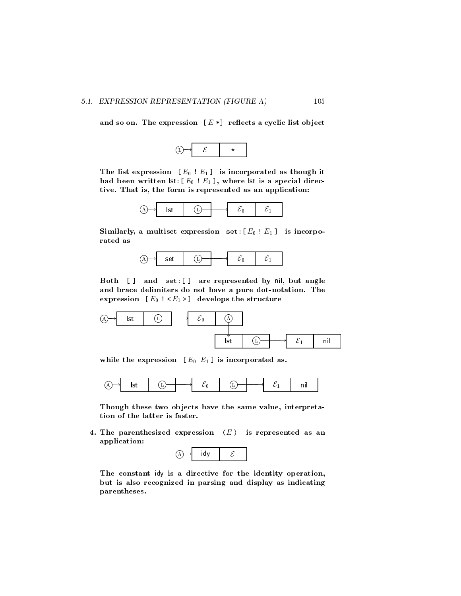#### 5.1. EXPRESSION REPRESENTATION (FIGURE A)

and so on. The expression  $[E*]$  reflects a cyclic list object



The list expression  $[E_0 : E_1]$  is incorporated as though it had been written  $\text{lst}: [E_0 : E_1]$ , where lst is a special directive. That is, the form is represented as an application:



Similarly, a multiset expression set:  $[E_0 : E_1]$  is incorporated as



Both [ ] and set:[ ] are represented by nil, but angle and brace delimiters do not have a pure dot-notation. The expression  $[E_0: E_1>]]$  develops the structure



while the expression  $[E_0 \ E_1]$  is incorporated as.



Though these two objects have the same value, interpretation of the latter is faster.

4. The parenthesized expression  $(E)$  is represented as an application:



The constant idy is a directive for the identity operation, but is also recognized in parsing and display as indicating parentheses.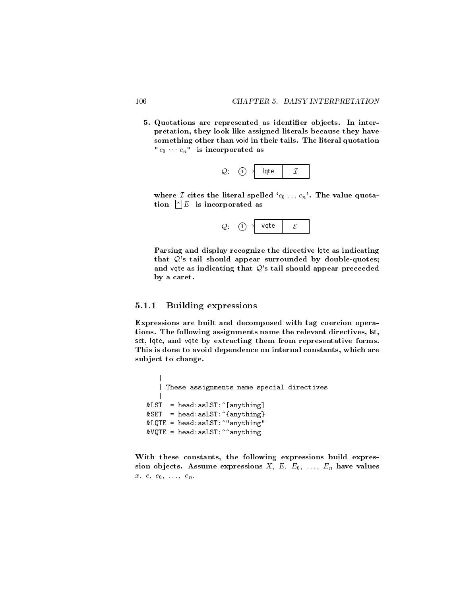5. Quotations are represented as identifier objects. In interpretation, they look like assigned literals because they have something other than void in their tails. The literal quotation " $c_0$   $c_n$ " is incorporated as



where *I* cites the literal spelled  $(c_0 \ldots c_n)$ . The value quotation is in the incorporated as  $\sim$ 

| -<br>$ \sim$<br>- |  |
|-------------------|--|
|-------------------|--|

Parsing and display recognize the directive lqte as indicating that  $Q$ 's tail should appear surrounded by double-quotes; and vqte as indicating that  $Q$ 's tail should appear preceeded by a caret.

#### 5.1.1 Building expressions

Expressions are built and decomposed with tag coercion operations. The following assignments name the relevant directives, lst, set, lqte, and vqte by extracting them from representative forms. This is done to avoid dependence on internal constants, which are subject to change.

```
\mathbf{I}|
   | These assignments name special directives
   \mathbb{R}|
&LST = head:asLST:^[anything]
&SET = head:asLST:^{anything}
&LQTE = head:asLST:^"anything"
&VQTE = head:asLST:~\hat{ anything
```
With these constants, the following expressions build expression objects. Assume expressions  $X, E, E_0, \ldots, E_n$  have values  $x, e, e_0, \ldots, e_n.$ 

106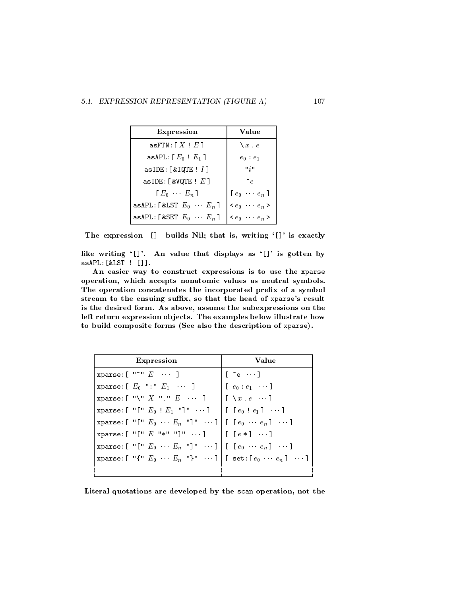| Expression                           | Value                                                                                                                                                    |
|--------------------------------------|----------------------------------------------------------------------------------------------------------------------------------------------------------|
| asFTN:[ $X$ ! $E$ ]                  | $\setminus x$ . $e$                                                                                                                                      |
| asAPL: [ $E_0$ ! $E_1$ ]             | $e_0 : e_1$                                                                                                                                              |
| asIDE: $[$ &IQTE! $I$ ]              | $u_i$ n                                                                                                                                                  |
| asIDE: [ $&$ VQTE ! $E$ ]            | $\hat{e}$                                                                                                                                                |
| $[E_0 \t E_n]$                       |                                                                                                                                                          |
| asAPL:[&LST $E_0$ $E_n$ ]            | $\begin{bmatrix} e_0 & \cdots & e_n \end{bmatrix}$ $\begin{bmatrix} e_0 & \cdots & e_n \end{bmatrix}$ $\begin{bmatrix} e_0 & \cdots & e_n \end{bmatrix}$ |
| asAPL: [ &SET $E_0$ $\cdots$ $E_n$ ] |                                                                                                                                                          |

The expression [] builds Nil; that is, writing '[]' is exactly

like writing '[]'. An value that displays as '[]' is gotten by asAPL:[&LST ! []].

An easier way to construct expressions is to use the xparse operation, which accepts nonatomic values as neutral symbols. The operation concatenates the incorporated prefix of a symbol stream to the ensuing suffix, so that the head of xparse's result is the desired form. As above, assume the subexpressions on the left return expression objects. The examples below illustrate how to build composite forms (See also the description of xparse).

| Expression                                                                                                                                                                                                 | Value                                                        |
|------------------------------------------------------------------------------------------------------------------------------------------------------------------------------------------------------------|--------------------------------------------------------------|
| xparse: $[$ " $^{\circ}$ " $E$ $]$                                                                                                                                                                         | $[\begin{array}{ccc} \n\cdot & \cdot & \cdot \n\end{array}]$ |
| xparse: $[E_0$ ":" $E_1$                                                                                                                                                                                   | [ $e_0: e_1 \cdots$ ]                                        |
| xparse: $\left[ \begin{array}{ccc} \cdots \\ \cdots \end{array} \right]$ $\left[ \begin{array}{ccc} \cdots \\ \cdots \end{array} \right]$ $\left[ \begin{array}{ccc} \cdots \\ \cdots \end{array} \right]$ |                                                              |
| xparse: $[ "[ " E0 : E1 "] "  ] [ [ [e0 : e1]  ]$                                                                                                                                                          |                                                              |
| xparse: $[ "[ " E0  En "] "  ] [ [ e0  en ]  ]$                                                                                                                                                            |                                                              |
| xparse: [ "[" $E$ "*" "]" ]   [ $[e*]$ ]                                                                                                                                                                   |                                                              |
| xparse: $[ "[ " E0  En "] " ] [ [ e0  en ]  ]$                                                                                                                                                             |                                                              |
| xparse: $[ "{v E0  En "}v  ] [ set: [e0  en ]  ]$                                                                                                                                                          |                                                              |
|                                                                                                                                                                                                            |                                                              |

Literal quotations are developed by the scan operation, not the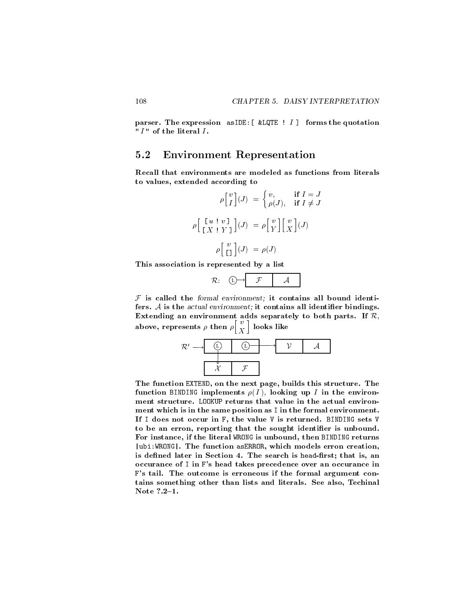parser. The expression asIDE:  $[$  &LQTE  $\vdots$   $I$  ] forms the quotation "  $I$ " of the literal  $I$ .

#### 5.2 Environment Representation

Recall that environments are modeled as functions from literals to values, extended according to

$$
\rho\begin{bmatrix} v \\ I \end{bmatrix}(J) = \begin{cases} v, & \text{if } I = J \\ \rho(J), & \text{if } I \neq J \end{cases}
$$

$$
\rho\begin{bmatrix} u & v \\ X & Y \end{bmatrix}(J) = \rho\begin{bmatrix} v \\ Y \end{bmatrix}\begin{bmatrix} v \\ X \end{bmatrix}(J)
$$

$$
\rho\begin{bmatrix} v \\ I \end{bmatrix}(J) = \rho(J)
$$

This association is represented by a list

|--|

 $F$  is called the formal environment; it contains all bound identifers.  $A$  is the actual environment; it contains all identifier bindings. Extending an environment adds separately to both parts. If  $R$ , above, representative contract  $\mu$  ,  $\mu$  , and the  $\lceil v \rceil$ .

X



The function EXTEND, on the next page, builds this structure. The function BINDING implements  $\rho(I)$ , looking up I in the environment structure. LOOKUP returns that value in the actual environ ment which is in the same position as I in the formal environment. If I does not occur in F, the value V is returned. BINDING sets V to be an erron, reporting that the sought identifier is unbound. For instance, if the literal WRONG is unbound, then BINDING returns |ubi:WRONG|. The function asERROR, which models erron creation, is defined later in Section 4. The search is head-first; that is, an occurance of I in F's head takes precedence over an occurance in F's tail. The outcome is erroneous if the formal argument con tains something other than lists and literals. See also, Techinal Note ?.2-1.

108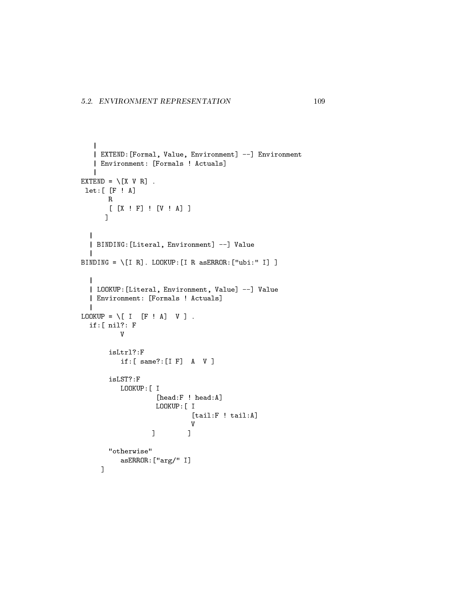```
|
   | EXTEND:[Formal, Value, Environment] --] Environment
   | Environment: [Formals ! Actuals]
   |
EXTEND = \setminus [X V R] .
 let:[ [F ! A]
      R
       [ [X ! F] ! [V ! A] ]
       \blacksquare\mathbf{I}|
  | BINDING:[Literal, Environment] --] Value
  \mathbf{L}|
BINDING = \lfloor I \ R \rfloor. LOOKUP: [I R as ERROR: ["ubi:" I] ]
  \mathbb{R}|
  | LOOKUP:[Literal, Environment, Value] --] Value
  | Environment: [Formals ! Actuals]
  \mathbf{I}|
LOOKUP = \lfloor I \rfloor [F : A] \geq V \rfloor.
  if:[ nil?: F
          VisLtrl?:F
          if:[ same?:[I F] A V ]
       isLST?:F
          LOOKUP:[ I
                    [head:F ! head:A]
                    LOOKUP:[ I
                             [tail:F ! tail:A]
                             V] ]
       "otherwise"
           asERROR:["arg/" I]
     ]
```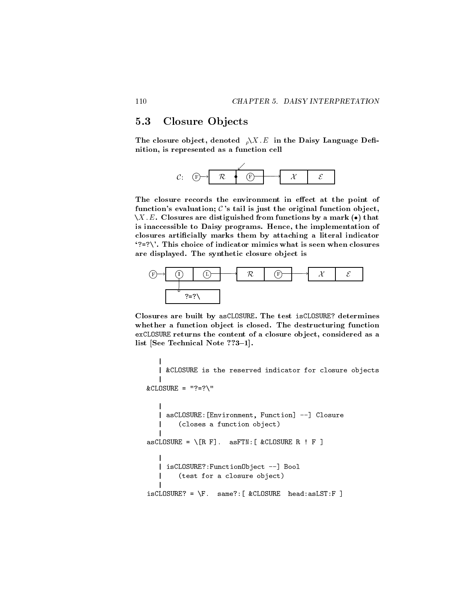#### Closure Objects  $5.3$

The closure object, denoted  $\sqrt{X.E}$  in the Daisy Language Definition, is represented as a function cell



The closure records the environment in effect at the point of function's evaluation;  $\mathcal{C}$ 's tail is just the original function object,  $\setminus X.E.$  Closures are distiguished from functions by a mark ( $\bullet$ ) that is inaccessible to Daisy programs. Hence, the implementation of closures articially marks them by attaching a literal indicator  $'$ ?=?\'. This choice of indicator mimics what is seen when closures are displayed. The synthetic closure object is



Closures are built by asCLOSURE. The test isCLOSURE? determines whether a function object is closed. The destructuring function exCLOSURE returns the content of a closure object, considered as a list [See Technical Note  $??3-1$ ].

```
|
   | &CLOSURE is the reserved indicator for closure objects
    |
\&CLOSURE = "?=?\"
    \mathbf{I}|
   | asCLOSURE:[Environment, Function] --] Closure
         | (closes a function object)
   \mathbf{I}|
asCLOSURE = \left[\begin{matrix} R & F \end{matrix}\right]. asFTN: \left[\begin{matrix} & & CLLOSURE & R & P \end{matrix}\right]|
   | isCLOSURE?:FunctionObject --] Bool
   | (test for a closure object)
   \mathbf{I}|
isCLOSURE? = \F. same? : [ & CLOSURE head:asLST: F ]
```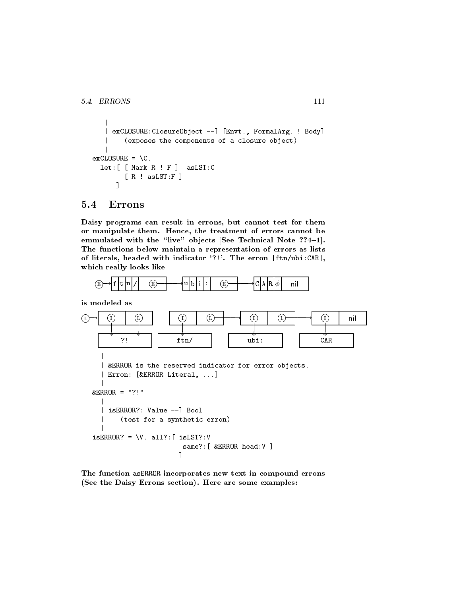```
5.4 ERRONS
```

```
\mathbf{I}|
   | exCLOSURE:ClosureObject --] [Envt., FormalArg. ! Body]
   | (exposes the components of a closure object)
   \mathbf{I}|
exCLOSURE = \C.
  let:[ [ Mark R ! F ] asLST:C
        [R ! as LST: F ]
      ]
```
#### $5.4$ **Errons**

Daisy programs can result in errons, but cannot test for them or manipulate them. Hence, the treatment of errors cannot be emmulated with the "live" objects [See Technical Note ??4-1]. The functions below maintain a representation of errors as lists of literals, headed with indicator `?!'. The erron |ftn/ubi:CAR|, which really looks like



is modeled as



The function asERROR incorporates new text in compound errons (See the Daisy Errons section). Here are some examples: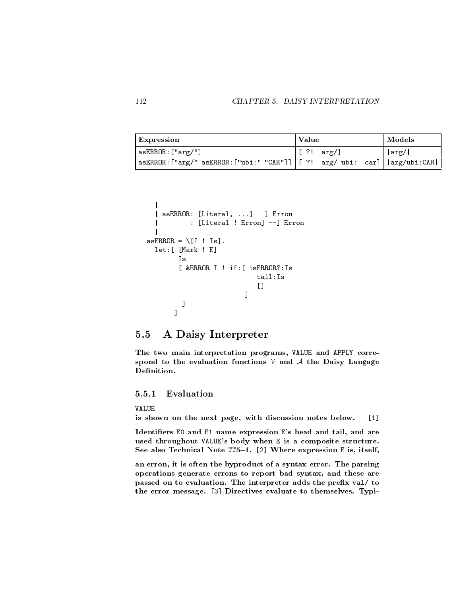| Expression                                                                                           | Value                | Models |
|------------------------------------------------------------------------------------------------------|----------------------|--------|
| asERROR: ['arg/"]                                                                                    | $\lfloor$ [ ?! arg/] | arg/   |
| $\vert$ asERROR: ["arg/" asERROR: ["ubi:" "CAR"]] $\vert$ [ ?! arg/ ubi: car] $\vert$   arg/ubi: CAR |                      |        |

```
|
  | asERROR: [Literal, ...] --] Erron
           | : [Literal ! Erron] --] Erron
  \mathbf{I}|
asERROR = \lfloor I \rfloor ! Is].
  let:[ [Mark ! E]
         [ &ERROR I ! if:[ isERROR?:Is
                                tail:Is
                                \Box\blacksquare\blacksquare\overline{1}]
```
#### $5.5$ 5.5 A Daisy Interpreter

The two main interpretation programs, VALUE and APPLY corre spond to the evaluation functions  $V$  and  $A$  the Daisy Langage Definition.

## 5.5.1 Evaluation

VALUE

is shown on the next page, with discussion notes below. [1]

Identifiers E0 and E1 name expression E's head and tail, and are used throughout VALUE's body when E is a composite structure. See also Technical Note ??5-1. [2] Where expression E is, itself,

an erron, it is often the byproduct of a syntax error. The parsing operations generate errons to report bad syntax, and these are passed on to evaluation. The interpreter adds the prefix val/ to the error message. [3] Directives evaluate to themselves. Typi-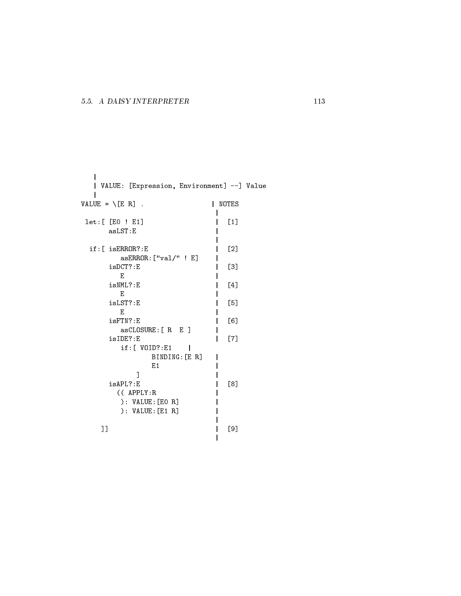| | VALUE: [Expression, Environment] --] Value |  $VALUE = \{ [E \ R] \}$ . | NOTES  $\mathbf{L}$ | let: [ [E0 ! E1] | [1]  $asLST:E$  $\mathbf{I}$ | if:[ isERROR?:E | [2]  $asERROR:$ ["val/" ! E]  $i sDCT? : E$  | [3] E A CARDINAL AND THE CARDINAL COMPANY OF THE CARDINAL COMPANY OF THE CARDINAL COMPANY OF THE CARDINAL COMPANY isNML?:E | [4]  $\mathbf{I}$  $\blacksquare$  . The internal contract of the contract of the contract of the contract of the contract of the contract of the contract of the contract of the contract of the contract of the contract of the contract of the contrac  $i$ sLST?:E  $| [5]$  $\blacksquare$  . The internal contract of the contract of the contract of the contract of the contract of the contract of the contract of the contract of the contract of the contract of the contract of the contract of the contrac isFTN?:E | [6] asCLOSURE:[ R E ] |  $\mathbf{I}$ isIDE?:E | [7] if:[ VOID?:E1 | BINDING: [E R] |  $E1$  $\mathbf{I}$  $\mathcal{L} = \mathcal{L}$  , and the set of the set of the set of the set of the set of the set of the set of the set of the set of the set of the set of the set of the set of the set of the set of the set of the set of the set of t ] | is a set of the set of the set of the set of the set of the set of the set of the set of the set of the set of  $($  (  $APPLY:R$ ): VALUE: [EO R] ): VALUE:[E1 R] |  $\mathbf{I}$ |  $\mathbb{I}$ ]] | [9]

|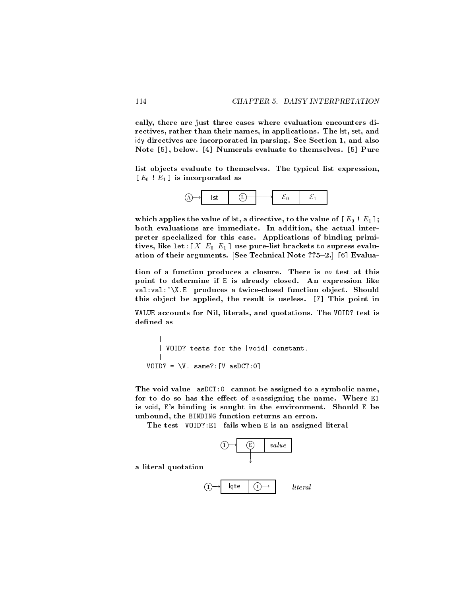cally, there are just three cases where evaluation encounters directives, rather than their names, in applications. The lst, set, and idy directives are incorporated in parsing. See Section 1, and also Note [5], below. [4] Numerals evaluate to themselves. [5] Pure

list objects evaluate to themselves. The typical list expression,  $[E_0 : E_1]$  is incorporated as



which applies the value of lst, a directive, to the value of  $[E_0 : E_1]$ ; both evaluations are immediate. In addition, the actual interpreter specialized for this case. Applications of binding primitives, like let:  $[X E_0 E_1]$  use pure-list brackets to supress evaluation of their arguments. [See Technical Note ??5-2.] [6] Evalua-

tion of a function produces a closure. There is no test at this point to determine if E is already closed. An expression like  $val:val:^{\X.E}$  produces a twice-closed function object. Should this object be applied, the result is useless. [7] This point in

VALUE accounts for Nil, literals, and quotations. The VOID? test is defined as

```
|
   | VOID? tests for the |void| constant.
   |
VOID? = \forall V. same? : [V as DCT:0]
```
The void value asDCT:0 cannot be assigned to a symbolic name, for to do so has the effect of unassigning the name. Where  $E1$ is void, E's binding is sought in the environment. Should E be unbound, the BINDING function returns an erron.

The test VOID?:E1 fails when E is an assigned literal



a literal quotation

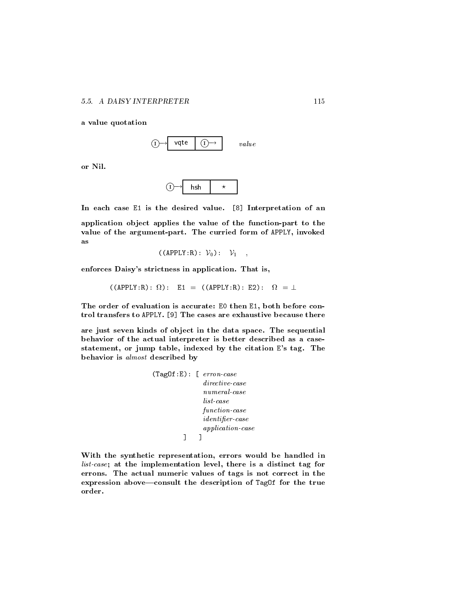a value quotation



or Nil.

as



In each case E1 is the desired value. [8] Interpretation of an application object applies the value of the function-part to the value of the argument-part. The curried form of APPLY, invoked

 $((APPLY:R): V_0): V_1 ,$ 

enforces Daisy's strictness in application. That is,

((APPLY:R): ): E1 = ((APPLY:R): E2): <sup>=</sup> ?

The order of evaluation is accurate: E0 then E1, both before control transfers to APPLY. [9] The cases are exhaustive because there

are just seven kinds of object in the data space. The sequential behavior of the actual interpreter is better described as a case statement, or jump table, indexed by the citation E's tag. The behavior is almost described by

```
(TagOf:E): [ erron-case
              directive-case
              list-case
              function-case
              identier-case
              application-case
         ] ]
```
With the synthetic representation, errors would be handled in list-case; at the implementation level, there is a distinct tag for errons. The actual numeric values of tags is not correct in the expression above—consult the description of TagOf for the true order.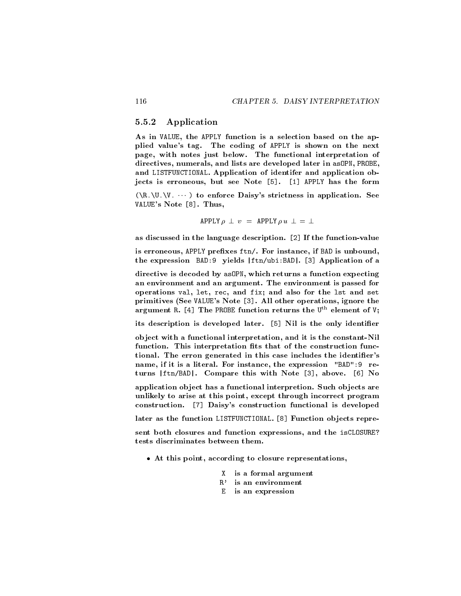#### 5.5.2 **Application**

As in VALUE, the APPLY function is a selection based on the applied value's tag. The coding of APPLY is shown on the next page, with notes just below. The functional interpretation of directives, numerals, and lists are developed later in asOPN, PROBE, and LISTFUNCTIONAL. Application of identifer and application objects is erroneous, but see Note [5]. [1] APPLY has the form

 $(\R.\U1,\V. \cdots)$  to enforce Daisy's strictness in application. See VALUE's Note [8]. Thus,

APPLY  $\rho \perp v =$  APPLY  $\rho u \perp = \perp$ 

as discussed in the language description. [2] If the function-value

is erroneous, APPLY prefixes ftn/. For instance, if BAD is unbound, the expression BAD:9 yields |ftn/ubi:BAD|. [3] Application of a

directive is decoded by asOPN, which returns a function expecting an environment and an argument. The environment is passed for operations val, let, rec, and fix; and also for the lst and set primitives (See VALUE's Note [3]. All other operations, ignore the argument R. [4] The PROBE function returns the  $U^{th}$  element of V;

its description is developed later. [5] Nil is the only identifier

ob ject with a functional interpretation, and it is the constant-Nil function. This interpretation fits that of the construction functional. The erron generated in this case includes the identifier's name, if it is a literal. For instance, the expression "BAD":9 re turns |ftn/BAD|. Compare this with Note [3], above. [6] No

application object has a functional interpretion. Such objects are unlikely to arise at this point, except through incorrect program construction. [7] Daisy's construction functional is developed

later as the function LISTFUNCTIONAL. [8] Function objects repre-

sent both closures and function expressions, and the isCLOSURE? tests discriminates between them.

- At this point, according to closure representations,
	- X is a formal argument
	- R' is an environment
	- E is an expression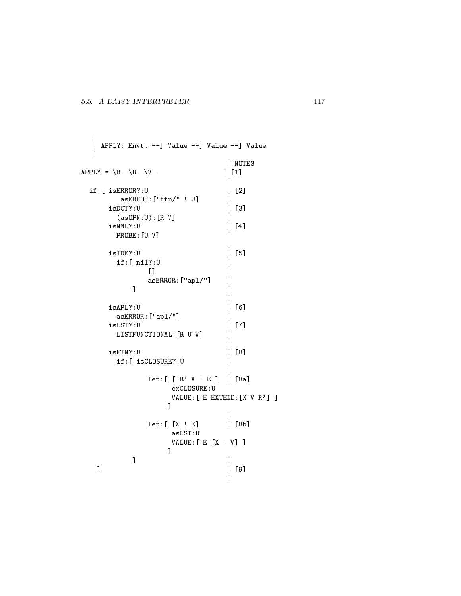```
|
   | APPLY: Envt. --] Value --] Value --] Value
   |
                                      | NOTES
APPLY = \R. \U. \V. \V.|
  if:[ isERROR?:U | [2]
          asERROR:["ftn/" ! U] |
                                      \mathbf{I}i sDCT?:U | [3]
         (asOPN:U): [R \ V]\perpis is not considered to the constant of the constant of the constant of the constant of the constant of the constant of the constant of the constant of the constant of the constant of the constant of the constant of the co
         PROBE: [U V]
                                      \mathbf{I}\mathbf{I}|
       isIDE?:U | [5]
         if:[ nil?:U |
                                      \mathbf{L}[] |
                 asERROR:["apl/"] |
                                      \mathbf{I}\mathbf{I}] |
                                      |
       isAPL?:U | [6]
         asERROR:["apl/"] |
       isLST?:U | [7]
         LISTFUNCTIONAL: [R U V]
                                      |
       isFTN?:U | [8]
         if:[ isCLOSURE?:U |
                                      \mathbf{I}\mathbf{I}|
                 let:[ [ R' X ! E ] | [8a]
                       exCLOSURE:U
                       VALUE:[ E EXTEND:[X V R'] ]
                      ]
                                      \mathbb{L}|
                 let:[ [X ! E] | [8b]
                       asLST:U
                       VALUE:[ E [X ! V] ]
                      ]
             ] |
   \begin{bmatrix} 1 & 1 & 1 \\ 0 & 1 & 1 \end{bmatrix}|
```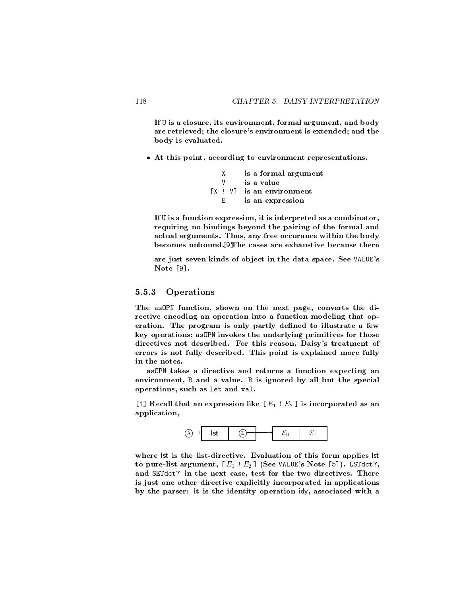If U is a closure, its environment, formal argument, and body are retrieved; the closure's environment is extended; and the body is evaluated.

At this point, according to environment representations,

|    | is a formal argument                  |  |
|----|---------------------------------------|--|
|    | is a value                            |  |
|    | $\lceil x \rceil$ v is an environment |  |
| F. | is an expression                      |  |

If U is a function expression, it is interpreted as a combinator, requiring no bindings beyond the pairing of the formal and actual arguments. Thus, any free occurance within the body becomes unbound.[9]The cases are exhaustive because there

are just seven kinds of object in the data space. See VALUE's Note [9].

## 5.5.3 Operations

The asOPN function, shown on the next page, converts the directive encoding an operation into a function modeling that operation. The program is only partly defined to illustrate a few key operations; asOPN invokes the underlying primitives for those directives not described. For this reason, Daisy's treatment of errors is not fully described. This point is explained more fully in the notes.

asOPN takes a directive and returns a function expecting an environment, R and a value. R is ignored by all but the special operations, such as let and val.<br>[1] Recall that an expression like  $[E_1 : E_2]$  is incorporated as an

application,



where lst is the list-directive. Evaluation of this form applies lst to pure-list argument,  $[E_1 : E_2]$  (See VALUE's Note [5]). LSTdct?, and SETdct? in the next case, test for the two directives. There is just one other directive explicitly incorporated in applications by the parser: it is the identity operation idy, associated with a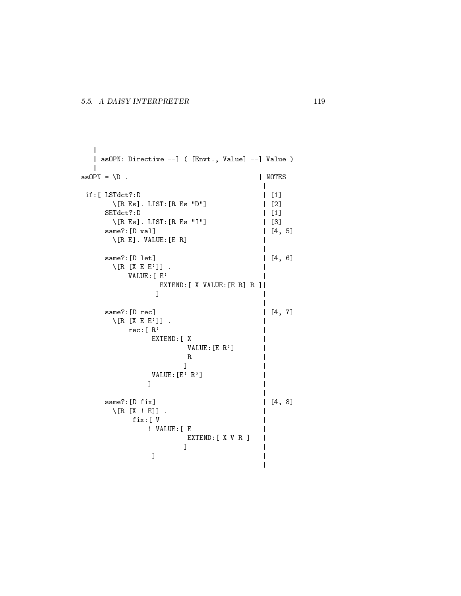```
|
   | asOPN: Directive --] ( [Envt., Value] --] Value )
   \blacksquareasOPN = \D. | NOTES
                                                          \|if: [ LSTdct?: D | [1]
        \setminus[R Es]. LIST:[R Es "D"] | [2]
       SETdct?:D | [1]
         \setminus[R Es]. LIST:[R Es "I"] | [3]
       same?: [D val] | [4, 5]
         \setminus[R E]. VALUE: [E R]
                                                          |
       same?: [D let] | [4, 6]
         \setminus[R [X E E']] .
              VALUE: E'EXTEND:[ X VALUE:[E R] R ]|
                        ] |
                                                          |
       same?: [D rec] | [4, 7]
         \setminus[R [X E E']] .
              rec: [ R<sup>'</sup> ]EXTEND: [X
                                 VALUE:[E R'] |
                                  r i britanni a strandardi a strandardi a strandardi a strandardi a strandardi a strandardi a strandardi a stra
                                 ] |
                      VALUE:[E' R'] |
                     \blacksquare ) and the contract of the contract of the contract of the contract of the contract of the contract of the contract of the contract of the contract of the contract of the contract of the contract of the contract of 
                                                          |
       same?: [D fix] | [4, 8]
         \setminus[R [X ! E]] .
               fix: [ V
                     ! VALUE:[ E |
                                EXTEND:[ X V R ] |
                                 ] |
                                                          \mathsf{l}\blacksquare ) and the contract of the contract of the contract of the contract of the contract of the contract of the contract of the contract of the contract of the contract of the contract of the contract of the contract of 
                                                          |
```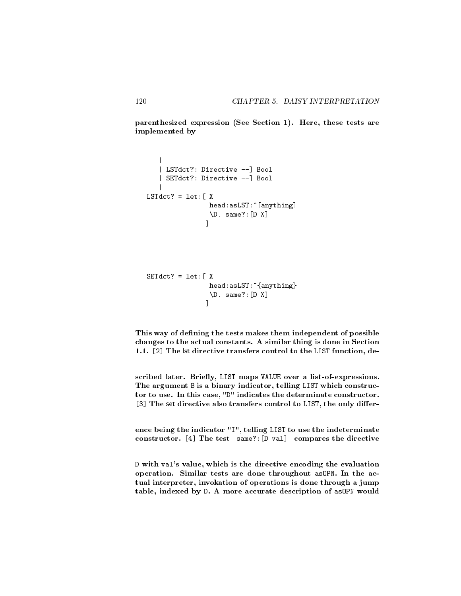parenthesized expression (See Section 1). Here, these tests are implemented by

```
|
  | LSTdct?: Directive --] Bool
  | SETdct?: Directive --] Bool
   |
LSTdct? = let: [X]head:asLST:^[anything]
              \D. same?:[D X]
             ]
```

```
SETdct? = let: [X]head:asLST:^{anything}
              \D. same?:[D X]
              ]
```
This way of defining the tests makes them independent of possible changes to the actual constants. A similar thing is done in Section 1.1. [2] The lst directive transfers control to the LIST function, de-

scribed later. Briefly, LIST maps VALUE over a list-of-expressions. The argument B is a binary indicator, telling LIST which constructor to use. In this case, "D" indicates the determinate constructor. [3] The set directive also transfers control to LIST, the only differ-

ence being the indicator "I", telling LIST to use the indeterminate constructor. [4] The test same?:[D val] compares the directive

D with val's value, which is the directive encoding the evaluation operation. Similar tests are done throughout asOPN. In the ac tual interpreter, invokation of operations is done through a jump table, indexed by D. A more accurate description of asOPN would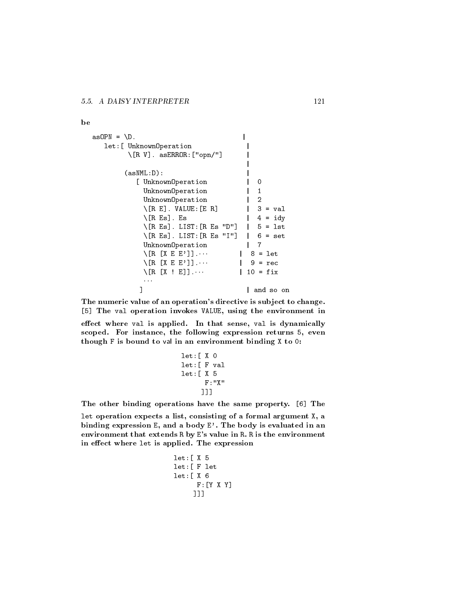### be

```
asOPN = \D.\mathbf{I}let:[ UnknownOperation |
                    \[\n\ [R V]. as ERROR: ["opn/"]
                                                                                       |
                  (sasNML:D):
                         [ UnknownOperation
                                                                                             \overline{0}\mathbf{I}UnknownOperation
                                                                                      \mathbf{I}\mathbf{1}UnknownOperation
                                                                                      \mathbf{I}\overline{2}\setminus[R E]. VALUE: [E R]
                                                                                      \mathbf{L}3 = val\[\mathsf{R}\ \mathsf{Es}\]. Es \|\ \mathsf{4} = \mathsf{id}\\mathbb{R}\setminus[R Es]. LIST:[R Es "D"]
                                                                                      \mathbf{1}5 = 1st\[R Es]. LIST:[R Es "I"] | 6 = set
                            UnknownOperation | 7
                             \left[\begin{array}{ccc} 0 & 0 & 0 \\ 0 & 0 & 0 \\ 0 & 0 & 0 \\ 0 & 0 & 0 \\ 0 & 0 & 0 \\ 0 & 0 & 0 \\ 0 & 0 & 0 \\ 0 & 0 & 0 \\ 0 & 0 & 0 \\ 0 & 0 & 0 \\ 0 & 0 & 0 \\ 0 & 0 & 0 \\ 0 & 0 & 0 \\ 0 & 0 & 0 \\ 0 & 0 & 0 \\ 0 & 0 & 0 \\ 0 & 0 & 0 & 0 \\ 0 & 0 & 0 & 0 \\ 0 & 0 & 0 & 0 \\ 0 & 0 & 0 & 0 \\ 0 & 0 & 0 & 0 \\ 0 & 0 & \left[\begin{array}{ccc} R & [X \ E & E'] \end{array}\right]. \left| \begin{array}{ccc} 9 = & \text{rec} \end{array}\right|\[\n\begin{bmatrix}\nR & [X : E]\n\end{bmatrix}\]. \[\n\begin{bmatrix}\n10 = fix\n\end{bmatrix}\]\sim 10] | and so on
```
The numeric value of an operation's directive is subject to change. [5] The val operation invokes VALUE, using the environment in

effect where val is applied. In that sense, val is dynamically scoped. For instance, the following expression returns 5, even though F is bound to val in an environment binding X to 0:

```
let:[ X 0
let:[ F val
let:[ X 5
      F: "X"]]]
```
The other binding operations have the same property. [6] The

let operation expects a list, consisting of a formal argument X, a binding expression E, and a body E'. The body is evaluated in an environment that extends R by E's value in R. R is the environment in effect where let is applied. The expression

```
let:[ X 5
let:[ F let
let:[ X 6
     F:[Y X Y]
     ]]]
```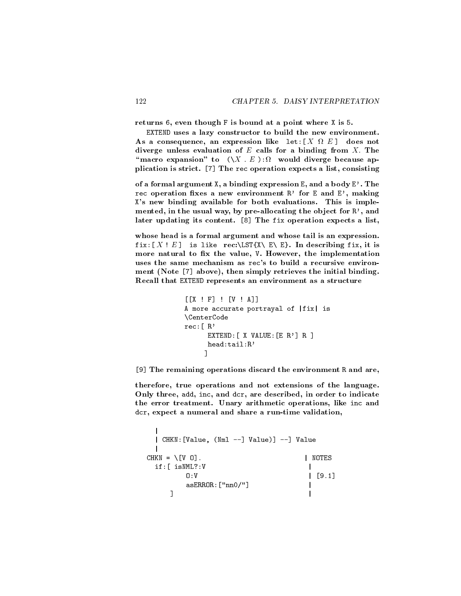returns 6, even though F is bound at a point where X is 5.

EXTEND uses a lazy constructor to build the new environment. As a consequence, an expression like let:[ X E ] does not diverge unless evaluation of  $E$  calls for a binding from  $X$ . The  $\mathcal P$  expansion to ( $\mathcal P$  . E ):  $\mathcal P$  , the diverge because approximation approximation approximation approximation  $\mathcal P$ plication is strict. [7] The rec operation expects a list, consisting

of a formal argument X, a binding expression E, and a body E'. The rec operation fixes a new environment  $R'$  for E and E', making X's new binding available for both evaluations. This is imple mented, in the usual way, by pre-allocating the object for R', and later updating its content. [8] The fix operation expects a list,

whose head is a formal argument and whose tail is an expression. fix: $[X : E]$  is like rec:\LST{X\ E\ E}. In describing fix, it is more natural to fix the value, V. However, the implementation uses the same mechanism as rec's to build a recursive environ ment (Note [7] above), then simply retrieves the initial binding. Recall that EXTEND represents an environment as a structure

```
[ [X : F] : [V : A]]A more accurate portrayal of |fix| is
\CenterCode
rec:[ R'
      EXTEND: [ X VALUE: [E R'] R ]
      head:tail:R'
     \overline{1}]
```
[9] The remaining operations discard the environment R and are,

therefore, true operations and not extensions of the language. Only three, add, inc, and dcr, are described, in order to indicate the error treatment. Unary arithmetic operations, like inc and dcr, expect a numeral and share a run-time validation,

```
|
 | CHKN:[Value, (Nml --] Value)] --] Value
 \mathsf{I}|
CHKN = \{V 0\}.
                               | NOTES
 if:[ isNML?:V
                               \mathbf{I}0:VO:V | [9.1]
       asERROR:["nn0/"] |
                               \overline{1}] |
```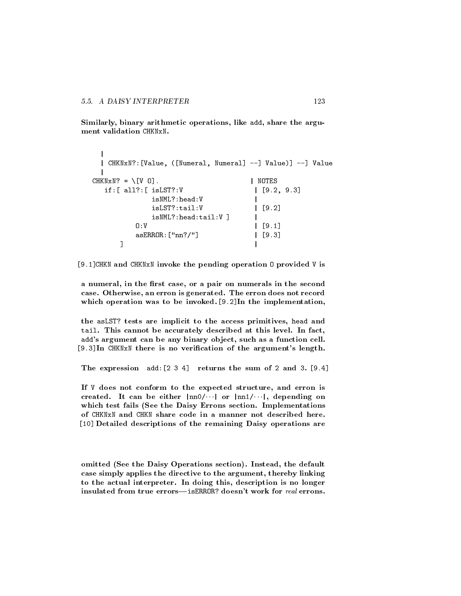Similarly, binary arithmetic operations, like add, share the argu ment validation CHKNxN.

```
\overline{\phantom{a}}|
 | CHKNxN?:[Value, ([Numeral, Numeral] --] Value)] --] Value
 |
CHKNxN? = \[V\ 0]\].
                                | NOTES
  if:[ all?:[ isLST?:V | [9.2, 9.3]
            isNML?:head:V |
            isLST?:tail:V | [9.2]
            isNML?:head:tail:V ] |
         0:V | [9.1]
         asERROR: ["nn?/"] | [9.3]
                                 \overline{\phantom{a}}] |
```
[9.1]CHKN and CHKNxN invoke the pending operation O provided V is

a numeral, in the first case, or a pair on numerals in the second case. Otherwise, an erron is generated. The erron does not record which operation was to be invoked. [9.2]In the implementation,

the asLST? tests are implicit to the access primitives, head and tail. This cannot be accurately described at this level. In fact, add's argument can be any binary object, such as a function cell. [9.3]In CHKNxN there is no verication of the argument's length.

The expression add:[2 3 4] returns the sum of 2 and 3. [9.4]

If V does not conform to the expected structure, and erron is created. It can be either  $|nn0/||$  or  $|nn1/||$ , depending on which test fails (See the Daisy Errons section. Implementations of CHKNxN and CHKN share code in a manner not described here. [10] Detailed descriptions of the remaining Daisy operations are

omitted (See the Daisy Operations section). Instead, the default case simply applies the directive to the argument, thereby linking to the actual interpreter. In doing this, description is no longer insulated from true errors-isERROR? doesn't work for real errons.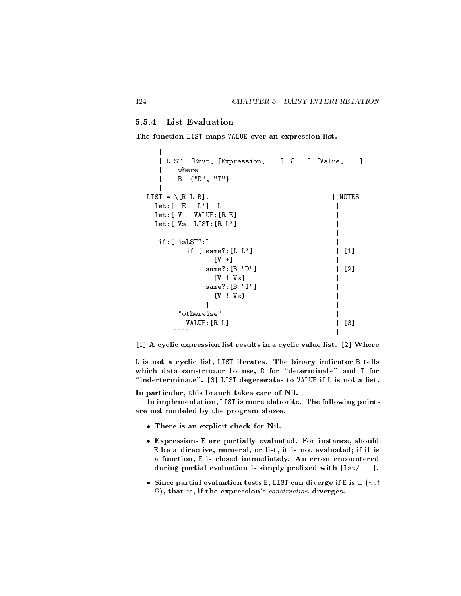#### **List Evaluation**  $5.5.4$

The function LIST maps VALUE over an expression list.

```
|
    | LIST: [Envt, [Expression, ...] B] --] [Value, ...]
    | where
          | B: {"D", "I"}
    \mathbf{I}|
LIST = \{R L B\}.
                                                             | NOTES
  \texttt{let:} \left[ \begin{array}{ccc} [E \quad ! \quad L' ] & L & \end{array} \right]let:[ V VALUE:[R E] |
  let:[ Vs LIST:[R L'] |
                                                              |
    if:[ isLST?:Lif:[ same?:[L L'] | [1]
                      [V *]same?: [B "D"] | [2]
                                                              \mathbf{I}[V : Vz]same?:[B "I"] |
                      {\bf v} , we define the contract of the contract of the contract of the contract of the contract of the contract of the contract of the contract of the contract of the contract of the contract of the contract of the contra
                   \overline{1}] |
          "otherwise"
             VALUE: [R L] | [3]
```
[1] A cyclic expression list results in a cyclic value list. [2] Where

]]]] |

L is not a cyclic list, LIST iterates. The binary indicator B tells which data constructor to use, D for "determinate" and I for "inderterminate". [3] LIST degenerates to VALUE if L is not a list.

In particular, this branch takes care of Nil.

In implementation, LIST is more elaborite. The following points are not modeled by the program above.

- There is an explicit check for Nil.
- Expressions <sup>E</sup> are partially evaluated. For instance, should E be a directive, numeral, or list, it is not evaluated; if it is a function, E is closed immediately. An erron encountered during partial evaluation is simply prefixed with  $|$  lst/ $\cdots$   $|.$
- Since partial evaluation tests E, LIST can diverge if E is  $\perp$  (not  $\Omega$ ), that is, if the expression's *construction* diverges.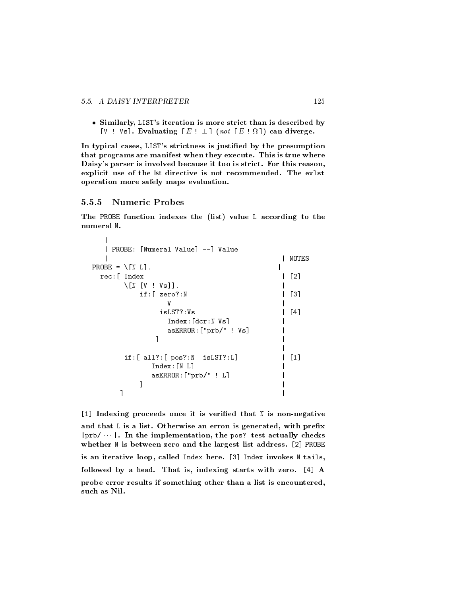Similarly, LIST's iteration is more strict than is described by  $\blacksquare$  . Evaluating [ E ] (not evaluately can diverge. Evaluating  $\blacksquare$ 

In typical cases, LIST's strictness is justied by the presumption that programs are manifest when they execute. This is true where Daisy's parser is involved because it too is strict. For this reason, explicit use of the lst directive is not recommended. The evlst operation more safely maps evaluation.

## 5.5.5 Numeric Probes

The PROBE function indexes the (list) value L according to the numeral N.

| PROBE: [Numeral Value] --] Value |                   |
|----------------------------------|-------------------|
|                                  | NOTES             |
| PROBE = $\[\Gamma \cup L\]$ .    |                   |
| rec: [ Index                     | $\lceil 2 \rceil$ |
| $\setminus$ [N [V ! Vs]].        |                   |
| if: [ zero?:N                    | Г31               |
| v                                |                   |
| isLST?:Vs                        | [4]               |
| Index: [dcr:N Vs]                |                   |
| asERROR: ["prb/" ! Vs]           |                   |
|                                  |                   |
|                                  |                   |
| if:[all?:[pos?:N.isLST?:L]       | [1]               |
| Index: [N L]                     |                   |
| asERROR: ['prob' " L]            |                   |
|                                  |                   |
|                                  |                   |

[1] Indexing proceeds once it is verified that N is non-negative and that L is a list. Otherwise an erron is generated, with prefix  $|{\rm ptb}/|$ . In the implementation, the pos? test actually checks whether N is between zero and the largest list address. [2] PROBE is an iterative loop, called Index here. [3] Index invokes N tails, followed by a head. That is, indexing starts with zero. [4] A probe error results if something other than a list is encountered, such as Nil.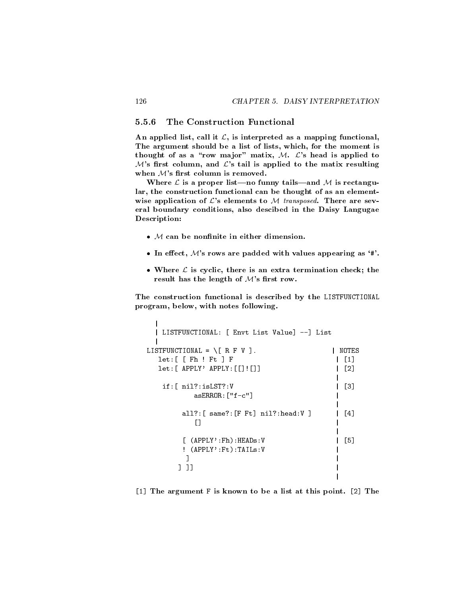#### 5.5.6 The Construction Functional

An applied list, call it  $\mathcal{L}$ , is interpreted as a mapping functional, The argument should be a list of lists, which, for the moment is thought of as a "row major" matix,  $M$ .  $\mathcal{L}'$ 's head is applied to  $M$ 's first column, and  $\mathcal{L}$ 's tail is applied to the matix resulting when  $M$ 's first column is removed.

Where  $\mathcal L$  is a proper list—no funny tails—and M is rectangular, the construction functional can be thought of as an elementwise application of  $\mathcal{L}'s$  elements to  $\mathcal M$  transposed. There are several boundary conditions, also descibed in the Daisy Langugae Description:

- $\bullet$  M can be nonfinite in either dimension.
- In effect,  $M$ 's rows are padded with values appearing as '#'.
- Where  $\mathcal L$  is cyclic, there is an extra termination check; the result has the length of  $M$ 's first row.

The construction functional is described by the LISTFUNCTIONAL program, below, with notes following.

```
|
  | LISTFUNCTIONAL: [ Envt List Value] --] List
  \mathbf{I}|
LISTFUNCTIONAL = \lfloor R F V \rfloor.
                                                  | NOTES
   let: [ [Fh : Ft] F | [1]
   let:[ APPLY' APPLY: [[]![]] | | [2]
                                                    \overline{\phantom{a}}|
    if:[ nil?:isLST?:V | [3]
             asERROR:['f-c"]|
         all?: [ same?: [F Ft] nil?: head: V ] | [4]
             [] |
                                                   \mathbf{I}|
          [ (APPLY':Fh):HEADs:V | [5]
          ! (APPLY':Ft):TAILs:V |
           \blacksquare ) and the contract of the contract of the contract of the contract of the contract of the contract of the contract of the contract of the contract of the contract of the contract of the contract of the contract of 
         ] ]] |
```
[1] The argument F is known to be a list at this point. [2] The

|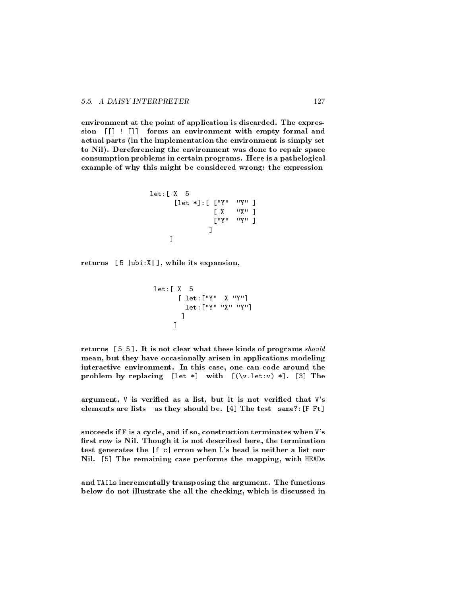environment at the point of application is discarded. The expression [[] ! []] forms an environment with empty formal and actual parts (in the implementation the environment is simply set to Nil). Dereferencing the environment was done to repair space consumption problems in certain programs. Here is a pathelogical example of why this might be considered wrong: the expression

```
let:[ X 5
      [let *]:[ ["Y" "Y" ]
               [ X "X" ]
               ["Y" "Y" ]
              \blacksquare]
```
returns  $[5 \text{ labi}:X|]$ , while its expansion,

```
let:[ X 5
      [ let:["Y" X "Y"]
        let:["Y" "X" "Y"]
       \blacksquare]
```
returns [ 5 5 ]. It is not clear what these kinds of programs should mean, but they have occasionally arisen in applications modeling interactive environment. In this case, one can code around the problem by replacing [let \*] with  $[(\forall x.let:y) *]$ . [3] The

argument,  $V$  is verified as a list, but it is not verified that  $V$ 's elements are lists—as they should be. [4] The test same?: [F Ft]

succeeds if F is a cycle, and if so, construction terminates when V's first row is Nil. Though it is not described here, the termination test generates the |f-c| erron when L's head is neither a list nor Nil. [5] The remaining case performs the mapping, with HEADs

and TAILs incrementally transposing the argument. The functions below do not illustrate the all the checking, which is discussed in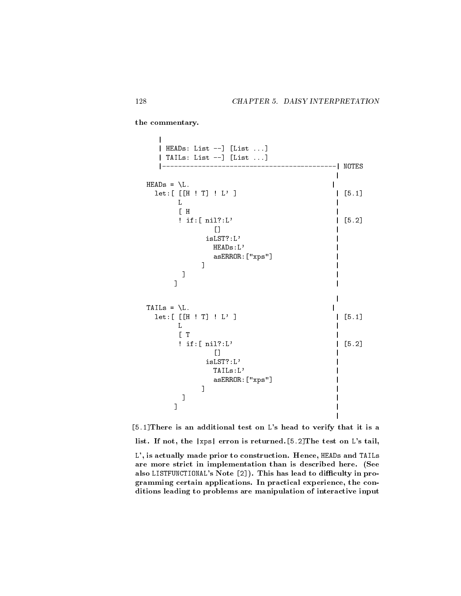the commentary.

 $\mathbf{I}$ | | HEADs: List --] [List ...] | TAILs: List --] [List ...]  $\mathbf{I}$ |--------------------------------------------| NOTES ------------------ $\overline{\phantom{a}}$ |  $HEADs = \L.$  $\mathbf{I}$  $let: [[[H : T] : L'] ]$   $[5.1]$  $\mathcal{L} = \{L_1, L_2, \ldots, L_n\}$  , we can assume that  $L_1$  is the contract of  $L_2$  . In the contract of  $L_1$  $\overline{\phantom{a}}$  $\blacksquare$  . The interval of the interval of the interval of the interval of the interval of the interval of the interval of the interval of the interval of the interval of the interval of the interval of the interval of the ! if:[ nil?:L' | [5.2]  $\mathbf{I}$ [] |  $i$ sLST?:L'  $\qquad \qquad \qquad$  $HEADs:L'$ asERROR:["xps"] |  $\blacksquare$  ) and the contract of the contract of the contract of the contract of the contract of the contract of the contract of the contract of the contract of the contract of the contract of the contract of the contract of  $\blacksquare$  ) and the contract of the contract of the contract of the contract of the contract of the contract of the contract of the contract of the contract of the contract of the contract of the contract of the contract of  $\blacksquare$  . The contract of the contract of the contract of the contract of the contract of the contract of the contract of the contract of the contract of the contract of the contract of the contract of the contract of the | TAILs = \L. |  $let: [[[H : T] : L'] ]$   $[5.1]$  $\mathcal{L} = \{L_1, L_2, \ldots, L_n\}$  , we can assume that  $L_1$  is the contract of  $L_2$  . In the contract of  $L_1$  $\blacksquare$  . The set of the set of the set of the set of the set of the set of the set of the set of the set of the set of the set of the set of the set of the set of the set of the set of the set of the set of the set of the ! if:[ nil?:L' | [5.2]  $\mathbf{I}$ [] |  $i$ sLST?:L'  $\qquad \qquad$  $TAILs:L'$ asERROR:["xps"] |  $\blacksquare$  ) and the contract of the contract of the contract of the contract of the contract of the contract of the contract of the contract of the contract of the contract of the contract of the contract of the contract of  $\blacksquare$  ) and the contract of the contract of the contract of the contract of the contract of the contract of the contract of the contract of the contract of the contract of the contract of the contract of the contract of ] |

[5.1]There is an additional test on L's head to verify that it is a list. If not, the |xps| erron is returned.[5.2]The test on L's tail, L', is actually made prior to construction. Hence, HEADs and TAILs are more strict in implementation than is described here. (See

|

also LISTFUNCTIONAL's Note [2]). This has lead to difficulty in programming certain applications. In practical experience, the con ditions leading to problems are manipulation of interactive input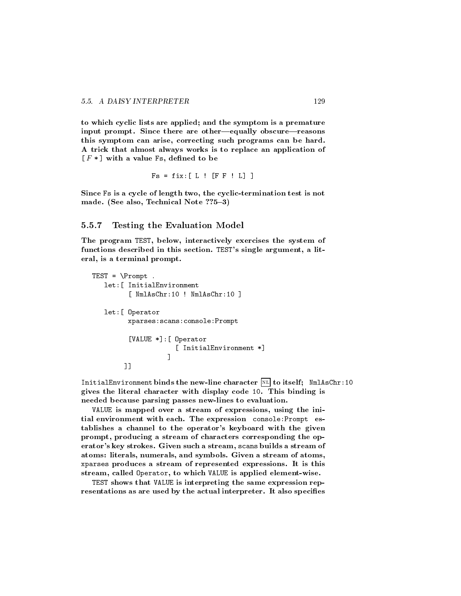to which cyclic lists are applied; and the symptom is a premature input prompt. Since there are other-equally obscure-reasons this symptom can arise, correcting such programs can be hard. A trick that almost always works is to replace an application of  $[F*]$  with a value Fs, defined to be

$$
Fs = fix: [L : [FF : L]]]
$$

Since Fs is a cycle of length two, the cyclic-termination test is not made. (See also, Technical Note ??5-3)

## 5.5.7 Testing the Evaluation Model

The program TEST, below, interactively exercises the system of functions described in this section. TEST's single argument, a literal, is a terminal prompt.

```
TEST = \Preompt.
    let:[ InitialEnvironment
             [ NmlAsChr:10 ! NmlAsChr:10 ]
    let: [ Operator
    let: Constantinople and Constantinople and Constantinople and Constantinople and Constantinople and Constantinople
             xparses:scans:console:Prompt
             [VALUE *]:[ Operator
                              [ InitialEnvironment *]
                           ]
            ]]
```
InitialEnvironment binds the new-line character  $\overline{N}L$  to itself; NmlAsChr:10 gives the literal character with display code 10. This binding is needed because parsing passes new-lines to evaluation.

VALUE is mapped over a stream of expressions, using the initial environment with each. The expression console:Prompt es tablishes a channel to the operator's keyboard with the given prompt, producing a stream of characters corresponding the operator's key strokes. Given such a stream, scans builds a stream of atoms: literals, numerals, and symbols. Given a stream of atoms, xparses produces a stream of represented expressions. It is this stream, called Operator, to which VALUE is applied element-wise.

TEST shows that VALUE is interpreting the same expression rep resentations as are used by the actual interpreter. It also specifies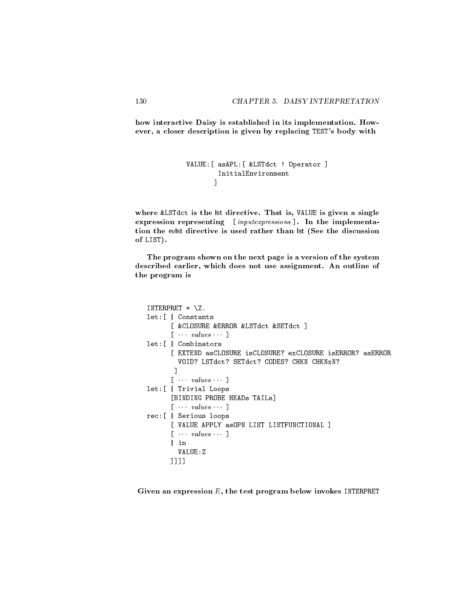how interactive Daisy is established in its implementation. How ever, a closer description is given by replacing TEST's body with

```
VALUE:[ asAPL:[ &LSTdct ! Operator ]
         InitialEnvironment
        \overline{1}
```
]

where &LSTdct is the lst directive. That is, VALUE is given a single expression representing [ inputexpressions ]. In the implementation the evlst directive is used rather than lst (See the discussion of LIST).

The program shown on the next page is a version of the system described earlier, which does not use assignment. An outline of the program is

```
Interpretational property of the contract of the contract of the contract of the contract of the contract of the contract of the contract of the contract of the contract of the contract of the contract of the contract of t
let:[ | Constants
          [ &CLOSURE &ERROR &LSTdct &SETdct ]
          [\cdots \textit{values} \cdots]let:[ | Combinators
          [ EXTEND asCLOSURE isCLOSURE? exCLOSURE isERROR? asERROR
             VOID? LSTdct? SETdct? CODES? CHKN CHKNxN?
            \blacksquare[\cdots \textit{values} \cdots]let:[ | Trivial Loops
          [BINDING PROBE HEADs TAILs]
          [\cdots \textit{values} \cdots]rec:[ | Serious loops
          [ VALUE APPLY asOPN LIST LISTFUNCTIONAL ]
          [\cdots \textit{values} \cdots]| in
             VALUE:Z
          ]]]]
```
Given an expression  $E$ , the test program below invokes INTERPRET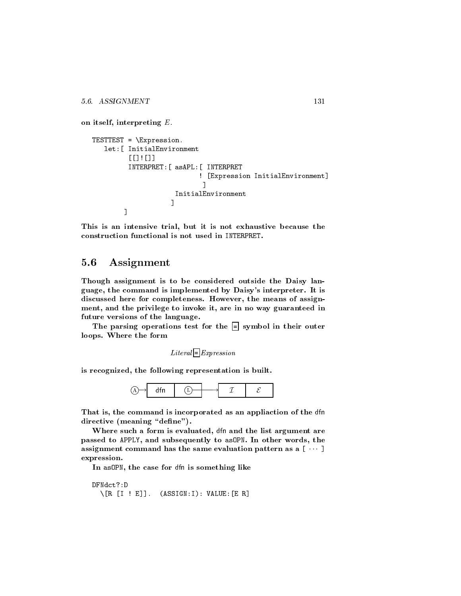5.6. ASSIGNMENT

on itself, interpreting  $E$ .

```
TESTTEST = \text{Expression}.
   let:[ InitialEnvironment
         [[]![]]
         INTERPRET:[ asAPL:[ INTERPRET
                           ! [Expression InitialEnvironment]
                            \blacksquareInitialEnvironment
                    ]
        \blacksquare
```
This is an intensive trial, but it is not exhaustive because the construction functional is not used in INTERPRET.

#### **Assignment** 5.6

Though assignment is to be considered outside the Daisy language, the command is implemented by Daisy's interpreter. It is discussed here for completeness. However, the means of assign ment, and the privilege to invoke it, are in no way guaranteed in future versions of the language.

The parsing operations test for the = symbol in their outer loops. Where the form

```
Literal = Expression
```
is recognized, the following representation is built.



That is, the command is incorporated as an appliaction of the dfn directive (meaning "define").

Where such a form is evaluated, dfn and the list argument are passed to APPLY, and subsequently to asOPN. In other words, the assignment command has the same evaluation pattern as a  $[\cdots]$ expression.

In asOPN, the case for dfn is something like

```
DFNdct?:D
  \[\n\bigcap R [I ! E]]. (ASSIGN:I): VALUE: [E R]
```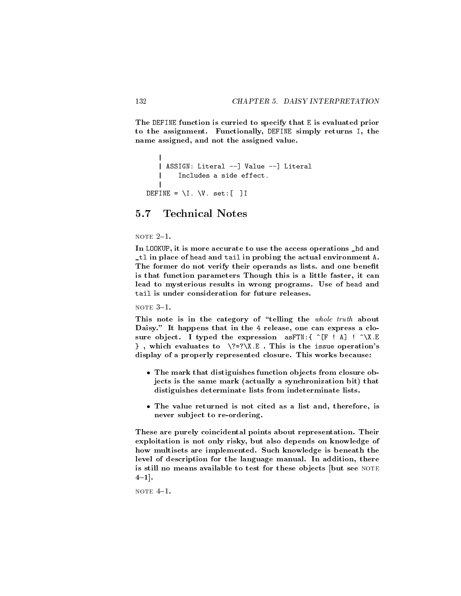The DEFINE function is curried to specify that E is evaluated prior to the assignment. Functionally, DEFINE simply returns I, the name assigned, and not the assigned value.

```
|
   | ASSIGN: Literal --] Value --] Literal
   \mathbf{I}| Includes a side effect.
   |
DEFINE = \iotaI. \iotaV. set: [ ]I
```
#### $5.7$ **Technical Notes**

## NOTE  $2-1$ .

In LOOKUP, it is more accurate to use the access operations \_hd and \_tl in place of head and tail in probing the actual environment A. The former do not verify their operands as lists. and one benefit is that function parameters Though this is a little faster, it can lead to mysterious results in wrong programs. Use of head and tail is under consideration for future releases.

#### $NOTE 3-1.$

This note is in the category of "telling the whole truth about Daisy." It happens that in the 4 release, one can express a clo sure object. I typed the expression asFTN:  $\{ \hat{F} \mid A\}$  !  $\hat{X}$ .E  $}$ , which evaluates to  $\?=?\X.E$ . This is the issue operation's display of a properly represented closure. This works because:

- The mark that distiguishes function objects from closure objects is the same mark (actually a synchronization bit) that distiguishes determinate lists from indeterminate lists.
- The value returned is not cited as <sup>a</sup> list and, therefore, is never subject to re-ordering.

These are purely coincidental points about representation. Their exploitation is not only risky, but also depends on knowledge of how multisets are implemented. Such knowledge is beneath the level of description for the language manual. In addition, there is still no means available to test for these objects [but see NOTE  $4-1$ .

 $NOTE$  4-1.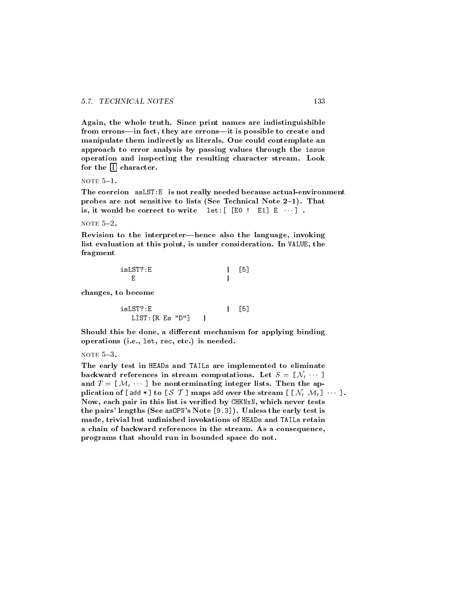Again, the whole truth. Since print names are indistinguishible from errons-in fact, they are errons-it is possible to create and manipulate them indirectly as literals. One could contemplate an approach to error analysis by passing values through the issue operation and inspecting the resulting character stream. Look for the  $\Box$  character.

#### NOTE  $5-1$ .

The coercion asLST:E is not really needed because actual-environment probes are not sensitive to lists (See Technical Note  $2-1$ ). That is, it would be correct to write let:  $[EO : E1] E \cdots ]$ .

```
NOTE 5-2.
```
Revision to the interpreter-hence also the language, invoking list evaluation at this point, is under consideration. In VALUE, the fragment

| $i$ s $LST$ ?: $F$ | . – 7<br>∽ |
|--------------------|------------|
|                    |            |

changes, to become

| isLST?:E         | $5^7$ |
|------------------|-------|
| LIST: [R Es "D"] |       |

Should this be done, a different mechanism for applying binding operations (i.e., let, rec, etc.) is needed.

NOTE  $5-3$ .

The early test in HEADs and TAILs are implemented to eliminate backward references in stream computations. Let  $S = [N_1 \cdots ]$ and  $T = [\mathcal{M}, \dots]$  be nonterminating integer lists. Then the application of [ add \* ] to  $\lbrack S \ T \rbrack$  maps add over the stream  $\lbrack \lbrack N, M, \rbrack \cdots$  ]. Now, each pair in this list is veried by CHKNxN, which never tests the pairs' lengths (See asOPN's Note [9.3]). Unless the early test is made, trivial but unfinished invokations of HEADs and TAILs retain a chain of backward references in the stream. As a consequence, programs that should run in bounded space do not.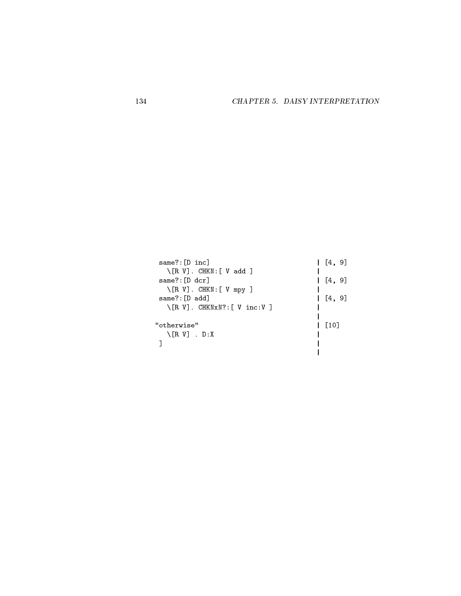| same?: [D inc]                        | [4, 9]              |
|---------------------------------------|---------------------|
| $\setminus$ [R V]. CHKN: [ V add ]    |                     |
| $same$ : [D dcr]                      | $\left[4, 9\right]$ |
| $\setminus$ [R V]. CHKN: [ V mpy ]    |                     |
| same?: [D add]                        | $\left[4, 9\right]$ |
| \[R V]. CHKNxN?: [ V inc: V ]         |                     |
| "otherwise"                           | $\lceil 10 \rceil$  |
| $\Gamma$ $\Gamma$ $V$ $\Gamma$ $D: X$ |                     |
|                                       |                     |
|                                       |                     |
|                                       |                     |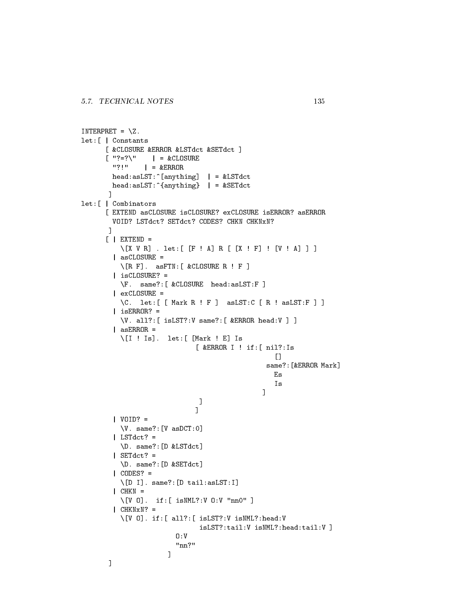```
INTERPRET = \angle Z.
let:[ | Constants
        [ &CLOSURE &ERROR &LSTdct &SETdct ]
        [' "?=?\" | = &CLOSURE
           11211| = & ERROR
           head:asLST:^[anything] | = &LSTdct
           head:asLST:^{\frown}\{anything:amp;\qquad| = kSETdct]
let:[ | Combinators
        [ EXTEND asCLOSURE isCLOSURE? exCLOSURE isERROR? asERROR
          VOID? LSTdct? SETdct? CODES? CHKN CHKNxN?
          \blacksquare[ | EXTEND =
              \setminus [X \ V \ R] . let: [ [F ! A] R [ [X ! F] ! [V ! A] ] ]
           | asCLOSURE =
              \[\Gamma\ F]. asFTN: [ &CLOSURE R ! F ]
           | isCLOSURE? =
              \F. same?:[ &CLOSURE head:asLST:F ]
           | exCLOSURE =
              \C. let:[ [ Mark R ! F ] asLST:C [ R ! asLST:F ] ]
           | isERROR? =
              \V. all?:[ isLST?:V same?:[ &ERROR head:V ] ]
           | asERROR =
              \[I ! Is]. let:[ [Mark ! E] Is
                                         [ &ERROR I ! if:[ nil?:Is
                                                                      \Boxsame?:[&ERROR Mark]
                                                                 \overline{1}]
                                           ]
                                         \mathbf{1}\blacksquare| VOID? =
              \V. same?:[V asDCT:0]
           | LSTdct? =
           \blacksquare \blacksquare \blacksquare \blacksquare \blacksquare \blacksquare \blacksquare \blacksquare \blacksquare \blacksquare \blacksquare \blacksquare \blacksquare \blacksquare \blacksquare \blacksquare \blacksquare \blacksquare \blacksquare \blacksquare \blacksquare \blacksquare \blacksquare \blacksquare \blacksquare \blacksquare \blacksquare \blacksquare \blacksquare \blacksquare \blacksquare \blacks\D. same?:[D &LSTdct]
           | SETdct? =
              \D. same?:[D &SETdct]
           \blacksquare\[D I]. same?:[D tail:asLST:I]
           | CHKN =
              \[V O]. if:[ isNML?:V O:V "nn0" ]
           | CHKNxN? =
              \[V O]. if:[ all?:[ isLST?:V isNML?:head:V
                                          isLST?:tail:V isNML?:head:tail:V ]
                                  0:V"nn?"
                                ]
         ]
```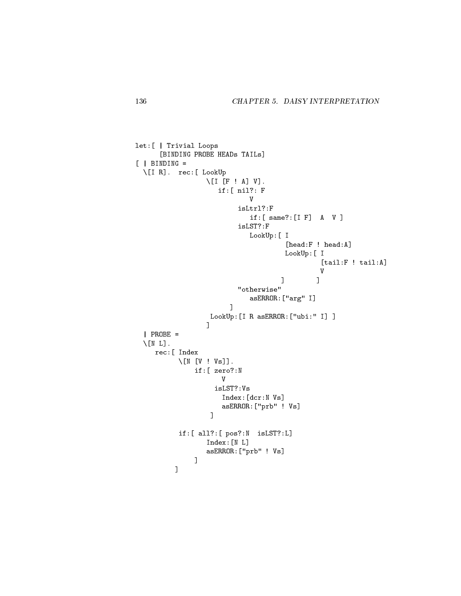```
let:[ | Trivial Loops
      [BINDING PROBE HEADs TAILs]
[ | BINDING =
 \[I R]. rec:[ LookUp
                   \setminus [I [F ! A] V].
                      if:[ nil?: F
                           isLtrl?:F
                              if:[ same?:[I F] A V ]
                           isLST?:F
                              LookUp:[ I
                                        [head:F ! head:A]
                                        LookUp:[ I
                                                  [tail:F ! tail:A]
                                                 V\blacksquare"otherwise"
                              asERROR:["arg" I]
                         ]
                   LookUp:[I R asERROR:["ubi:" I] ]
                   ]
  | PROBE =
  \setminus[N L].
     rec:[ Index
           \setminus[N [V ! Vs]].
                if:[ zero?:N
                       \mathbf{V}isLST?:Vs
                       Index:[dcr:N Vs]
                       asERROR:["prb" ! Vs]
                    \blacksquareif:[ all?:[ pos?:N isLST?:L]
                   Index:[N L]
                   asERROR:["prb" ! Vs]
               ]
          ]
```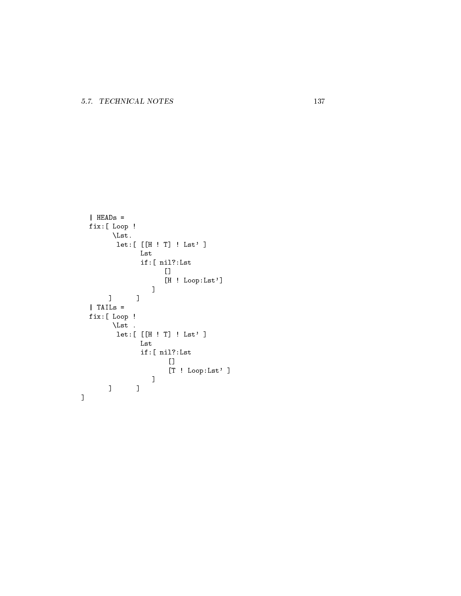```
| HEADs =
    fix:[ Loop !
                \Lst.
                 let:[ [[H ! T] ! Lst' ]
                              if: If \alpha is a contract of the contract of the contract of the contract of the contract of the contract of the contract of the contract of the contract of the contract of the contract of the contract of the contract of t
                                        []
                                         [H ! Loop:Lst']
                                  ]
             ] ]
    | TAILs =
    fix:[ Loop !
               \Lst .
                 let:[ [[H ! T] ! Lst' ]
                            Lst
                             if:[ nil?:Lst
                                           --<br>[T ! Loop:Lst' ]
                                  ]
             ] ]
]
```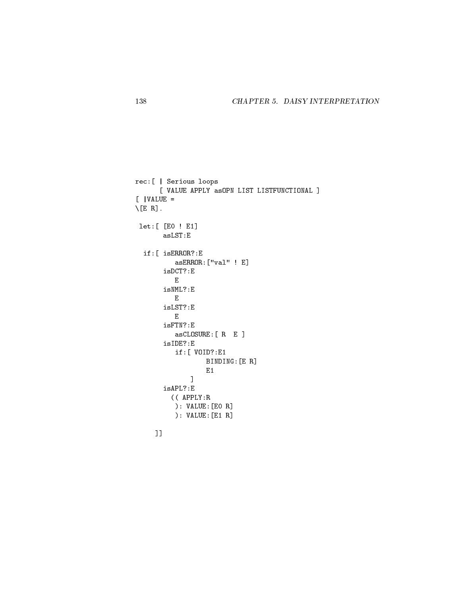```
rec:[ | Serious loops
      [ VALUE APPLY asOPN LIST LISTFUNCTIONAL ]
[ | VALUE =
\{E \ R\}.
 let:[ [E0 ! E1]
       asLST:E
  if:[ isERROR?:E
        asERROR:["val" ! E]
       isDCT?:E
         E
       isNML?:E
         \, E \,isLST?:E
       isFTN?:E
         asCLOSURE:[ R E ]
       isIDE?:E
         if:[ VOID?:E1
                 BINDING:[E R]
                 E1\blacksquareisAPL?:E
         (( APPLY:R
         ): VALUE:[E0 R]
         ): VALUE:[E1 R]
     ]]
```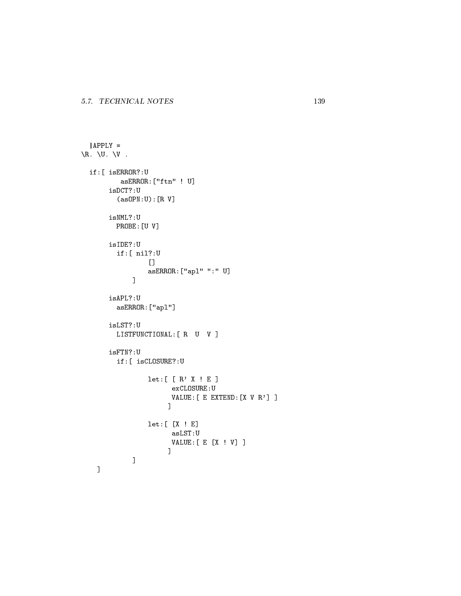```
| APPLY =
\backslash R. \backslash U. \backslash V.
  if:[ isERROR?:U
          asERROR:["ftn" ! U]
       isDCT?:U
         (asOPN:U):[R V]
       isNML?:U
         PROBE:[U V]
       isIDE?:U
         if:[ nil?:U
                   \BoxasERROR:["apl" ":" U]
              ]
       isAPL?:U
         asERROR:["apl"]
       isLST?:U
         LISTFUNCTIONAL: [ R U V ]
       isFTN?:U
         if:[ isCLOSURE?:U
                  let:[ [ R' X ! E ]
                         exCLOSURE:U
                         VALUE:[ E EXTEND:[X V R'] ]
                        ]
                  let:[ [X ! E]
                         asLST:U
                         VALUE:[ E [X ! V] ]
                        ]
              \blacksquare]
```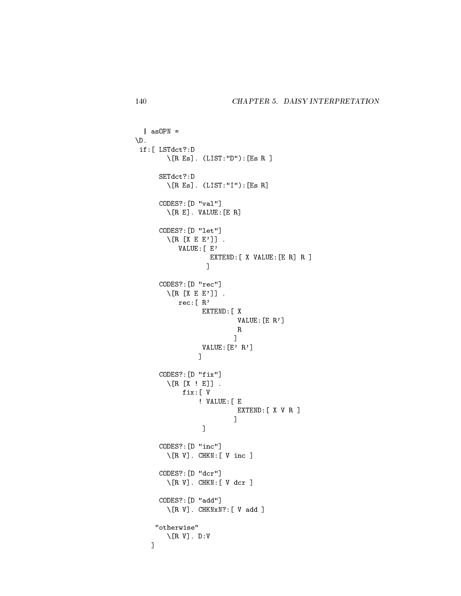```
| as OPN =
\D.
 if:[ LSTdct?:D
        \[R Es]. (LIST:"D"):[Es R ]
      SETdct?:D
        \[R Es]. (LIST:"I"):[Es R]
      CODES?:[D "val"]
        \[R E]. VALUE:[E R]
      CODES?:[D "let"]
        \setminus[R [X E E']] .
           VALUE:[ E'
                   EXTEND: [ X VALUE: [E R] R ]
                   \blacksquareCODES?:[D "rec"]
        \setminus[R [X E E']] .
           rec:[ R'
                 EXTEND:[ X
                           VALUE:[E R']
                           R
                           ]
                 VALUE:[E' R']
                 ]
      CODES?:[D "fix"]
        \setminus[R [X ! E]].
            fix:[ V
                 ! VALUE:[ E
                           EXTEND:[ X V R ]
                           ]
                 ]
      CODES?:[D "inc"]
        \[R V]. CHKN:[ V inc ]
      CODES?:[D "dcr"]
        \[R V]. CHKN:[ V dcr ]
      CODES?:[D "add"]
        \[R V]. CHKNxN?:[ V add ]
     "otherwise"
        \setminus[R V]. D:V
    ]
```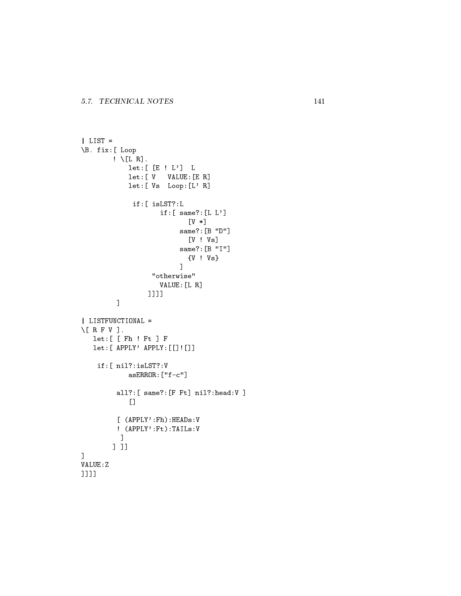```
| LIST =
\B. fix:[ Loop
        ! \[L R].
            let: [E : L'] Llet:[ V VALUE:[E R]
            let:[ Vs Loop:[L' R]
             if:[ isLST?:L
                    if:[ same?:[L L']
                           [V *]
                         same?:[B "D"]
                           [V ! Vs]
                         same?:[B "I"]
                          {V ! Vs}
                         \overline{1}\blacksquare"otherwise"
                    VALUE:[L R]
                 ]]]]
         ]
| LISTFUNCTIONAL =
\[ R F V ].
   let:[ [ Fh ! Ft ] F
   let:[ APPLY' APPLY: [[]![]]
    if:[ nil?:isLST?:V
           asERROR:["f-c"]
         all?:[ same?:[F Ft] nil?:head:V ]
            \Box[ (APPLY':Fh):HEADs:V
         ! (APPLY':Ft):TAILs:V
         ]
       ] ]]
]
VALUE:Z
]]]]
```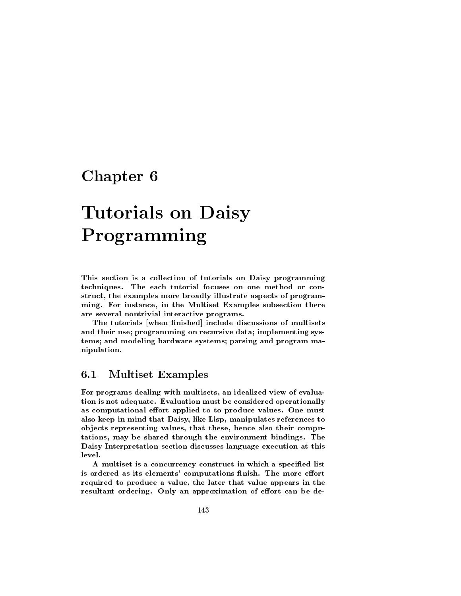## Chapter <sup>6</sup>

# Tutorials on Daisy Programming

This section is a collection of tutorials on Daisy programming techniques. The each tutorial focuses on one method or con struct, the examples more broadly illustrate aspects of programming. For instance, in the Multiset Examples subsection there are several nontrivial interactive programs.

The tutorials [when finished] include discussions of multisets and their use; programming on recursive data; implementing systems; and modeling hardware systems; parsing and program manipulation.

## 6.1 Multiset Examples

For programs dealing with multisets, an idealized view of evaluation is not adequate. Evaluation must be considered operationally as computational effort applied to to produce values. One must also keep in mind that Daisy, like Lisp, manipulates references to ob jects representing values, that these, hence also their computations, may be shared through the environment bindings. The Daisy Interpretation section discusses language execution at this

A multiset is a concurrency construct in which a specified list is ordered as its elements' computations finish. The more effort required to produce a value, the later that value appears in the resultant ordering. Only an approximation of effort can be de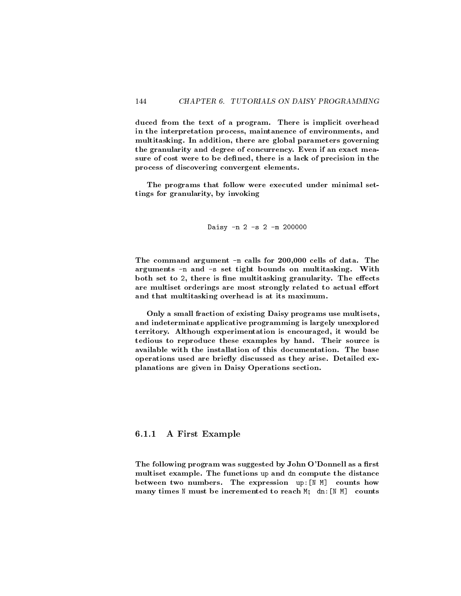duced from the text of a program. There is implicit overhead in the interpretation process, maintanence of environments, and multitasking. In addition, there are global parameters governing the granularity and degree of concurrency. Even if an exact measure of cost were to be defined, there is a lack of precision in the process of discovering convergent elements.

The programs that follow were executed under minimal settings for granularity, by invoking

$$
Daisy -n 2 -s 2 -m 200000
$$

The command argument -m calls for 200,000 cells of data. The arguments -n and -s set tight bounds on multitasking. With both set to 2, there is fine multitasking granularity. The effects are multiset orderings are most strongly related to actual effort and that multitasking overhead is at its maximum.

Only a small fraction of existing Daisy programs use multisets, and indeterminate applicative programming is largely unexplored territory. Although experimentation is encouraged, it would be tedious to reproduce these examples by hand. Their source is available with the installation of this documentation. The base operations used are briefly discussed as they arise. Detailed explanations are given in Daisy Operations section.

## 6.1.1 A First Example

The following program was suggested by John O'Donnell as a first multiset example. The functions up and dn compute the distance between two numbers. The expression up:[N M] counts how many times N must be incremented to reach M; dn:[N M] counts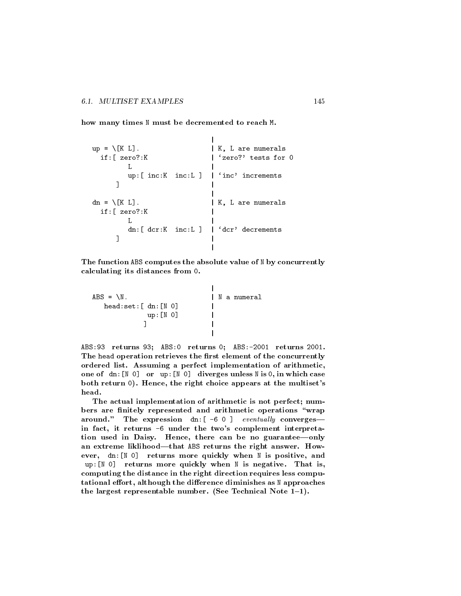how many times N must be decremented to reach M.

| $up = \{K L\}.$<br>if: [zero? : K]              | K. L are numerals<br>gero?' tests for 0  |
|-------------------------------------------------|------------------------------------------|
|                                                 | $up:$ [ inc:K inc:L ]   'inc' increments |
|                                                 |                                          |
| $dn = \lfloor K L \rfloor$ .<br>if: [zero? : K] | K. L are numerals                        |
|                                                 | dn: [ dcr: K inc: L ]   'dcr' decrements |

Ĭ.

The function ABS computes the absolute value of N by concurrently calculating its distances from 0.

$$
ABS = \N.
$$
\n
$$
head:set: [dn: [N 0] | N a numeral
$$
\n
$$
up: [N 0]
$$
\n
$$
1
$$

ABS:93 returns 93; ABS:0 returns 0; ABS:-2001 returns 2001. The head operation retrieves the first element of the concurrently ordered list. Assuming a perfect implementation of arithmetic, one of dn:[N 0] or up:[N 0] diverges unless N is 0, in which case both return 0). Hence, the right choice appears at the multiset's head.

|

The actual implementation of arithmetic is not perfect; num bers are finitely represented and arithmetic operations "wrap around." The expression dn:  $[-6 \ 0 \ 1 \$  eventually converges in fact, it returns -6 under the two's complement interpretation used in Daisy. Hence, there can be no guarantee-only an extreme liklihood-that ABS returns the right answer. However, dn:[N 0] returns more quickly when N is positive, and up: [N 0] returns more quickly when N is negative. That is, computing the distance in the right direction requires less computational effort, although the difference diminishes as N approaches the largest representable number. (See Technical Note  $1-1$ ).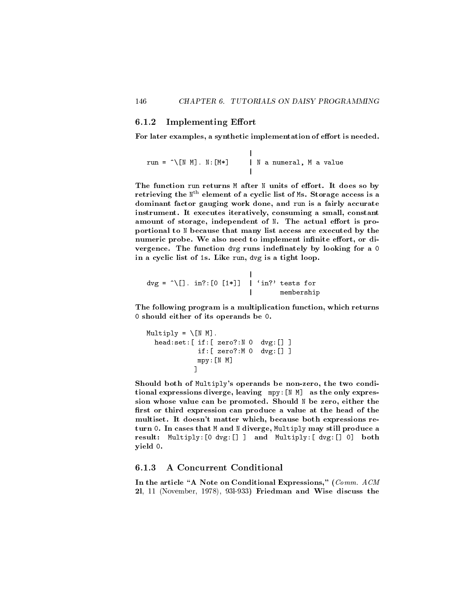#### 6.1.2 **Implementing Effort**

For later examples, a synthetic implementation of effort is needed.

|

```
|
run = \hat{\wedge}[N M]. N: [M*] | N a numeral, M a value
```
The function run returns M after N units of effort. It does so by retrieving the  $N^{th}$  element of a cyclic list of Ms. Storage access is a dominant factor gauging work done, and run is a fairly accurate instrument. It executes iteratively, consuming a small, constant amount of storage, independent of N. The actual effort is proportional to N because that many list access are executed by the numeric probe. We also need to implement infinite effort, or divergence. The function dvg runs indefinately by looking for a 0 in a cyclic list of 1s. Like run, dvg is a tight loop.

```
|
\text{dvg} = \text{Tr} \left[ \text{Im} \cdot \text{Im} \cdot \text{Im} \cdot \text{Im} \cdot \text{Im} \cdot \text{Im} \cdot \text{Im} \cdot \text{Im} \cdot \text{Im} \cdot \text{Im} \cdot \text{Im} \cdot \text{Im} \cdot \text{Im} \cdot \text{Im} \cdot \text{Im} \cdot \text{Im} \cdot \text{Im} \cdot \text{Im} \cdot \text{Im} \cdot \text{Im} \cdot \text{Im} \cdot \text{Im} \cdot \text{Im} \cdot \text{Im} \cdot \text{Im} \cdot \text{Im} \cdot \text{Im} \cdot \text{Im} \cdot \text{Im} \cdot \text| membership membership membership membership membership membership membership membership membership membership
```
The following program is a multiplication function, which returns 0 should either of its operands be 0.

```
Multiply = \Gamma[N M].
  head:set:[ if:[ zero?:N 0 dvg:[] ]
               if:[ zero?:M 0 dvg:[] ]
               mpy:[N M]
              \mathbf{I}
```
 $\blacksquare$ 

Should both of Multiply's operands be non-zero, the two conditional expressions diverge, leaving mpy:[N M] as the only expression whose value can be promoted. Should N be zero, either the first or third expression can produce a value at the head of the multiset. It doesn't matter which, because both expressions re turn 0. In cases that M and N diverge, Multiply may still produce a result: Multiply:[0 dvg:[] ] and Multiply:[ dvg:[] 0] both yield 0.

# 6.1.3 A Concurrent Conditional

In the article "A Note on Conditional Expressions," ( $Comm.$   $ACM$ 2l, 11 (November, 1978), 93l-933) Friedman and Wise discuss the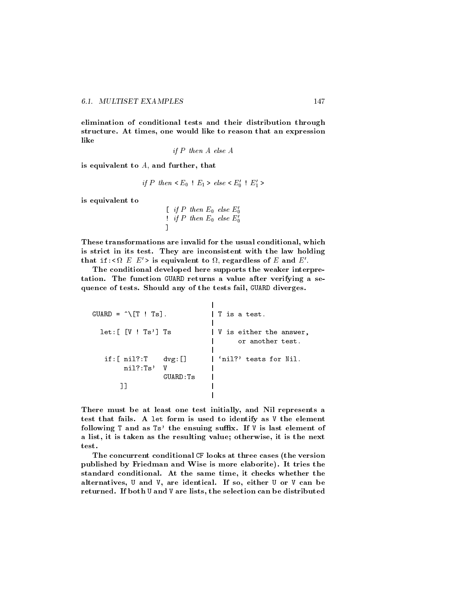elimination of conditional tests and their distribution through structure. At times, one would like to reason that an expression like

if 
$$
P
$$
 then  $A$  else  $A$ 

is equivalent to  $A$ , and further, that

if P then  $\langle E_0 : E_1 \rangle$  else  $\langle E'_0 : E'_1 \rangle$ 

is equivalent to

|  | $\lbrack$ if P then $E_0$ else $E'_0$ |  |  |  |
|--|---------------------------------------|--|--|--|
|  | : if P then $E_0$ else $E'_0$         |  |  |  |
|  |                                       |  |  |  |

These transformations are invalid for the usual conditional, which is strict in its test. They are inconsistent with the law holding that if: sightharpoonly to the regardless of  $E$  and  $E$  .

]

The conditional developed here supports the weaker interpretation. The function GUARD returns a value after verifying a se quence of tests. Should any of the tests fail, GUARD diverges.

| $GUARD = \hat{\wedge} [T : Ts].$                          | T is a test.                                |
|-----------------------------------------------------------|---------------------------------------------|
| $let: [V : Ts']$ Ts                                       | V is either the answer,<br>or another test. |
| if: $[ni1? : T$ dvg: $[]$<br>$ni1?$ :Ts'<br>V<br>GUARD:Ts | 'nil?' tests for Nil.                       |
|                                                           |                                             |

There must be at least one test initially, and Nil represents a test that fails. A let form is used to identify as V the element following  $T$  and as  $Ts'$  the ensuing suffix. If  $V$  is last element of a list, it is taken as the resulting value; otherwise, it is the next test.

|

The concurrent conditional CF looks at three cases (the version published by Friedman and Wise is more elaborite). It tries the standard conditional. At the same time, it checks whether the alternatives, U and V, are identical. If so, either U or V can be returned. If both U and V are lists, the selection can be distributed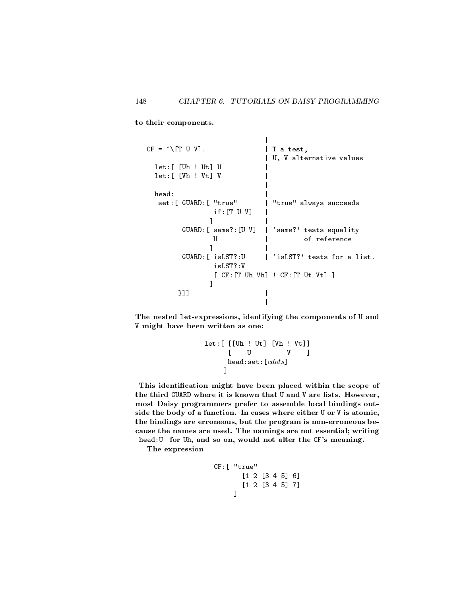$\mathbf{I}$ 

to their components.

| CF = ^\[T U V]. | T a test, | U, V alternative values let:[ [Uh ! Ut] U | let:[ [Vh ! Vt] V | | head: | set:[ GUARD:[ "true" | "true" always succeeds if:[T U V] | ] | GUARD:[ same?:[U V] | `same?' tests equality U | of reference ] | GUARD:[ isLST?:U | `isLST?' tests for a list. [ CF:[T Uh Vh] ! CF:[T Ut Vt] ] ] }]] | |

The nested let-expressions, identifying the components of U and V might have been written as one:

> let:[ [[Uh ! Ut] [Vh ! Vt]] [ U V ]  $V$  $head: set: [cdots]$ ]

This identication might have been placed within the scope of the third GUARD where it is known that U and Vare lists. However, most Daisy programmers prefer to assemble local bindings outside the body of a function. In cases where either U or V is atomic, the bindings are erroneous, but the program is non-erroneous because the names are used. The namings are not essential; writing head:U for Uh, and so on, would not alter the CF's meaning.

The expression

```
CF:[ "true"
       [1 2 [3 4 5] 6]
       [1 2 [3 4 5] 7]
     ]
```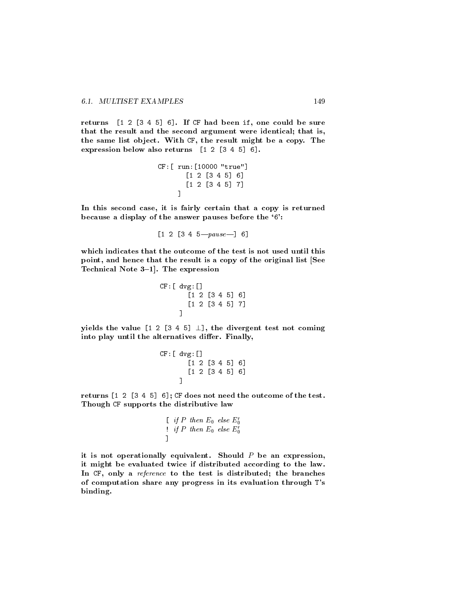returns [1 2 [3 4 5] 6]. If CF had been if, one could be sure that the result and the second argument were identical; that is, the same list object. With CF, the result might be a copy. The expression below also returns [1 2 [3 4 5] 6].

```
CF:[ run:[10000 "true"]
        [1 2 [3 4 5] 6]
         [1 2 [3 4 5] 7]
      \mathbf{1}\blacksquare
```
In this second case, it is fairly certain that a copy is returned because a display of the answer pauses before the `6':

$$
[1 \ 2 \ [3 \ 4 \ 5 - pause -] \ 6]
$$

which indicates that the outcome of the test is not used until this point, and hence that the result is a copy of the original list [See Technical Note  $3-1$ . The expression

$$
\begin{array}{c} \texttt{CF:} \texttt{[} \text{ d} \texttt{vg:} \texttt{[} \texttt{] } \texttt{[} \texttt{3} \texttt{ 2} \texttt{ [} \texttt{3} \texttt{ 4} \texttt{ 5} \texttt{] } \texttt{ 6} \texttt{] } \\ \texttt{[} \texttt{1} \texttt{ 2} \texttt{ [} \texttt{3} \texttt{ 4} \texttt{ 5} \texttt{] } \texttt{ 7} \texttt{] } \\ \texttt{] } \end{array}
$$

yields the value  $\begin{bmatrix} 1 & 2 & 3 & 4 & 5 \end{bmatrix}$   $\perp$ , the divergent test not coming into play until the alternatives differ. Finally,

$$
\begin{array}{c} \texttt{CF:} \texttt{[} \text{ d} \texttt{vg:} \texttt{[} \texttt{[} \texttt{]} \texttt{[} \texttt{2} \texttt{[} \texttt{3} \texttt{4} \texttt{5} \texttt{]} \texttt{6} \texttt{] } \\ \texttt{[} \texttt{1} \texttt{2} \texttt{[} \texttt{3} \texttt{4} \texttt{5} \texttt{]} \texttt{6} \texttt{] } \\ \texttt{1} \end{array}
$$

returns [1 2 [3 4 5] 6]; CF does not need the outcome of the test. Though CF supports the distributive law

[ if P then 
$$
E_0
$$
 else  $E'_0$   
]: if P then  $E_0$  else  $E'_0$  ]

it is not operationally equivalent. Should  $P$  be an expression, it might be evaluated twice if distributed according to the law. In CF, only a reference to the test is distributed; the branches of computation share any progress in its evaluation through T's binding.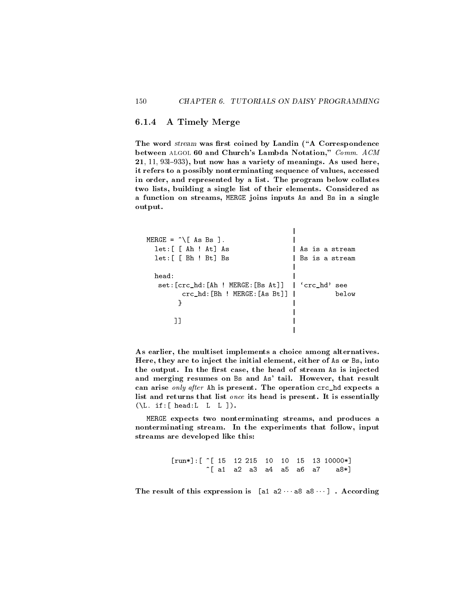#### 6.1.4 6.1.4 A Timely Merge

The word stream was first coined by Landin ("A Correspondence between ALGOL 60 and Church's Lambda Notation," Comm. ACM  $21, 11, 93$ l-933), but now has a variety of meanings. As used here, it refers to a possibly nonterminating sequence of values, accessed in order, and represented by a list. The program below collates two lists, building a single list of their elements. Considered as a function on streams, MERGE joins inputs As and Bs in a single output.

| <code>MERGE = <math>\hat{}\;</math> [ As Bs ].</code><br>let: [ [ Ah : At] As<br>$let: \lceil \int Bh \rceil \cdot Bth$                      | As is a stream<br>Bs is a stream |
|----------------------------------------------------------------------------------------------------------------------------------------------|----------------------------------|
| head:<br>set:[crc hd:[Ah ! MERGE:[Bs At]]   'crc hd' see<br>$\texttt{crc\_hd}:\texttt{[Bh} \; : \; \texttt{MERGE}:\texttt{[As Bt]}] \;   \;$ | below                            |
|                                                                                                                                              |                                  |

As earlier, the multiset implements a choice among alternatives. Here, they are to inject the initial element, either of As or Bs, into the output. In the first case, the head of stream As is injected and merging resumes on Bs and As' tail. However, that result can arise only after Ah is present. The operation crc\_hd expects a list and returns that list once its head is present. It is essentially  $(\Lpsilon)$ . if: [ head: L L L ]).

MERGE expects two nonterminating streams, and produces a nonterminating stream. In the experiments that follow, input streams are developed like this:

> $[\text{run*}]:$   $[\hat{C}]$  15 12 215 10 10 15 13 10000\*]  $\hat{}$ [ a1 a2 a3 a4 a5 a6 a7  $a8*1$

The result of this expression is  $[a1 a2 \cdots a8 a8 \cdots]$ . According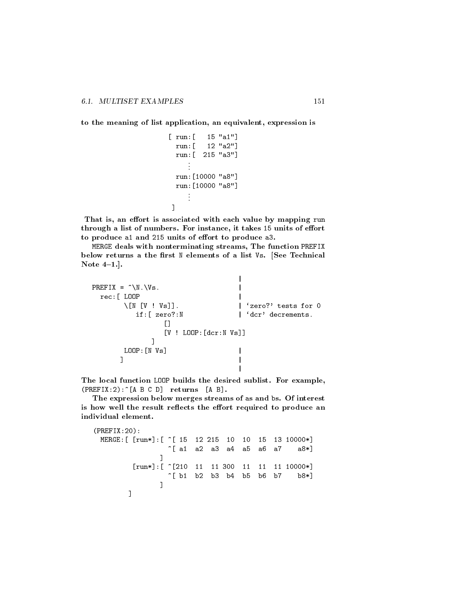to the meaning of list application, an equivalent, expression is

```
[ run:[ 15 "a1"]
 run:[ 12 "a2"]
 run:[ 215 "a3"]
    .
.
 run:[10000 "a8"]
 run:[10000 "a8"]
    .
.
\blacksquare
```
That is, an effort is associated with each value by mapping run through a list of numbers. For instance, it takes 15 units of effort to produce a1 and 215 units of effort to produce a3.

MERGE deals with nonterminating streams, The function PREFIX below returns a the first N elements of a list Vs. [See Technical Note  $4-1.$ ...

```
|
PREFIX = ^{\circ}\N.\Vs.
 rec:[ LOOP
      \[N [V ! Vs]]. | 'zero?' tests for 0
        if:[ zero?:N | 'dcr' decrements.
             []
             [V ! LOOP:[dcr:N Vs]]
           \blacksquareLOOP:[N Vs]
     ] |
```
The local function LOOP builds the desired sublist. For example,  $(PREFIX:2):^[A \ B \ C \ D]$  returns  $[A \ B]$ .

|

The expression below merges streams of as and bs. Of interest is how well the result reflects the effort required to produce an individual element.

```
(PREFIX:20):
 MERGE:[ [run*]:[ ^[ 15 12 215 10 10 15 13 10000*]
                  \hat{[} a1 a2 a3 a4 a5 a6 a7 a8*]
                ]
         [\text{run*}]: [\hat{ } [210 11 11 300 11 11 11 10000*]
                  \hat{[} b1 b2 b3 b4 b5 b6 b7 b8*]
                \blacksquare]
```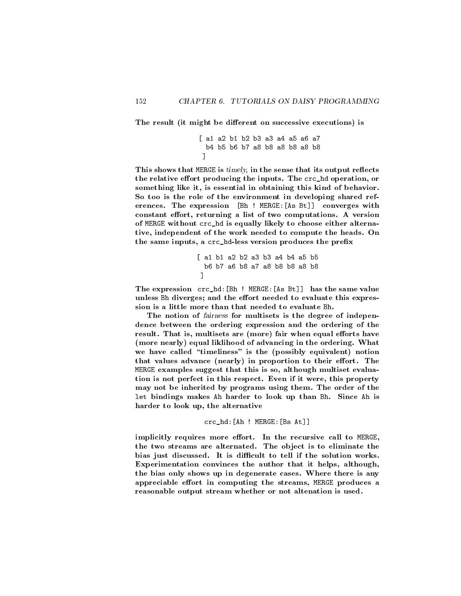The result (it might be different on successive executions) is

 $\blacksquare$ 

[ a1 a2 b1 b2 b3 a3 a4 a5 a6 a7 b4 b5 b6 b7 a8 b8 a8 b8 a8 b8  $\overline{1}$ 

This shows that MERGE is timely, in the sense that its output reflects the relative effort producing the inputs. The crc\_hd operation, or something like it, is essential in obtaining this kind of behavior. So too is the role of the environment in developing shared ref erences. The expression [Bh ! MERGE:[As Bt]] converges with constant effort, returning a list of two computations. A version of MERGE without crc\_hd is equally likely to choose either alternative, independent of the work needed to compute the heads. On the same inputs, a crc\_hd-less version produces the prefix

```
[ a1 b1 a2 b2 a3 b3 a4 b4 a5 b5
 b6 b7 a6 b8 a7 a8 b8 b8 a8 b8
\mathbb{I}\blacksquare
```
The expression crc\_hd:[Bh ! MERGE:[As Bt]] has the same value unless Bh diverges; and the effort needed to evaluate this expression is a little more than that needed to evaluate Bh.

The notion of fairness for multisets is the degree of independence between the ordering expression and the ordering of the result. That is, multisets are (more) fair when equal efforts have (more nearly) equal liklihood of advancing in the ordering. What we have called "timeliness" is the (possibly equivalent) notion that values advance (nearly) in proportion to their effort. The MERGE examples suggest that this is so, although multiset evaluation is not perfect in this respect. Even if it were, this property may not be inherited by programs using them. The order of the let bindings makes Ah harder to look up than Bh. Since Ah is harder to look up, the alternative

```
crc_hd:[Ah ! MERGE:[Bs At]]
```
implicitly requires more effort. In the recursive call to MERGE, the two streams are alternated. The object is to eliminate the bias just discussed. It is difficult to tell if the solution works. Experimentation convinces the author that it helps, although, the bias only shows up in degenerate cases. Where there is any appreciable effort in computing the streams, MERGE produces a reasonable output stream whether or not altenation is used.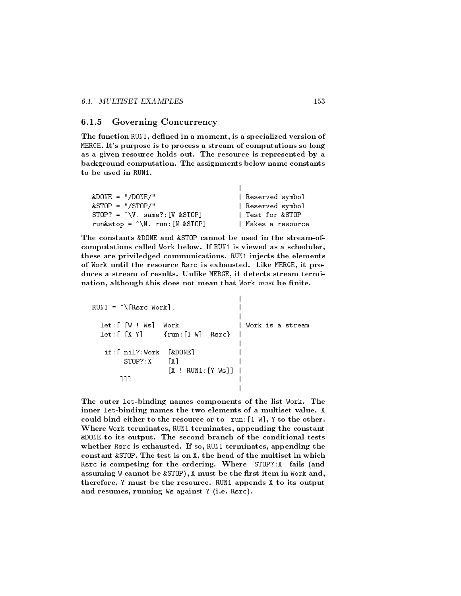#### $6.1.5$ Governing Concurrency

The function RUN1, defined in a moment, is a specialized version of MERGE. It's purpose is to process a stream of computations so long as a given resource holds out. The resource is represented by a background computation. The assignments below name constants to be used in RUN1.

| $&$ DONE = "/DONE/"                      | Reserved symbol  |
|------------------------------------------|------------------|
| $&$ STOP = "/STOP/"                      | Reserved symbol  |
| $STOP? = \hat{V}$ . same?: $[V \& STOP]$ | Test for &STOP   |
| run & stop = $\hat{N}$ . run: [N & STOP] | Makes a resource |

The constants &DONE and &STOP cannot be used in the stream-ofcomputations called Work below. If RUN1 is viewed as a scheduler, these are priviledged communications. RUN1 injects the elements of Work until the resource Rsrc is exhausted. Like MERGE, it produces a stream of results. Unlike MERGE, it detects stream termination, although this does not mean that Work  $must$  be finite.

```
|
RUN1 = \hat{}[Rsrc Work].
                                         |
  let: [ [W ! Ws] Work | Work is a stream
  let:[ [X Y] {run:[1 W] Rsrc} |
                                         |
   if:[ nil?:Work [&DONE] |
         STOP?:X [X] IS IN EXTENSION OF THE CONTRACT OF THE CONTRACT OF THE CONTRACT OF THE CONTRACT OF THE CONTRACT OF
                     [X \mid \text{RUN1}: [Y \mid Ws]]]]] |
```
The outer let-binding names components of the list Work. The inner let-binding names the two elements of a multiset value. X could bind either to the resource or to run:  $[1 \, \text{W}]$ , Y to the other. Where Work terminates, RUN1 terminates, appending the constant &DONE to its output. The second branch of the conditional tests whether Rsrc is exhausted. If so, RUN1 terminates, appending the constant &STOP. The test is on X, the head of the multiset in which Rsrc is competing for the ordering. Where STOP?:X fails (and assuming W cannot be &STOP), X must be the first item in Work and, therefore, Y must be the resource. RUN1 appends X to its output and resumes, running Ws against Y (i.e. Rsrc).

|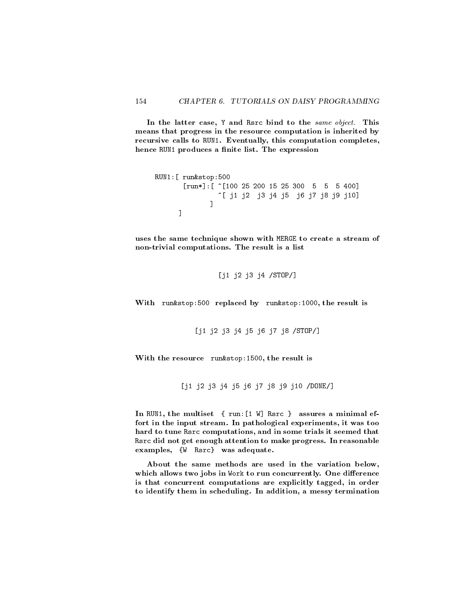In the latter case, Y and Rsrc bind to the same object. This means that progress in the resource computation is inherited by recursive calls to RUN1. Eventually, this computation completes, hence RUN1 produces a finite list. The expression

```
RUN1:[ run&stop:500
      [run*]:[ ^[100 25 200 15 25 300 5 5 5 400]
              ^[ j1 j2 j3 j4 j5 j6 j7 j8 j9 j10]
             \mathbf{I}]
     ]
```
uses the same technique shown with MERGE to create a stream of non-trivial computations. The result is a list

```
[j1 j2 j3 j4 /STOP/]
```
With run&stop:500 replaced by run&stop:1000, the result is

[j1 j2 j3 j4 j5 j6 j7 j8 /STOP/]

With the resource run&stop:1500, the result is

[j1 j2 j3 j4 j5 j6 j7 j8 j9 j10 /DONE/]

In RUN1, the multiset { run:[1 W] Rsrc } assures a minimal effort in the input stream. In pathological experiments, it was too hard to tune Rsrc computations, and in some trials it seemed that Rsrc did not get enough attention to make progress. In reasonable examples, {W Rsrc} was adequate.

About the same methods are used in the variation below, which allows two jobs in Work to run concurrently. One difference is that concurrent computations are explicitly tagged, in order to identify them in scheduling. In addition, a messy termination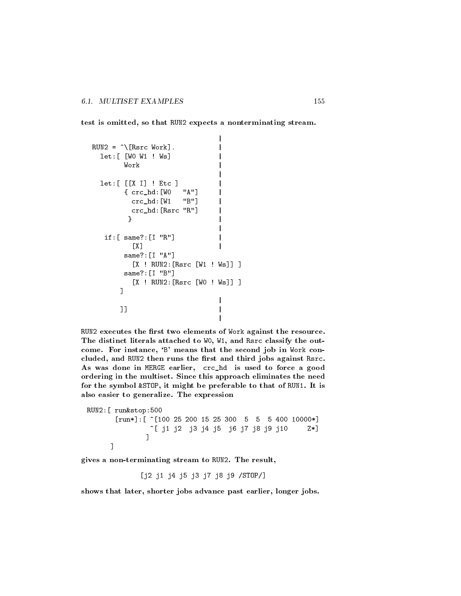test is omitted, so that RUN2 expects a nonterminating stream.

```
|
RUN2 = \hat{\ } [Rsrc Work].
      let:[ [W0 W1 ! Ws] |
                          Work in the control of the control of the control of the control of the control of the control of the control o
                                                                                                     |
      let:[ [[X I] ! Etc ] |
                         { crc_hd:[W0 "A"] |
                               crc_hd:[W1 "B"] |
                               crc_hd:[Rsrc "R"] |
                             \blacksquare . The contract of the contract of the contract of the contract of the contract of the contract of the contract of the contract of the contract of the contract of the contract of the contract of the contract of the 
                                                                                                     |
         if:[ same?:[I "R"] |
                                                                                                     \mathbf{I}\mathbf{I}\blacksquare , and the contract of the contract of the contract of the contract of the contract of the contract of the contract of the contract of the contract of the contract of the contract of the contract of the contract of 
                         same?:[I "A"]
                                [X ! RUN2:[Rsrc [W1 ! Ws]] ]
                         same?:[I "B"]
                                [X ! RUN2:[Rsrc [W0 ! Ws]] ]
                      \overline{1}\blacksquare|
                       \blacksquare |] \blacksquare |] \blacksquare |] \blacksquare |] \blacksquare |] \blacksquare |] \blacksquare |] \blacksquare |] \blacksquare |] \blacksquare |] \blacksquare |] \blacksquare |] \blacksquare |] \blacksquare |] \blacksquare |] \blacksquare |] \blacksquare |] \blacksquare |] \blacksquare |] \blacksquare |] \blacksquare |] \blacksquare |]
```
RUN2 executes the first two elements of Work against the resource. The distinct literals attached to W0, W1, and Rsrc classify the out come. For instance, 'B' means that the second job in Work concluded, and RUN2 then runs the first and third jobs against Rsrc. As was done in MERGE earlier, crc\_hd is used to force a good ordering in the multiset. Since this approach eliminates the need for the symbol &STOP, it might be preferable to that of RUN1. It is also easier to generalize. The expression

|

```
RUN2:[ run&stop:500
       [run*] : [ ^{n} [ 100 25 200 15 25 300 5 5 5 400 10000* ]^[ j1 j2 j3 j4 j5 j6 j7 j8 j9 j10 Z*]
               \overline{1}]
```
gives a non-terminating stream to RUN2. The result,

 $\blacksquare$ 

[j2 j1 j4 j5 j3 j7 j8 j9 /STOP/]

shows that later, shorter jobs advance past earlier, longer jobs.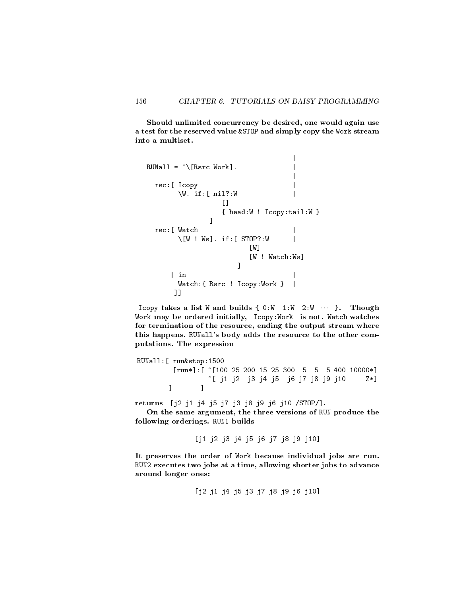Should unlimited concurrency be desired, one would again use a test for the reserved value &STOP and simply copy the Work stream into a multiset.

```
|
RUNall = \hat{\ } [Rsrc Work].
                                                                      |
   rec:[ Icopy |
               \W. if:[ nil?:W |
                                    \Box{ head:W ! Icopy:tail:W }
                              \mathbf{1}\blacksquarerec:[ Watch |
               \setminus[W ! Ws]. if:[ STOP?:W
                                                 [W]
                                                 [W ! Watch:Ws]
                                            \blacksquare\lndiscussion in the contract of the contract of the contract of the contract of the contract of the contract of the contract of the contract of the contract of the contract of the contract of the contract of the contract of 
              Watch: { Rsrc ! Icopy: Work } |
             ]]
```
Icopy takes a list W and builds  $\{ 0:W \quad 1:W \quad 2:W \quad \cdots \}$ . Though Work may be ordered initially, Icopy:Work is not. Watch watches for termination of the resource, ending the output stream where this happens. RUNall's body adds the resource to the other computations. The expression

```
RUNall:[ run&stop:1500
         [run*]:[ ^[100 25 200 15 25 300 5 5 5 400 10000*]
                  ^[ j1 j2 j3 j4 j5 j6 j7 j8 j9 j10 Z*]
       \overline{1}\overline{1}] ]
```
returns [j2 j1 j4 j5 j7 j3 j8 j9 j6 j10 /STOP/].

On the same argument, the three versions of RUN produce the following orderings. RUN1 builds

[j1 j2 j3 j4 j5 j6 j7 j8 j9 j10]

It preserves the order of Work because individual jobs are run. RUN2 executes two jobs at a time, allowing shorter jobs to advance around longer ones:

[j2 j1 j4 j5 j3 j7 j8 j9 j6 j10]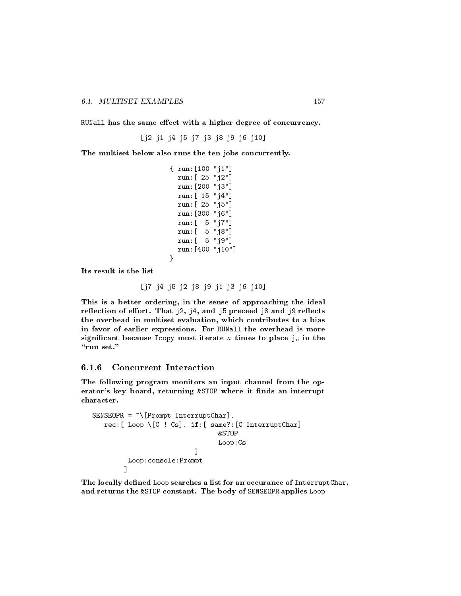RUNall has the same effect with a higher degree of concurrency.

[j2 j1 j4 j5 j7 j3 j8 j9 j6 j10]

The multiset below also runs the ten jobs concurrently.

```
{ run:[100 "j1"]
  run:[ 25 "j2"]
  run:[200 "j3"]
  run:[ 15 "j4"]
  run:[ 25 "j5"]
  run:[300 "j6"]
  run:[ 5 "j7"]
  run:[ 5 "j8"]
  run:[ 5 "j9"]
  run:[400 "j10"]
\mathcal{F}
```
Its result is the list

```
[j7 j4 j5 j2 j8 j9 j1 j3 j6 j10]
```
 $\overline{a}$  . The contract of the contract of the contract of the contract of the contract of the contract of the contract of the contract of the contract of the contract of the contract of the contract of the contract of th

This is a better ordering, in the sense of approaching the ideal reflection of effort. That j2, j4, and j5 preceed j8 and j9 reflects the overhead in multiset evaluation, which contributes to a bias in favor of earlier expressions. For RUNall the overhead is more significant because Icopy must iterate *n* times to place  $j_n$  in the "run set."

## **Concurrent Interaction**

 $\blacksquare$ 

The following program monitors an input channel from the operator's key board, returning &STOP where it finds an interrupt character.

```
SENSEOPR = \hat{\ } [Prompt InterruptChar].
   rec:[ Loop \[C ! Cs]. if:[ same?:[C InterruptChar]
                                     &STOP
                                     Loop:Cs
                              \blacksquareLoop:console:Prompt
         \mathbf{I}
```
The locally defined Loop searches a list for an occurance of InterruptChar, and returns the &STOP constant. The body of SENSEOPR applies Loop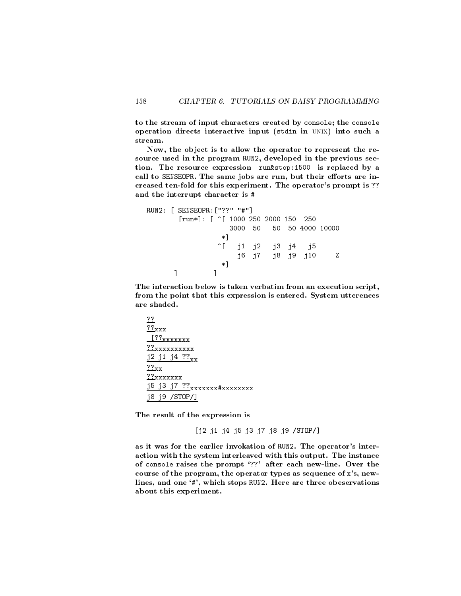to the stream of input characters created by console; the console operation directs interactive input (stdin in unix) into such a stream.

Now, the object is to allow the operator to represent the resource used in the program RUN2, developed in the previous sec tion. The resource expression run&stop:1500 is replaced by a call to SENSEOPR. The same jobs are run, but their efforts are increased ten-fold for this experiment. The operator's prompt is ?? and the interrupt character is #

```
RUN2: [ SENSEOPR:["??" "#"]
                 [run*]: [ ^[ 1000 250 2000 150 250
                                           3000 50 50 50 4000 10000
                                       *]
                                     ^[ j1 j2 j3 j4 j5
                                               j6 j7 j8 j9 j10
                                                                                                  Z
                                       *]
               \blacksquare ) and the contract of the contract of the contract of the contract of the contract of the contract of the contract of the contract of the contract of the contract of the contract of the contract of the contract of
```
The interaction below is taken verbatim from an execution script, from the point that this expression is entered. System utterences are shaded.

```
??
??xxx
[??xxxxxxx
??xxxxxxxxxx
j2 j1 j4 ??_{\mathtt{v}\mathtt{v}}??xx??xxxxxxx
j5 j<u>3 j7 ??xxxxxx</u>xxxxxxxx
j8 j9 /STOP/]
```
158

The result of the expression is

[j2 j1 j4 j5 j3 j7 j8 j9 /STOP/]

as it was for the earlier invokation of RUN2. The operator's interaction with the system interleaved with this output. The instance of console raises the prompt '??' after each new-line. Over the course of the program, the operator types as sequence of x's, newlines, and one `#', which stops RUN2. Here are three obeservations about this experiment.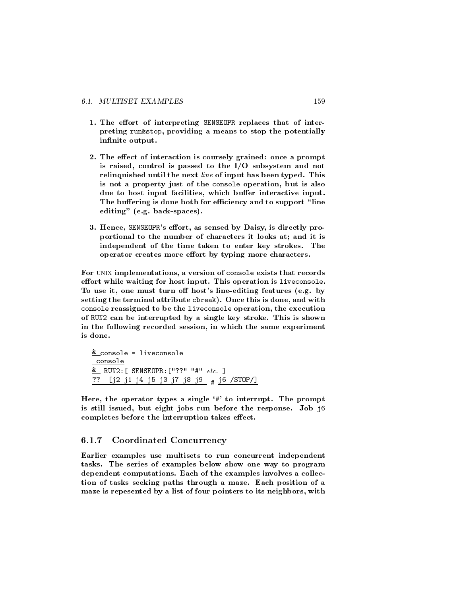- 1. The effort of interpreting SENSEOPR replaces that of interpreting run&stop, providing a means to stop the potentially infinite output.
- 2. The effect of interaction is coursely grained: once a prompt is raised, control is passed to the I/O subsystem and not relinquished until the next line of input has been typed. This is not a property just of the console operation, but is also due to host input facilities, which buffer interactive input. The buffering is done both for efficiency and to support "line editing" (e.g. back-spaces).
- 3. Hence, SENSEOPR's effort, as sensed by Daisy, is directly proportional to the number of characters it looks at; and it is independent of the time taken to enter key strokes. The operator creates more effort by typing more characters.

For UNIX implementations, a version of console exists that records effort while waiting for host input. This operation is liveconsole. To use it, one must turn off host's line-editing features (e.g. by setting the terminal attribute cbreak). Once this is done, and with console reassigned to be the liveconsole operation, the execution of RUN2 can be interrupted by a single key stroke. This is shown in the following recorded session, in which the same experiment

```
e console = liveconsole
console
\equiv RUNZ: [ DINDIDIN: [ \cdot . \pi etc. ]
?? [j2 j1 j4 j5 j3 j7 j8 j9 # j6 /STOP/]
```
Here, the operator types a single '#' to interrupt. The prompt is still issued, but eight jobs run before the response. Job j6 completes before the interruption takes effect.

#### Coordinated Concurrency  $6.1.7$

Earlier examples use multisets to run concurrent independent tasks. The series of examples below show one way to program dependent computations. Each of the examples involves a collection of tasks seeking paths through a maze. Each position of a maze is repesented by a list of four pointers to its neighbors, with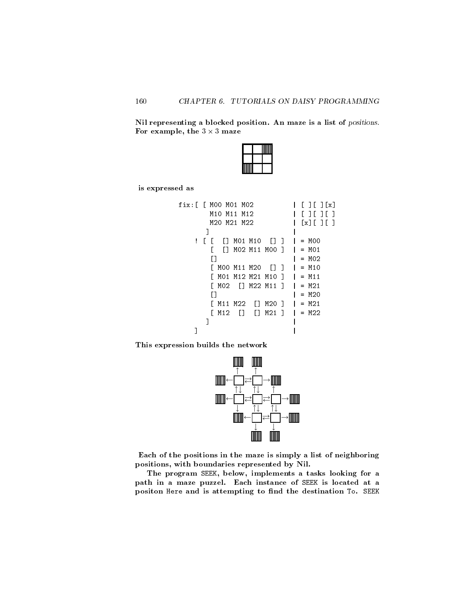Nil representing a blocked position. An maze is a list of positions. For example, the 3  $-$  3  $-$  3  $-$  3  $-$  3  $-$  3  $-$  3  $-$  3  $-$  3  $-$  3  $-$  3  $-$  3  $-$  3  $-$  3  $-$  3  $-$  3  $-$  3  $-$  3  $-$  3  $-$  3  $-$  3  $-$  3  $-$  3  $-$  3  $-$  3  $-$  3  $-$  3  $-$  3  $-$  3  $-$  3  $-$  3  $-$  3  $-$  3  $-$  3  $-$ 

|                                                      | $\overline{\phantom{a}}$<br>I<br>$\sf I$<br>I |  |
|------------------------------------------------------|-----------------------------------------------|--|
|                                                      |                                               |  |
| $\overline{\phantom{a}}$<br>$\overline{\phantom{a}}$ |                                               |  |

is expressed as

| $fix:$ $\lceil$ $MOO$ $MO1$ $MO2$ |                         |                      | $\top$ $\top$ $\tau$  |
|-----------------------------------|-------------------------|----------------------|-----------------------|
|                                   | M10 M11 M12             |                      | $\mathbf{I}$          |
|                                   | M20 M21 M22             |                      | $\lceil x \rceil$ 1 1 |
|                                   |                         |                      |                       |
| $\mathbf{I}$<br>$\mathbf{1}$      | MO1 M10                 | - 11<br>$\mathbf{I}$ | $= MOO$               |
|                                   | [] MO2 M11 MOO          |                      | $= MO1$               |
| l l                               |                         |                      | $= M02$               |
|                                   | MOO M11 M20             | a na T               | $= M10$               |
|                                   | MO1 M12 M21 M10         | $\blacksquare$       | $=$ M11               |
| l MO2                             | - [] M22 M11 ]          |                      | $= M21$               |
|                                   |                         |                      | $= M20$               |
| M11 M22                           | $\mathbf{1}$            | M20 1                | $= M21$               |
| M12                               | $\perp$<br>$\mathbf{L}$ | M21 1                | $= M22$               |
|                                   |                         |                      |                       |
|                                   |                         |                      |                       |

This expression builds the network



Each of the positions in the maze is simply a list of neighboring positions, with boundaries represented by Nil.

The program SEEK, below, implements a tasks looking for a path in a maze puzzel. Each instance of SEEK is located at a positon Here and is attempting to find the destination To. SEEK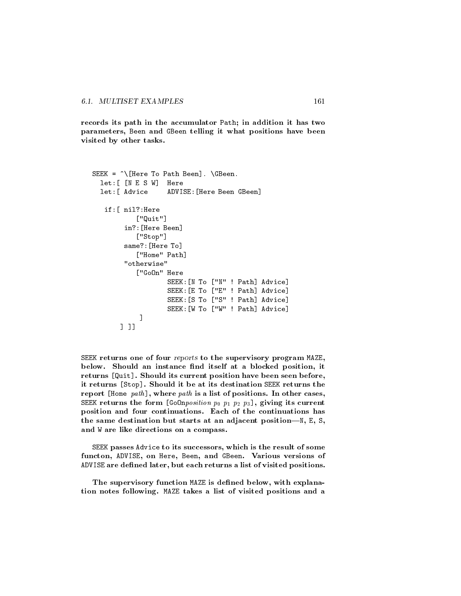records its path in the accumulator Path; in addition it has two parameters, Been and GBeen telling it what positions have been visited by other tasks.

```
SEEK = \hat{\ } [Here To Path Been]. \GBeen.
   let:[ [N E S W] Here
   let: [ Advice
                              ADVISE: [Here Been GBeen]
    if:[ nil?:Here
                  [ Quite County County County County County County County County County County County County County County County County County County County County County County County County County County County County County County Coun
             in?:[Here Been]
                  ["Stop"]
             same?:[Here To]
                  ["Home" Path]
             "otherwise"
                  ["GoOn" Here
                  ["GoOn" Here
                              SEEK:[N To ["N" ! Path] Advice]
                              SEEK:[E To ["E" ! Path] Advice]
                              SEEK:[S To ["S" ! Path] Advice]
                              SEEK:[W To ["W" ! Path] Advice]
                   \blacksquare] ]]
```
SEEK returns one of four reports to the supervisory program MAZE, below. Should an instance find itself at a blocked position, it returns [Quit]. Should its current position have been seen before, it returns [Stop]. Should it be at its destination SEEK returns the report [Home path], where path is a list of positions. In other cases, SEEK returns the form [Go0nposition  $p_0$   $p_1$   $p_2$   $p_3$ ], giving its current position and four continuations. Each of the continuations has the same destination but starts at an adjacent position— $N$ , E, S, and W are like directions on a compass.

SEEK passes Advice to its successors, which is the result of some functon, ADVISE, on Here, Been, and GBeen. Various versions of ADVISE are defined later, but each returns a list of visited positions.

The supervisory function MAZE is defined below, with explanation notes following. MAZE takes a list of visited positions and a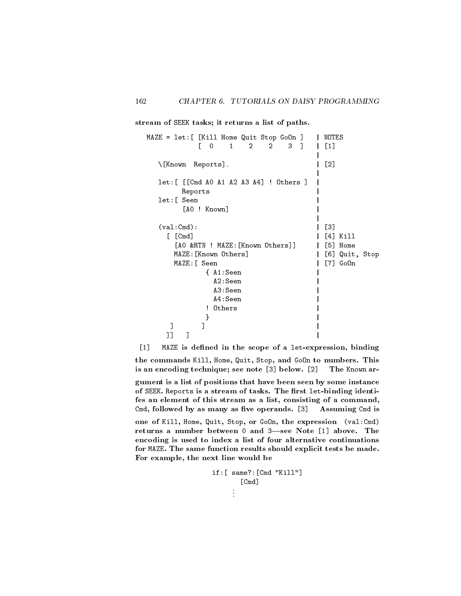stream of SEEK tasks; it returns a list of paths.

```
MAZE = let: [Ki11 Home Quit Stop Goln] | NOTES\overline{2}\overline{2}3<sup>-1</sup>\overline{1}[ 0 1 2 2 3 ] | [1]
                                                               |
    \{K_{\text{Row}}\ Reports]. \begin{bmatrix} 2 \end{bmatrix}|
    let:[ [[Cmd A0 A1 A2 A3 A4] ! Others ] |
             Reports |
    let:[ Seen |
             [A] is a contract to the contract of the contract of the contract of the contract of the contract of the contract of the contract of the contract of the contract of the contract of the contract of the contract of the contr
                                                               |
    (va1:Cmd): | [3]
                                                               \mathbf{I}[ [Cmd] | [4] Kill
                                                               \mathbf{I}[AO &RTN ! MAZE: [Known Others]] | [5] Home
          MAZE: [Known Others] | [6] Quit, Stop
          MAZE: [ Seen | [7] Go0n
                      \overline{S} and \overline{S} is the set of \overline{S} . The set of \overline{S} is the set of \overline{S} is the set of \overline{S}A2:Seen |
                        A3:Seen |
                        A4:Seen |
                      ! Others
                      ! Others |
                      \overline{\phantom{a}} , we have the contract of the contract of the contract of the contract of the contract of the contract of the contract of the contract of the contract of the contract of the contract of the contract of the con
         \blacksquare
```
]] ] | [1] MAZE is defined in the scope of a let-expression, binding

the commands Kill, Home, Quit, Stop, and GoOn to numbers. This is an encoding technique; see note [3] below. [2] The Known ar-

gument is a list of positions that have been seen by some instance of SEEK. Reports is a stream of tasks. The first let-binding identifes an element of this stream as a list, consisting of a command, Cmd, followed by as many as five operands.  $[3]$  Assuming Cmd is

one of Kill, Home, Quit, Stop, or GoOn, the expression (val:Cmd) returns a number between  $0$  and  $3$ —see Note [1] above. The encoding is used to index a list of four alternative continuations for MAZE. The same function results should explicit tests be made. For example, the next line would be

```
if:[ same?:[Cmd "Kill"]
       [Cmd]
```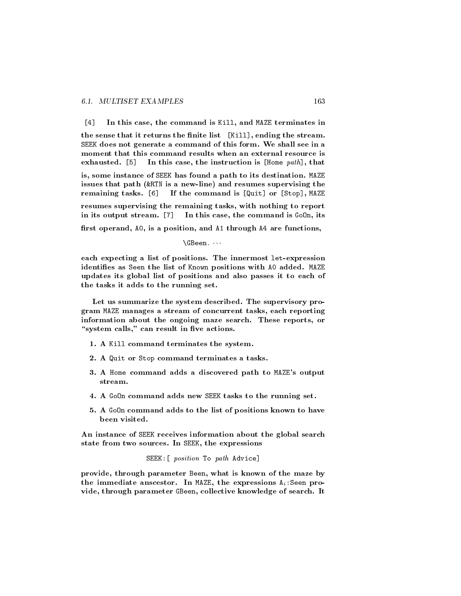$\lceil 4 \rceil$ In this case, the command is Kill, and MAZE terminates in

the sense that it returns the finite list [Kill], ending the stream. SEEK does not generate a command of this form. We shall see in a moment that this command results when an external resource is exhausted. [5] In this case, the instruction is [Home  $path$ ], that

is, some instance of SEEK has found a path to its destination. MAZE issues that path (&RTN is a new-line) and resumes supervising the remaining tasks. [6] If the command is [Quit] or [Stop], MAZE

resumes supervising the remaining tasks, with nothing to report in its output stream. [7] In this case, the command is GoOn, its

first operand, A0, is a position, and A1 through A4 are functions,

 $\Box$ 

each expecting a list of positions. The innermost let-expression identifies as Seen the list of Known positions with AO added. MAZE updates its global list of positions and also passes it to each of the tasks it adds to the running set.

Let us summarize the system described. The supervisory program MAZE manages a stream of concurrent tasks, each reporting information about the ongoing maze search. These reports, or "system calls," can result in five actions.

- 1. A Kill command terminates the system.
- 2. A Quit or Stop command terminates a tasks.
- 3. A Home command adds a discovered path to MAZE's output stream.
- 4. A GoOn command adds new SEEK tasks to the running set.
- 5. A GoOn command adds to the list of positions known to have been visited.

An instance of SEEK receives information about the global search state from two sources. In SEEK, the expressions

SEEK:[ position To path Advice]

provide, through parameter Been, what is known of the maze by the immediate anscestor. In MAZE, the expressions  $A_i$ : Seen provide, through parameter GBeen, collective knowledge of search. It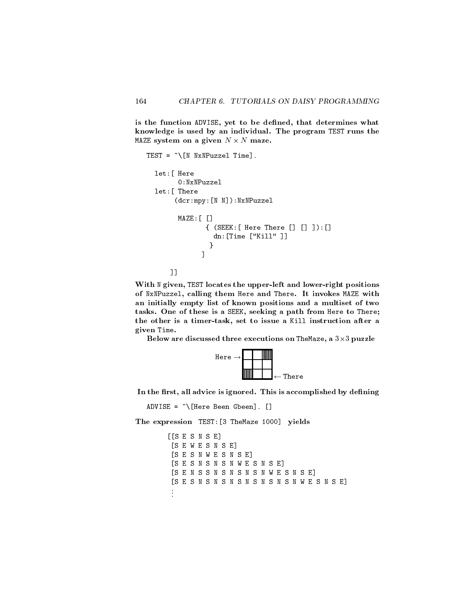is the function ADVISE, yet to be defined, that determines what knowledge is used by an individual. The program TEST runs the MAZE system on a given <sup>N</sup> - N maze.

```
TEST = \hat{\ } [N NxNPuzzel Time].
  let:[ Here
        0:NxNPuzzel
  let:[ There
       (dcr:mpy:[N N]):NxNPuzzel
        MAZE:[ []
                { (SEEK:[ Here There [] [] ]):[]
                  dn:[Time ["Kill" ]]
                 }
               ]
      ]]
```
With N given, TEST locates the upper-left and lower-right positions of NxNPuzzel, calling them Here and There. It invokes MAZE with an initially empty list of known positions and a multiset of two tasks. One of these is a SEEK, seeking a path from Here to There; the other is a timer-task, set to issue a Kill instruction after a given Time.

Below are discussed three executions on TheMaze, a 3-3 puzzle



In the first, all advice is ignored. This is accomplished by defining

```
ADVISE = \hat{} [Here Been Gbeen]. []
```
The expression TEST:[3 TheMaze 1000] yields

```
[[S E S N S E]
[S E W E S N S E]
 [S E S N W E S N S E]
 [S E S N S N S N W E S N S E]
 [S E N S S N S N S N S N W E S N S E]
 [S E S N S N S N S N S N S N S N W E S N S E]
 .
.
```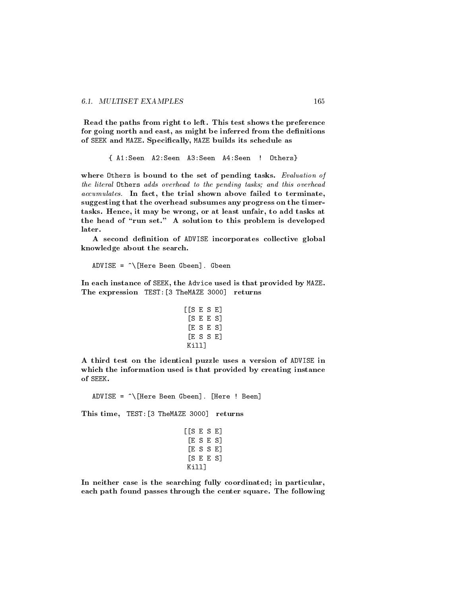Read the paths from right to left. This test shows the preference for going north and east, as might be inferred from the definitions of SEEK and MAZE. Specically, MAZE builds its schedule as

{ A1:Seen A2:Seen A3:Seen A4:Seen ! Others}

where Others is bound to the set of pending tasks. Evaluation of the literal Others adds overhead to the pending tasks; and this overhead accumulates. In fact, the trial shown above failed to terminate, suggesting that the overhead subsumes any progress on the timertasks. Hence, it may be wrong, or at least unfair, to add tasks at the head of "run set." A solution to this problem is developed later.

A second definition of ADVISE incorporates collective global knowledge about the search.

ADVISE =  $\sqrt{\text{Here Been Cheen}}$ . Gbeen

In each instance of SEEK, the Advice used is that provided by MAZE. The expression TEST:[3 TheMAZE 3000] returns

```
[[S E S E]
[S E E S]
[E S E S]
[E S S E]
Kill]
```
A third test on the identical puzzle uses a version of ADVISE in which the information used is that provided by creating instance of SEEK.

ADVISE = ^\[Here Been Gbeen]. [Here ! Been] This time, TEST:[3 TheMAZE 3000] returns [[S E S E] [E S E S] [E S S E] [E S S E]

[S E E S] Kill]

In neither case is the searching fully coordinated; in particular, each path found passes through the center square. The following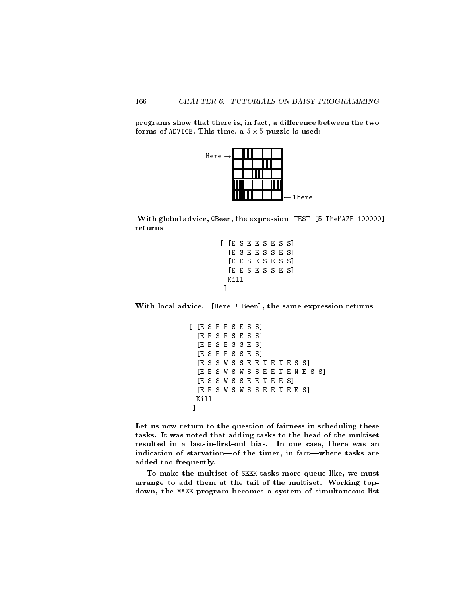programs show that there is, in fact, a difference between the two for  $A$  and  $A$  -stripe, a  $5$  -stripe, a  $5$  -stripe, a  $5$  -stripe, a  $5$  -stripe, a  $5$  -stripe, a  $5$  -stripe, a  $5$ 



With global advice, GBeen, the expression TEST:[5 TheMAZE 100000] returns

|      | [ [E S E E S E S S] |  |  |  |  |  |  |  |  |
|------|---------------------|--|--|--|--|--|--|--|--|
|      | [E S E E S S E S]   |  |  |  |  |  |  |  |  |
|      | [E E S E S E S S]   |  |  |  |  |  |  |  |  |
|      | [E E S E S S E S]   |  |  |  |  |  |  |  |  |
| Kill |                     |  |  |  |  |  |  |  |  |
|      |                     |  |  |  |  |  |  |  |  |

With local advice, [Here ! Been], the same expression returns

```
[ [E S E E S E S S]
 [E E S E S E S S]
 [E E S E S S E S]
  ESEESSES
  [E S E E S S E S]
  [E S S W S S E E N E N E S S]
  [E E S W S W S S E E N E N E S S]
 [E S S W S S E E N E E S]
 [E E S W S W S S E E N E E S]
 Kill
```
]

Let us now return to the question of fairness in scheduling these tasks. It was noted that adding tasks to the head of the multiset resulted in a last-in-first-out bias. In one case, there was an indication of starvation-of the timer, in fact-where tasks are added too frequently.

To make the multiset of SEEK tasks more queue-like, we must arrange to add them at the tail of the multiset. Working topdown, the MAZE program becomes a system of simultaneous list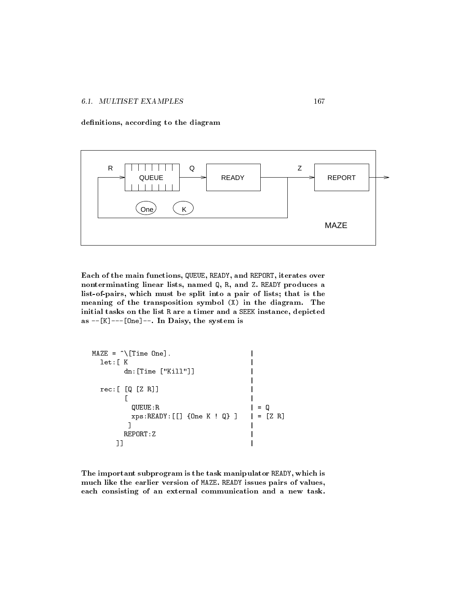definitions, according to the diagram



Each of the main functions, QUEUE, READY, and REPORT, iterates over nonterminating linear lists, named Q, R, and Z. READY produces a list-of-pairs, which must be split into a pair of lists; that is the meaning of the transposition symbol (X) in the diagram. The initial tasks on the list R are a timer and a SEEK instance, depicted as --[K]---[One]--. In Daisy, the system is

```
MAZE = \hat{\wedge}[\text{Time One}].let:[K]
                                dn:[Time ["Kill"]] |
                                                                                                                                                                      |
        rec:[ [Q [Z R]] |
                                  \blacksquare . The contract of the contract of the contract of the contract of the contract of the contract of the contract of the contract of the contract of the contract of the contract of the contract of the contract of the 
                                           QUE EXPLORE IN THE RESIDENCE IN THE RESIDENCE IN THE RESIDENCE IN THE RESIDENCE IN THE RESIDENCE IN THE RESIDENCE IN THE RESIDENCE IN THE RESIDENCE IN THE RESIDENCE IN THE RESIDENCE IN THE RESIDENCE IN THE RESIDENCE IN THE
                                          xps: READV: [[] {One K ! Q} ] | = [Z R]\blacksquare , which is a set of the contract of the contract of the contract of the contract of the contract of the contract of the contract of the contract of the contract of the contract of the contract of the contract of th
                                 REPORT:Z |
                          \blacksquare |] \blacksquare |] \blacksquare |] \blacksquare |] \blacksquare |] \blacksquare |] \blacksquare |] \blacksquare |] \blacksquare |] \blacksquare |] \blacksquare |] \blacksquare |] \blacksquare |] \blacksquare |] \blacksquare |] \blacksquare |] \blacksquare |] \blacksquare |] \blacksquare |] \blacksquare |] \blacksquare |] \blacksquare |]
```
The important subprogram is the task manipulator READY, which is much like the earlier version of MAZE. READY issues pairs of values, each consisting of an external communication and a new task.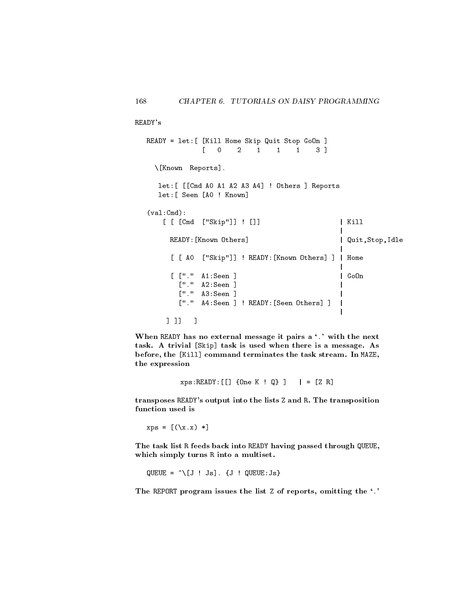READY's

READY = let:[ [Kill Home Skip Quit Stop GoOn ] [ 0 2 1 1 1 3 ] \[Known Reports]. let:[ [[Cmd A0 A1 A2 A3 A4] ! Others ] Reports let:[ Seen [A0 ! Known]  $(val:Cmd):$  $\sim$  Cm  $\sim$  Cm  $\sim$  Cm  $\sim$  Cm  $\sim$  Cm  $\sim$  Cm  $\sim$  Cm  $\sim$  Cm  $\sim$  Cm  $\sim$  Cm  $\sim$  Cm  $\sim$  Cm  $\sim$  Cm  $\sim$  Cm  $\sim$  Cm  $\sim$  Cm  $\sim$  Cm  $\sim$  Cm  $\sim$  Cm  $\sim$  Cm  $\sim$  Cm  $\sim$  Cm  $\sim$  Cm  $\sim$  Cm  $\sim$  Cm  $\sim$  Cm  $\sim$  Cm  $\sim$   $[$   $[$   $[$   $[$   $]$   $[$   $[$   $]$   $[$   $[$   $]$   $[$   $]$   $[$   $[$   $]$   $[$   $]$   $[$   $[$   $]$   $[$   $]$   $[$   $]$   $[$   $]$   $[$   $]$   $[$   $]$   $[$   $]$   $[$   $]$   $[$   $]$   $[$   $]$   $[$   $]$   $[$   $]$   $[$   $]$   $[$   $]$   $[$   $]$   $[$   $]$   $[$   $]$   $[$   $]$   $|$  Kill | READY: [Known Others] | Quit, Stop, Idle | [ [ A0 ["Skip"]] ! READY:[Known Others] ] | Home | [ ["." A1:Seen ] | GoOn ["." A2:Seen ] |  $\mathbf{I}$ ["." A3:Seen ] |  $\mathsf{I}$ ["." A4:Seen ] ! READY:[Seen Others] ] | | ] ]] ]

When READY has no external message it pairs a '.' with the next task. A trivial [Skip] task is used when there is a message. As before, the [Kill] command terminates the task stream. In MAZE, the expression

 $xps: READV: [[] {One K ! Q} ] | = [Z R]$ 

transposes READY's output into the lists Z and R. The transposition function used is

 $xps = [(\lambda x.x) *]$ 

The task list R feeds back into READY having passed through QUEUE, which simply turns R into a multiset.

QUEUE =  $\hat{C}$ [J ! Js]. {J ! QUEUE:Js}

The REPORT program issues the list Z of reports, omitting the '.'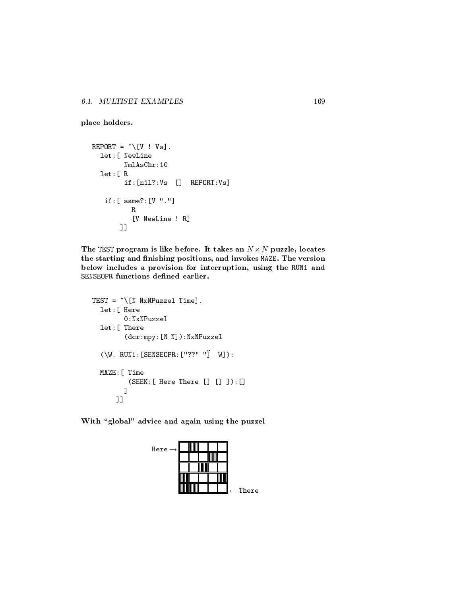place holders.

```
REPORT = \hat{C} | Vs].
  let:[ NewLine
        NmlAsChr:10
  let:[ R
        if:[nil?:Vs [] REPORT:Vs]
   if:[ same?:[V "."]
          R
          [V NewLine ! R]
       ]]
```
The TEST program is like before. It takes an <sup>N</sup> -N puzzle, locates the starting and finishing positions, and invokes MAZE. The version below includes a provision for interruption, using the RUN1 and SENSEOPR functions defined earlier.

```
TEST = \hat{\ } [N NxNPuzzel Time].
  let:[ Here
        0:NxNPuzzel
  let:[ There
        (dcr:mpy:[N N]):NxNPuzzel
  (\W. RUN1:[SENSEOPR:["??" "
] W]):
  MAZE:[ Time
         (SEEK:[ Here There [] [] ]):[]
        \blacksquare
```
With "global" advice and again using the puzzel

]]

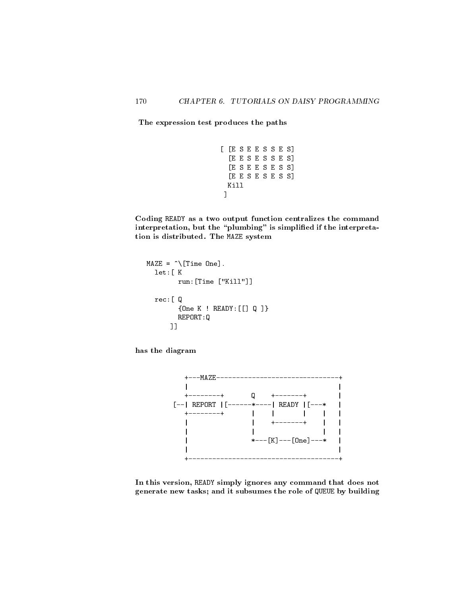The expression test produces the paths

[ [E S E E S S E S] [E E S E S S E S] [E S E E S E S S] [E E S E S E S S] ]

Coding READY as a two output function centralizes the command interpretation, but the "plumbing" is simplified if the interpretation is distributed. The MAZE system

```
MAZE = \hat{\wedge}[\text{Time One}].let:[ K
         run:[Time ["Kill"]]
  rec:[ Q
         {One K ! READY:[[] Q ]}
         REPORT:Q
      ]]
```
has the diagram



In this version, READY simply ignores any command that does not generate new tasks; and it subsumes the role of QUEUE by building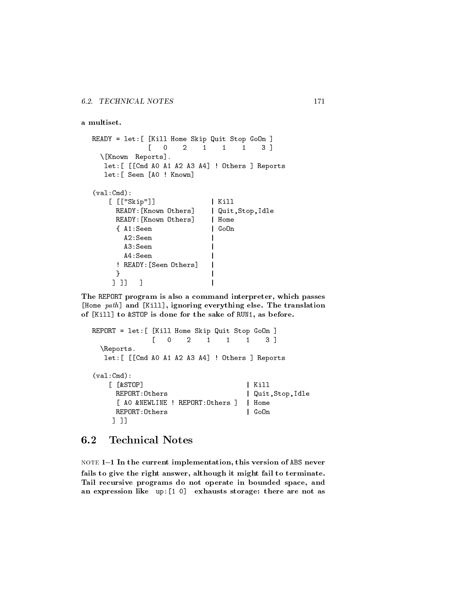```
a multiset.
```

```
READY = let:[ [Kill Home Skip Quit Stop GoOn ]
                        [ 0 2 1 1 1 3 ]
   \[Known Reports].
     let:[ [[Cmd A0 A1 A2 A3 A4] ! Others ] Reports
     let:[ Seen [A0 ! Known]
(val:Cmd):[ [["Skip"]] | Kill
          READY: [Known Others] | Quit, Stop, Idle
          READY: [Known Others] | Home
          {\bf A} , and {\bf B} is a set of the set of the set of the set of the set of the set of the set of the set of the set of the set of the set of the set of the set of the set of the set of the set of the set of the set of th
             A2: Seen
              A2:Seen |
             A3: Seen
              A3:Seen |
             A4:Seen |
          ! READY:[Seen Others] |
          \blacksquare . The contract of the contract of the contract of the contract of the contract of the contract of the contract of the contract of the contract of the contract of the contract of the contract of the contract of the 
        ] ]] ] |
                                                   \mathsf{l}
```
The REPORT program is also a command interpreter, which passes [Home path] and [Kill], ignoring everything else. The translation of [Kill] to &STOP is done for the sake of RUN1, as before.

```
REPORT = let:[ [Kill Home Skip Quit Stop GoOn ]
           [ 0 2 1 1 1 3 ]
 \Reports.
  let:[ [[Cmd A0 A1 A2 A3 A4] ! Others ] Reports
(val:Cmd):[ [&STOP] | Kill
    REPORT: Others | Quit, Stop, Idle
    [ A0 &NEWLINE ! REPORT:Others ] | Home
                              \log Go0n
    REPORT:Others | GoOn
   ] ]]
```
### $6.2$ **Technical Notes**

note 2 in the current implementation, this version of the Medical Composition, the contract of  $\mathcal{L}$ fails to give the right answer, although it might fail to terminate. Tail recursive programs do not operate in bounded space, and an expression like up:[1 0] exhausts storage: there are not as